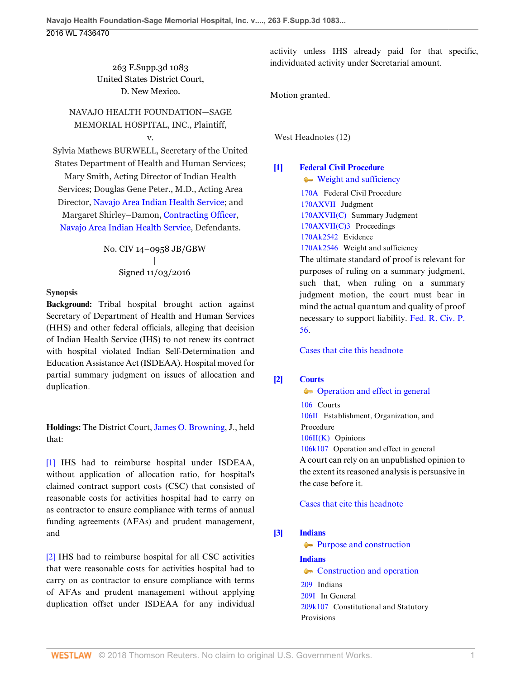263 F.Supp.3d 1083 United States District Court, D. New Mexico.

NAVAJO HEALTH FOUNDATION—SAGE MEMORIAL HOSPITAL, INC., Plaintiff,

v.

Sylvia Mathews BURWELL, Secretary of the United States Department of Health and Human Services; Mary Smith, Acting Director of Indian Health Services; Douglas Gene Peter., M.D., Acting Area Director, [Navajo Area Indian Health Service;](http://www.westlaw.com/Search/Results.html?query=advanced%3a+OAID(5027100970)&saveJuris=False&contentType=BUSINESS-INVESTIGATOR&startIndex=1&contextData=(sc.Default)&categoryPageUrl=Home%2fCompanyInvestigator&originationContext=document&vr=3.0&rs=cblt1.0&transitionType=DocumentItem) and Margaret Shirley–Damon, [Contracting Officer,](http://www.westlaw.com/Search/Results.html?query=advanced%3a+OAID(5013778914)&saveJuris=False&contentType=BUSINESS-INVESTIGATOR&startIndex=1&contextData=(sc.Default)&categoryPageUrl=Home%2fCompanyInvestigator&originationContext=document&vr=3.0&rs=cblt1.0&transitionType=DocumentItem) [Navajo Area Indian Health Service,](http://www.westlaw.com/Search/Results.html?query=advanced%3a+OAID(5027100970)&saveJuris=False&contentType=BUSINESS-INVESTIGATOR&startIndex=1&contextData=(sc.Default)&categoryPageUrl=Home%2fCompanyInvestigator&originationContext=document&vr=3.0&rs=cblt1.0&transitionType=DocumentItem) Defendants.

> No. CIV 14–0958 JB/GBW | Signed 11/03/2016

### **Synopsis**

**Background:** Tribal hospital brought action against Secretary of Department of Health and Human Services (HHS) and other federal officials, alleging that decision of Indian Health Service (IHS) to not renew its contract with hospital violated Indian Self-Determination and Education Assistance Act (ISDEAA). Hospital moved for partial summary judgment on issues of allocation and duplication.

**Holdings:** The District Court, [James O. Browning](http://www.westlaw.com/Link/Document/FullText?findType=h&pubNum=176284&cite=0160643001&originatingDoc=I4a89a3f0c8e111e6b27be1b44e7e7e5b&refType=RQ&originationContext=document&vr=3.0&rs=cblt1.0&transitionType=DocumentItem&contextData=(sc.UserEnteredCitation)), J., held that:

[\[1\]](#page-1-0) IHS had to reimburse hospital under ISDEAA, without application of allocation ratio, for hospital's claimed contract support costs (CSC) that consisted of reasonable costs for activities hospital had to carry on as contractor to ensure compliance with terms of annual funding agreements (AFAs) and prudent management, and

[\[2\]](#page-2-0) IHS had to reimburse hospital for all CSC activities that were reasonable costs for activities hospital had to carry on as contractor to ensure compliance with terms of AFAs and prudent management without applying duplication offset under ISDEAA for any individual activity unless IHS already paid for that specific, individuated activity under Secretarial amount.

Motion granted.

West Headnotes (12)

# <span id="page-0-0"></span>**[\[1\]](#page-23-0) [Federal Civil Procedure](http://www.westlaw.com/Browse/Home/KeyNumber/170A/View.html?docGuid=I4a89a3f0c8e111e6b27be1b44e7e7e5b&originationContext=document&vr=3.0&rs=cblt1.0&transitionType=DocumentItem&contextData=(sc.UserEnteredCitation))** [Weight and sufficiency](http://www.westlaw.com/Browse/Home/KeyNumber/170Ak2546/View.html?docGuid=I4a89a3f0c8e111e6b27be1b44e7e7e5b&originationContext=document&vr=3.0&rs=cblt1.0&transitionType=DocumentItem&contextData=(sc.UserEnteredCitation))

[170A](http://www.westlaw.com/Browse/Home/KeyNumber/170A/View.html?docGuid=I4a89a3f0c8e111e6b27be1b44e7e7e5b&originationContext=document&vr=3.0&rs=cblt1.0&transitionType=DocumentItem&contextData=(sc.UserEnteredCitation)) Federal Civil Procedure [170AXVII](http://www.westlaw.com/Browse/Home/KeyNumber/170AXVII/View.html?docGuid=I4a89a3f0c8e111e6b27be1b44e7e7e5b&originationContext=document&vr=3.0&rs=cblt1.0&transitionType=DocumentItem&contextData=(sc.UserEnteredCitation)) Judgment [170AXVII\(C\)](http://www.westlaw.com/Browse/Home/KeyNumber/170AXVII(C)/View.html?docGuid=I4a89a3f0c8e111e6b27be1b44e7e7e5b&originationContext=document&vr=3.0&rs=cblt1.0&transitionType=DocumentItem&contextData=(sc.UserEnteredCitation)) Summary Judgment [170AXVII\(C\)3](http://www.westlaw.com/Browse/Home/KeyNumber/170AXVII(C)3/View.html?docGuid=I4a89a3f0c8e111e6b27be1b44e7e7e5b&originationContext=document&vr=3.0&rs=cblt1.0&transitionType=DocumentItem&contextData=(sc.UserEnteredCitation)) Proceedings [170Ak2542](http://www.westlaw.com/Browse/Home/KeyNumber/170Ak2542/View.html?docGuid=I4a89a3f0c8e111e6b27be1b44e7e7e5b&originationContext=document&vr=3.0&rs=cblt1.0&transitionType=DocumentItem&contextData=(sc.UserEnteredCitation)) Evidence [170Ak2546](http://www.westlaw.com/Browse/Home/KeyNumber/170Ak2546/View.html?docGuid=I4a89a3f0c8e111e6b27be1b44e7e7e5b&originationContext=document&vr=3.0&rs=cblt1.0&transitionType=DocumentItem&contextData=(sc.UserEnteredCitation)) Weight and sufficiency

The ultimate standard of proof is relevant for purposes of ruling on a summary judgment, such that, when ruling on a summary judgment motion, the court must bear in mind the actual quantum and quality of proof necessary to support liability. [Fed. R. Civ. P.](http://www.westlaw.com/Link/Document/FullText?findType=L&pubNum=1000600&cite=USFRCPR56&originatingDoc=I4a89a3f0c8e111e6b27be1b44e7e7e5b&refType=LQ&originationContext=document&vr=3.0&rs=cblt1.0&transitionType=DocumentItem&contextData=(sc.UserEnteredCitation)) [56.](http://www.westlaw.com/Link/Document/FullText?findType=L&pubNum=1000600&cite=USFRCPR56&originatingDoc=I4a89a3f0c8e111e6b27be1b44e7e7e5b&refType=LQ&originationContext=document&vr=3.0&rs=cblt1.0&transitionType=DocumentItem&contextData=(sc.UserEnteredCitation))

[Cases that cite this headnote](http://www.westlaw.com/Link/RelatedInformation/DocHeadnoteLink?docGuid=I4a89a3f0c8e111e6b27be1b44e7e7e5b&headnoteId=204061814600120180101172625&originationContext=document&vr=3.0&rs=cblt1.0&transitionType=CitingReferences&contextData=(sc.UserEnteredCitation))

# <span id="page-0-1"></span>**[\[2\]](#page-24-0) [Courts](http://www.westlaw.com/Browse/Home/KeyNumber/106/View.html?docGuid=I4a89a3f0c8e111e6b27be1b44e7e7e5b&originationContext=document&vr=3.0&rs=cblt1.0&transitionType=DocumentItem&contextData=(sc.UserEnteredCitation))**

 $\rightarrow$  [Operation and effect in general](http://www.westlaw.com/Browse/Home/KeyNumber/106k107/View.html?docGuid=I4a89a3f0c8e111e6b27be1b44e7e7e5b&originationContext=document&vr=3.0&rs=cblt1.0&transitionType=DocumentItem&contextData=(sc.UserEnteredCitation)) [106](http://www.westlaw.com/Browse/Home/KeyNumber/106/View.html?docGuid=I4a89a3f0c8e111e6b27be1b44e7e7e5b&originationContext=document&vr=3.0&rs=cblt1.0&transitionType=DocumentItem&contextData=(sc.UserEnteredCitation)) Courts [106II](http://www.westlaw.com/Browse/Home/KeyNumber/106II/View.html?docGuid=I4a89a3f0c8e111e6b27be1b44e7e7e5b&originationContext=document&vr=3.0&rs=cblt1.0&transitionType=DocumentItem&contextData=(sc.UserEnteredCitation)) Establishment, Organization, and Procedure [106II\(K\)](http://www.westlaw.com/Browse/Home/KeyNumber/106II(K)/View.html?docGuid=I4a89a3f0c8e111e6b27be1b44e7e7e5b&originationContext=document&vr=3.0&rs=cblt1.0&transitionType=DocumentItem&contextData=(sc.UserEnteredCitation)) Opinions [106k107](http://www.westlaw.com/Browse/Home/KeyNumber/106k107/View.html?docGuid=I4a89a3f0c8e111e6b27be1b44e7e7e5b&originationContext=document&vr=3.0&rs=cblt1.0&transitionType=DocumentItem&contextData=(sc.UserEnteredCitation)) Operation and effect in general A court can rely on an unpublished opinion to the extent its reasoned analysis is persuasive in the case before it.

[Cases that cite this headnote](http://www.westlaw.com/Link/RelatedInformation/DocHeadnoteLink?docGuid=I4a89a3f0c8e111e6b27be1b44e7e7e5b&headnoteId=204061814600220180101172625&originationContext=document&vr=3.0&rs=cblt1.0&transitionType=CitingReferences&contextData=(sc.UserEnteredCitation))

# <span id="page-0-2"></span>**[\[3\]](#page-25-0) [Indians](http://www.westlaw.com/Browse/Home/KeyNumber/209/View.html?docGuid=I4a89a3f0c8e111e6b27be1b44e7e7e5b&originationContext=document&vr=3.0&rs=cblt1.0&transitionType=DocumentItem&contextData=(sc.UserEnteredCitation))**

**[Purpose and construction](http://www.westlaw.com/Browse/Home/KeyNumber/209k109/View.html?docGuid=I4a89a3f0c8e111e6b27be1b44e7e7e5b&originationContext=document&vr=3.0&rs=cblt1.0&transitionType=DocumentItem&contextData=(sc.UserEnteredCitation)) [Indians](http://www.westlaw.com/Browse/Home/KeyNumber/209/View.html?docGuid=I4a89a3f0c8e111e6b27be1b44e7e7e5b&originationContext=document&vr=3.0&rs=cblt1.0&transitionType=DocumentItem&contextData=(sc.UserEnteredCitation))** [Construction and operation](http://www.westlaw.com/Browse/Home/KeyNumber/209k124/View.html?docGuid=I4a89a3f0c8e111e6b27be1b44e7e7e5b&originationContext=document&vr=3.0&rs=cblt1.0&transitionType=DocumentItem&contextData=(sc.UserEnteredCitation)) [209](http://www.westlaw.com/Browse/Home/KeyNumber/209/View.html?docGuid=I4a89a3f0c8e111e6b27be1b44e7e7e5b&originationContext=document&vr=3.0&rs=cblt1.0&transitionType=DocumentItem&contextData=(sc.UserEnteredCitation)) Indians [209I](http://www.westlaw.com/Browse/Home/KeyNumber/209I/View.html?docGuid=I4a89a3f0c8e111e6b27be1b44e7e7e5b&originationContext=document&vr=3.0&rs=cblt1.0&transitionType=DocumentItem&contextData=(sc.UserEnteredCitation)) In General [209k107](http://www.westlaw.com/Browse/Home/KeyNumber/209k107/View.html?docGuid=I4a89a3f0c8e111e6b27be1b44e7e7e5b&originationContext=document&vr=3.0&rs=cblt1.0&transitionType=DocumentItem&contextData=(sc.UserEnteredCitation)) Constitutional and Statutory Provisions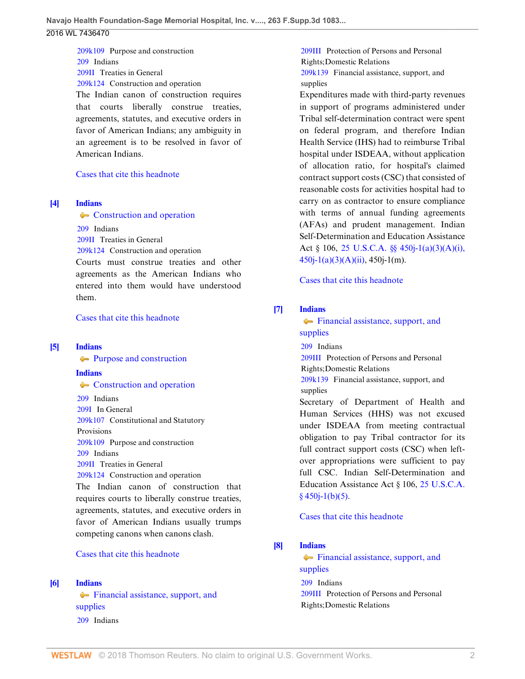[209k109](http://www.westlaw.com/Browse/Home/KeyNumber/209k109/View.html?docGuid=I4a89a3f0c8e111e6b27be1b44e7e7e5b&originationContext=document&vr=3.0&rs=cblt1.0&transitionType=DocumentItem&contextData=(sc.UserEnteredCitation)) Purpose and construction [209](http://www.westlaw.com/Browse/Home/KeyNumber/209/View.html?docGuid=I4a89a3f0c8e111e6b27be1b44e7e7e5b&originationContext=document&vr=3.0&rs=cblt1.0&transitionType=DocumentItem&contextData=(sc.UserEnteredCitation)) Indians [209II](http://www.westlaw.com/Browse/Home/KeyNumber/209II/View.html?docGuid=I4a89a3f0c8e111e6b27be1b44e7e7e5b&originationContext=document&vr=3.0&rs=cblt1.0&transitionType=DocumentItem&contextData=(sc.UserEnteredCitation)) Treaties in General [209k124](http://www.westlaw.com/Browse/Home/KeyNumber/209k124/View.html?docGuid=I4a89a3f0c8e111e6b27be1b44e7e7e5b&originationContext=document&vr=3.0&rs=cblt1.0&transitionType=DocumentItem&contextData=(sc.UserEnteredCitation)) Construction and operation The Indian canon of construction requires that courts liberally construe treaties, agreements, statutes, and executive orders in favor of American Indians; any ambiguity in an agreement is to be resolved in favor of American Indians.

[Cases that cite this headnote](http://www.westlaw.com/Link/RelatedInformation/DocHeadnoteLink?docGuid=I4a89a3f0c8e111e6b27be1b44e7e7e5b&headnoteId=204061814600320180101172625&originationContext=document&vr=3.0&rs=cblt1.0&transitionType=CitingReferences&contextData=(sc.UserEnteredCitation))

#### <span id="page-1-1"></span>**[\[4\]](#page-25-1) [Indians](http://www.westlaw.com/Browse/Home/KeyNumber/209/View.html?docGuid=I4a89a3f0c8e111e6b27be1b44e7e7e5b&originationContext=document&vr=3.0&rs=cblt1.0&transitionType=DocumentItem&contextData=(sc.UserEnteredCitation))**

• [Construction and operation](http://www.westlaw.com/Browse/Home/KeyNumber/209k124/View.html?docGuid=I4a89a3f0c8e111e6b27be1b44e7e7e5b&originationContext=document&vr=3.0&rs=cblt1.0&transitionType=DocumentItem&contextData=(sc.UserEnteredCitation))

[209](http://www.westlaw.com/Browse/Home/KeyNumber/209/View.html?docGuid=I4a89a3f0c8e111e6b27be1b44e7e7e5b&originationContext=document&vr=3.0&rs=cblt1.0&transitionType=DocumentItem&contextData=(sc.UserEnteredCitation)) Indians

[209II](http://www.westlaw.com/Browse/Home/KeyNumber/209II/View.html?docGuid=I4a89a3f0c8e111e6b27be1b44e7e7e5b&originationContext=document&vr=3.0&rs=cblt1.0&transitionType=DocumentItem&contextData=(sc.UserEnteredCitation)) Treaties in General [209k124](http://www.westlaw.com/Browse/Home/KeyNumber/209k124/View.html?docGuid=I4a89a3f0c8e111e6b27be1b44e7e7e5b&originationContext=document&vr=3.0&rs=cblt1.0&transitionType=DocumentItem&contextData=(sc.UserEnteredCitation)) Construction and operation Courts must construe treaties and other agreements as the American Indians who entered into them would have understood them.

#### [Cases that cite this headnote](http://www.westlaw.com/Link/RelatedInformation/DocHeadnoteLink?docGuid=I4a89a3f0c8e111e6b27be1b44e7e7e5b&headnoteId=204061814600420180101172625&originationContext=document&vr=3.0&rs=cblt1.0&transitionType=CitingReferences&contextData=(sc.UserEnteredCitation))

#### <span id="page-1-2"></span>**[\[5\]](#page-25-2) [Indians](http://www.westlaw.com/Browse/Home/KeyNumber/209/View.html?docGuid=I4a89a3f0c8e111e6b27be1b44e7e7e5b&originationContext=document&vr=3.0&rs=cblt1.0&transitionType=DocumentItem&contextData=(sc.UserEnteredCitation))**

**[Purpose and construction](http://www.westlaw.com/Browse/Home/KeyNumber/209k109/View.html?docGuid=I4a89a3f0c8e111e6b27be1b44e7e7e5b&originationContext=document&vr=3.0&rs=cblt1.0&transitionType=DocumentItem&contextData=(sc.UserEnteredCitation))** 

#### **[Indians](http://www.westlaw.com/Browse/Home/KeyNumber/209/View.html?docGuid=I4a89a3f0c8e111e6b27be1b44e7e7e5b&originationContext=document&vr=3.0&rs=cblt1.0&transitionType=DocumentItem&contextData=(sc.UserEnteredCitation))**

• [Construction and operation](http://www.westlaw.com/Browse/Home/KeyNumber/209k124/View.html?docGuid=I4a89a3f0c8e111e6b27be1b44e7e7e5b&originationContext=document&vr=3.0&rs=cblt1.0&transitionType=DocumentItem&contextData=(sc.UserEnteredCitation)) [209](http://www.westlaw.com/Browse/Home/KeyNumber/209/View.html?docGuid=I4a89a3f0c8e111e6b27be1b44e7e7e5b&originationContext=document&vr=3.0&rs=cblt1.0&transitionType=DocumentItem&contextData=(sc.UserEnteredCitation)) Indians [209I](http://www.westlaw.com/Browse/Home/KeyNumber/209I/View.html?docGuid=I4a89a3f0c8e111e6b27be1b44e7e7e5b&originationContext=document&vr=3.0&rs=cblt1.0&transitionType=DocumentItem&contextData=(sc.UserEnteredCitation)) In General [209k107](http://www.westlaw.com/Browse/Home/KeyNumber/209k107/View.html?docGuid=I4a89a3f0c8e111e6b27be1b44e7e7e5b&originationContext=document&vr=3.0&rs=cblt1.0&transitionType=DocumentItem&contextData=(sc.UserEnteredCitation)) Constitutional and Statutory Provisions [209k109](http://www.westlaw.com/Browse/Home/KeyNumber/209k109/View.html?docGuid=I4a89a3f0c8e111e6b27be1b44e7e7e5b&originationContext=document&vr=3.0&rs=cblt1.0&transitionType=DocumentItem&contextData=(sc.UserEnteredCitation)) Purpose and construction [209](http://www.westlaw.com/Browse/Home/KeyNumber/209/View.html?docGuid=I4a89a3f0c8e111e6b27be1b44e7e7e5b&originationContext=document&vr=3.0&rs=cblt1.0&transitionType=DocumentItem&contextData=(sc.UserEnteredCitation)) Indians [209II](http://www.westlaw.com/Browse/Home/KeyNumber/209II/View.html?docGuid=I4a89a3f0c8e111e6b27be1b44e7e7e5b&originationContext=document&vr=3.0&rs=cblt1.0&transitionType=DocumentItem&contextData=(sc.UserEnteredCitation)) Treaties in General [209k124](http://www.westlaw.com/Browse/Home/KeyNumber/209k124/View.html?docGuid=I4a89a3f0c8e111e6b27be1b44e7e7e5b&originationContext=document&vr=3.0&rs=cblt1.0&transitionType=DocumentItem&contextData=(sc.UserEnteredCitation)) Construction and operation

The Indian canon of construction that requires courts to liberally construe treaties, agreements, statutes, and executive orders in favor of American Indians usually trumps competing canons when canons clash.

#### [Cases that cite this headnote](http://www.westlaw.com/Link/RelatedInformation/DocHeadnoteLink?docGuid=I4a89a3f0c8e111e6b27be1b44e7e7e5b&headnoteId=204061814600520180101172625&originationContext=document&vr=3.0&rs=cblt1.0&transitionType=CitingReferences&contextData=(sc.UserEnteredCitation))

#### <span id="page-1-0"></span>**[\[6\]](#page-58-0) [Indians](http://www.westlaw.com/Browse/Home/KeyNumber/209/View.html?docGuid=I4a89a3f0c8e111e6b27be1b44e7e7e5b&originationContext=document&vr=3.0&rs=cblt1.0&transitionType=DocumentItem&contextData=(sc.UserEnteredCitation))**

[Financial assistance, support, and](http://www.westlaw.com/Browse/Home/KeyNumber/209k139/View.html?docGuid=I4a89a3f0c8e111e6b27be1b44e7e7e5b&originationContext=document&vr=3.0&rs=cblt1.0&transitionType=DocumentItem&contextData=(sc.UserEnteredCitation)) [supplies](http://www.westlaw.com/Browse/Home/KeyNumber/209k139/View.html?docGuid=I4a89a3f0c8e111e6b27be1b44e7e7e5b&originationContext=document&vr=3.0&rs=cblt1.0&transitionType=DocumentItem&contextData=(sc.UserEnteredCitation)) [209](http://www.westlaw.com/Browse/Home/KeyNumber/209/View.html?docGuid=I4a89a3f0c8e111e6b27be1b44e7e7e5b&originationContext=document&vr=3.0&rs=cblt1.0&transitionType=DocumentItem&contextData=(sc.UserEnteredCitation)) Indians

[209III](http://www.westlaw.com/Browse/Home/KeyNumber/209III/View.html?docGuid=I4a89a3f0c8e111e6b27be1b44e7e7e5b&originationContext=document&vr=3.0&rs=cblt1.0&transitionType=DocumentItem&contextData=(sc.UserEnteredCitation)) Protection of Persons and Personal Rights; Domestic Relations [209k139](http://www.westlaw.com/Browse/Home/KeyNumber/209k139/View.html?docGuid=I4a89a3f0c8e111e6b27be1b44e7e7e5b&originationContext=document&vr=3.0&rs=cblt1.0&transitionType=DocumentItem&contextData=(sc.UserEnteredCitation)) Financial assistance, support, and supplies

Expenditures made with third-party revenues in support of programs administered under Tribal self-determination contract were spent on federal program, and therefore Indian Health Service (IHS) had to reimburse Tribal hospital under ISDEAA, without application of allocation ratio, for hospital's claimed contract support costs (CSC) that consisted of reasonable costs for activities hospital had to carry on as contractor to ensure compliance with terms of annual funding agreements (AFAs) and prudent management. Indian Self-Determination and Education Assistance Act § 106, [25 U.S.C.A. §§ 450j-1\(a\)\(3\)\(A\)\(i\),](http://www.westlaw.com/Link/Document/FullText?findType=L&pubNum=1000546&cite=25USCAS450J-1&originatingDoc=I4a89a3f0c8e111e6b27be1b44e7e7e5b&refType=LQ&originationContext=document&vr=3.0&rs=cblt1.0&transitionType=DocumentItem&contextData=(sc.UserEnteredCitation))  $450j-1(a)(3)(A)(ii)$ ,  $450j-1(m)$ .

[Cases that cite this headnote](http://www.westlaw.com/Link/RelatedInformation/DocHeadnoteLink?docGuid=I4a89a3f0c8e111e6b27be1b44e7e7e5b&headnoteId=204061814600620180101172625&originationContext=document&vr=3.0&rs=cblt1.0&transitionType=CitingReferences&contextData=(sc.UserEnteredCitation))

### **[\[7\]](#page-59-0) [Indians](http://www.westlaw.com/Browse/Home/KeyNumber/209/View.html?docGuid=I4a89a3f0c8e111e6b27be1b44e7e7e5b&originationContext=document&vr=3.0&rs=cblt1.0&transitionType=DocumentItem&contextData=(sc.UserEnteredCitation))**

[Financial assistance, support, and](http://www.westlaw.com/Browse/Home/KeyNumber/209k139/View.html?docGuid=I4a89a3f0c8e111e6b27be1b44e7e7e5b&originationContext=document&vr=3.0&rs=cblt1.0&transitionType=DocumentItem&contextData=(sc.UserEnteredCitation)) [supplies](http://www.westlaw.com/Browse/Home/KeyNumber/209k139/View.html?docGuid=I4a89a3f0c8e111e6b27be1b44e7e7e5b&originationContext=document&vr=3.0&rs=cblt1.0&transitionType=DocumentItem&contextData=(sc.UserEnteredCitation)) [209](http://www.westlaw.com/Browse/Home/KeyNumber/209/View.html?docGuid=I4a89a3f0c8e111e6b27be1b44e7e7e5b&originationContext=document&vr=3.0&rs=cblt1.0&transitionType=DocumentItem&contextData=(sc.UserEnteredCitation)) Indians [209III](http://www.westlaw.com/Browse/Home/KeyNumber/209III/View.html?docGuid=I4a89a3f0c8e111e6b27be1b44e7e7e5b&originationContext=document&vr=3.0&rs=cblt1.0&transitionType=DocumentItem&contextData=(sc.UserEnteredCitation)) Protection of Persons and Personal Rights; Domestic Relations [209k139](http://www.westlaw.com/Browse/Home/KeyNumber/209k139/View.html?docGuid=I4a89a3f0c8e111e6b27be1b44e7e7e5b&originationContext=document&vr=3.0&rs=cblt1.0&transitionType=DocumentItem&contextData=(sc.UserEnteredCitation)) Financial assistance, support, and supplies Secretary of Department of Health and Human Services (HHS) was not excused under ISDEAA from meeting contractual obligation to pay Tribal contractor for its full contract support costs (CSC) when leftover appropriations were sufficient to pay full CSC. Indian Self-Determination and Education Assistance Act § 106, [25 U.S.C.A.](http://www.westlaw.com/Link/Document/FullText?findType=L&pubNum=1000546&cite=25USCAS450J-1&originatingDoc=I4a89a3f0c8e111e6b27be1b44e7e7e5b&refType=LQ&originationContext=document&vr=3.0&rs=cblt1.0&transitionType=DocumentItem&contextData=(sc.UserEnteredCitation))  $§$  450<sub>i</sub>-1(b)(5).

[Cases that cite this headnote](http://www.westlaw.com/Link/RelatedInformation/DocHeadnoteLink?docGuid=I4a89a3f0c8e111e6b27be1b44e7e7e5b&headnoteId=204061814600920180101172625&originationContext=document&vr=3.0&rs=cblt1.0&transitionType=CitingReferences&contextData=(sc.UserEnteredCitation))

#### **[\[8\]](#page-59-1) [Indians](http://www.westlaw.com/Browse/Home/KeyNumber/209/View.html?docGuid=I4a89a3f0c8e111e6b27be1b44e7e7e5b&originationContext=document&vr=3.0&rs=cblt1.0&transitionType=DocumentItem&contextData=(sc.UserEnteredCitation))**

• [Financial assistance, support, and](http://www.westlaw.com/Browse/Home/KeyNumber/209k139/View.html?docGuid=I4a89a3f0c8e111e6b27be1b44e7e7e5b&originationContext=document&vr=3.0&rs=cblt1.0&transitionType=DocumentItem&contextData=(sc.UserEnteredCitation)) [supplies](http://www.westlaw.com/Browse/Home/KeyNumber/209k139/View.html?docGuid=I4a89a3f0c8e111e6b27be1b44e7e7e5b&originationContext=document&vr=3.0&rs=cblt1.0&transitionType=DocumentItem&contextData=(sc.UserEnteredCitation))

[209](http://www.westlaw.com/Browse/Home/KeyNumber/209/View.html?docGuid=I4a89a3f0c8e111e6b27be1b44e7e7e5b&originationContext=document&vr=3.0&rs=cblt1.0&transitionType=DocumentItem&contextData=(sc.UserEnteredCitation)) Indians [209III](http://www.westlaw.com/Browse/Home/KeyNumber/209III/View.html?docGuid=I4a89a3f0c8e111e6b27be1b44e7e7e5b&originationContext=document&vr=3.0&rs=cblt1.0&transitionType=DocumentItem&contextData=(sc.UserEnteredCitation)) Protection of Persons and Personal Rights; Domestic Relations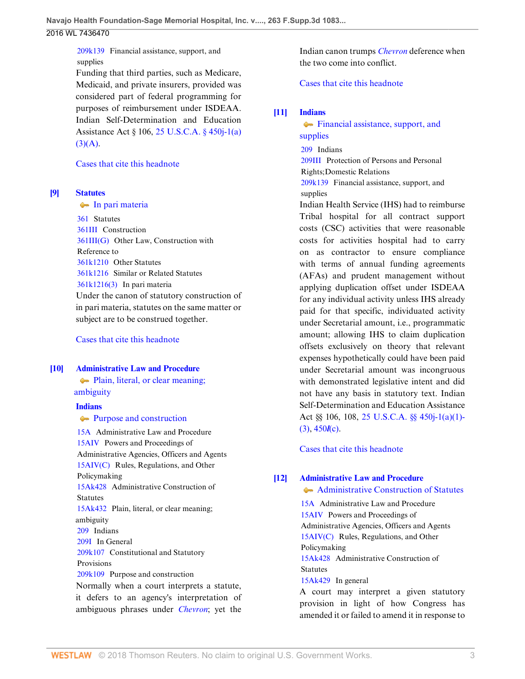**Navajo Health Foundation-Sage Memorial Hospital, Inc. v...., 263 F.Supp.3d 1083...** 2016 WL 7436470

> [209k139](http://www.westlaw.com/Browse/Home/KeyNumber/209k139/View.html?docGuid=I4a89a3f0c8e111e6b27be1b44e7e7e5b&originationContext=document&vr=3.0&rs=cblt1.0&transitionType=DocumentItem&contextData=(sc.UserEnteredCitation)) Financial assistance, support, and supplies

Funding that third parties, such as Medicare, Medicaid, and private insurers, provided was considered part of federal programming for purposes of reimbursement under ISDEAA. Indian Self-Determination and Education Assistance Act § 106, [25 U.S.C.A. § 450j-1\(a\)](http://www.westlaw.com/Link/Document/FullText?findType=L&pubNum=1000546&cite=25USCAS450J-1&originatingDoc=I4a89a3f0c8e111e6b27be1b44e7e7e5b&refType=LQ&originationContext=document&vr=3.0&rs=cblt1.0&transitionType=DocumentItem&contextData=(sc.UserEnteredCitation))  $(3)(A).$ 

### [Cases that cite this headnote](http://www.westlaw.com/Link/RelatedInformation/DocHeadnoteLink?docGuid=I4a89a3f0c8e111e6b27be1b44e7e7e5b&headnoteId=204061814601020180101172625&originationContext=document&vr=3.0&rs=cblt1.0&transitionType=CitingReferences&contextData=(sc.UserEnteredCitation))

#### **[\[9\]](#page-60-0) [Statutes](http://www.westlaw.com/Browse/Home/KeyNumber/361/View.html?docGuid=I4a89a3f0c8e111e6b27be1b44e7e7e5b&originationContext=document&vr=3.0&rs=cblt1.0&transitionType=DocumentItem&contextData=(sc.UserEnteredCitation))**

[In pari materia](http://www.westlaw.com/Browse/Home/KeyNumber/361k1216(3)/View.html?docGuid=I4a89a3f0c8e111e6b27be1b44e7e7e5b&originationContext=document&vr=3.0&rs=cblt1.0&transitionType=DocumentItem&contextData=(sc.UserEnteredCitation))

[361](http://www.westlaw.com/Browse/Home/KeyNumber/361/View.html?docGuid=I4a89a3f0c8e111e6b27be1b44e7e7e5b&originationContext=document&vr=3.0&rs=cblt1.0&transitionType=DocumentItem&contextData=(sc.UserEnteredCitation)) Statutes [361III](http://www.westlaw.com/Browse/Home/KeyNumber/361III/View.html?docGuid=I4a89a3f0c8e111e6b27be1b44e7e7e5b&originationContext=document&vr=3.0&rs=cblt1.0&transitionType=DocumentItem&contextData=(sc.UserEnteredCitation)) Construction [361III\(G\)](http://www.westlaw.com/Browse/Home/KeyNumber/361III(G)/View.html?docGuid=I4a89a3f0c8e111e6b27be1b44e7e7e5b&originationContext=document&vr=3.0&rs=cblt1.0&transitionType=DocumentItem&contextData=(sc.UserEnteredCitation)) Other Law, Construction with Reference to [361k1210](http://www.westlaw.com/Browse/Home/KeyNumber/361k1210/View.html?docGuid=I4a89a3f0c8e111e6b27be1b44e7e7e5b&originationContext=document&vr=3.0&rs=cblt1.0&transitionType=DocumentItem&contextData=(sc.UserEnteredCitation)) Other Statutes [361k1216](http://www.westlaw.com/Browse/Home/KeyNumber/361k1216/View.html?docGuid=I4a89a3f0c8e111e6b27be1b44e7e7e5b&originationContext=document&vr=3.0&rs=cblt1.0&transitionType=DocumentItem&contextData=(sc.UserEnteredCitation)) Similar or Related Statutes [361k1216\(3\)](http://www.westlaw.com/Browse/Home/KeyNumber/361k1216(3)/View.html?docGuid=I4a89a3f0c8e111e6b27be1b44e7e7e5b&originationContext=document&vr=3.0&rs=cblt1.0&transitionType=DocumentItem&contextData=(sc.UserEnteredCitation)) In pari materia Under the canon of statutory construction of in pari materia, statutes on the same matter or subject are to be construed together.

[Cases that cite this headnote](http://www.westlaw.com/Link/RelatedInformation/DocHeadnoteLink?docGuid=I4a89a3f0c8e111e6b27be1b44e7e7e5b&headnoteId=204061814601320180101172625&originationContext=document&vr=3.0&rs=cblt1.0&transitionType=CitingReferences&contextData=(sc.UserEnteredCitation))

#### **[\[10\]](#page-60-1) [Administrative Law and Procedure](http://www.westlaw.com/Browse/Home/KeyNumber/15A/View.html?docGuid=I4a89a3f0c8e111e6b27be1b44e7e7e5b&originationContext=document&vr=3.0&rs=cblt1.0&transitionType=DocumentItem&contextData=(sc.UserEnteredCitation))**

• Plain, literal, or clear meaning;  [ambiguity](http://www.westlaw.com/Browse/Home/KeyNumber/15Ak432/View.html?docGuid=I4a89a3f0c8e111e6b27be1b44e7e7e5b&originationContext=document&vr=3.0&rs=cblt1.0&transitionType=DocumentItem&contextData=(sc.UserEnteredCitation))

#### **[Indians](http://www.westlaw.com/Browse/Home/KeyNumber/209/View.html?docGuid=I4a89a3f0c8e111e6b27be1b44e7e7e5b&originationContext=document&vr=3.0&rs=cblt1.0&transitionType=DocumentItem&contextData=(sc.UserEnteredCitation))**

**[Purpose and construction](http://www.westlaw.com/Browse/Home/KeyNumber/209k109/View.html?docGuid=I4a89a3f0c8e111e6b27be1b44e7e7e5b&originationContext=document&vr=3.0&rs=cblt1.0&transitionType=DocumentItem&contextData=(sc.UserEnteredCitation))** 

[15A](http://www.westlaw.com/Browse/Home/KeyNumber/15A/View.html?docGuid=I4a89a3f0c8e111e6b27be1b44e7e7e5b&originationContext=document&vr=3.0&rs=cblt1.0&transitionType=DocumentItem&contextData=(sc.UserEnteredCitation)) Administrative Law and Procedure [15AIV](http://www.westlaw.com/Browse/Home/KeyNumber/15AIV/View.html?docGuid=I4a89a3f0c8e111e6b27be1b44e7e7e5b&originationContext=document&vr=3.0&rs=cblt1.0&transitionType=DocumentItem&contextData=(sc.UserEnteredCitation)) Powers and Proceedings of Administrative Agencies, Officers and Agents [15AIV\(C\)](http://www.westlaw.com/Browse/Home/KeyNumber/15AIV(C)/View.html?docGuid=I4a89a3f0c8e111e6b27be1b44e7e7e5b&originationContext=document&vr=3.0&rs=cblt1.0&transitionType=DocumentItem&contextData=(sc.UserEnteredCitation)) Rules, Regulations, and Other Policymaking [15Ak428](http://www.westlaw.com/Browse/Home/KeyNumber/15Ak428/View.html?docGuid=I4a89a3f0c8e111e6b27be1b44e7e7e5b&originationContext=document&vr=3.0&rs=cblt1.0&transitionType=DocumentItem&contextData=(sc.UserEnteredCitation)) Administrative Construction of **Statutes** [15Ak432](http://www.westlaw.com/Browse/Home/KeyNumber/15Ak432/View.html?docGuid=I4a89a3f0c8e111e6b27be1b44e7e7e5b&originationContext=document&vr=3.0&rs=cblt1.0&transitionType=DocumentItem&contextData=(sc.UserEnteredCitation)) Plain, literal, or clear meaning; ambiguity [209](http://www.westlaw.com/Browse/Home/KeyNumber/209/View.html?docGuid=I4a89a3f0c8e111e6b27be1b44e7e7e5b&originationContext=document&vr=3.0&rs=cblt1.0&transitionType=DocumentItem&contextData=(sc.UserEnteredCitation)) Indians [209I](http://www.westlaw.com/Browse/Home/KeyNumber/209I/View.html?docGuid=I4a89a3f0c8e111e6b27be1b44e7e7e5b&originationContext=document&vr=3.0&rs=cblt1.0&transitionType=DocumentItem&contextData=(sc.UserEnteredCitation)) In General [209k107](http://www.westlaw.com/Browse/Home/KeyNumber/209k107/View.html?docGuid=I4a89a3f0c8e111e6b27be1b44e7e7e5b&originationContext=document&vr=3.0&rs=cblt1.0&transitionType=DocumentItem&contextData=(sc.UserEnteredCitation)) Constitutional and Statutory Provisions [209k109](http://www.westlaw.com/Browse/Home/KeyNumber/209k109/View.html?docGuid=I4a89a3f0c8e111e6b27be1b44e7e7e5b&originationContext=document&vr=3.0&rs=cblt1.0&transitionType=DocumentItem&contextData=(sc.UserEnteredCitation)) Purpose and construction Normally when a court interprets a statute, it defers to an agency's interpretation of ambiguous phrases under *[Chevron](http://www.westlaw.com/Link/Document/FullText?findType=Y&serNum=1984130736&pubNum=0000708&originatingDoc=I4a89a3f0c8e111e6b27be1b44e7e7e5b&refType=RP&originationContext=document&vr=3.0&rs=cblt1.0&transitionType=DocumentItem&contextData=(sc.UserEnteredCitation))*; yet the Indian canon trumps *[Chevron](http://www.westlaw.com/Link/Document/FullText?findType=Y&serNum=1984130736&pubNum=0000708&originatingDoc=I4a89a3f0c8e111e6b27be1b44e7e7e5b&refType=RP&originationContext=document&vr=3.0&rs=cblt1.0&transitionType=DocumentItem&contextData=(sc.UserEnteredCitation))* deference when the two come into conflict.

#### [Cases that cite this headnote](http://www.westlaw.com/Link/RelatedInformation/DocHeadnoteLink?docGuid=I4a89a3f0c8e111e6b27be1b44e7e7e5b&headnoteId=204061814601120180101172625&originationContext=document&vr=3.0&rs=cblt1.0&transitionType=CitingReferences&contextData=(sc.UserEnteredCitation))

#### <span id="page-2-0"></span>**[\[11\]](#page-63-0) [Indians](http://www.westlaw.com/Browse/Home/KeyNumber/209/View.html?docGuid=I4a89a3f0c8e111e6b27be1b44e7e7e5b&originationContext=document&vr=3.0&rs=cblt1.0&transitionType=DocumentItem&contextData=(sc.UserEnteredCitation))**

**[Financial assistance, support, and](http://www.westlaw.com/Browse/Home/KeyNumber/209k139/View.html?docGuid=I4a89a3f0c8e111e6b27be1b44e7e7e5b&originationContext=document&vr=3.0&rs=cblt1.0&transitionType=DocumentItem&contextData=(sc.UserEnteredCitation))** [supplies](http://www.westlaw.com/Browse/Home/KeyNumber/209k139/View.html?docGuid=I4a89a3f0c8e111e6b27be1b44e7e7e5b&originationContext=document&vr=3.0&rs=cblt1.0&transitionType=DocumentItem&contextData=(sc.UserEnteredCitation))

[209](http://www.westlaw.com/Browse/Home/KeyNumber/209/View.html?docGuid=I4a89a3f0c8e111e6b27be1b44e7e7e5b&originationContext=document&vr=3.0&rs=cblt1.0&transitionType=DocumentItem&contextData=(sc.UserEnteredCitation)) Indians

[209III](http://www.westlaw.com/Browse/Home/KeyNumber/209III/View.html?docGuid=I4a89a3f0c8e111e6b27be1b44e7e7e5b&originationContext=document&vr=3.0&rs=cblt1.0&transitionType=DocumentItem&contextData=(sc.UserEnteredCitation)) Protection of Persons and Personal Rights; Domestic Relations [209k139](http://www.westlaw.com/Browse/Home/KeyNumber/209k139/View.html?docGuid=I4a89a3f0c8e111e6b27be1b44e7e7e5b&originationContext=document&vr=3.0&rs=cblt1.0&transitionType=DocumentItem&contextData=(sc.UserEnteredCitation)) Financial assistance, support, and supplies

Indian Health Service (IHS) had to reimburse Tribal hospital for all contract support costs (CSC) activities that were reasonable costs for activities hospital had to carry on as contractor to ensure compliance with terms of annual funding agreements (AFAs) and prudent management without applying duplication offset under ISDEAA for any individual activity unless IHS already paid for that specific, individuated activity under Secretarial amount, i.e., programmatic amount; allowing IHS to claim duplication offsets exclusively on theory that relevant expenses hypothetically could have been paid under Secretarial amount was incongruous with demonstrated legislative intent and did not have any basis in statutory text. Indian Self-Determination and Education Assistance Act §§ 106, 108, [25 U.S.C.A. §§ 450j-1\(a\)\(1\)-](http://www.westlaw.com/Link/Document/FullText?findType=L&pubNum=1000546&cite=25USCAS450J-1&originatingDoc=I4a89a3f0c8e111e6b27be1b44e7e7e5b&refType=LQ&originationContext=document&vr=3.0&rs=cblt1.0&transitionType=DocumentItem&contextData=(sc.UserEnteredCitation)) [\(3\)](http://www.westlaw.com/Link/Document/FullText?findType=L&pubNum=1000546&cite=25USCAS450J-1&originatingDoc=I4a89a3f0c8e111e6b27be1b44e7e7e5b&refType=LQ&originationContext=document&vr=3.0&rs=cblt1.0&transitionType=DocumentItem&contextData=(sc.UserEnteredCitation)), [450](http://www.westlaw.com/Link/Document/FullText?findType=L&pubNum=1000546&cite=25USCAS450L&originatingDoc=I4a89a3f0c8e111e6b27be1b44e7e7e5b&refType=LQ&originationContext=document&vr=3.0&rs=cblt1.0&transitionType=DocumentItem&contextData=(sc.UserEnteredCitation))*l*(c).

[Cases that cite this headnote](http://www.westlaw.com/Link/RelatedInformation/DocHeadnoteLink?docGuid=I4a89a3f0c8e111e6b27be1b44e7e7e5b&headnoteId=204061814600820180101172625&originationContext=document&vr=3.0&rs=cblt1.0&transitionType=CitingReferences&contextData=(sc.UserEnteredCitation))

### **[\[12\]](#page-69-0) [Administrative Law and Procedure](http://www.westlaw.com/Browse/Home/KeyNumber/15A/View.html?docGuid=I4a89a3f0c8e111e6b27be1b44e7e7e5b&originationContext=document&vr=3.0&rs=cblt1.0&transitionType=DocumentItem&contextData=(sc.UserEnteredCitation))**

[Administrative Construction of Statutes](http://www.westlaw.com/Browse/Home/KeyNumber/15Ak428/View.html?docGuid=I4a89a3f0c8e111e6b27be1b44e7e7e5b&originationContext=document&vr=3.0&rs=cblt1.0&transitionType=DocumentItem&contextData=(sc.UserEnteredCitation))

[15A](http://www.westlaw.com/Browse/Home/KeyNumber/15A/View.html?docGuid=I4a89a3f0c8e111e6b27be1b44e7e7e5b&originationContext=document&vr=3.0&rs=cblt1.0&transitionType=DocumentItem&contextData=(sc.UserEnteredCitation)) Administrative Law and Procedure [15AIV](http://www.westlaw.com/Browse/Home/KeyNumber/15AIV/View.html?docGuid=I4a89a3f0c8e111e6b27be1b44e7e7e5b&originationContext=document&vr=3.0&rs=cblt1.0&transitionType=DocumentItem&contextData=(sc.UserEnteredCitation)) Powers and Proceedings of Administrative Agencies, Officers and Agents [15AIV\(C\)](http://www.westlaw.com/Browse/Home/KeyNumber/15AIV(C)/View.html?docGuid=I4a89a3f0c8e111e6b27be1b44e7e7e5b&originationContext=document&vr=3.0&rs=cblt1.0&transitionType=DocumentItem&contextData=(sc.UserEnteredCitation)) Rules, Regulations, and Other Policymaking [15Ak428](http://www.westlaw.com/Browse/Home/KeyNumber/15Ak428/View.html?docGuid=I4a89a3f0c8e111e6b27be1b44e7e7e5b&originationContext=document&vr=3.0&rs=cblt1.0&transitionType=DocumentItem&contextData=(sc.UserEnteredCitation)) Administrative Construction of Statutes

[15Ak429](http://www.westlaw.com/Browse/Home/KeyNumber/15Ak429/View.html?docGuid=I4a89a3f0c8e111e6b27be1b44e7e7e5b&originationContext=document&vr=3.0&rs=cblt1.0&transitionType=DocumentItem&contextData=(sc.UserEnteredCitation)) In general

A court may interpret a given statutory provision in light of how Congress has amended it or failed to amend it in response to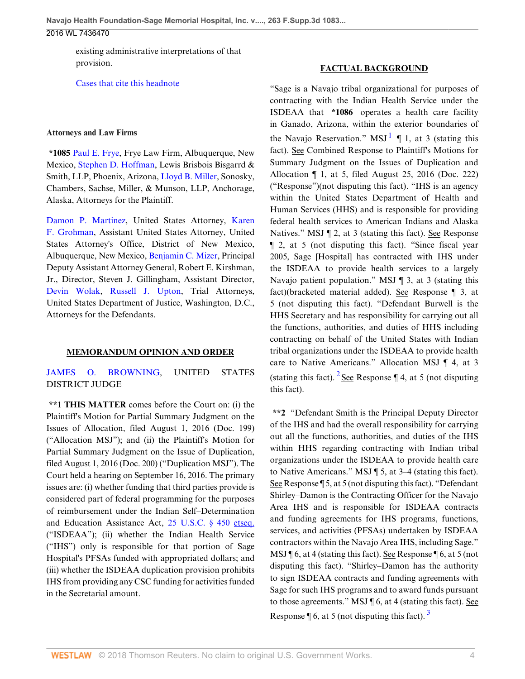existing administrative interpretations of that provision.

[Cases that cite this headnote](http://www.westlaw.com/Link/RelatedInformation/DocHeadnoteLink?docGuid=I4a89a3f0c8e111e6b27be1b44e7e7e5b&headnoteId=204061814601220180101172625&originationContext=document&vr=3.0&rs=cblt1.0&transitionType=CitingReferences&contextData=(sc.UserEnteredCitation))

#### **Attorneys and Law Firms**

**\*1085** [Paul E. Frye](http://www.westlaw.com/Link/Document/FullText?findType=h&pubNum=176284&cite=0222238801&originatingDoc=I4a89a3f0c8e111e6b27be1b44e7e7e5b&refType=RQ&originationContext=document&vr=3.0&rs=cblt1.0&transitionType=DocumentItem&contextData=(sc.UserEnteredCitation)), Frye Law Firm, Albuquerque, New Mexico, [Stephen D. Hoffman](http://www.westlaw.com/Link/Document/FullText?findType=h&pubNum=176284&cite=0249749101&originatingDoc=I4a89a3f0c8e111e6b27be1b44e7e7e5b&refType=RQ&originationContext=document&vr=3.0&rs=cblt1.0&transitionType=DocumentItem&contextData=(sc.UserEnteredCitation)), Lewis Brisbois Bisgarrd & Smith, LLP, Phoenix, Arizona, [Lloyd B. Miller,](http://www.westlaw.com/Link/Document/FullText?findType=h&pubNum=176284&cite=0106761901&originatingDoc=I4a89a3f0c8e111e6b27be1b44e7e7e5b&refType=RQ&originationContext=document&vr=3.0&rs=cblt1.0&transitionType=DocumentItem&contextData=(sc.UserEnteredCitation)) Sonosky, Chambers, Sachse, Miller, & Munson, LLP, Anchorage, Alaska, Attorneys for the Plaintiff.

[Damon P. Martinez](http://www.westlaw.com/Link/Document/FullText?findType=h&pubNum=176284&cite=0135535601&originatingDoc=I4a89a3f0c8e111e6b27be1b44e7e7e5b&refType=RQ&originationContext=document&vr=3.0&rs=cblt1.0&transitionType=DocumentItem&contextData=(sc.UserEnteredCitation)), United States Attorney, [Karen](http://www.westlaw.com/Link/Document/FullText?findType=h&pubNum=176284&cite=0467973501&originatingDoc=I4a89a3f0c8e111e6b27be1b44e7e7e5b&refType=RQ&originationContext=document&vr=3.0&rs=cblt1.0&transitionType=DocumentItem&contextData=(sc.UserEnteredCitation)) [F. Grohman](http://www.westlaw.com/Link/Document/FullText?findType=h&pubNum=176284&cite=0467973501&originatingDoc=I4a89a3f0c8e111e6b27be1b44e7e7e5b&refType=RQ&originationContext=document&vr=3.0&rs=cblt1.0&transitionType=DocumentItem&contextData=(sc.UserEnteredCitation)), Assistant United States Attorney, United States Attorney's Office, District of New Mexico, Albuquerque, New Mexico, [Benjamin C. Mizer,](http://www.westlaw.com/Link/Document/FullText?findType=h&pubNum=176284&cite=0307409501&originatingDoc=I4a89a3f0c8e111e6b27be1b44e7e7e5b&refType=RQ&originationContext=document&vr=3.0&rs=cblt1.0&transitionType=DocumentItem&contextData=(sc.UserEnteredCitation)) Principal Deputy Assistant Attorney General, Robert E. Kirshman, Jr., Director, Steven J. Gillingham, Assistant Director, [Devin Wolak,](http://www.westlaw.com/Link/Document/FullText?findType=h&pubNum=176284&cite=0335822801&originatingDoc=I4a89a3f0c8e111e6b27be1b44e7e7e5b&refType=RQ&originationContext=document&vr=3.0&rs=cblt1.0&transitionType=DocumentItem&contextData=(sc.UserEnteredCitation)) [Russell J. Upton](http://www.westlaw.com/Link/Document/FullText?findType=h&pubNum=176284&cite=0329386401&originatingDoc=I4a89a3f0c8e111e6b27be1b44e7e7e5b&refType=RQ&originationContext=document&vr=3.0&rs=cblt1.0&transitionType=DocumentItem&contextData=(sc.UserEnteredCitation)), Trial Attorneys, United States Department of Justice, Washington, D.C., Attorneys for the Defendants.

#### **MEMORANDUM OPINION AND ORDER**

# [JAMES O. BROWNING](http://www.westlaw.com/Link/Document/FullText?findType=h&pubNum=176284&cite=0160643001&originatingDoc=I4a89a3f0c8e111e6b27be1b44e7e7e5b&refType=RQ&originationContext=document&vr=3.0&rs=cblt1.0&transitionType=DocumentItem&contextData=(sc.UserEnteredCitation)), UNITED STATES DISTRICT JUDGE

**\*\*1 THIS MATTER** comes before the Court on: (i) the Plaintiff's Motion for Partial Summary Judgment on the Issues of Allocation, filed August 1, 2016 (Doc. 199) ("Allocation MSJ"); and (ii) the Plaintiff's Motion for Partial Summary Judgment on the Issue of Duplication, filed August 1, 2016 (Doc. 200) ("Duplication MSJ"). The Court held a hearing on September 16, 2016. The primary issues are: (i) whether funding that third parties provide is considered part of federal programming for the purposes of reimbursement under the Indian Self–Determination and Education Assistance Act, [25 U.S.C. § 450 etseq.](http://www.westlaw.com/Link/Document/FullText?findType=L&pubNum=1000546&cite=25USCAS450&originatingDoc=I4a89a3f0c8e111e6b27be1b44e7e7e5b&refType=LQ&originationContext=document&vr=3.0&rs=cblt1.0&transitionType=DocumentItem&contextData=(sc.UserEnteredCitation)) ("ISDEAA"); (ii) whether the Indian Health Service ("IHS") only is responsible for that portion of Sage Hospital's PFSAs funded with appropriated dollars; and (iii) whether the ISDEAA duplication provision prohibits IHS from providing any CSC funding for activities funded in the Secretarial amount.

# **FACTUAL BACKGROUND**

"Sage is a Navajo tribal organizational for purposes of contracting with the Indian Health Service under the ISDEAA that **\*1086** operates a health care facility in Ganado, Arizona, within the exterior boundaries of the Navajo Reservation." MSJ  $\parallel$  [1](#page-70-0), at 3 (stating this fact). See Combined Response to Plaintiff's Motions for Summary Judgment on the Issues of Duplication and Allocation ¶ 1, at 5, filed August 25, 2016 (Doc. 222) ("Response")(not disputing this fact). "IHS is an agency within the United States Department of Health and Human Services (HHS) and is responsible for providing federal health services to American Indians and Alaska Natives." MSJ ¶ 2, at 3 (stating this fact). See Response ¶ 2, at 5 (not disputing this fact). "Since fiscal year 2005, Sage [Hospital] has contracted with IHS under the ISDEAA to provide health services to a largely Navajo patient population." MSJ ¶ 3, at 3 (stating this fact)(bracketed material added). See Response ¶ 3, at 5 (not disputing this fact). "Defendant Burwell is the HHS Secretary and has responsibility for carrying out all the functions, authorities, and duties of HHS including contracting on behalf of the United States with Indian tribal organizations under the ISDEAA to provide health care to Native Americans." Allocation MSJ ¶ 4, at 3 (stating this fact).  $2$  See Response ¶ 4, at 5 (not disputing this fact).

**\*\*2** "Defendant Smith is the Principal Deputy Director of the IHS and had the overall responsibility for carrying out all the functions, authorities, and duties of the IHS within HHS regarding contracting with Indian tribal organizations under the ISDEAA to provide health care to Native Americans." MSJ ¶ 5, at 3–4 (stating this fact). See Response ¶ 5, at 5 (not disputing this fact). "Defendant Shirley–Damon is the Contracting Officer for the Navajo Area IHS and is responsible for ISDEAA contracts and funding agreements for IHS programs, functions, services, and activities (PFSAs) undertaken by ISDEAA contractors within the Navajo Area IHS, including Sage." MSJ ¶ 6, at 4 (stating this fact). See Response ¶ 6, at 5 (not disputing this fact). "Shirley–Damon has the authority to sign ISDEAA contracts and funding agreements with Sage for such IHS programs and to award funds pursuant to those agreements." MSJ ¶ 6, at 4 (stating this fact). See Response  $\P$  6, at 5 (not disputing this fact).  $3$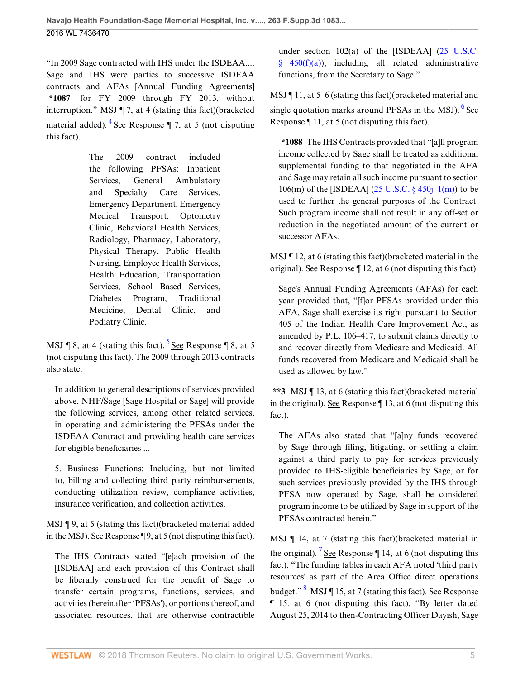"In 2009 Sage contracted with IHS under the ISDEAA.... Sage and IHS were parties to successive ISDEAA contracts and AFAs [Annual Funding Agreements] **\*1087** for FY 2009 through FY 2013, without interruption." MSJ ¶ 7, at 4 (stating this fact)(bracketed material added).  $\frac{4 \text{ See}}{2}$  $\frac{4 \text{ See}}{2}$  $\frac{4 \text{ See}}{2}$  Response  $\P$  7, at 5 (not disputing this fact).

> The 2009 contract included the following PFSAs: Inpatient Services, General Ambulatory and Specialty Care Services, Emergency Department, Emergency Medical Transport, Optometry Clinic, Behavioral Health Services, Radiology, Pharmacy, Laboratory, Physical Therapy, Public Health Nursing, Employee Health Services, Health Education, Transportation Services, School Based Services, Diabetes Program, Traditional Medicine, Dental Clinic, and Podiatry Clinic.

MSJ ¶ 8, at 4 (stating this fact).  $5$  See Response ¶ 8, at 5 (not disputing this fact). The 2009 through 2013 contracts also state:

In addition to general descriptions of services provided above, NHF/Sage [Sage Hospital or Sage] will provide the following services, among other related services, in operating and administering the PFSAs under the ISDEAA Contract and providing health care services for eligible beneficiaries ...

5. Business Functions: Including, but not limited to, billing and collecting third party reimbursements, conducting utilization review, compliance activities, insurance verification, and collection activities.

MSJ ¶ 9, at 5 (stating this fact)(bracketed material added in the MSJ). See Response  $\P$ 9, at 5 (not disputing this fact).

The IHS Contracts stated "[e]ach provision of the [ISDEAA] and each provision of this Contract shall be liberally construed for the benefit of Sage to transfer certain programs, functions, services, and activities (hereinafter 'PFSAs'), or portions thereof, and associated resources, that are otherwise contractible under section 102(a) of the [ISDEAA] ([25 U.S.C.](http://www.westlaw.com/Link/Document/FullText?findType=L&pubNum=1000546&cite=25USCAS450&originatingDoc=I4a89a3f0c8e111e6b27be1b44e7e7e5b&refType=LQ&originationContext=document&vr=3.0&rs=cblt1.0&transitionType=DocumentItem&contextData=(sc.UserEnteredCitation))  $\{-450(f)(a)\}$ , including all related administrative functions, from the Secretary to Sage."

MSJ ¶ 11, at 5–6 (stating this fact)(bracketed material and single quotation marks around PFSAs in the MSJ).  $\frac{6}{5}$  $\frac{6}{5}$  $\frac{6}{5}$  See Response ¶ 11, at 5 (not disputing this fact).

**\*1088** The IHS Contracts provided that "[a]ll program income collected by Sage shall be treated as additional supplemental funding to that negotiated in the AFA and Sage may retain all such income pursuant to section 106(m) of the [ISDEAA]  $(25 \text{ U.S.C.} \frac{6}{9}450j-1(\text{m}))$  to be used to further the general purposes of the Contract. Such program income shall not result in any off-set or reduction in the negotiated amount of the current or successor AFAs.

MSJ ¶ 12, at 6 (stating this fact)(bracketed material in the original). See Response ¶ 12, at 6 (not disputing this fact).

Sage's Annual Funding Agreements (AFAs) for each year provided that, "[f]or PFSAs provided under this AFA, Sage shall exercise its right pursuant to Section 405 of the Indian Health Care Improvement Act, as amended by P.L. 106–417, to submit claims directly to and recover directly from Medicare and Medicaid. All funds recovered from Medicare and Medicaid shall be used as allowed by law."

**\*\*3** MSJ ¶ 13, at 6 (stating this fact)(bracketed material in the original). See Response ¶ 13, at 6 (not disputing this fact).

The AFAs also stated that "[a]ny funds recovered by Sage through filing, litigating, or settling a claim against a third party to pay for services previously provided to IHS-eligible beneficiaries by Sage, or for such services previously provided by the IHS through PFSA now operated by Sage, shall be considered program income to be utilized by Sage in support of the PFSAs contracted herein."

MSJ ¶ 14, at 7 (stating this fact)(bracketed material in the original).  $\frac{7}{8}$  $\frac{7}{8}$  $\frac{7}{8}$  See Response ¶ 14, at 6 (not disputing this fact). "The funding tables in each AFA noted 'third party resources' as part of the Area Office direct operations budget." <sup>[8](#page-71-0)</sup> MSJ ¶ 15, at 7 (stating this fact). <u>See</u> Response ¶ 15. at 6 (not disputing this fact). "By letter dated August 25, 2014 to then-Contracting Officer Dayish, Sage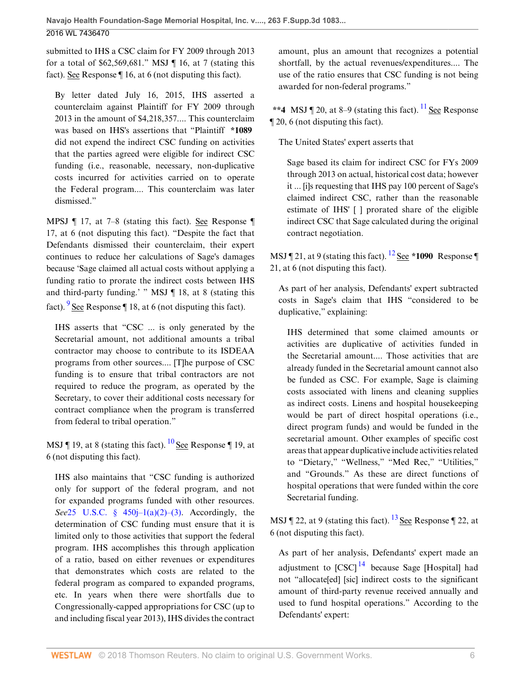**Navajo Health Foundation-Sage Memorial Hospital, Inc. v...., 263 F.Supp.3d 1083...** 2016 WL 7436470

submitted to IHS a CSC claim for FY 2009 through 2013 for a total of \$62,569,681." MSJ ¶ 16, at 7 (stating this fact). See Response ¶ 16, at 6 (not disputing this fact).

By letter dated July 16, 2015, IHS asserted a counterclaim against Plaintiff for FY 2009 through 2013 in the amount of \$4,218,357.... This counterclaim was based on IHS's assertions that "Plaintiff **\*1089** did not expend the indirect CSC funding on activities that the parties agreed were eligible for indirect CSC funding (i.e., reasonable, necessary, non-duplicative costs incurred for activities carried on to operate the Federal program.... This counterclaim was later dismissed."

MPSJ  $\P$  17, at 7–8 (stating this fact). See Response  $\P$ 17, at 6 (not disputing this fact). "Despite the fact that Defendants dismissed their counterclaim, their expert continues to reduce her calculations of Sage's damages because 'Sage claimed all actual costs without applying a funding ratio to prorate the indirect costs between IHS and third-party funding.' " MSJ ¶ 18, at 8 (stating this fact).  $\frac{9}{2}$  $\frac{9}{2}$  $\frac{9}{2}$  See Response  $\P$  18, at 6 (not disputing this fact).

IHS asserts that "CSC ... is only generated by the Secretarial amount, not additional amounts a tribal contractor may choose to contribute to its ISDEAA programs from other sources.... [T]he purpose of CSC funding is to ensure that tribal contractors are not required to reduce the program, as operated by the Secretary, to cover their additional costs necessary for contract compliance when the program is transferred from federal to tribal operation."

MSJ  $\P$  19, at 8 (stating this fact). <sup>[10](#page-71-2)</sup> See Response  $\P$  19, at 6 (not disputing this fact).

IHS also maintains that "CSC funding is authorized only for support of the federal program, and not for expanded programs funded with other resources. *See*25 U.S.C. § 450*j*-1(a)(2)-(3). Accordingly, the determination of CSC funding must ensure that it is limited only to those activities that support the federal program. IHS accomplishes this through application of a ratio, based on either revenues or expenditures that demonstrates which costs are related to the federal program as compared to expanded programs, etc. In years when there were shortfalls due to Congressionally-capped appropriations for CSC (up to and including fiscal year 2013), IHS divides the contract

amount, plus an amount that recognizes a potential shortfall, by the actual revenues/expenditures.... The use of the ratio ensures that CSC funding is not being awarded for non-federal programs."

\*\*4 MSJ  $\P$  20, at 8–9 (stating this fact). <sup>[11](#page-71-3)</sup> See Response ¶ 20, 6 (not disputing this fact).

The United States' expert asserts that

Sage based its claim for indirect CSC for FYs 2009 through 2013 on actual, historical cost data; however it ... [i]s requesting that IHS pay 100 percent of Sage's claimed indirect CSC, rather than the reasonable estimate of IHS' [ ] prorated share of the eligible indirect CSC that Sage calculated during the original contract negotiation.

MSJ ¶ 21, at 9 (stating this fact). [12](#page-71-4) See **\*1090** Response ¶ 21, at 6 (not disputing this fact).

As part of her analysis, Defendants' expert subtracted costs in Sage's claim that IHS "considered to be duplicative," explaining:

IHS determined that some claimed amounts or activities are duplicative of activities funded in the Secretarial amount.... Those activities that are already funded in the Secretarial amount cannot also be funded as CSC. For example, Sage is claiming costs associated with linens and cleaning supplies as indirect costs. Linens and hospital housekeeping would be part of direct hospital operations (i.e., direct program funds) and would be funded in the secretarial amount. Other examples of specific cost areas that appear duplicative include activities related to "Dietary," "Wellness," "Med Rec," "Utilities," and "Grounds." As these are direct functions of hospital operations that were funded within the core Secretarial funding.

MSJ  $\parallel$  22, at 9 (stating this fact). <sup>[13](#page-71-5)</sup> See Response  $\parallel$  22, at 6 (not disputing this fact).

As part of her analysis, Defendants' expert made an adjustment to  $[CSC]$ <sup>[14](#page-71-6)</sup> because Sage [Hospital] had not "allocate[ed] [sic] indirect costs to the significant amount of third-party revenue received annually and used to fund hospital operations." According to the Defendants' expert: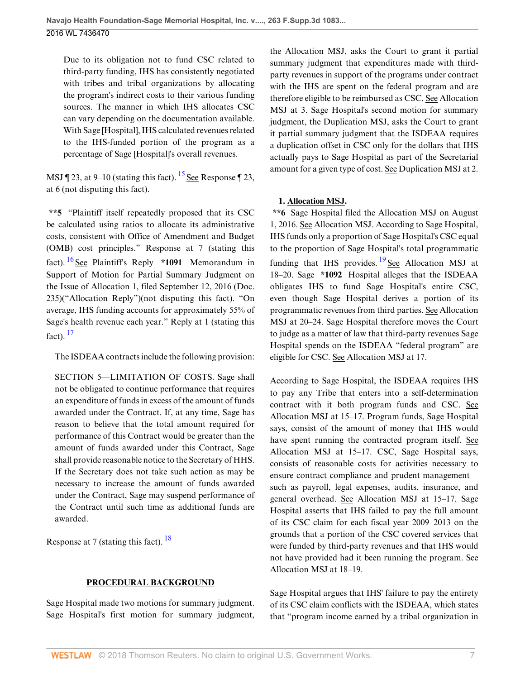Due to its obligation not to fund CSC related to third-party funding, IHS has consistently negotiated with tribes and tribal organizations by allocating the program's indirect costs to their various funding sources. The manner in which IHS allocates CSC can vary depending on the documentation available. With Sage [Hospital], IHS calculated revenues related to the IHS-funded portion of the program as a percentage of Sage [Hospital]'s overall revenues.

MSJ  $\P$  23, at 9–10 (stating this fact). <sup>[15](#page-71-7)</sup> See Response  $\P$  23, at 6 (not disputing this fact).

**\*\*5** "Plaintiff itself repeatedly proposed that its CSC be calculated using ratios to allocate its administrative costs, consistent with Office of Amendment and Budget (OMB) cost principles." Response at 7 (stating this fact). [16](#page-71-8) See Plaintiff's Reply **\*1091** Memorandum in Support of Motion for Partial Summary Judgment on the Issue of Allocation 1, filed September 12, 2016 (Doc. 235)("Allocation Reply")(not disputing this fact). "On average, IHS funding accounts for approximately 55% of Sage's health revenue each year." Reply at 1 (stating this  $fact)$ .  $17$ 

The ISDEAA contracts include the following provision:

SECTION 5—LIMITATION OF COSTS. Sage shall not be obligated to continue performance that requires an expenditure of funds in excess of the amount of funds awarded under the Contract. If, at any time, Sage has reason to believe that the total amount required for performance of this Contract would be greater than the amount of funds awarded under this Contract, Sage shall provide reasonable notice to the Secretary of HHS. If the Secretary does not take such action as may be necessary to increase the amount of funds awarded under the Contract, Sage may suspend performance of the Contract until such time as additional funds are awarded.

Response at 7 (stating this fact).  $^{18}$  $^{18}$  $^{18}$ 

# **PROCEDURAL BACKGROUND**

Sage Hospital made two motions for summary judgment. Sage Hospital's first motion for summary judgment, the Allocation MSJ, asks the Court to grant it partial summary judgment that expenditures made with thirdparty revenues in support of the programs under contract with the IHS are spent on the federal program and are therefore eligible to be reimbursed as CSC. See Allocation MSJ at 3. Sage Hospital's second motion for summary judgment, the Duplication MSJ, asks the Court to grant it partial summary judgment that the ISDEAA requires a duplication offset in CSC only for the dollars that IHS actually pays to Sage Hospital as part of the Secretarial amount for a given type of cost. See Duplication MSJ at 2.

# **1. Allocation MSJ.**

**\*\*6** Sage Hospital filed the Allocation MSJ on August 1, 2016. See Allocation MSJ. According to Sage Hospital, IHS funds only a proportion of Sage Hospital's CSC equal to the proportion of Sage Hospital's total programmatic funding that IHS provides.  $19$  See Allocation MSJ at 18–20. Sage **\*1092** Hospital alleges that the ISDEAA obligates IHS to fund Sage Hospital's entire CSC, even though Sage Hospital derives a portion of its programmatic revenues from third parties. See Allocation MSJ at 20–24. Sage Hospital therefore moves the Court to judge as a matter of law that third-party revenues Sage Hospital spends on the ISDEAA "federal program" are eligible for CSC. See Allocation MSJ at 17.

According to Sage Hospital, the ISDEAA requires IHS to pay any Tribe that enters into a self-determination contract with it both program funds and CSC. See Allocation MSJ at 15–17. Program funds, Sage Hospital says, consist of the amount of money that IHS would have spent running the contracted program itself. See Allocation MSJ at 15–17. CSC, Sage Hospital says, consists of reasonable costs for activities necessary to ensure contract compliance and prudent management such as payroll, legal expenses, audits, insurance, and general overhead. See Allocation MSJ at 15–17. Sage Hospital asserts that IHS failed to pay the full amount of its CSC claim for each fiscal year 2009–2013 on the grounds that a portion of the CSC covered services that were funded by third-party revenues and that IHS would not have provided had it been running the program. See Allocation MSJ at 18–19.

Sage Hospital argues that IHS' failure to pay the entirety of its CSC claim conflicts with the ISDEAA, which states that "program income earned by a tribal organization in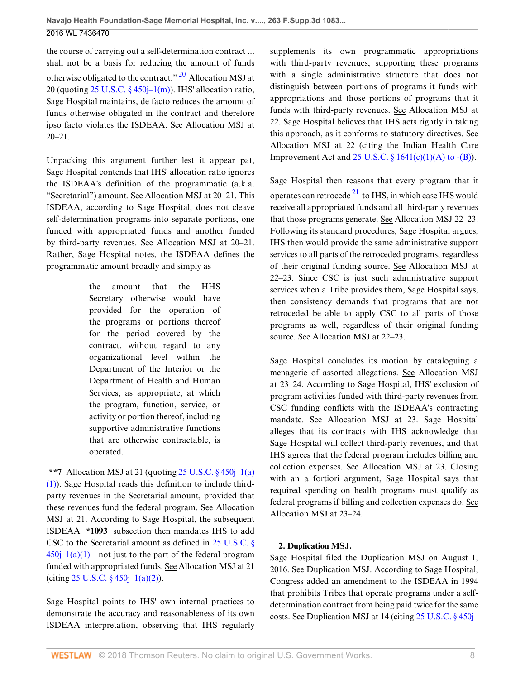the course of carrying out a self-determination contract ... shall not be a basis for reducing the amount of funds otherwise obligated to the contract." [20](#page-72-0) Allocation MSJ at 20 (quoting  $25$  U.S.C. § 450j-1(m)). IHS' allocation ratio, Sage Hospital maintains, de facto reduces the amount of funds otherwise obligated in the contract and therefore ipso facto violates the ISDEAA. See Allocation MSJ at 20–21.

Unpacking this argument further lest it appear pat, Sage Hospital contends that IHS' allocation ratio ignores the ISDEAA's definition of the programmatic (a.k.a. "Secretarial") amount. See Allocation MSJ at 20–21. This ISDEAA, according to Sage Hospital, does not cleave self-determination programs into separate portions, one funded with appropriated funds and another funded by third-party revenues. See Allocation MSJ at 20–21. Rather, Sage Hospital notes, the ISDEAA defines the programmatic amount broadly and simply as

> the amount that the HHS Secretary otherwise would have provided for the operation of the programs or portions thereof for the period covered by the contract, without regard to any organizational level within the Department of the Interior or the Department of Health and Human Services, as appropriate, at which the program, function, service, or activity or portion thereof, including supportive administrative functions that are otherwise contractable, is operated.

**\*\*7** Allocation MSJ at 21 (quoting [25 U.S.C. § 450j–1\(a\)](http://www.westlaw.com/Link/Document/FullText?findType=L&pubNum=1000546&cite=25USCAS450J-1&originatingDoc=I4a89a3f0c8e111e6b27be1b44e7e7e5b&refType=LQ&originationContext=document&vr=3.0&rs=cblt1.0&transitionType=DocumentItem&contextData=(sc.UserEnteredCitation)) [\(1\)\)](http://www.westlaw.com/Link/Document/FullText?findType=L&pubNum=1000546&cite=25USCAS450J-1&originatingDoc=I4a89a3f0c8e111e6b27be1b44e7e7e5b&refType=LQ&originationContext=document&vr=3.0&rs=cblt1.0&transitionType=DocumentItem&contextData=(sc.UserEnteredCitation)). Sage Hospital reads this definition to include thirdparty revenues in the Secretarial amount, provided that these revenues fund the federal program. See Allocation MSJ at 21. According to Sage Hospital, the subsequent ISDEAA **\*1093** subsection then mandates IHS to add CSC to the Secretarial amount as defined in [25 U.S.C. §](http://www.westlaw.com/Link/Document/FullText?findType=L&pubNum=1000546&cite=25USCAS450J-1&originatingDoc=I4a89a3f0c8e111e6b27be1b44e7e7e5b&refType=LQ&originationContext=document&vr=3.0&rs=cblt1.0&transitionType=DocumentItem&contextData=(sc.UserEnteredCitation))  $450j-1(a)(1)$ —not just to the part of the federal program funded with appropriated funds. See Allocation MSJ at 21 (citing [25 U.S.C. § 450j–1\(a\)\(2\)\)](http://www.westlaw.com/Link/Document/FullText?findType=L&pubNum=1000546&cite=25USCAS450J-1&originatingDoc=I4a89a3f0c8e111e6b27be1b44e7e7e5b&refType=LQ&originationContext=document&vr=3.0&rs=cblt1.0&transitionType=DocumentItem&contextData=(sc.UserEnteredCitation)).

Sage Hospital points to IHS' own internal practices to demonstrate the accuracy and reasonableness of its own ISDEAA interpretation, observing that IHS regularly supplements its own programmatic appropriations with third-party revenues, supporting these programs with a single administrative structure that does not distinguish between portions of programs it funds with appropriations and those portions of programs that it funds with third-party revenues. See Allocation MSJ at 22. Sage Hospital believes that IHS acts rightly in taking this approach, as it conforms to statutory directives. See Allocation MSJ at 22 (citing the Indian Health Care Improvement Act and  $25$  U.S.C.  $\S$  1641(c)(1)(A) to -(B)).

Sage Hospital then reasons that every program that it operates can retrocede<sup>[21](#page-72-1)</sup> to IHS, in which case IHS would receive all appropriated funds and all third-party revenues that those programs generate. See Allocation MSJ 22–23. Following its standard procedures, Sage Hospital argues, IHS then would provide the same administrative support services to all parts of the retroceded programs, regardless of their original funding source. See Allocation MSJ at 22–23. Since CSC is just such administrative support services when a Tribe provides them, Sage Hospital says, then consistency demands that programs that are not retroceded be able to apply CSC to all parts of those programs as well, regardless of their original funding source. See Allocation MSJ at 22–23.

Sage Hospital concludes its motion by cataloguing a menagerie of assorted allegations. See Allocation MSJ at 23–24. According to Sage Hospital, IHS' exclusion of program activities funded with third-party revenues from CSC funding conflicts with the ISDEAA's contracting mandate. See Allocation MSJ at 23. Sage Hospital alleges that its contracts with IHS acknowledge that Sage Hospital will collect third-party revenues, and that IHS agrees that the federal program includes billing and collection expenses. See Allocation MSJ at 23. Closing with an a fortiori argument, Sage Hospital says that required spending on health programs must qualify as federal programs if billing and collection expenses do. See Allocation MSJ at 23–24.

# **2. Duplication MSJ.**

Sage Hospital filed the Duplication MSJ on August 1, 2016. See Duplication MSJ. According to Sage Hospital, Congress added an amendment to the ISDEAA in 1994 that prohibits Tribes that operate programs under a selfdetermination contract from being paid twice for the same costs. See Duplication MSJ at 14 (citing [25 U.S.C. § 450j–](http://www.westlaw.com/Link/Document/FullText?findType=L&pubNum=1000546&cite=25USCAS450J-1&originatingDoc=I4a89a3f0c8e111e6b27be1b44e7e7e5b&refType=LQ&originationContext=document&vr=3.0&rs=cblt1.0&transitionType=DocumentItem&contextData=(sc.UserEnteredCitation))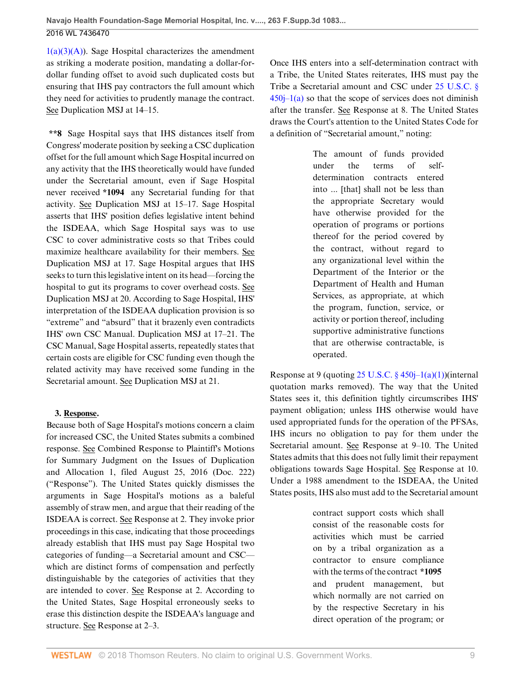$1(a)(3)(A)$ ). Sage Hospital characterizes the amendment as striking a moderate position, mandating a dollar-fordollar funding offset to avoid such duplicated costs but ensuring that IHS pay contractors the full amount which they need for activities to prudently manage the contract. See Duplication MSJ at 14–15.

**\*\*8** Sage Hospital says that IHS distances itself from Congress' moderate position by seeking a CSC duplication offset for the full amount which Sage Hospital incurred on any activity that the IHS theoretically would have funded under the Secretarial amount, even if Sage Hospital never received **\*1094** any Secretarial funding for that activity. See Duplication MSJ at 15–17. Sage Hospital asserts that IHS' position defies legislative intent behind the ISDEAA, which Sage Hospital says was to use CSC to cover administrative costs so that Tribes could maximize healthcare availability for their members. See Duplication MSJ at 17. Sage Hospital argues that IHS seeks to turn this legislative intent on its head—forcing the hospital to gut its programs to cover overhead costs. See Duplication MSJ at 20. According to Sage Hospital, IHS' interpretation of the ISDEAA duplication provision is so "extreme" and "absurd" that it brazenly even contradicts IHS' own CSC Manual. Duplication MSJ at 17–21. The CSC Manual, Sage Hospital asserts, repeatedly states that certain costs are eligible for CSC funding even though the related activity may have received some funding in the Secretarial amount. See Duplication MSJ at 21.

# **3. Response.**

Because both of Sage Hospital's motions concern a claim for increased CSC, the United States submits a combined response. See Combined Response to Plaintiff's Motions for Summary Judgment on the Issues of Duplication and Allocation 1, filed August 25, 2016 (Doc. 222) ("Response"). The United States quickly dismisses the arguments in Sage Hospital's motions as a baleful assembly of straw men, and argue that their reading of the ISDEAA is correct. See Response at 2. They invoke prior proceedings in this case, indicating that those proceedings already establish that IHS must pay Sage Hospital two categories of funding—a Secretarial amount and CSC which are distinct forms of compensation and perfectly distinguishable by the categories of activities that they are intended to cover. See Response at 2. According to the United States, Sage Hospital erroneously seeks to erase this distinction despite the ISDEAA's language and structure. See Response at 2–3.

Once IHS enters into a self-determination contract with a Tribe, the United States reiterates, IHS must pay the Tribe a Secretarial amount and CSC under [25 U.S.C. §](http://www.westlaw.com/Link/Document/FullText?findType=L&pubNum=1000546&cite=25USCAS450J-1&originatingDoc=I4a89a3f0c8e111e6b27be1b44e7e7e5b&refType=LQ&originationContext=document&vr=3.0&rs=cblt1.0&transitionType=DocumentItem&contextData=(sc.UserEnteredCitation))  $450j-1(a)$  so that the scope of services does not diminish after the transfer. See Response at 8. The United States draws the Court's attention to the United States Code for a definition of "Secretarial amount," noting:

> The amount of funds provided under the terms of selfdetermination contracts entered into ... [that] shall not be less than the appropriate Secretary would have otherwise provided for the operation of programs or portions thereof for the period covered by the contract, without regard to any organizational level within the Department of the Interior or the Department of Health and Human Services, as appropriate, at which the program, function, service, or activity or portion thereof, including supportive administrative functions that are otherwise contractable, is operated.

Response at 9 (quoting  $25$  U.S.C. § 450 $j-1(a)(1)$ )(internal quotation marks removed). The way that the United States sees it, this definition tightly circumscribes IHS' payment obligation; unless IHS otherwise would have used appropriated funds for the operation of the PFSAs, IHS incurs no obligation to pay for them under the Secretarial amount. See Response at 9–10. The United States admits that this does not fully limit their repayment obligations towards Sage Hospital. See Response at 10. Under a 1988 amendment to the ISDEAA, the United States posits, IHS also must add to the Secretarial amount

> contract support costs which shall consist of the reasonable costs for activities which must be carried on by a tribal organization as a contractor to ensure compliance with the terms of the contract **\*1095** and prudent management, but which normally are not carried on by the respective Secretary in his direct operation of the program; or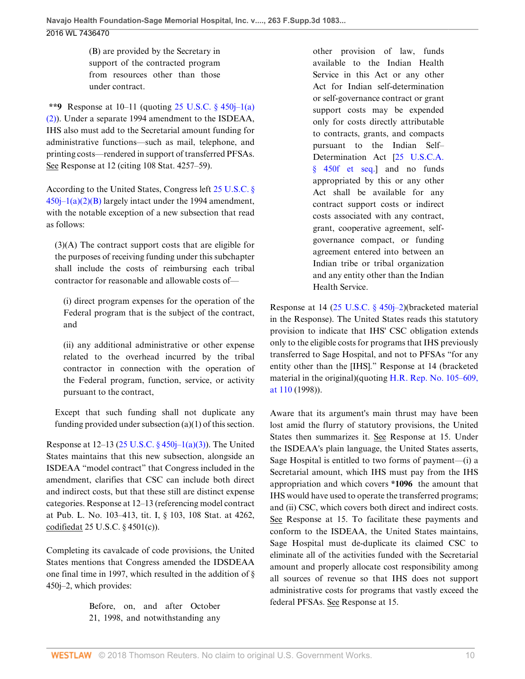(B) are provided by the Secretary in support of the contracted program from resources other than those under contract.

**\*\*9** Response at 10–11 (quoting [25 U.S.C. § 450j–1\(a\)](http://www.westlaw.com/Link/Document/FullText?findType=L&pubNum=1000546&cite=25USCAS450J-1&originatingDoc=I4a89a3f0c8e111e6b27be1b44e7e7e5b&refType=LQ&originationContext=document&vr=3.0&rs=cblt1.0&transitionType=DocumentItem&contextData=(sc.UserEnteredCitation)) [\(2\)\)](http://www.westlaw.com/Link/Document/FullText?findType=L&pubNum=1000546&cite=25USCAS450J-1&originatingDoc=I4a89a3f0c8e111e6b27be1b44e7e7e5b&refType=LQ&originationContext=document&vr=3.0&rs=cblt1.0&transitionType=DocumentItem&contextData=(sc.UserEnteredCitation)). Under a separate 1994 amendment to the ISDEAA, IHS also must add to the Secretarial amount funding for administrative functions—such as mail, telephone, and printing costs—rendered in support of transferred PFSAs. See Response at 12 (citing 108 Stat. 4257–59).

According to the United States, Congress left [25 U.S.C. §](http://www.westlaw.com/Link/Document/FullText?findType=L&pubNum=1000546&cite=25USCAS450J-1&originatingDoc=I4a89a3f0c8e111e6b27be1b44e7e7e5b&refType=LQ&originationContext=document&vr=3.0&rs=cblt1.0&transitionType=DocumentItem&contextData=(sc.UserEnteredCitation))  $450j-1(a)(2)(B)$  largely intact under the 1994 amendment, with the notable exception of a new subsection that read as follows:

(3)(A) The contract support costs that are eligible for the purposes of receiving funding under this subchapter shall include the costs of reimbursing each tribal contractor for reasonable and allowable costs of—

(i) direct program expenses for the operation of the Federal program that is the subject of the contract, and

(ii) any additional administrative or other expense related to the overhead incurred by the tribal contractor in connection with the operation of the Federal program, function, service, or activity pursuant to the contract,

Except that such funding shall not duplicate any funding provided under subsection (a)(1) of this section.

Response at  $12-13$  (25 U.S.C. § 450 $j-1$ (a)(3)). The United States maintains that this new subsection, alongside an ISDEAA "model contract" that Congress included in the amendment, clarifies that CSC can include both direct and indirect costs, but that these still are distinct expense categories. Response at 12–13 (referencing model contract at Pub. L. No. 103–413, tit. I, § 103, 108 Stat. at 4262, codifiedat 25 U.S.C. § 4501(c)).

Completing its cavalcade of code provisions, the United States mentions that Congress amended the IDSDEAA one final time in 1997, which resulted in the addition of § 450j–2, which provides:

> Before, on, and after October 21, 1998, and notwithstanding any

other provision of law, funds available to the Indian Health Service in this Act or any other Act for Indian self-determination or self-governance contract or grant support costs may be expended only for costs directly attributable to contracts, grants, and compacts pursuant to the Indian Self– Determination Act [[25 U.S.C.A.](http://www.westlaw.com/Link/Document/FullText?findType=L&pubNum=1000546&cite=25USCAS450F&originatingDoc=I4a89a3f0c8e111e6b27be1b44e7e7e5b&refType=LQ&originationContext=document&vr=3.0&rs=cblt1.0&transitionType=DocumentItem&contextData=(sc.UserEnteredCitation)) [§ 450f et seq.\]](http://www.westlaw.com/Link/Document/FullText?findType=L&pubNum=1000546&cite=25USCAS450F&originatingDoc=I4a89a3f0c8e111e6b27be1b44e7e7e5b&refType=LQ&originationContext=document&vr=3.0&rs=cblt1.0&transitionType=DocumentItem&contextData=(sc.UserEnteredCitation)) and no funds appropriated by this or any other Act shall be available for any contract support costs or indirect costs associated with any contract, grant, cooperative agreement, selfgovernance compact, or funding agreement entered into between an Indian tribe or tribal organization and any entity other than the Indian Health Service.

Response at 14 ([25 U.S.C. § 450j–2\)](http://www.westlaw.com/Link/Document/FullText?findType=L&pubNum=1000546&cite=25USCAS450J-2&originatingDoc=I4a89a3f0c8e111e6b27be1b44e7e7e5b&refType=LQ&originationContext=document&vr=3.0&rs=cblt1.0&transitionType=DocumentItem&contextData=(sc.UserEnteredCitation))(bracketed material in the Response). The United States reads this statutory provision to indicate that IHS' CSC obligation extends only to the eligible costs for programs that IHS previously transferred to Sage Hospital, and not to PFSAs "for any entity other than the [IHS]." Response at 14 (bracketed material in the original)(quoting [H.R. Rep. No. 105–609,](http://www.westlaw.com/Link/Document/FullText?findType=Y&serNum=0110311775&pubNum=0100014&originatingDoc=I4a89a3f0c8e111e6b27be1b44e7e7e5b&refType=TV&originationContext=document&vr=3.0&rs=cblt1.0&transitionType=DocumentItem&contextData=(sc.UserEnteredCitation)) [at 110](http://www.westlaw.com/Link/Document/FullText?findType=Y&serNum=0110311775&pubNum=0100014&originatingDoc=I4a89a3f0c8e111e6b27be1b44e7e7e5b&refType=TV&originationContext=document&vr=3.0&rs=cblt1.0&transitionType=DocumentItem&contextData=(sc.UserEnteredCitation)) (1998)).

Aware that its argument's main thrust may have been lost amid the flurry of statutory provisions, the United States then summarizes it. See Response at 15. Under the ISDEAA's plain language, the United States asserts, Sage Hospital is entitled to two forms of payment—(i) a Secretarial amount, which IHS must pay from the IHS appropriation and which covers **\*1096** the amount that IHS would have used to operate the transferred programs; and (ii) CSC, which covers both direct and indirect costs. See Response at 15. To facilitate these payments and conform to the ISDEAA, the United States maintains, Sage Hospital must de-duplicate its claimed CSC to eliminate all of the activities funded with the Secretarial amount and properly allocate cost responsibility among all sources of revenue so that IHS does not support administrative costs for programs that vastly exceed the federal PFSAs. See Response at 15.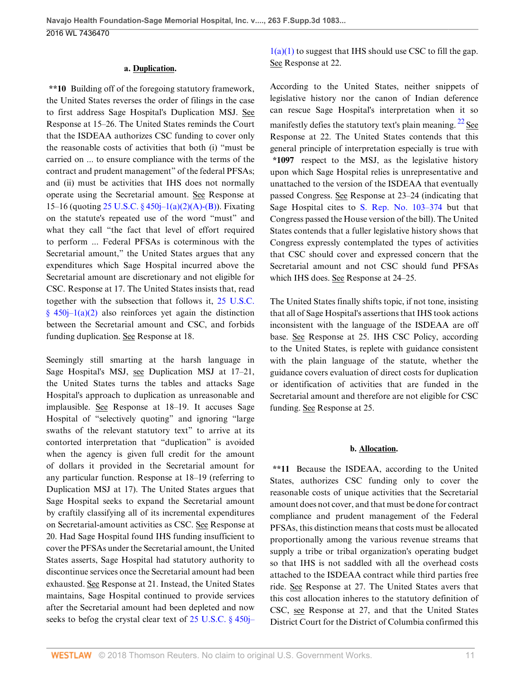#### **a. Duplication.**

**\*\*10** Building off of the foregoing statutory framework, the United States reverses the order of filings in the case to first address Sage Hospital's Duplication MSJ. See Response at 15–26. The United States reminds the Court that the ISDEAA authorizes CSC funding to cover only the reasonable costs of activities that both (i) "must be carried on ... to ensure compliance with the terms of the contract and prudent management" of the federal PFSAs; and (ii) must be activities that IHS does not normally operate using the Secretarial amount. See Response at 15–16 (quoting [25 U.S.C. § 450j–1\(a\)\(2\)\(A\)-\(B\)\)](http://www.westlaw.com/Link/Document/FullText?findType=L&pubNum=1000546&cite=25USCAS450J-1&originatingDoc=I4a89a3f0c8e111e6b27be1b44e7e7e5b&refType=LQ&originationContext=document&vr=3.0&rs=cblt1.0&transitionType=DocumentItem&contextData=(sc.UserEnteredCitation)). Fixating on the statute's repeated use of the word "must" and what they call "the fact that level of effort required to perform ... Federal PFSAs is coterminous with the Secretarial amount," the United States argues that any expenditures which Sage Hospital incurred above the Secretarial amount are discretionary and not eligible for CSC. Response at 17. The United States insists that, read together with the subsection that follows it, [25 U.S.C.](http://www.westlaw.com/Link/Document/FullText?findType=L&pubNum=1000546&cite=25USCAS450J-1&originatingDoc=I4a89a3f0c8e111e6b27be1b44e7e7e5b&refType=LQ&originationContext=document&vr=3.0&rs=cblt1.0&transitionType=DocumentItem&contextData=(sc.UserEnteredCitation))  $§$  450 $j-1(a)(2)$  also reinforces yet again the distinction between the Secretarial amount and CSC, and forbids funding duplication. See Response at 18.

Seemingly still smarting at the harsh language in Sage Hospital's MSJ, see Duplication MSJ at 17–21, the United States turns the tables and attacks Sage Hospital's approach to duplication as unreasonable and implausible. See Response at 18–19. It accuses Sage Hospital of "selectively quoting" and ignoring "large swaths of the relevant statutory text" to arrive at its contorted interpretation that "duplication" is avoided when the agency is given full credit for the amount of dollars it provided in the Secretarial amount for any particular function. Response at 18–19 (referring to Duplication MSJ at 17). The United States argues that Sage Hospital seeks to expand the Secretarial amount by craftily classifying all of its incremental expenditures on Secretarial-amount activities as CSC. See Response at 20. Had Sage Hospital found IHS funding insufficient to cover the PFSAs under the Secretarial amount, the United States asserts, Sage Hospital had statutory authority to discontinue services once the Secretarial amount had been exhausted. See Response at 21. Instead, the United States maintains, Sage Hospital continued to provide services after the Secretarial amount had been depleted and now seeks to befog the crystal clear text of [25 U.S.C. § 450j–](http://www.westlaw.com/Link/Document/FullText?findType=L&pubNum=1000546&cite=25USCAS450J-1&originatingDoc=I4a89a3f0c8e111e6b27be1b44e7e7e5b&refType=LQ&originationContext=document&vr=3.0&rs=cblt1.0&transitionType=DocumentItem&contextData=(sc.UserEnteredCitation))

 $1(a)(1)$  to suggest that IHS should use CSC to fill the gap. See Response at 22.

According to the United States, neither snippets of legislative history nor the canon of Indian deference can rescue Sage Hospital's interpretation when it so manifestly defies the statutory text's plain meaning.  $^{22}$  $^{22}$  $^{22}$  See Response at 22. The United States contends that this general principle of interpretation especially is true with **\*1097** respect to the MSJ, as the legislative history upon which Sage Hospital relies is unrepresentative and unattached to the version of the ISDEAA that eventually passed Congress. See Response at 23–24 (indicating that Sage Hospital cites to [S. Rep. No. 103–374](http://www.westlaw.com/Link/Document/FullText?findType=Y&serNum=0104640955&pubNum=0001503&originatingDoc=I4a89a3f0c8e111e6b27be1b44e7e7e5b&refType=TV&originationContext=document&vr=3.0&rs=cblt1.0&transitionType=DocumentItem&contextData=(sc.UserEnteredCitation)) but that Congress passed the House version of the bill). The United States contends that a fuller legislative history shows that Congress expressly contemplated the types of activities that CSC should cover and expressed concern that the Secretarial amount and not CSC should fund PFSAs which IHS does. See Response at 24–25.

The United States finally shifts topic, if not tone, insisting that all of Sage Hospital's assertions that IHS took actions inconsistent with the language of the ISDEAA are off base. See Response at 25. IHS CSC Policy, according to the United States, is replete with guidance consistent with the plain language of the statute, whether the guidance covers evaluation of direct costs for duplication or identification of activities that are funded in the Secretarial amount and therefore are not eligible for CSC funding. See Response at 25.

#### **b. Allocation.**

**\*\*11** Because the ISDEAA, according to the United States, authorizes CSC funding only to cover the reasonable costs of unique activities that the Secretarial amount does not cover, and that must be done for contract compliance and prudent management of the Federal PFSAs, this distinction means that costs must be allocated proportionally among the various revenue streams that supply a tribe or tribal organization's operating budget so that IHS is not saddled with all the overhead costs attached to the ISDEAA contract while third parties free ride. See Response at 27. The United States avers that this cost allocation inheres to the statutory definition of CSC, see Response at 27, and that the United States District Court for the District of Columbia confirmed this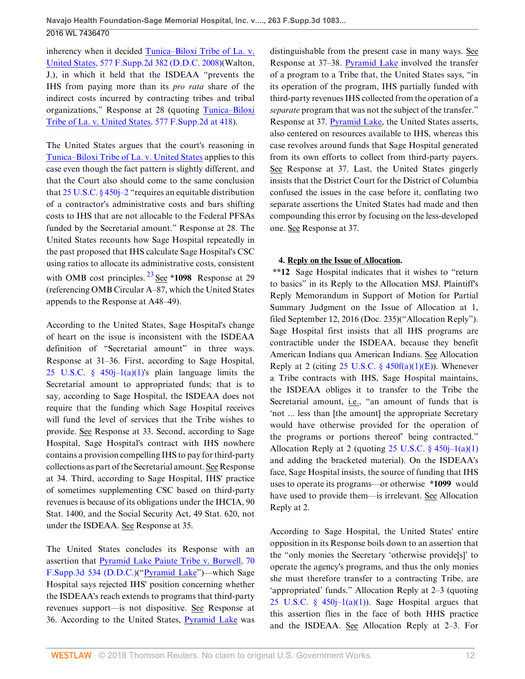inherency when it decided Tunica-Biloxi Tribe of La. v. [United States, 577 F.Supp.2d 382 \(D.D.C. 2008\)\(](http://www.westlaw.com/Link/Document/FullText?findType=Y&serNum=2017106297&pubNum=0004637&originatingDoc=I4a89a3f0c8e111e6b27be1b44e7e7e5b&refType=RP&originationContext=document&vr=3.0&rs=cblt1.0&transitionType=DocumentItem&contextData=(sc.UserEnteredCitation))Walton, J.), in which it held that the ISDEAA "prevents the IHS from paying more than its *pro rata* share of the indirect costs incurred by contracting tribes and tribal organizations," Response at 28 (quoting [Tunica–Biloxi](http://www.westlaw.com/Link/Document/FullText?findType=Y&serNum=2017106297&pubNum=0004637&originatingDoc=I4a89a3f0c8e111e6b27be1b44e7e7e5b&refType=RP&fi=co_pp_sp_4637_418&originationContext=document&vr=3.0&rs=cblt1.0&transitionType=DocumentItem&contextData=(sc.UserEnteredCitation)#co_pp_sp_4637_418) [Tribe of La. v. United States, 577 F.Supp.2d at 418](http://www.westlaw.com/Link/Document/FullText?findType=Y&serNum=2017106297&pubNum=0004637&originatingDoc=I4a89a3f0c8e111e6b27be1b44e7e7e5b&refType=RP&fi=co_pp_sp_4637_418&originationContext=document&vr=3.0&rs=cblt1.0&transitionType=DocumentItem&contextData=(sc.UserEnteredCitation)#co_pp_sp_4637_418)).

The United States argues that the court's reasoning in [Tunica–Biloxi Tribe of La. v. United States](http://www.westlaw.com/Link/Document/FullText?findType=Y&serNum=2017106297&pubNum=0004637&originatingDoc=I4a89a3f0c8e111e6b27be1b44e7e7e5b&refType=RP&originationContext=document&vr=3.0&rs=cblt1.0&transitionType=DocumentItem&contextData=(sc.UserEnteredCitation)) applies to this case even though the fact pattern is slightly different, and that the Court also should come to the same conclusion that [25 U.S.C. § 450j–2](http://www.westlaw.com/Link/Document/FullText?findType=L&pubNum=1000546&cite=25USCAS450J-2&originatingDoc=I4a89a3f0c8e111e6b27be1b44e7e7e5b&refType=LQ&originationContext=document&vr=3.0&rs=cblt1.0&transitionType=DocumentItem&contextData=(sc.UserEnteredCitation)) "requires an equitable distribution of a contractor's administrative costs and bars shifting costs to IHS that are not allocable to the Federal PFSAs funded by the Secretarial amount." Response at 28. The United States recounts how Sage Hospital repeatedly in the past proposed that IHS calculate Sage Hospital's CSC using ratios to allocate its administrative costs, consistent with OMB cost principles. <sup>[23](#page-72-3)</sup> See \*1098 Response at 29 (referencing OMB Circular A–87, which the United States appends to the Response at A48–49).

According to the United States, Sage Hospital's change of heart on the issue is inconsistent with the ISDEAA definition of "Secretarial amount" in three ways. Response at 31–36. First, according to Sage Hospital, 25 U.S.C. §  $450j-1(a)(1)$ 's plain language limits the Secretarial amount to appropriated funds; that is to say, according to Sage Hospital, the ISDEAA does not require that the funding which Sage Hospital receives will fund the level of services that the Tribe wishes to provide. See Response at 33. Second, according to Sage Hospital, Sage Hospital's contract with IHS nowhere contains a provision compelling IHS to pay for third-party collections as part of the Secretarial amount. See Response at 34. Third, according to Sage Hospital, IHS' practice of sometimes supplementing CSC based on third-party revenues is because of its obligations under the IHCIA, 90 Stat. 1400, and the Social Security Act, 49 Stat. 620, not under the ISDEAA. See Response at 35.

The United States concludes its Response with an assertion that [Pyramid Lake Paiute Tribe v. Burwell, 70](http://www.westlaw.com/Link/Document/FullText?findType=Y&serNum=2034540326&pubNum=0007903&originatingDoc=I4a89a3f0c8e111e6b27be1b44e7e7e5b&refType=RP&originationContext=document&vr=3.0&rs=cblt1.0&transitionType=DocumentItem&contextData=(sc.UserEnteredCitation)) [F.Supp.3d 534 \(D.D.C.\)\(](http://www.westlaw.com/Link/Document/FullText?findType=Y&serNum=2034540326&pubNum=0007903&originatingDoc=I4a89a3f0c8e111e6b27be1b44e7e7e5b&refType=RP&originationContext=document&vr=3.0&rs=cblt1.0&transitionType=DocumentItem&contextData=(sc.UserEnteredCitation))"[Pyramid Lake"](http://www.westlaw.com/Link/Document/FullText?findType=Y&serNum=2034540326&originatingDoc=I4a89a3f0c8e111e6b27be1b44e7e7e5b&refType=RP&originationContext=document&vr=3.0&rs=cblt1.0&transitionType=DocumentItem&contextData=(sc.UserEnteredCitation)))—which Sage Hospital says rejected IHS' position concerning whether the ISDEAA's reach extends to programs that third-party revenues support—is not dispositive. See Response at 36. According to the United States, [Pyramid Lake](http://www.westlaw.com/Link/Document/FullText?findType=Y&serNum=2034540326&originatingDoc=I4a89a3f0c8e111e6b27be1b44e7e7e5b&refType=RP&originationContext=document&vr=3.0&rs=cblt1.0&transitionType=DocumentItem&contextData=(sc.UserEnteredCitation)) was distinguishable from the present case in many ways. See Response at 37–38. [Pyramid Lake](http://www.westlaw.com/Link/Document/FullText?findType=Y&serNum=2034540326&originatingDoc=I4a89a3f0c8e111e6b27be1b44e7e7e5b&refType=RP&originationContext=document&vr=3.0&rs=cblt1.0&transitionType=DocumentItem&contextData=(sc.UserEnteredCitation)) involved the transfer of a program to a Tribe that, the United States says, "in its operation of the program, IHS partially funded with third-party revenues IHS collected from the operation of a *separate* program that was not the subject of the transfer." Response at 37. [Pyramid Lake](http://www.westlaw.com/Link/Document/FullText?findType=Y&serNum=2034540326&originatingDoc=I4a89a3f0c8e111e6b27be1b44e7e7e5b&refType=RP&originationContext=document&vr=3.0&rs=cblt1.0&transitionType=DocumentItem&contextData=(sc.UserEnteredCitation)), the United States asserts, also centered on resources available to IHS, whereas this case revolves around funds that Sage Hospital generated from its own efforts to collect from third-party payers. See Response at 37. Last, the United States gingerly insists that the District Court for the District of Columbia confused the issues in the case before it, conflating two separate assertions the United States had made and then compounding this error by focusing on the less-developed one. See Response at 37.

# **4. Reply on the Issue of Allocation.**

**\*\*12** Sage Hospital indicates that it wishes to "return to basics" in its Reply to the Allocation MSJ. Plaintiff's Reply Memorandum in Support of Motion for Partial Summary Judgment on the Issue of Allocation at 1, filed September 12, 2016 (Doc. 235)("Allocation Reply"). Sage Hospital first insists that all IHS programs are contractible under the ISDEAA, because they benefit American Indians qua American Indians. See Allocation Reply at 2 (citing  $25 \text{ U.S.C. }$  §  $450f(a)(1)(E)$ ). Whenever a Tribe contracts with IHS, Sage Hospital maintains, the ISDEAA obliges it to transfer to the Tribe the Secretarial amount, i.e., "an amount of funds that is 'not ... less than [the amount] the appropriate Secretary would have otherwise provided for the operation of the programs or portions thereof' being contracted." Allocation Reply at 2 (quoting  $25$  U.S.C. §  $450j-1(a)(1)$ ) and adding the bracketed material). On the ISDEAA's face, Sage Hospital insists, the source of funding that IHS uses to operate its programs—or otherwise **\*1099** would have used to provide them—is irrelevant. See Allocation Reply at 2.

According to Sage Hospital, the United States' entire opposition in its Response boils down to an assertion that the "only monies the Secretary 'otherwise provide[s]' to operate the agency's programs, and thus the only monies she must therefore transfer to a contracting Tribe, are 'appropriated' funds." Allocation Reply at 2–3 (quoting 25 U.S.C. §  $450j-1(a)(1)$ . Sage Hospital argues that this assertion flies in the face of both HHS practice and the ISDEAA. See Allocation Reply at 2–3. For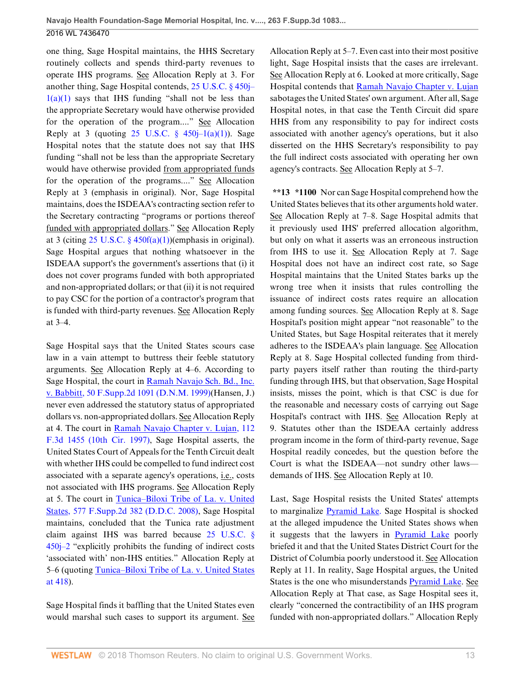one thing, Sage Hospital maintains, the HHS Secretary routinely collects and spends third-party revenues to operate IHS programs. See Allocation Reply at 3. For another thing, Sage Hospital contends, [25 U.S.C. § 450j–](http://www.westlaw.com/Link/Document/FullText?findType=L&pubNum=1000546&cite=25USCAS450J-1&originatingDoc=I4a89a3f0c8e111e6b27be1b44e7e7e5b&refType=LQ&originationContext=document&vr=3.0&rs=cblt1.0&transitionType=DocumentItem&contextData=(sc.UserEnteredCitation))  $1(a)(1)$  says that IHS funding "shall not be less than the appropriate Secretary would have otherwise provided for the operation of the program...." See Allocation Reply at 3 (quoting  $25$  U.S.C. §  $450j-1(a)(1)$ ). Sage Hospital notes that the statute does not say that IHS funding "shall not be less than the appropriate Secretary would have otherwise provided from appropriated funds for the operation of the programs...." See Allocation Reply at 3 (emphasis in original). Nor, Sage Hospital maintains, does the ISDEAA's contracting section refer to the Secretary contracting "programs or portions thereof funded with appropriated dollars." See Allocation Reply at 3 (citing  $25 \text{ U.S.C. }$  §  $450f(a)(1)$ )(emphasis in original). Sage Hospital argues that nothing whatsoever in the ISDEAA support's the government's assertions that (i) it does not cover programs funded with both appropriated and non-appropriated dollars; or that (ii) it is not required to pay CSC for the portion of a contractor's program that is funded with third-party revenues. See Allocation Reply at 3–4.

Sage Hospital says that the United States scours case law in a vain attempt to buttress their feeble statutory arguments. See Allocation Reply at 4–6. According to Sage Hospital, the court in [Ramah Navajo Sch. Bd., Inc.](http://www.westlaw.com/Link/Document/FullText?findType=Y&serNum=1999138600&pubNum=0004637&originatingDoc=I4a89a3f0c8e111e6b27be1b44e7e7e5b&refType=RP&originationContext=document&vr=3.0&rs=cblt1.0&transitionType=DocumentItem&contextData=(sc.UserEnteredCitation)) [v. Babbitt, 50 F.Supp.2d 1091 \(D.N.M. 1999\)\(](http://www.westlaw.com/Link/Document/FullText?findType=Y&serNum=1999138600&pubNum=0004637&originatingDoc=I4a89a3f0c8e111e6b27be1b44e7e7e5b&refType=RP&originationContext=document&vr=3.0&rs=cblt1.0&transitionType=DocumentItem&contextData=(sc.UserEnteredCitation))Hansen, J.) never even addressed the statutory status of appropriated dollars vs. non-appropriated dollars. See Allocation Reply at 4. The court in [Ramah Navajo Chapter v. Lujan, 112](http://www.westlaw.com/Link/Document/FullText?findType=Y&serNum=1997106222&pubNum=0000506&originatingDoc=I4a89a3f0c8e111e6b27be1b44e7e7e5b&refType=RP&originationContext=document&vr=3.0&rs=cblt1.0&transitionType=DocumentItem&contextData=(sc.UserEnteredCitation)) [F.3d 1455 \(10th Cir. 1997\),](http://www.westlaw.com/Link/Document/FullText?findType=Y&serNum=1997106222&pubNum=0000506&originatingDoc=I4a89a3f0c8e111e6b27be1b44e7e7e5b&refType=RP&originationContext=document&vr=3.0&rs=cblt1.0&transitionType=DocumentItem&contextData=(sc.UserEnteredCitation)) Sage Hospital asserts, the United States Court of Appeals for the Tenth Circuit dealt with whether IHS could be compelled to fund indirect cost associated with a separate agency's operations, i.e., costs not associated with IHS programs. See Allocation Reply at 5. The court in [Tunica–Biloxi Tribe of La. v. United](http://www.westlaw.com/Link/Document/FullText?findType=Y&serNum=2017106297&pubNum=0004637&originatingDoc=I4a89a3f0c8e111e6b27be1b44e7e7e5b&refType=RP&originationContext=document&vr=3.0&rs=cblt1.0&transitionType=DocumentItem&contextData=(sc.UserEnteredCitation)) [States, 577 F.Supp.2d 382 \(D.D.C. 2008\)](http://www.westlaw.com/Link/Document/FullText?findType=Y&serNum=2017106297&pubNum=0004637&originatingDoc=I4a89a3f0c8e111e6b27be1b44e7e7e5b&refType=RP&originationContext=document&vr=3.0&rs=cblt1.0&transitionType=DocumentItem&contextData=(sc.UserEnteredCitation)), Sage Hospital maintains, concluded that the Tunica rate adjustment claim against IHS was barred because [25 U.S.C. §](http://www.westlaw.com/Link/Document/FullText?findType=L&pubNum=1000546&cite=25USCAS450J-2&originatingDoc=I4a89a3f0c8e111e6b27be1b44e7e7e5b&refType=LQ&originationContext=document&vr=3.0&rs=cblt1.0&transitionType=DocumentItem&contextData=(sc.UserEnteredCitation)) [450j–2](http://www.westlaw.com/Link/Document/FullText?findType=L&pubNum=1000546&cite=25USCAS450J-2&originatingDoc=I4a89a3f0c8e111e6b27be1b44e7e7e5b&refType=LQ&originationContext=document&vr=3.0&rs=cblt1.0&transitionType=DocumentItem&contextData=(sc.UserEnteredCitation)) "explicitly prohibits the funding of indirect costs 'associated with' non-IHS entities." Allocation Reply at 5–6 (quoting [Tunica–Biloxi Tribe of La. v. United States](http://www.westlaw.com/Link/Document/FullText?findType=Y&serNum=2017106297&pubNum=0004637&originatingDoc=I4a89a3f0c8e111e6b27be1b44e7e7e5b&refType=RP&fi=co_pp_sp_4637_418&originationContext=document&vr=3.0&rs=cblt1.0&transitionType=DocumentItem&contextData=(sc.UserEnteredCitation)#co_pp_sp_4637_418) [at 418\)](http://www.westlaw.com/Link/Document/FullText?findType=Y&serNum=2017106297&pubNum=0004637&originatingDoc=I4a89a3f0c8e111e6b27be1b44e7e7e5b&refType=RP&fi=co_pp_sp_4637_418&originationContext=document&vr=3.0&rs=cblt1.0&transitionType=DocumentItem&contextData=(sc.UserEnteredCitation)#co_pp_sp_4637_418).

Sage Hospital finds it baffling that the United States even would marshal such cases to support its argument. See Allocation Reply at 5–7. Even cast into their most positive light, Sage Hospital insists that the cases are irrelevant. See Allocation Reply at 6. Looked at more critically, Sage Hospital contends that [Ramah Navajo Chapter v. Lujan](http://www.westlaw.com/Link/Document/FullText?findType=Y&serNum=1997106222&pubNum=0000506&originatingDoc=I4a89a3f0c8e111e6b27be1b44e7e7e5b&refType=RP&originationContext=document&vr=3.0&rs=cblt1.0&transitionType=DocumentItem&contextData=(sc.UserEnteredCitation)) sabotages the United States' own argument. After all, Sage Hospital notes, in that case the Tenth Circuit did spare HHS from any responsibility to pay for indirect costs associated with another agency's operations, but it also disserted on the HHS Secretary's responsibility to pay the full indirect costs associated with operating her own agency's contracts. See Allocation Reply at 5–7.

**\*\*13 \*1100** Nor can Sage Hospital comprehend how the United States believes that its other arguments hold water. See Allocation Reply at 7–8. Sage Hospital admits that it previously used IHS' preferred allocation algorithm, but only on what it asserts was an erroneous instruction from IHS to use it. See Allocation Reply at 7. Sage Hospital does not have an indirect cost rate, so Sage Hospital maintains that the United States barks up the wrong tree when it insists that rules controlling the issuance of indirect costs rates require an allocation among funding sources. See Allocation Reply at 8. Sage Hospital's position might appear "not reasonable" to the United States, but Sage Hospital reiterates that it merely adheres to the ISDEAA's plain language. See Allocation Reply at 8. Sage Hospital collected funding from thirdparty payers itself rather than routing the third-party funding through IHS, but that observation, Sage Hospital insists, misses the point, which is that CSC is due for the reasonable and necessary costs of carrying out Sage Hospital's contract with IHS. See Allocation Reply at 9. Statutes other than the ISDEAA certainly address program income in the form of third-party revenue, Sage Hospital readily concedes, but the question before the Court is what the ISDEAA—not sundry other laws demands of IHS. See Allocation Reply at 10.

Last, Sage Hospital resists the United States' attempts to marginalize [Pyramid Lake.](http://www.westlaw.com/Link/Document/FullText?findType=Y&serNum=2034540326&originatingDoc=I4a89a3f0c8e111e6b27be1b44e7e7e5b&refType=RP&originationContext=document&vr=3.0&rs=cblt1.0&transitionType=DocumentItem&contextData=(sc.UserEnteredCitation)) Sage Hospital is shocked at the alleged impudence the United States shows when it suggests that the lawyers in [Pyramid Lake](http://www.westlaw.com/Link/Document/FullText?findType=Y&serNum=2034540326&originatingDoc=I4a89a3f0c8e111e6b27be1b44e7e7e5b&refType=RP&originationContext=document&vr=3.0&rs=cblt1.0&transitionType=DocumentItem&contextData=(sc.UserEnteredCitation)) poorly briefed it and that the United States District Court for the District of Columbia poorly understood it. See Allocation Reply at 11. In reality, Sage Hospital argues, the United States is the one who misunderstands [Pyramid Lake](http://www.westlaw.com/Link/Document/FullText?findType=Y&serNum=2034540326&originatingDoc=I4a89a3f0c8e111e6b27be1b44e7e7e5b&refType=RP&originationContext=document&vr=3.0&rs=cblt1.0&transitionType=DocumentItem&contextData=(sc.UserEnteredCitation)). See Allocation Reply at That case, as Sage Hospital sees it, clearly "concerned the contractibility of an IHS program funded with non-appropriated dollars." Allocation Reply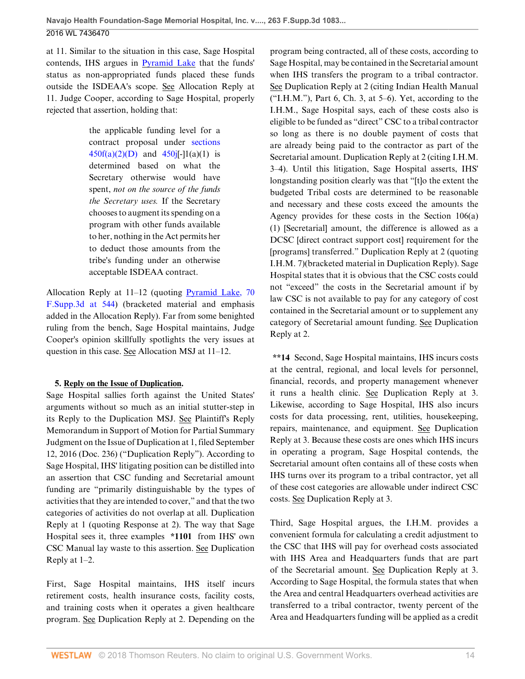at 11. Similar to the situation in this case, Sage Hospital contends, IHS argues in [Pyramid Lake](http://www.westlaw.com/Link/Document/FullText?findType=Y&serNum=2034540326&originatingDoc=I4a89a3f0c8e111e6b27be1b44e7e7e5b&refType=RP&originationContext=document&vr=3.0&rs=cblt1.0&transitionType=DocumentItem&contextData=(sc.UserEnteredCitation)) that the funds' status as non-appropriated funds placed these funds outside the ISDEAA's scope. See Allocation Reply at 11. Judge Cooper, according to Sage Hospital, properly rejected that assertion, holding that:

> the applicable funding level for a contract proposal under [sections](http://www.westlaw.com/Link/Document/FullText?findType=L&pubNum=1000546&cite=25USCAS450F&originatingDoc=I4a89a3f0c8e111e6b27be1b44e7e7e5b&refType=LQ&originationContext=document&vr=3.0&rs=cblt1.0&transitionType=DocumentItem&contextData=(sc.UserEnteredCitation))  $450f(a)(2)(D)$  and  $450f[-11(a)(1)$  is determined based on what the Secretary otherwise would have spent, *not on the source of the funds the Secretary uses.* If the Secretary chooses to augment its spending on a program with other funds available to her, nothing in the Act permits her to deduct those amounts from the tribe's funding under an otherwise acceptable ISDEAA contract.

Allocation Reply at 11–12 (quoting [Pyramid Lake, 70](http://www.westlaw.com/Link/Document/FullText?findType=Y&serNum=2034540326&pubNum=0007903&originatingDoc=I4a89a3f0c8e111e6b27be1b44e7e7e5b&refType=RP&fi=co_pp_sp_7903_544&originationContext=document&vr=3.0&rs=cblt1.0&transitionType=DocumentItem&contextData=(sc.UserEnteredCitation)#co_pp_sp_7903_544) [F.Supp.3d at 544](http://www.westlaw.com/Link/Document/FullText?findType=Y&serNum=2034540326&pubNum=0007903&originatingDoc=I4a89a3f0c8e111e6b27be1b44e7e7e5b&refType=RP&fi=co_pp_sp_7903_544&originationContext=document&vr=3.0&rs=cblt1.0&transitionType=DocumentItem&contextData=(sc.UserEnteredCitation)#co_pp_sp_7903_544)) (bracketed material and emphasis added in the Allocation Reply). Far from some benighted ruling from the bench, Sage Hospital maintains, Judge Cooper's opinion skillfully spotlights the very issues at question in this case. See Allocation MSJ at 11–12.

# **5. Reply on the Issue of Duplication.**

Sage Hospital sallies forth against the United States' arguments without so much as an initial stutter-step in its Reply to the Duplication MSJ. See Plaintiff's Reply Memorandum in Support of Motion for Partial Summary Judgment on the Issue of Duplication at 1, filed September 12, 2016 (Doc. 236) ("Duplication Reply"). According to Sage Hospital, IHS' litigating position can be distilled into an assertion that CSC funding and Secretarial amount funding are "primarily distinguishable by the types of activities that they are intended to cover," and that the two categories of activities do not overlap at all. Duplication Reply at 1 (quoting Response at 2). The way that Sage Hospital sees it, three examples **\*1101** from IHS' own CSC Manual lay waste to this assertion. See Duplication Reply at 1–2.

First, Sage Hospital maintains, IHS itself incurs retirement costs, health insurance costs, facility costs, and training costs when it operates a given healthcare program. See Duplication Reply at 2. Depending on the program being contracted, all of these costs, according to Sage Hospital, may be contained in the Secretarial amount when IHS transfers the program to a tribal contractor. See Duplication Reply at 2 (citing Indian Health Manual ("I.H.M."), Part 6, Ch. 3, at 5–6). Yet, according to the I.H.M., Sage Hospital says, each of these costs also is eligible to be funded as "direct" CSC to a tribal contractor so long as there is no double payment of costs that are already being paid to the contractor as part of the Secretarial amount. Duplication Reply at 2 (citing I.H.M. 3–4). Until this litigation, Sage Hospital asserts, IHS' longstanding position clearly was that "[t]o the extent the budgeted Tribal costs are determined to be reasonable and necessary and these costs exceed the amounts the Agency provides for these costs in the Section 106(a) (1) [Secretarial] amount, the difference is allowed as a DCSC [direct contract support cost] requirement for the [programs] transferred." Duplication Reply at 2 (quoting I.H.M. 7)(bracketed material in Duplication Reply). Sage Hospital states that it is obvious that the CSC costs could not "exceed" the costs in the Secretarial amount if by law CSC is not available to pay for any category of cost contained in the Secretarial amount or to supplement any category of Secretarial amount funding. See Duplication Reply at 2.

**\*\*14** Second, Sage Hospital maintains, IHS incurs costs at the central, regional, and local levels for personnel, financial, records, and property management whenever it runs a health clinic. See Duplication Reply at 3. Likewise, according to Sage Hospital, IHS also incurs costs for data processing, rent, utilities, housekeeping, repairs, maintenance, and equipment. See Duplication Reply at 3. Because these costs are ones which IHS incurs in operating a program, Sage Hospital contends, the Secretarial amount often contains all of these costs when IHS turns over its program to a tribal contractor, yet all of these cost categories are allowable under indirect CSC costs. See Duplication Reply at 3.

Third, Sage Hospital argues, the I.H.M. provides a convenient formula for calculating a credit adjustment to the CSC that IHS will pay for overhead costs associated with IHS Area and Headquarters funds that are part of the Secretarial amount. See Duplication Reply at 3. According to Sage Hospital, the formula states that when the Area and central Headquarters overhead activities are transferred to a tribal contractor, twenty percent of the Area and Headquarters funding will be applied as a credit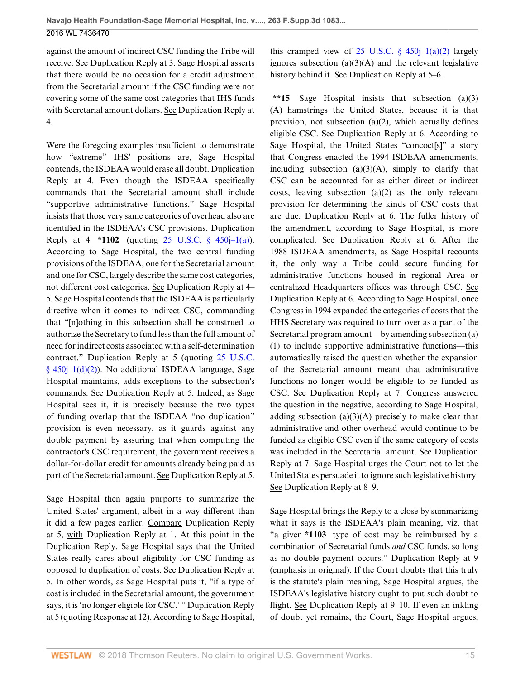against the amount of indirect CSC funding the Tribe will receive. See Duplication Reply at 3. Sage Hospital asserts that there would be no occasion for a credit adjustment from the Secretarial amount if the CSC funding were not covering some of the same cost categories that IHS funds with Secretarial amount dollars. See Duplication Reply at 4.

Were the foregoing examples insufficient to demonstrate how "extreme" IHS' positions are, Sage Hospital contends, the ISDEAA would erase all doubt. Duplication Reply at 4. Even though the ISDEAA specifically commands that the Secretarial amount shall include "supportive administrative functions," Sage Hospital insists that those very same categories of overhead also are identified in the ISDEAA's CSC provisions. Duplication Reply at 4 **\*1102** (quoting [25 U.S.C. § 450j–1\(a\)\)](http://www.westlaw.com/Link/Document/FullText?findType=L&pubNum=1000546&cite=25USCAS450J-1&originatingDoc=I4a89a3f0c8e111e6b27be1b44e7e7e5b&refType=LQ&originationContext=document&vr=3.0&rs=cblt1.0&transitionType=DocumentItem&contextData=(sc.UserEnteredCitation)). According to Sage Hospital, the two central funding provisions of the ISDEAA, one for the Secretarial amount and one for CSC, largely describe the same cost categories, not different cost categories. See Duplication Reply at 4– 5. Sage Hospital contends that the ISDEAA is particularly directive when it comes to indirect CSC, commanding that "[n]othing in this subsection shall be construed to authorize the Secretary to fund less than the full amount of need for indirect costs associated with a self-determination contract." Duplication Reply at 5 (quoting [25 U.S.C.](http://www.westlaw.com/Link/Document/FullText?findType=L&pubNum=1000546&cite=25USCAS450J-1&originatingDoc=I4a89a3f0c8e111e6b27be1b44e7e7e5b&refType=LQ&originationContext=document&vr=3.0&rs=cblt1.0&transitionType=DocumentItem&contextData=(sc.UserEnteredCitation)) [§ 450j–1\(d\)\(2\)](http://www.westlaw.com/Link/Document/FullText?findType=L&pubNum=1000546&cite=25USCAS450J-1&originatingDoc=I4a89a3f0c8e111e6b27be1b44e7e7e5b&refType=LQ&originationContext=document&vr=3.0&rs=cblt1.0&transitionType=DocumentItem&contextData=(sc.UserEnteredCitation))). No additional ISDEAA language, Sage Hospital maintains, adds exceptions to the subsection's commands. See Duplication Reply at 5. Indeed, as Sage Hospital sees it, it is precisely because the two types of funding overlap that the ISDEAA "no duplication" provision is even necessary, as it guards against any double payment by assuring that when computing the contractor's CSC requirement, the government receives a dollar-for-dollar credit for amounts already being paid as part of the Secretarial amount. See Duplication Reply at 5.

Sage Hospital then again purports to summarize the United States' argument, albeit in a way different than it did a few pages earlier. Compare Duplication Reply at 5, with Duplication Reply at 1. At this point in the Duplication Reply, Sage Hospital says that the United States really cares about eligibility for CSC funding as opposed to duplication of costs. See Duplication Reply at 5. In other words, as Sage Hospital puts it, "if a type of cost is included in the Secretarial amount, the government says, it is 'no longer eligible for CSC.' " Duplication Reply at 5 (quoting Response at 12). According to Sage Hospital,

this cramped view of 25 U.S.C.  $\S$  450j–1(a)(2) largely ignores subsection  $(a)(3)(A)$  and the relevant legislative history behind it. See Duplication Reply at 5–6.

**\*\*15** Sage Hospital insists that subsection (a)(3) (A) hamstrings the United States, because it is that provision, not subsection (a)(2), which actually defines eligible CSC. See Duplication Reply at 6. According to Sage Hospital, the United States "concoct[s]" a story that Congress enacted the 1994 ISDEAA amendments, including subsection  $(a)(3)(A)$ , simply to clarify that CSC can be accounted for as either direct or indirect costs, leaving subsection (a)(2) as the only relevant provision for determining the kinds of CSC costs that are due. Duplication Reply at 6. The fuller history of the amendment, according to Sage Hospital, is more complicated. See Duplication Reply at 6. After the 1988 ISDEAA amendments, as Sage Hospital recounts it, the only way a Tribe could secure funding for administrative functions housed in regional Area or centralized Headquarters offices was through CSC. See Duplication Reply at 6. According to Sage Hospital, once Congress in 1994 expanded the categories of costs that the HHS Secretary was required to turn over as a part of the Secretarial program amount—by amending subsection (a) (1) to include supportive administrative functions—this automatically raised the question whether the expansion of the Secretarial amount meant that administrative functions no longer would be eligible to be funded as CSC. See Duplication Reply at 7. Congress answered the question in the negative, according to Sage Hospital, adding subsection  $(a)(3)(A)$  precisely to make clear that administrative and other overhead would continue to be funded as eligible CSC even if the same category of costs was included in the Secretarial amount. See Duplication Reply at 7. Sage Hospital urges the Court not to let the United States persuade it to ignore such legislative history. See Duplication Reply at 8–9.

Sage Hospital brings the Reply to a close by summarizing what it says is the ISDEAA's plain meaning, viz. that "a given **\*1103** type of cost may be reimbursed by a combination of Secretarial funds *and* CSC funds, so long as no double payment occurs." Duplication Reply at 9 (emphasis in original). If the Court doubts that this truly is the statute's plain meaning, Sage Hospital argues, the ISDEAA's legislative history ought to put such doubt to flight. See Duplication Reply at 9–10. If even an inkling of doubt yet remains, the Court, Sage Hospital argues,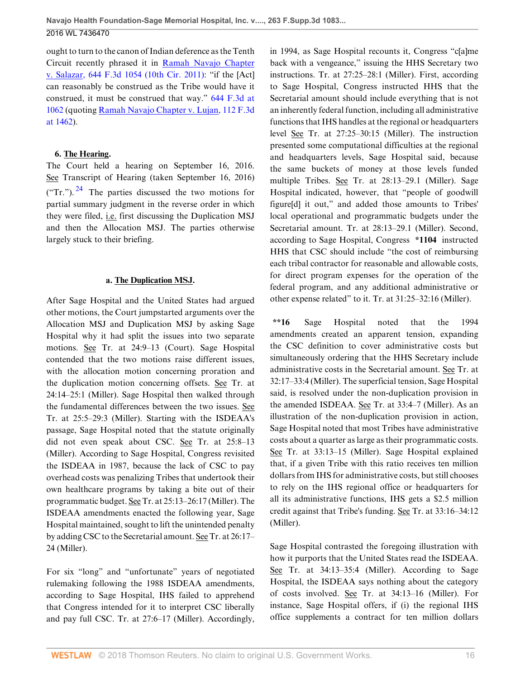ought to turn to the canon of Indian deference as the Tenth Circuit recently phrased it in [Ramah Navajo Chapter](http://www.westlaw.com/Link/Document/FullText?findType=Y&serNum=2025247005&pubNum=0000506&originatingDoc=I4a89a3f0c8e111e6b27be1b44e7e7e5b&refType=RP&originationContext=document&vr=3.0&rs=cblt1.0&transitionType=DocumentItem&contextData=(sc.UserEnteredCitation)) [v. Salazar, 644 F.3d 1054 \(10th Cir. 2011\)](http://www.westlaw.com/Link/Document/FullText?findType=Y&serNum=2025247005&pubNum=0000506&originatingDoc=I4a89a3f0c8e111e6b27be1b44e7e7e5b&refType=RP&originationContext=document&vr=3.0&rs=cblt1.0&transitionType=DocumentItem&contextData=(sc.UserEnteredCitation)): "if the [Act] can reasonably be construed as the Tribe would have it construed, it must be construed that way." [644 F.3d at](http://www.westlaw.com/Link/Document/FullText?findType=Y&serNum=2025247005&pubNum=0000506&originatingDoc=I4a89a3f0c8e111e6b27be1b44e7e7e5b&refType=RP&fi=co_pp_sp_506_1062&originationContext=document&vr=3.0&rs=cblt1.0&transitionType=DocumentItem&contextData=(sc.UserEnteredCitation)#co_pp_sp_506_1062) [1062](http://www.westlaw.com/Link/Document/FullText?findType=Y&serNum=2025247005&pubNum=0000506&originatingDoc=I4a89a3f0c8e111e6b27be1b44e7e7e5b&refType=RP&fi=co_pp_sp_506_1062&originationContext=document&vr=3.0&rs=cblt1.0&transitionType=DocumentItem&contextData=(sc.UserEnteredCitation)#co_pp_sp_506_1062) (quoting [Ramah Navajo Chapter v. Lujan, 112 F.3d](http://www.westlaw.com/Link/Document/FullText?findType=Y&serNum=1997106222&pubNum=0000506&originatingDoc=I4a89a3f0c8e111e6b27be1b44e7e7e5b&refType=RP&fi=co_pp_sp_506_1462&originationContext=document&vr=3.0&rs=cblt1.0&transitionType=DocumentItem&contextData=(sc.UserEnteredCitation)#co_pp_sp_506_1462) [at 1462\)](http://www.westlaw.com/Link/Document/FullText?findType=Y&serNum=1997106222&pubNum=0000506&originatingDoc=I4a89a3f0c8e111e6b27be1b44e7e7e5b&refType=RP&fi=co_pp_sp_506_1462&originationContext=document&vr=3.0&rs=cblt1.0&transitionType=DocumentItem&contextData=(sc.UserEnteredCitation)#co_pp_sp_506_1462).

# **6. The Hearing.**

The Court held a hearing on September 16, 2016. See Transcript of Hearing (taken September 16, 2016) ("Tr.").  $24$  The parties discussed the two motions for partial summary judgment in the reverse order in which they were filed, i.e. first discussing the Duplication MSJ and then the Allocation MSJ. The parties otherwise largely stuck to their briefing.

# **a. The Duplication MSJ.**

After Sage Hospital and the United States had argued other motions, the Court jumpstarted arguments over the Allocation MSJ and Duplication MSJ by asking Sage Hospital why it had split the issues into two separate motions. See Tr. at 24:9–13 (Court). Sage Hospital contended that the two motions raise different issues, with the allocation motion concerning proration and the duplication motion concerning offsets. See Tr. at 24:14–25:1 (Miller). Sage Hospital then walked through the fundamental differences between the two issues. See Tr. at 25:5–29:3 (Miller). Starting with the ISDEAA's passage, Sage Hospital noted that the statute originally did not even speak about CSC. See Tr. at 25:8–13 (Miller). According to Sage Hospital, Congress revisited the ISDEAA in 1987, because the lack of CSC to pay overhead costs was penalizing Tribes that undertook their own healthcare programs by taking a bite out of their programmatic budget. See Tr. at 25:13–26:17 (Miller). The ISDEAA amendments enacted the following year, Sage Hospital maintained, sought to lift the unintended penalty by adding CSC to the Secretarial amount. See Tr. at 26:17– 24 (Miller).

For six "long" and "unfortunate" years of negotiated rulemaking following the 1988 ISDEAA amendments, according to Sage Hospital, IHS failed to apprehend that Congress intended for it to interpret CSC liberally and pay full CSC. Tr. at 27:6–17 (Miller). Accordingly, in 1994, as Sage Hospital recounts it, Congress "c[a]me back with a vengeance," issuing the HHS Secretary two instructions. Tr. at 27:25–28:1 (Miller). First, according to Sage Hospital, Congress instructed HHS that the Secretarial amount should include everything that is not an inherently federal function, including all administrative functions that IHS handles at the regional or headquarters level See Tr. at 27:25–30:15 (Miller). The instruction presented some computational difficulties at the regional and headquarters levels, Sage Hospital said, because the same buckets of money at those levels funded multiple Tribes. See Tr. at 28:13–29.1 (Miller). Sage Hospital indicated, however, that "people of goodwill figure[d] it out," and added those amounts to Tribes' local operational and programmatic budgets under the Secretarial amount. Tr. at 28:13–29.1 (Miller). Second, according to Sage Hospital, Congress **\*1104** instructed HHS that CSC should include "the cost of reimbursing each tribal contractor for reasonable and allowable costs, for direct program expenses for the operation of the federal program, and any additional administrative or other expense related" to it. Tr. at 31:25–32:16 (Miller).

**\*\*16** Sage Hospital noted that the 1994 amendments created an apparent tension, expanding the CSC definition to cover administrative costs but simultaneously ordering that the HHS Secretary include administrative costs in the Secretarial amount. See Tr. at 32:17–33:4 (Miller). The superficial tension, Sage Hospital said, is resolved under the non-duplication provision in the amended ISDEAA. See Tr. at 33:4-7 (Miller). As an illustration of the non-duplication provision in action, Sage Hospital noted that most Tribes have administrative costs about a quarter as large as their programmatic costs. See Tr. at 33:13–15 (Miller). Sage Hospital explained that, if a given Tribe with this ratio receives ten million dollars from IHS for administrative costs, but still chooses to rely on the IHS regional office or headquarters for all its administrative functions, IHS gets a \$2.5 million credit against that Tribe's funding. See Tr. at 33:16–34:12 (Miller).

Sage Hospital contrasted the foregoing illustration with how it purports that the United States read the ISDEAA. See Tr. at 34:13–35:4 (Miller). According to Sage Hospital, the ISDEAA says nothing about the category of costs involved. See Tr. at 34:13–16 (Miller). For instance, Sage Hospital offers, if (i) the regional IHS office supplements a contract for ten million dollars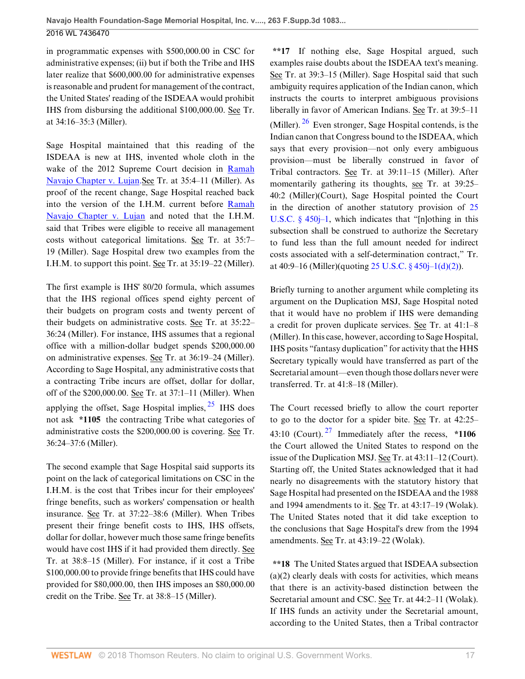in programmatic expenses with \$500,000.00 in CSC for administrative expenses; (ii) but if both the Tribe and IHS later realize that \$600,000.00 for administrative expenses is reasonable and prudent for management of the contract, the United States' reading of the ISDEAA would prohibit IHS from disbursing the additional \$100,000.00. See Tr. at 34:16–35:3 (Miller).

Sage Hospital maintained that this reading of the ISDEAA is new at IHS, invented whole cloth in the wake of the 2012 Supreme Court decision in [Ramah](http://www.westlaw.com/Link/Document/FullText?findType=Y&serNum=1997106222&pubNum=0000506&originatingDoc=I4a89a3f0c8e111e6b27be1b44e7e7e5b&refType=RP&originationContext=document&vr=3.0&rs=cblt1.0&transitionType=DocumentItem&contextData=(sc.UserEnteredCitation)) [Navajo Chapter v. Lujan.S](http://www.westlaw.com/Link/Document/FullText?findType=Y&serNum=1997106222&pubNum=0000506&originatingDoc=I4a89a3f0c8e111e6b27be1b44e7e7e5b&refType=RP&originationContext=document&vr=3.0&rs=cblt1.0&transitionType=DocumentItem&contextData=(sc.UserEnteredCitation))ee Tr. at 35:4–11 (Miller). As proof of the recent change, Sage Hospital reached back into the version of the I.H.M. current before [Ramah](http://www.westlaw.com/Link/Document/FullText?findType=Y&serNum=1997106222&pubNum=0000506&originatingDoc=I4a89a3f0c8e111e6b27be1b44e7e7e5b&refType=RP&originationContext=document&vr=3.0&rs=cblt1.0&transitionType=DocumentItem&contextData=(sc.UserEnteredCitation)) [Navajo Chapter v. Lujan](http://www.westlaw.com/Link/Document/FullText?findType=Y&serNum=1997106222&pubNum=0000506&originatingDoc=I4a89a3f0c8e111e6b27be1b44e7e7e5b&refType=RP&originationContext=document&vr=3.0&rs=cblt1.0&transitionType=DocumentItem&contextData=(sc.UserEnteredCitation)) and noted that the I.H.M. said that Tribes were eligible to receive all management costs without categorical limitations. See Tr. at 35:7– 19 (Miller). Sage Hospital drew two examples from the I.H.M. to support this point. See Tr. at 35:19–22 (Miller).

The first example is IHS' 80/20 formula, which assumes that the IHS regional offices spend eighty percent of their budgets on program costs and twenty percent of their budgets on administrative costs. See Tr. at 35:22– 36:24 (Miller). For instance, IHS assumes that a regional office with a million-dollar budget spends \$200,000.00 on administrative expenses. See Tr. at 36:19–24 (Miller). According to Sage Hospital, any administrative costs that a contracting Tribe incurs are offset, dollar for dollar, off of the \$200,000.00. See Tr. at 37:1–11 (Miller). When applying the offset, Sage Hospital implies,  $^{25}$  $^{25}$  $^{25}$  IHS does not ask **\*1105** the contracting Tribe what categories of administrative costs the \$200,000.00 is covering. See Tr. 36:24–37:6 (Miller).

The second example that Sage Hospital said supports its point on the lack of categorical limitations on CSC in the I.H.M. is the cost that Tribes incur for their employees' fringe benefits, such as workers' compensation or health insurance. See Tr. at 37:22–38:6 (Miller). When Tribes present their fringe benefit costs to IHS, IHS offsets, dollar for dollar, however much those same fringe benefits would have cost IHS if it had provided them directly. See Tr. at 38:8–15 (Miller). For instance, if it cost a Tribe \$100,000.00 to provide fringe benefits that IHS could have provided for \$80,000.00, then IHS imposes an \$80,000.00 credit on the Tribe. See Tr. at 38:8–15 (Miller).

**\*\*17** If nothing else, Sage Hospital argued, such examples raise doubts about the ISDEAA text's meaning. See Tr. at 39:3–15 (Miller). Sage Hospital said that such ambiguity requires application of the Indian canon, which instructs the courts to interpret ambiguous provisions liberally in favor of American Indians. See Tr. at 39:5–11 (Miller).  $26$  Even stronger, Sage Hospital contends, is the Indian canon that Congress bound to the ISDEAA, which says that every provision—not only every ambiguous provision—must be liberally construed in favor of Tribal contractors. See Tr. at 39:11–15 (Miller). After momentarily gathering its thoughts, see Tr. at 39:25– 40:2 (Miller)(Court), Sage Hospital pointed the Court in the direction of another statutory provision of [25](http://www.westlaw.com/Link/Document/FullText?findType=L&pubNum=1000546&cite=25USCAS450J-1&originatingDoc=I4a89a3f0c8e111e6b27be1b44e7e7e5b&refType=LQ&originationContext=document&vr=3.0&rs=cblt1.0&transitionType=DocumentItem&contextData=(sc.UserEnteredCitation)) U.S.C.  $\S$  450 $j-1$ , which indicates that "[n]othing in this subsection shall be construed to authorize the Secretary to fund less than the full amount needed for indirect costs associated with a self-determination contract," Tr. at 40:9–16 (Miller)(quoting 25 U.S.C. § 450 $j-1(d)(2)$ ).

Briefly turning to another argument while completing its argument on the Duplication MSJ, Sage Hospital noted that it would have no problem if IHS were demanding a credit for proven duplicate services. See Tr. at 41:1–8 (Miller). In this case, however, according to Sage Hospital, IHS posits "fantasy duplication" for activity that the HHS Secretary typically would have transferred as part of the Secretarial amount—even though those dollars never were transferred. Tr. at 41:8–18 (Miller).

The Court recessed briefly to allow the court reporter to go to the doctor for a spider bite. See Tr. at 42:25– 43:10 (Court). [27](#page-72-7) Immediately after the recess, **\*1106** the Court allowed the United States to respond on the issue of the Duplication MSJ. See Tr. at 43:11–12 (Court). Starting off, the United States acknowledged that it had nearly no disagreements with the statutory history that Sage Hospital had presented on the ISDEAA and the 1988 and 1994 amendments to it. See Tr. at 43:17–19 (Wolak). The United States noted that it did take exception to the conclusions that Sage Hospital's drew from the 1994 amendments. See Tr. at 43:19–22 (Wolak).

**\*\*18** The United States argued that ISDEAA subsection (a)(2) clearly deals with costs for activities, which means that there is an activity-based distinction between the Secretarial amount and CSC. See Tr. at 44:2–11 (Wolak). If IHS funds an activity under the Secretarial amount, according to the United States, then a Tribal contractor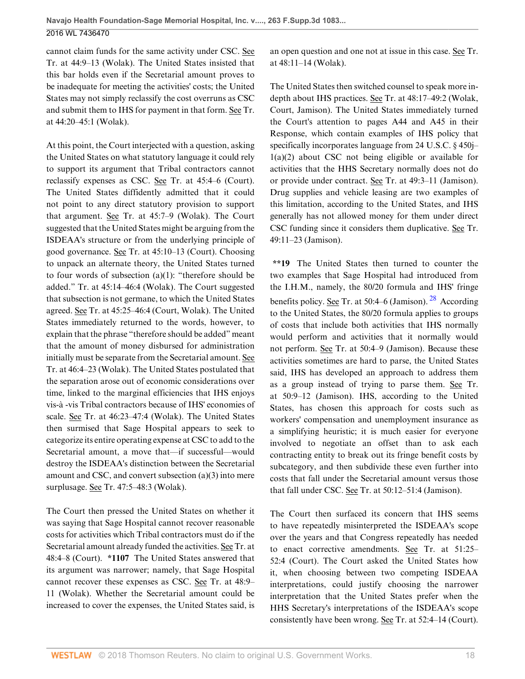cannot claim funds for the same activity under CSC. See Tr. at 44:9–13 (Wolak). The United States insisted that this bar holds even if the Secretarial amount proves to be inadequate for meeting the activities' costs; the United States may not simply reclassify the cost overruns as CSC and submit them to IHS for payment in that form. See Tr. at 44:20–45:1 (Wolak).

At this point, the Court interjected with a question, asking the United States on what statutory language it could rely to support its argument that Tribal contractors cannot reclassify expenses as CSC. See Tr. at 45:4–6 (Court). The United States diffidently admitted that it could not point to any direct statutory provision to support that argument. See Tr. at 45:7–9 (Wolak). The Court suggested that the United States might be arguing from the ISDEAA's structure or from the underlying principle of good governance. See Tr. at 45:10–13 (Court). Choosing to unpack an alternate theory, the United States turned to four words of subsection (a)(1): "therefore should be added." Tr. at 45:14–46:4 (Wolak). The Court suggested that subsection is not germane, to which the United States agreed. See Tr. at 45:25–46:4 (Court, Wolak). The United States immediately returned to the words, however, to explain that the phrase "therefore should be added" meant that the amount of money disbursed for administration initially must be separate from the Secretarial amount. See Tr. at 46:4–23 (Wolak). The United States postulated that the separation arose out of economic considerations over time, linked to the marginal efficiencies that IHS enjoys vis-à -vis Tribal contractors because of IHS' economies of scale. See Tr. at 46:23–47:4 (Wolak). The United States then surmised that Sage Hospital appears to seek to categorize its entire operating expense at CSC to add to the Secretarial amount, a move that—if successful—would destroy the ISDEAA's distinction between the Secretarial amount and CSC, and convert subsection (a)(3) into mere surplusage. See Tr. 47:5–48:3 (Wolak).

The Court then pressed the United States on whether it was saying that Sage Hospital cannot recover reasonable costs for activities which Tribal contractors must do if the Secretarial amount already funded the activities. See Tr. at 48:4–8 (Court). **\*1107** The United States answered that its argument was narrower; namely, that Sage Hospital cannot recover these expenses as CSC. See Tr. at 48:9– 11 (Wolak). Whether the Secretarial amount could be increased to cover the expenses, the United States said, is

an open question and one not at issue in this case. See Tr. at 48:11–14 (Wolak).

The United States then switched counsel to speak more indepth about IHS practices. See Tr. at 48:17–49:2 (Wolak, Court, Jamison). The United States immediately turned the Court's attention to pages A44 and A45 in their Response, which contain examples of IHS policy that specifically incorporates language from 24 U.S.C. § 450j– 1(a)(2) about CSC not being eligible or available for activities that the HHS Secretary normally does not do or provide under contract. See Tr. at 49:3–11 (Jamison). Drug supplies and vehicle leasing are two examples of this limitation, according to the United States, and IHS generally has not allowed money for them under direct CSC funding since it considers them duplicative. See Tr. 49:11–23 (Jamison).

**\*\*19** The United States then turned to counter the two examples that Sage Hospital had introduced from the I.H.M., namely, the 80/20 formula and IHS' fringe benefits policy. <u>See</u> Tr. at 50:4–6 (Jamison). <sup>[28](#page-72-8)</sup> According to the United States, the 80/20 formula applies to groups of costs that include both activities that IHS normally would perform and activities that it normally would not perform. See Tr. at 50:4–9 (Jamison). Because these activities sometimes are hard to parse, the United States said, IHS has developed an approach to address them as a group instead of trying to parse them. See Tr. at 50:9–12 (Jamison). IHS, according to the United States, has chosen this approach for costs such as workers' compensation and unemployment insurance as a simplifying heuristic; it is much easier for everyone involved to negotiate an offset than to ask each contracting entity to break out its fringe benefit costs by subcategory, and then subdivide these even further into costs that fall under the Secretarial amount versus those that fall under CSC. See Tr. at 50:12–51:4 (Jamison).

The Court then surfaced its concern that IHS seems to have repeatedly misinterpreted the ISDEAA's scope over the years and that Congress repeatedly has needed to enact corrective amendments. See Tr. at 51:25– 52:4 (Court). The Court asked the United States how it, when choosing between two competing ISDEAA interpretations, could justify choosing the narrower interpretation that the United States prefer when the HHS Secretary's interpretations of the ISDEAA's scope consistently have been wrong. See Tr. at 52:4–14 (Court).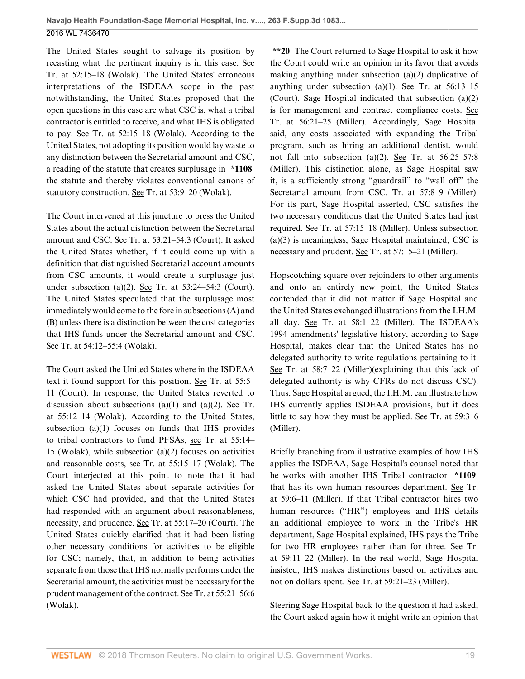The United States sought to salvage its position by recasting what the pertinent inquiry is in this case. See Tr. at 52:15–18 (Wolak). The United States' erroneous interpretations of the ISDEAA scope in the past notwithstanding, the United States proposed that the open questions in this case are what CSC is, what a tribal contractor is entitled to receive, and what IHS is obligated to pay. See Tr. at 52:15–18 (Wolak). According to the United States, not adopting its position would lay waste to any distinction between the Secretarial amount and CSC, a reading of the statute that creates surplusage in **\*1108** the statute and thereby violates conventional canons of statutory construction. See Tr. at 53:9–20 (Wolak).

The Court intervened at this juncture to press the United States about the actual distinction between the Secretarial amount and CSC. See Tr. at 53:21–54:3 (Court). It asked the United States whether, if it could come up with a definition that distinguished Secretarial account amounts from CSC amounts, it would create a surplusage just under subsection (a)(2). See Tr. at 53:24–54:3 (Court). The United States speculated that the surplusage most immediately would come to the fore in subsections (A) and (B) unless there is a distinction between the cost categories that IHS funds under the Secretarial amount and CSC. See Tr. at 54:12–55:4 (Wolak).

The Court asked the United States where in the ISDEAA text it found support for this position. See Tr. at 55:5– 11 (Court). In response, the United States reverted to discussion about subsections (a)(1) and (a)(2). See Tr. at 55:12–14 (Wolak). According to the United States, subsection (a)(1) focuses on funds that IHS provides to tribal contractors to fund PFSAs, see Tr. at 55:14– 15 (Wolak), while subsection (a)(2) focuses on activities and reasonable costs, see Tr. at 55:15–17 (Wolak). The Court interjected at this point to note that it had asked the United States about separate activities for which CSC had provided, and that the United States had responded with an argument about reasonableness, necessity, and prudence. See Tr. at 55:17–20 (Court). The United States quickly clarified that it had been listing other necessary conditions for activities to be eligible for CSC; namely, that, in addition to being activities separate from those that IHS normally performs under the Secretarial amount, the activities must be necessary for the prudent management of the contract. See Tr. at 55:21–56:6 (Wolak).

**\*\*20** The Court returned to Sage Hospital to ask it how the Court could write an opinion in its favor that avoids making anything under subsection (a)(2) duplicative of anything under subsection (a)(1). See Tr. at  $56:13-15$ (Court). Sage Hospital indicated that subsection (a)(2) is for management and contract compliance costs. See Tr. at 56:21–25 (Miller). Accordingly, Sage Hospital said, any costs associated with expanding the Tribal program, such as hiring an additional dentist, would not fall into subsection (a)(2). See Tr. at  $56:25-57:8$ (Miller). This distinction alone, as Sage Hospital saw it, is a sufficiently strong "guardrail" to "wall off" the Secretarial amount from CSC. Tr. at 57:8–9 (Miller). For its part, Sage Hospital asserted, CSC satisfies the two necessary conditions that the United States had just required. See Tr. at 57:15–18 (Miller). Unless subsection (a)(3) is meaningless, Sage Hospital maintained, CSC is necessary and prudent. See Tr. at 57:15–21 (Miller).

Hopscotching square over rejoinders to other arguments and onto an entirely new point, the United States contended that it did not matter if Sage Hospital and the United States exchanged illustrations from the I.H.M. all day. See Tr. at 58:1–22 (Miller). The ISDEAA's 1994 amendments' legislative history, according to Sage Hospital, makes clear that the United States has no delegated authority to write regulations pertaining to it. See Tr. at 58:7–22 (Miller)(explaining that this lack of delegated authority is why CFRs do not discuss CSC). Thus, Sage Hospital argued, the I.H.M. can illustrate how IHS currently applies ISDEAA provisions, but it does little to say how they must be applied. See Tr. at 59:3–6 (Miller).

Briefly branching from illustrative examples of how IHS applies the ISDEAA, Sage Hospital's counsel noted that he works with another IHS Tribal contractor **\*1109** that has its own human resources department. See Tr. at 59:6–11 (Miller). If that Tribal contractor hires two human resources ("HR") employees and IHS details an additional employee to work in the Tribe's HR department, Sage Hospital explained, IHS pays the Tribe for two HR employees rather than for three. See Tr. at 59:11–22 (Miller). In the real world, Sage Hospital insisted, IHS makes distinctions based on activities and not on dollars spent. See Tr. at 59:21–23 (Miller).

Steering Sage Hospital back to the question it had asked, the Court asked again how it might write an opinion that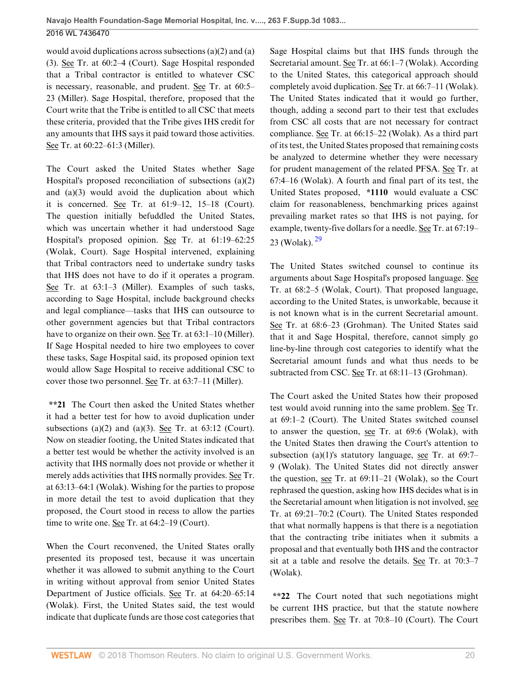would avoid duplications across subsections (a)(2) and (a) (3). See Tr. at 60:2–4 (Court). Sage Hospital responded that a Tribal contractor is entitled to whatever CSC is necessary, reasonable, and prudent. See Tr. at 60:5– 23 (Miller). Sage Hospital, therefore, proposed that the Court write that the Tribe is entitled to all CSC that meets these criteria, provided that the Tribe gives IHS credit for any amounts that IHS says it paid toward those activities. See Tr. at 60:22–61:3 (Miller).

The Court asked the United States whether Sage Hospital's proposed reconciliation of subsections (a)(2) and (a)(3) would avoid the duplication about which it is concerned. See Tr. at 61:9–12, 15–18 (Court). The question initially befuddled the United States, which was uncertain whether it had understood Sage Hospital's proposed opinion. See Tr. at 61:19–62:25 (Wolak, Court). Sage Hospital intervened, explaining that Tribal contractors need to undertake sundry tasks that IHS does not have to do if it operates a program. See Tr. at  $63:1-3$  (Miller). Examples of such tasks, according to Sage Hospital, include background checks and legal compliance—tasks that IHS can outsource to other government agencies but that Tribal contractors have to organize on their own. See Tr. at 63:1–10 (Miller). If Sage Hospital needed to hire two employees to cover these tasks, Sage Hospital said, its proposed opinion text would allow Sage Hospital to receive additional CSC to cover those two personnel. See Tr. at 63:7–11 (Miller).

**\*\*21** The Court then asked the United States whether it had a better test for how to avoid duplication under subsections (a)(2) and (a)(3). See Tr. at  $63:12$  (Court). Now on steadier footing, the United States indicated that a better test would be whether the activity involved is an activity that IHS normally does not provide or whether it merely adds activities that IHS normally provides. See Tr. at 63:13–64:1 (Wolak). Wishing for the parties to propose in more detail the test to avoid duplication that they proposed, the Court stood in recess to allow the parties time to write one. See Tr. at 64:2–19 (Court).

When the Court reconvened, the United States orally presented its proposed test, because it was uncertain whether it was allowed to submit anything to the Court in writing without approval from senior United States Department of Justice officials. See Tr. at 64:20–65:14 (Wolak). First, the United States said, the test would indicate that duplicate funds are those cost categories that Sage Hospital claims but that IHS funds through the Secretarial amount. See Tr. at 66:1–7 (Wolak). According to the United States, this categorical approach should completely avoid duplication. See Tr. at 66:7–11 (Wolak). The United States indicated that it would go further, though, adding a second part to their test that excludes from CSC all costs that are not necessary for contract compliance. See Tr. at 66:15–22 (Wolak). As a third part of its test, the United States proposed that remaining costs be analyzed to determine whether they were necessary for prudent management of the related PFSA. See Tr. at 67:4–16 (Wolak). A fourth and final part of its test, the United States proposed, **\*1110** would evaluate a CSC claim for reasonableness, benchmarking prices against prevailing market rates so that IHS is not paying, for example, twenty-five dollars for a needle. See Tr. at 67:19– 23 (Wolak). [29](#page-73-0)

The United States switched counsel to continue its arguments about Sage Hospital's proposed language. See Tr. at 68:2–5 (Wolak, Court). That proposed language, according to the United States, is unworkable, because it is not known what is in the current Secretarial amount. See Tr. at 68:6–23 (Grohman). The United States said that it and Sage Hospital, therefore, cannot simply go line-by-line through cost categories to identify what the Secretarial amount funds and what thus needs to be subtracted from CSC. See Tr. at 68:11–13 (Grohman).

The Court asked the United States how their proposed test would avoid running into the same problem. See Tr. at 69:1–2 (Court). The United States switched counsel to answer the question, see Tr. at 69:6 (Wolak), with the United States then drawing the Court's attention to subsection (a)(1)'s statutory language, see Tr. at  $69:7-$ 9 (Wolak). The United States did not directly answer the question, see Tr. at 69:11–21 (Wolak), so the Court rephrased the question, asking how IHS decides what is in the Secretarial amount when litigation is not involved, see Tr. at 69:21–70:2 (Court). The United States responded that what normally happens is that there is a negotiation that the contracting tribe initiates when it submits a proposal and that eventually both IHS and the contractor sit at a table and resolve the details. See Tr. at 70:3–7 (Wolak).

**\*\*22** The Court noted that such negotiations might be current IHS practice, but that the statute nowhere prescribes them. See Tr. at 70:8–10 (Court). The Court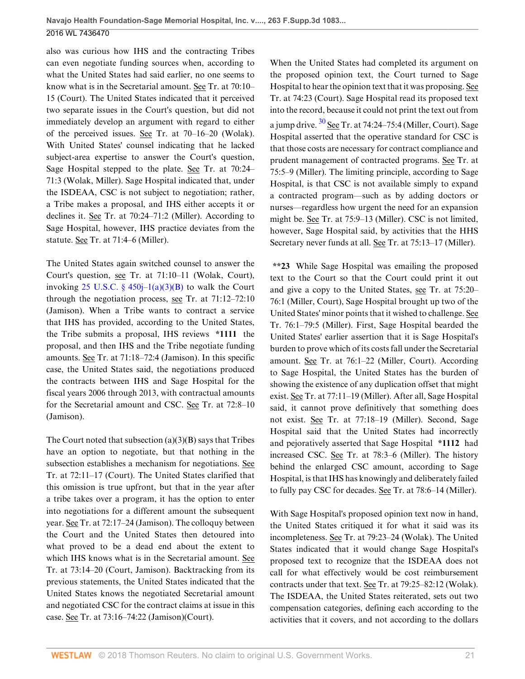also was curious how IHS and the contracting Tribes can even negotiate funding sources when, according to what the United States had said earlier, no one seems to know what is in the Secretarial amount. See Tr. at 70:10– 15 (Court). The United States indicated that it perceived two separate issues in the Court's question, but did not immediately develop an argument with regard to either of the perceived issues. See Tr. at 70–16–20 (Wolak). With United States' counsel indicating that he lacked subject-area expertise to answer the Court's question, Sage Hospital stepped to the plate. See Tr. at 70:24– 71:3 (Wolak, Miller). Sage Hospital indicated that, under the ISDEAA, CSC is not subject to negotiation; rather, a Tribe makes a proposal, and IHS either accepts it or declines it. See Tr. at 70:24–71:2 (Miller). According to Sage Hospital, however, IHS practice deviates from the statute. See Tr. at 71:4–6 (Miller).

The United States again switched counsel to answer the Court's question, see Tr. at 71:10–11 (Wolak, Court), invoking [25 U.S.C. § 450j–1\(a\)\(3\)\(B\)](http://www.westlaw.com/Link/Document/FullText?findType=L&pubNum=1000546&cite=25USCAS450J-1&originatingDoc=I4a89a3f0c8e111e6b27be1b44e7e7e5b&refType=LQ&originationContext=document&vr=3.0&rs=cblt1.0&transitionType=DocumentItem&contextData=(sc.UserEnteredCitation)) to walk the Court through the negotiation process, see Tr. at 71:12–72:10 (Jamison). When a Tribe wants to contract a service that IHS has provided, according to the United States, the Tribe submits a proposal, IHS reviews **\*1111** the proposal, and then IHS and the Tribe negotiate funding amounts. See Tr. at 71:18–72:4 (Jamison). In this specific case, the United States said, the negotiations produced the contracts between IHS and Sage Hospital for the fiscal years 2006 through 2013, with contractual amounts for the Secretarial amount and CSC. See Tr. at 72:8–10 (Jamison).

The Court noted that subsection  $(a)(3)(B)$  says that Tribes have an option to negotiate, but that nothing in the subsection establishes a mechanism for negotiations. See Tr. at 72:11–17 (Court). The United States clarified that this omission is true upfront, but that in the year after a tribe takes over a program, it has the option to enter into negotiations for a different amount the subsequent year. See Tr. at 72:17–24 (Jamison). The colloquy between the Court and the United States then detoured into what proved to be a dead end about the extent to which IHS knows what is in the Secretarial amount. See Tr. at 73:14–20 (Court, Jamison). Backtracking from its previous statements, the United States indicated that the United States knows the negotiated Secretarial amount and negotiated CSC for the contract claims at issue in this case. See Tr. at 73:16–74:22 (Jamison)(Court).

When the United States had completed its argument on the proposed opinion text, the Court turned to Sage Hospital to hear the opinion text that it was proposing. See Tr. at 74:23 (Court). Sage Hospital read its proposed text into the record, because it could not print the text out from a jump drive.  $30$  See Tr. at 74:24–75:4 (Miller, Court). Sage Hospital asserted that the operative standard for CSC is that those costs are necessary for contract compliance and prudent management of contracted programs. See Tr. at 75:5–9 (Miller). The limiting principle, according to Sage Hospital, is that CSC is not available simply to expand a contracted program—such as by adding doctors or nurses—regardless how urgent the need for an expansion might be. See Tr. at 75:9–13 (Miller). CSC is not limited, however, Sage Hospital said, by activities that the HHS Secretary never funds at all. See Tr. at 75:13–17 (Miller).

**\*\*23** While Sage Hospital was emailing the proposed text to the Court so that the Court could print it out and give a copy to the United States, see Tr. at 75:20– 76:1 (Miller, Court), Sage Hospital brought up two of the United States' minor points that it wished to challenge. See Tr. 76:1–79:5 (Miller). First, Sage Hospital bearded the United States' earlier assertion that it is Sage Hospital's burden to prove which of its costs fall under the Secretarial amount. See Tr. at 76:1–22 (Miller, Court). According to Sage Hospital, the United States has the burden of showing the existence of any duplication offset that might exist. See Tr. at 77:11–19 (Miller). After all, Sage Hospital said, it cannot prove definitively that something does not exist. See Tr. at 77:18–19 (Miller). Second, Sage Hospital said that the United States had incorrectly and pejoratively asserted that Sage Hospital **\*1112** had increased CSC. See Tr. at 78:3–6 (Miller). The history behind the enlarged CSC amount, according to Sage Hospital, is that IHS has knowingly and deliberately failed to fully pay CSC for decades. See Tr. at 78:6–14 (Miller).

With Sage Hospital's proposed opinion text now in hand, the United States critiqued it for what it said was its incompleteness. See Tr. at 79:23–24 (Wolak). The United States indicated that it would change Sage Hospital's proposed text to recognize that the ISDEAA does not call for what effectively would be cost reimbursement contracts under that text. See Tr. at 79:25–82:12 (Wolak). The ISDEAA, the United States reiterated, sets out two compensation categories, defining each according to the activities that it covers, and not according to the dollars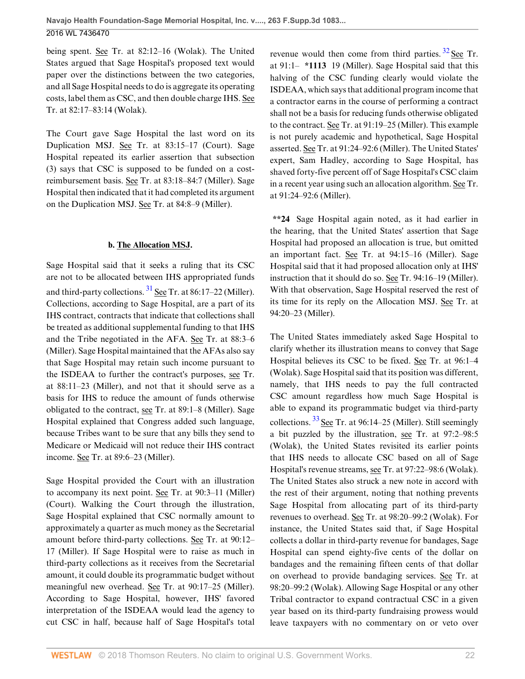being spent. See Tr. at 82:12–16 (Wolak). The United States argued that Sage Hospital's proposed text would paper over the distinctions between the two categories, and all Sage Hospital needs to do is aggregate its operating costs, label them as CSC, and then double charge IHS. See Tr. at 82:17–83:14 (Wolak).

The Court gave Sage Hospital the last word on its Duplication MSJ. See Tr. at 83:15–17 (Court). Sage Hospital repeated its earlier assertion that subsection (3) says that CSC is supposed to be funded on a costreimbursement basis. See Tr. at 83:18–84:7 (Miller). Sage Hospital then indicated that it had completed its argument on the Duplication MSJ. See Tr. at 84:8–9 (Miller).

### **b. The Allocation MSJ.**

Sage Hospital said that it seeks a ruling that its CSC are not to be allocated between IHS appropriated funds and third-party collections.  $31$  See Tr. at 86:17–22 (Miller). Collections, according to Sage Hospital, are a part of its IHS contract, contracts that indicate that collections shall be treated as additional supplemental funding to that IHS and the Tribe negotiated in the AFA. See Tr. at 88:3–6 (Miller). Sage Hospital maintained that the AFAs also say that Sage Hospital may retain such income pursuant to the ISDEAA to further the contract's purposes, see Tr. at 88:11–23 (Miller), and not that it should serve as a basis for IHS to reduce the amount of funds otherwise obligated to the contract, see Tr. at 89:1–8 (Miller). Sage Hospital explained that Congress added such language, because Tribes want to be sure that any bills they send to Medicare or Medicaid will not reduce their IHS contract income. See Tr. at 89:6–23 (Miller).

Sage Hospital provided the Court with an illustration to accompany its next point. See Tr. at 90:3–11 (Miller) (Court). Walking the Court through the illustration, Sage Hospital explained that CSC normally amount to approximately a quarter as much money as the Secretarial amount before third-party collections. See Tr. at 90:12– 17 (Miller). If Sage Hospital were to raise as much in third-party collections as it receives from the Secretarial amount, it could double its programmatic budget without meaningful new overhead. See Tr. at 90:17–25 (Miller). According to Sage Hospital, however, IHS' favored interpretation of the ISDEAA would lead the agency to cut CSC in half, because half of Sage Hospital's total revenue would then come from third parties.  $32$  See Tr. at 91:1– **\*1113** 19 (Miller). Sage Hospital said that this halving of the CSC funding clearly would violate the ISDEAA, which says that additional program income that a contractor earns in the course of performing a contract shall not be a basis for reducing funds otherwise obligated to the contract. See Tr. at 91:19–25 (Miller). This example is not purely academic and hypothetical, Sage Hospital asserted. See Tr. at 91:24–92:6 (Miller). The United States' expert, Sam Hadley, according to Sage Hospital, has shaved forty-five percent off of Sage Hospital's CSC claim in a recent year using such an allocation algorithm. See Tr. at 91:24–92:6 (Miller).

**\*\*24** Sage Hospital again noted, as it had earlier in the hearing, that the United States' assertion that Sage Hospital had proposed an allocation is true, but omitted an important fact. See Tr. at 94:15–16 (Miller). Sage Hospital said that it had proposed allocation only at IHS' instruction that it should do so. See Tr. 94:16–19 (Miller). With that observation, Sage Hospital reserved the rest of its time for its reply on the Allocation MSJ. See Tr. at 94:20–23 (Miller).

The United States immediately asked Sage Hospital to clarify whether its illustration means to convey that Sage Hospital believes its CSC to be fixed. See Tr. at 96:1–4 (Wolak). Sage Hospital said that its position was different, namely, that IHS needs to pay the full contracted CSC amount regardless how much Sage Hospital is able to expand its programmatic budget via third-party collections.  $33$  See Tr. at 96:14–25 (Miller). Still seemingly a bit puzzled by the illustration, see Tr. at 97:2–98:5 (Wolak), the United States revisited its earlier points that IHS needs to allocate CSC based on all of Sage Hospital's revenue streams, see Tr. at 97:22–98:6 (Wolak). The United States also struck a new note in accord with the rest of their argument, noting that nothing prevents Sage Hospital from allocating part of its third-party revenues to overhead. See Tr. at 98:20–99:2 (Wolak). For instance, the United States said that, if Sage Hospital collects a dollar in third-party revenue for bandages, Sage Hospital can spend eighty-five cents of the dollar on bandages and the remaining fifteen cents of that dollar on overhead to provide bandaging services. See Tr. at 98:20–99:2 (Wolak). Allowing Sage Hospital or any other Tribal contractor to expand contractual CSC in a given year based on its third-party fundraising prowess would leave taxpayers with no commentary on or veto over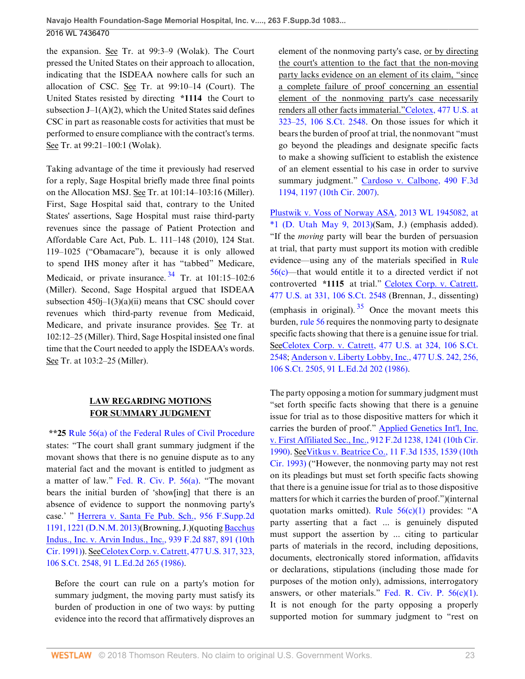**Navajo Health Foundation-Sage Memorial Hospital, Inc. v...., 263 F.Supp.3d 1083...** 2016 WL 7436470

the expansion. See Tr. at 99:3–9 (Wolak). The Court pressed the United States on their approach to allocation, indicating that the ISDEAA nowhere calls for such an allocation of CSC. See Tr. at 99:10–14 (Court). The United States resisted by directing **\*1114** the Court to subsection  $J<sub>-1</sub>(A)(2)$ , which the United States said defines CSC in part as reasonable costs for activities that must be performed to ensure compliance with the contract's terms. See Tr. at 99:21-100:1 (Wolak).

Taking advantage of the time it previously had reserved for a reply, Sage Hospital briefly made three final points on the Allocation MSJ. See Tr. at 101:14–103:16 (Miller). First, Sage Hospital said that, contrary to the United States' assertions, Sage Hospital must raise third-party revenues since the passage of Patient Protection and Affordable Care Act, Pub. L. 111–148 (2010), 124 Stat. 119–1025 ("Obamacare"), because it is only allowed to spend IHS money after it has "tabbed" Medicare, Medicaid, or private insurance.  $34$  Tr. at 101:15–102:6 (Miller). Second, Sage Hospital argued that ISDEAA subsection  $450j-1(3)(a)(ii)$  means that CSC should cover revenues which third-party revenue from Medicaid, Medicare, and private insurance provides. See Tr. at 102:12–25 (Miller). Third, Sage Hospital insisted one final time that the Court needed to apply the ISDEAA's words. See Tr. at 103:2–25 (Miller).

# **LAW REGARDING MOTIONS FOR SUMMARY JUDGMENT**

**\*\*25** [Rule 56\(a\) of the Federal Rules of Civil Procedure](http://www.westlaw.com/Link/Document/FullText?findType=L&pubNum=1000600&cite=USFRCPR56&originatingDoc=I4a89a3f0c8e111e6b27be1b44e7e7e5b&refType=LQ&originationContext=document&vr=3.0&rs=cblt1.0&transitionType=DocumentItem&contextData=(sc.UserEnteredCitation)) states: "The court shall grant summary judgment if the movant shows that there is no genuine dispute as to any material fact and the movant is entitled to judgment as a matter of law." [Fed. R. Civ. P. 56\(a\)](http://www.westlaw.com/Link/Document/FullText?findType=L&pubNum=1000600&cite=USFRCPR56&originatingDoc=I4a89a3f0c8e111e6b27be1b44e7e7e5b&refType=LQ&originationContext=document&vr=3.0&rs=cblt1.0&transitionType=DocumentItem&contextData=(sc.UserEnteredCitation)). "The movant bears the initial burden of 'show[ing] that there is an absence of evidence to support the nonmoving party's case.' " [Herrera v. Santa Fe Pub. Sch., 956 F.Supp.2d](http://www.westlaw.com/Link/Document/FullText?findType=Y&serNum=2030969128&pubNum=0004637&originatingDoc=I4a89a3f0c8e111e6b27be1b44e7e7e5b&refType=RP&fi=co_pp_sp_4637_1221&originationContext=document&vr=3.0&rs=cblt1.0&transitionType=DocumentItem&contextData=(sc.UserEnteredCitation)#co_pp_sp_4637_1221) [1191, 1221 \(D.N.M. 2013\)](http://www.westlaw.com/Link/Document/FullText?findType=Y&serNum=2030969128&pubNum=0004637&originatingDoc=I4a89a3f0c8e111e6b27be1b44e7e7e5b&refType=RP&fi=co_pp_sp_4637_1221&originationContext=document&vr=3.0&rs=cblt1.0&transitionType=DocumentItem&contextData=(sc.UserEnteredCitation)#co_pp_sp_4637_1221)(Browning, J.)(quoting [Bacchus](http://www.westlaw.com/Link/Document/FullText?findType=Y&serNum=1991112409&pubNum=0000350&originatingDoc=I4a89a3f0c8e111e6b27be1b44e7e7e5b&refType=RP&fi=co_pp_sp_350_891&originationContext=document&vr=3.0&rs=cblt1.0&transitionType=DocumentItem&contextData=(sc.UserEnteredCitation)#co_pp_sp_350_891) [Indus., Inc. v. Arvin Indus., Inc., 939 F.2d 887, 891 \(10th](http://www.westlaw.com/Link/Document/FullText?findType=Y&serNum=1991112409&pubNum=0000350&originatingDoc=I4a89a3f0c8e111e6b27be1b44e7e7e5b&refType=RP&fi=co_pp_sp_350_891&originationContext=document&vr=3.0&rs=cblt1.0&transitionType=DocumentItem&contextData=(sc.UserEnteredCitation)#co_pp_sp_350_891) [Cir. 1991\)](http://www.westlaw.com/Link/Document/FullText?findType=Y&serNum=1991112409&pubNum=0000350&originatingDoc=I4a89a3f0c8e111e6b27be1b44e7e7e5b&refType=RP&fi=co_pp_sp_350_891&originationContext=document&vr=3.0&rs=cblt1.0&transitionType=DocumentItem&contextData=(sc.UserEnteredCitation)#co_pp_sp_350_891)). Se[eCelotex Corp. v. Catrett, 477 U.S. 317, 323,](http://www.westlaw.com/Link/Document/FullText?findType=Y&serNum=1986132677&pubNum=0000708&originatingDoc=I4a89a3f0c8e111e6b27be1b44e7e7e5b&refType=RP&originationContext=document&vr=3.0&rs=cblt1.0&transitionType=DocumentItem&contextData=(sc.UserEnteredCitation)) [106 S.Ct. 2548, 91 L.Ed.2d 265 \(1986\).](http://www.westlaw.com/Link/Document/FullText?findType=Y&serNum=1986132677&pubNum=0000708&originatingDoc=I4a89a3f0c8e111e6b27be1b44e7e7e5b&refType=RP&originationContext=document&vr=3.0&rs=cblt1.0&transitionType=DocumentItem&contextData=(sc.UserEnteredCitation))

Before the court can rule on a party's motion for summary judgment, the moving party must satisfy its burden of production in one of two ways: by putting evidence into the record that affirmatively disproves an element of the nonmoving party's case, or by directing the court's attention to the fact that the non-moving party lacks evidence on an element of its claim, "since a complete failure of proof concerning an essential element of the nonmoving party's case necessarily renders all other facts immaterial."[Celotex, 477 U.S. at](http://www.westlaw.com/Link/Document/FullText?findType=Y&serNum=1986132677&pubNum=0000708&originatingDoc=I4a89a3f0c8e111e6b27be1b44e7e7e5b&refType=RP&originationContext=document&vr=3.0&rs=cblt1.0&transitionType=DocumentItem&contextData=(sc.UserEnteredCitation)) [323–25, 106 S.Ct. 2548.](http://www.westlaw.com/Link/Document/FullText?findType=Y&serNum=1986132677&pubNum=0000708&originatingDoc=I4a89a3f0c8e111e6b27be1b44e7e7e5b&refType=RP&originationContext=document&vr=3.0&rs=cblt1.0&transitionType=DocumentItem&contextData=(sc.UserEnteredCitation)) On those issues for which it bears the burden of proof at trial, the nonmovant "must go beyond the pleadings and designate specific facts to make a showing sufficient to establish the existence of an element essential to his case in order to survive summary judgment." [Cardoso v. Calbone, 490 F.3d](http://www.westlaw.com/Link/Document/FullText?findType=Y&serNum=2012499640&pubNum=0000506&originatingDoc=I4a89a3f0c8e111e6b27be1b44e7e7e5b&refType=RP&fi=co_pp_sp_506_1197&originationContext=document&vr=3.0&rs=cblt1.0&transitionType=DocumentItem&contextData=(sc.UserEnteredCitation)#co_pp_sp_506_1197) [1194, 1197 \(10th Cir. 2007\).](http://www.westlaw.com/Link/Document/FullText?findType=Y&serNum=2012499640&pubNum=0000506&originatingDoc=I4a89a3f0c8e111e6b27be1b44e7e7e5b&refType=RP&fi=co_pp_sp_506_1197&originationContext=document&vr=3.0&rs=cblt1.0&transitionType=DocumentItem&contextData=(sc.UserEnteredCitation)#co_pp_sp_506_1197)

[Plustwik v. Voss of Norway ASA, 2013 WL 1945082, at](http://www.westlaw.com/Link/Document/FullText?findType=Y&serNum=2030521741&pubNum=0000999&originatingDoc=I4a89a3f0c8e111e6b27be1b44e7e7e5b&refType=RP&originationContext=document&vr=3.0&rs=cblt1.0&transitionType=DocumentItem&contextData=(sc.UserEnteredCitation)) [\\*1 \(D. Utah May 9, 2013\)\(](http://www.westlaw.com/Link/Document/FullText?findType=Y&serNum=2030521741&pubNum=0000999&originatingDoc=I4a89a3f0c8e111e6b27be1b44e7e7e5b&refType=RP&originationContext=document&vr=3.0&rs=cblt1.0&transitionType=DocumentItem&contextData=(sc.UserEnteredCitation))Sam, J.) (emphasis added). "If the *moving* party will bear the burden of persuasion at trial, that party must support its motion with credible evidence—using any of the materials specified in [Rule](http://www.westlaw.com/Link/Document/FullText?findType=L&pubNum=1000600&cite=USFRCPR56&originatingDoc=I4a89a3f0c8e111e6b27be1b44e7e7e5b&refType=LQ&originationContext=document&vr=3.0&rs=cblt1.0&transitionType=DocumentItem&contextData=(sc.UserEnteredCitation)) [56\(c\)](http://www.westlaw.com/Link/Document/FullText?findType=L&pubNum=1000600&cite=USFRCPR56&originatingDoc=I4a89a3f0c8e111e6b27be1b44e7e7e5b&refType=LQ&originationContext=document&vr=3.0&rs=cblt1.0&transitionType=DocumentItem&contextData=(sc.UserEnteredCitation))—that would entitle it to a directed verdict if not controverted **\*1115** at trial." [Celotex Corp. v. Catrett,](http://www.westlaw.com/Link/Document/FullText?findType=Y&serNum=1986132677&pubNum=0000708&originatingDoc=I4a89a3f0c8e111e6b27be1b44e7e7e5b&refType=RP&originationContext=document&vr=3.0&rs=cblt1.0&transitionType=DocumentItem&contextData=(sc.UserEnteredCitation)) [477 U.S. at 331, 106 S.Ct. 2548](http://www.westlaw.com/Link/Document/FullText?findType=Y&serNum=1986132677&pubNum=0000708&originatingDoc=I4a89a3f0c8e111e6b27be1b44e7e7e5b&refType=RP&originationContext=document&vr=3.0&rs=cblt1.0&transitionType=DocumentItem&contextData=(sc.UserEnteredCitation)) (Brennan, J., dissenting) (emphasis in original).  $35$  Once the movant meets this burden, [rule 56](http://www.westlaw.com/Link/Document/FullText?findType=L&pubNum=1000600&cite=USFRCPR56&originatingDoc=I4a89a3f0c8e111e6b27be1b44e7e7e5b&refType=LQ&originationContext=document&vr=3.0&rs=cblt1.0&transitionType=DocumentItem&contextData=(sc.UserEnteredCitation)) requires the nonmoving party to designate specific facts showing that there is a genuine issue for trial. Se[eCelotex Corp. v. Catrett, 477 U.S. at 324, 106 S.Ct.](http://www.westlaw.com/Link/Document/FullText?findType=Y&serNum=1986132677&pubNum=0000708&originatingDoc=I4a89a3f0c8e111e6b27be1b44e7e7e5b&refType=RP&originationContext=document&vr=3.0&rs=cblt1.0&transitionType=DocumentItem&contextData=(sc.UserEnteredCitation)) [2548](http://www.westlaw.com/Link/Document/FullText?findType=Y&serNum=1986132677&pubNum=0000708&originatingDoc=I4a89a3f0c8e111e6b27be1b44e7e7e5b&refType=RP&originationContext=document&vr=3.0&rs=cblt1.0&transitionType=DocumentItem&contextData=(sc.UserEnteredCitation)); [Anderson v. Liberty Lobby, Inc., 477 U.S. 242, 256,](http://www.westlaw.com/Link/Document/FullText?findType=Y&serNum=1986132674&pubNum=0000708&originatingDoc=I4a89a3f0c8e111e6b27be1b44e7e7e5b&refType=RP&originationContext=document&vr=3.0&rs=cblt1.0&transitionType=DocumentItem&contextData=(sc.UserEnteredCitation)) [106 S.Ct. 2505, 91 L.Ed.2d 202 \(1986\).](http://www.westlaw.com/Link/Document/FullText?findType=Y&serNum=1986132674&pubNum=0000708&originatingDoc=I4a89a3f0c8e111e6b27be1b44e7e7e5b&refType=RP&originationContext=document&vr=3.0&rs=cblt1.0&transitionType=DocumentItem&contextData=(sc.UserEnteredCitation))

The party opposing a motion for summary judgment must "set forth specific facts showing that there is a genuine issue for trial as to those dispositive matters for which it carries the burden of proof." [Applied Genetics Int'l, Inc.](http://www.westlaw.com/Link/Document/FullText?findType=Y&serNum=1990126559&pubNum=0000350&originatingDoc=I4a89a3f0c8e111e6b27be1b44e7e7e5b&refType=RP&fi=co_pp_sp_350_1241&originationContext=document&vr=3.0&rs=cblt1.0&transitionType=DocumentItem&contextData=(sc.UserEnteredCitation)#co_pp_sp_350_1241) [v. First Affiliated Sec., Inc., 912 F.2d 1238, 1241 \(10th Cir.](http://www.westlaw.com/Link/Document/FullText?findType=Y&serNum=1990126559&pubNum=0000350&originatingDoc=I4a89a3f0c8e111e6b27be1b44e7e7e5b&refType=RP&fi=co_pp_sp_350_1241&originationContext=document&vr=3.0&rs=cblt1.0&transitionType=DocumentItem&contextData=(sc.UserEnteredCitation)#co_pp_sp_350_1241) [1990\)](http://www.westlaw.com/Link/Document/FullText?findType=Y&serNum=1990126559&pubNum=0000350&originatingDoc=I4a89a3f0c8e111e6b27be1b44e7e7e5b&refType=RP&fi=co_pp_sp_350_1241&originationContext=document&vr=3.0&rs=cblt1.0&transitionType=DocumentItem&contextData=(sc.UserEnteredCitation)#co_pp_sp_350_1241). Se[eVitkus v. Beatrice Co., 11 F.3d 1535, 1539 \(10th](http://www.westlaw.com/Link/Document/FullText?findType=Y&serNum=1993234609&pubNum=0000506&originatingDoc=I4a89a3f0c8e111e6b27be1b44e7e7e5b&refType=RP&fi=co_pp_sp_506_1539&originationContext=document&vr=3.0&rs=cblt1.0&transitionType=DocumentItem&contextData=(sc.UserEnteredCitation)#co_pp_sp_506_1539) [Cir. 1993\)](http://www.westlaw.com/Link/Document/FullText?findType=Y&serNum=1993234609&pubNum=0000506&originatingDoc=I4a89a3f0c8e111e6b27be1b44e7e7e5b&refType=RP&fi=co_pp_sp_506_1539&originationContext=document&vr=3.0&rs=cblt1.0&transitionType=DocumentItem&contextData=(sc.UserEnteredCitation)#co_pp_sp_506_1539) ("However, the nonmoving party may not rest on its pleadings but must set forth specific facts showing that there is a genuine issue for trial as to those dispositive matters for which it carries the burden of proof.")(internal quotation marks omitted). Rule  $56(c)(1)$  provides: "A party asserting that a fact ... is genuinely disputed must support the assertion by ... citing to particular parts of materials in the record, including depositions, documents, electronically stored information, affidavits or declarations, stipulations (including those made for purposes of the motion only), admissions, interrogatory answers, or other materials." Fed. R. Civ. P.  $56(c)(1)$ . It is not enough for the party opposing a properly supported motion for summary judgment to "rest on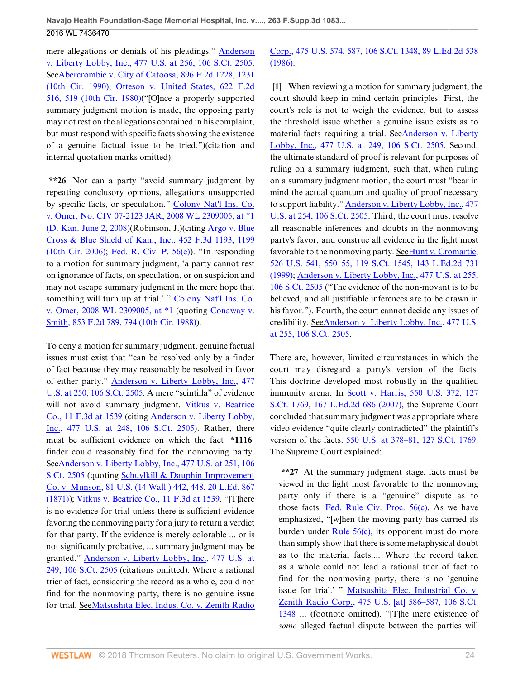mere allegations or denials of his pleadings." [Anderson](http://www.westlaw.com/Link/Document/FullText?findType=Y&serNum=1986132674&pubNum=0000708&originatingDoc=I4a89a3f0c8e111e6b27be1b44e7e7e5b&refType=RP&originationContext=document&vr=3.0&rs=cblt1.0&transitionType=DocumentItem&contextData=(sc.UserEnteredCitation)) [v. Liberty Lobby, Inc., 477 U.S. at 256, 106 S.Ct. 2505](http://www.westlaw.com/Link/Document/FullText?findType=Y&serNum=1986132674&pubNum=0000708&originatingDoc=I4a89a3f0c8e111e6b27be1b44e7e7e5b&refType=RP&originationContext=document&vr=3.0&rs=cblt1.0&transitionType=DocumentItem&contextData=(sc.UserEnteredCitation)). Se[eAbercrombie v. City of Catoosa, 896 F.2d 1228, 1231](http://www.westlaw.com/Link/Document/FullText?findType=Y&serNum=1990037146&pubNum=0000350&originatingDoc=I4a89a3f0c8e111e6b27be1b44e7e7e5b&refType=RP&fi=co_pp_sp_350_1231&originationContext=document&vr=3.0&rs=cblt1.0&transitionType=DocumentItem&contextData=(sc.UserEnteredCitation)#co_pp_sp_350_1231) [\(10th Cir. 1990\)](http://www.westlaw.com/Link/Document/FullText?findType=Y&serNum=1990037146&pubNum=0000350&originatingDoc=I4a89a3f0c8e111e6b27be1b44e7e7e5b&refType=RP&fi=co_pp_sp_350_1231&originationContext=document&vr=3.0&rs=cblt1.0&transitionType=DocumentItem&contextData=(sc.UserEnteredCitation)#co_pp_sp_350_1231); [Otteson v. United States, 622 F.2d](http://www.westlaw.com/Link/Document/FullText?findType=Y&serNum=1980118275&pubNum=0000350&originatingDoc=I4a89a3f0c8e111e6b27be1b44e7e7e5b&refType=RP&fi=co_pp_sp_350_519&originationContext=document&vr=3.0&rs=cblt1.0&transitionType=DocumentItem&contextData=(sc.UserEnteredCitation)#co_pp_sp_350_519) [516, 519 \(10th Cir. 1980\)\(](http://www.westlaw.com/Link/Document/FullText?findType=Y&serNum=1980118275&pubNum=0000350&originatingDoc=I4a89a3f0c8e111e6b27be1b44e7e7e5b&refType=RP&fi=co_pp_sp_350_519&originationContext=document&vr=3.0&rs=cblt1.0&transitionType=DocumentItem&contextData=(sc.UserEnteredCitation)#co_pp_sp_350_519)"[O]nce a properly supported summary judgment motion is made, the opposing party may not rest on the allegations contained in his complaint, but must respond with specific facts showing the existence of a genuine factual issue to be tried.")(citation and internal quotation marks omitted).

**\*\*26** Nor can a party "avoid summary judgment by repeating conclusory opinions, allegations unsupported by specific facts, or speculation." [Colony Nat'l Ins. Co.](http://www.westlaw.com/Link/Document/FullText?findType=Y&serNum=2016257455&pubNum=0000999&originatingDoc=I4a89a3f0c8e111e6b27be1b44e7e7e5b&refType=RP&originationContext=document&vr=3.0&rs=cblt1.0&transitionType=DocumentItem&contextData=(sc.UserEnteredCitation)) [v. Omer, No. CIV 07-2123 JAR, 2008 WL 2309005, at \\*1](http://www.westlaw.com/Link/Document/FullText?findType=Y&serNum=2016257455&pubNum=0000999&originatingDoc=I4a89a3f0c8e111e6b27be1b44e7e7e5b&refType=RP&originationContext=document&vr=3.0&rs=cblt1.0&transitionType=DocumentItem&contextData=(sc.UserEnteredCitation)) [\(D. Kan. June 2, 2008\)\(](http://www.westlaw.com/Link/Document/FullText?findType=Y&serNum=2016257455&pubNum=0000999&originatingDoc=I4a89a3f0c8e111e6b27be1b44e7e7e5b&refType=RP&originationContext=document&vr=3.0&rs=cblt1.0&transitionType=DocumentItem&contextData=(sc.UserEnteredCitation))Robinson, J.)(citing [Argo v. Blue](http://www.westlaw.com/Link/Document/FullText?findType=Y&serNum=2009482001&pubNum=0000506&originatingDoc=I4a89a3f0c8e111e6b27be1b44e7e7e5b&refType=RP&fi=co_pp_sp_506_1199&originationContext=document&vr=3.0&rs=cblt1.0&transitionType=DocumentItem&contextData=(sc.UserEnteredCitation)#co_pp_sp_506_1199) [Cross & Blue Shield of Kan., Inc., 452 F.3d 1193, 1199](http://www.westlaw.com/Link/Document/FullText?findType=Y&serNum=2009482001&pubNum=0000506&originatingDoc=I4a89a3f0c8e111e6b27be1b44e7e7e5b&refType=RP&fi=co_pp_sp_506_1199&originationContext=document&vr=3.0&rs=cblt1.0&transitionType=DocumentItem&contextData=(sc.UserEnteredCitation)#co_pp_sp_506_1199) [\(10th Cir. 2006\)](http://www.westlaw.com/Link/Document/FullText?findType=Y&serNum=2009482001&pubNum=0000506&originatingDoc=I4a89a3f0c8e111e6b27be1b44e7e7e5b&refType=RP&fi=co_pp_sp_506_1199&originationContext=document&vr=3.0&rs=cblt1.0&transitionType=DocumentItem&contextData=(sc.UserEnteredCitation)#co_pp_sp_506_1199); [Fed. R. Civ. P. 56\(e\)\)](http://www.westlaw.com/Link/Document/FullText?findType=L&pubNum=1000600&cite=USFRCPR56&originatingDoc=I4a89a3f0c8e111e6b27be1b44e7e7e5b&refType=LQ&originationContext=document&vr=3.0&rs=cblt1.0&transitionType=DocumentItem&contextData=(sc.UserEnteredCitation)). "In responding to a motion for summary judgment, 'a party cannot rest on ignorance of facts, on speculation, or on suspicion and may not escape summary judgment in the mere hope that something will turn up at trial.' " [Colony Nat'l Ins. Co.](http://www.westlaw.com/Link/Document/FullText?findType=Y&serNum=2016257455&pubNum=0000999&originatingDoc=I4a89a3f0c8e111e6b27be1b44e7e7e5b&refType=RP&originationContext=document&vr=3.0&rs=cblt1.0&transitionType=DocumentItem&contextData=(sc.UserEnteredCitation)) [v. Omer, 2008 WL 2309005, at \\*1](http://www.westlaw.com/Link/Document/FullText?findType=Y&serNum=2016257455&pubNum=0000999&originatingDoc=I4a89a3f0c8e111e6b27be1b44e7e7e5b&refType=RP&originationContext=document&vr=3.0&rs=cblt1.0&transitionType=DocumentItem&contextData=(sc.UserEnteredCitation)) (quoting [Conaway v.](http://www.westlaw.com/Link/Document/FullText?findType=Y&serNum=1988099739&pubNum=0000350&originatingDoc=I4a89a3f0c8e111e6b27be1b44e7e7e5b&refType=RP&fi=co_pp_sp_350_794&originationContext=document&vr=3.0&rs=cblt1.0&transitionType=DocumentItem&contextData=(sc.UserEnteredCitation)#co_pp_sp_350_794) [Smith, 853 F.2d 789, 794 \(10th Cir. 1988\)](http://www.westlaw.com/Link/Document/FullText?findType=Y&serNum=1988099739&pubNum=0000350&originatingDoc=I4a89a3f0c8e111e6b27be1b44e7e7e5b&refType=RP&fi=co_pp_sp_350_794&originationContext=document&vr=3.0&rs=cblt1.0&transitionType=DocumentItem&contextData=(sc.UserEnteredCitation)#co_pp_sp_350_794)).

To deny a motion for summary judgment, genuine factual issues must exist that "can be resolved only by a finder of fact because they may reasonably be resolved in favor of either party." [Anderson v. Liberty Lobby, Inc., 477](http://www.westlaw.com/Link/Document/FullText?findType=Y&serNum=1986132674&pubNum=0000708&originatingDoc=I4a89a3f0c8e111e6b27be1b44e7e7e5b&refType=RP&originationContext=document&vr=3.0&rs=cblt1.0&transitionType=DocumentItem&contextData=(sc.UserEnteredCitation)) [U.S. at 250, 106 S.Ct. 2505.](http://www.westlaw.com/Link/Document/FullText?findType=Y&serNum=1986132674&pubNum=0000708&originatingDoc=I4a89a3f0c8e111e6b27be1b44e7e7e5b&refType=RP&originationContext=document&vr=3.0&rs=cblt1.0&transitionType=DocumentItem&contextData=(sc.UserEnteredCitation)) A mere "scintilla" of evidence will not avoid summary judgment. [Vitkus v. Beatrice](http://www.westlaw.com/Link/Document/FullText?findType=Y&serNum=1993234609&pubNum=0000506&originatingDoc=I4a89a3f0c8e111e6b27be1b44e7e7e5b&refType=RP&fi=co_pp_sp_506_1539&originationContext=document&vr=3.0&rs=cblt1.0&transitionType=DocumentItem&contextData=(sc.UserEnteredCitation)#co_pp_sp_506_1539) [Co., 11 F.3d at 1539](http://www.westlaw.com/Link/Document/FullText?findType=Y&serNum=1993234609&pubNum=0000506&originatingDoc=I4a89a3f0c8e111e6b27be1b44e7e7e5b&refType=RP&fi=co_pp_sp_506_1539&originationContext=document&vr=3.0&rs=cblt1.0&transitionType=DocumentItem&contextData=(sc.UserEnteredCitation)#co_pp_sp_506_1539) (citing [Anderson v. Liberty Lobby,](http://www.westlaw.com/Link/Document/FullText?findType=Y&serNum=1986132674&pubNum=0000708&originatingDoc=I4a89a3f0c8e111e6b27be1b44e7e7e5b&refType=RP&originationContext=document&vr=3.0&rs=cblt1.0&transitionType=DocumentItem&contextData=(sc.UserEnteredCitation)) [Inc., 477 U.S. at 248, 106 S.Ct. 2505\)](http://www.westlaw.com/Link/Document/FullText?findType=Y&serNum=1986132674&pubNum=0000708&originatingDoc=I4a89a3f0c8e111e6b27be1b44e7e7e5b&refType=RP&originationContext=document&vr=3.0&rs=cblt1.0&transitionType=DocumentItem&contextData=(sc.UserEnteredCitation)). Rather, there must be sufficient evidence on which the fact **\*1116** finder could reasonably find for the nonmoving party. Se[eAnderson v. Liberty Lobby, Inc., 477 U.S. at 251, 106](http://www.westlaw.com/Link/Document/FullText?findType=Y&serNum=1986132674&pubNum=0000708&originatingDoc=I4a89a3f0c8e111e6b27be1b44e7e7e5b&refType=RP&originationContext=document&vr=3.0&rs=cblt1.0&transitionType=DocumentItem&contextData=(sc.UserEnteredCitation)) [S.Ct. 2505](http://www.westlaw.com/Link/Document/FullText?findType=Y&serNum=1986132674&pubNum=0000708&originatingDoc=I4a89a3f0c8e111e6b27be1b44e7e7e5b&refType=RP&originationContext=document&vr=3.0&rs=cblt1.0&transitionType=DocumentItem&contextData=(sc.UserEnteredCitation)) (quoting [Schuylkill & Dauphin Improvement](http://www.westlaw.com/Link/Document/FullText?findType=Y&serNum=1871190425&pubNum=0000780&originatingDoc=I4a89a3f0c8e111e6b27be1b44e7e7e5b&refType=RP&fi=co_pp_sp_780_448&originationContext=document&vr=3.0&rs=cblt1.0&transitionType=DocumentItem&contextData=(sc.UserEnteredCitation)#co_pp_sp_780_448) [Co. v. Munson, 81 U.S. \(14 Wall.\) 442, 448, 20 L.Ed. 867](http://www.westlaw.com/Link/Document/FullText?findType=Y&serNum=1871190425&pubNum=0000780&originatingDoc=I4a89a3f0c8e111e6b27be1b44e7e7e5b&refType=RP&fi=co_pp_sp_780_448&originationContext=document&vr=3.0&rs=cblt1.0&transitionType=DocumentItem&contextData=(sc.UserEnteredCitation)#co_pp_sp_780_448) [\(1871\)\)](http://www.westlaw.com/Link/Document/FullText?findType=Y&serNum=1871190425&pubNum=0000780&originatingDoc=I4a89a3f0c8e111e6b27be1b44e7e7e5b&refType=RP&fi=co_pp_sp_780_448&originationContext=document&vr=3.0&rs=cblt1.0&transitionType=DocumentItem&contextData=(sc.UserEnteredCitation)#co_pp_sp_780_448); [Vitkus v. Beatrice Co., 11 F.3d at 1539](http://www.westlaw.com/Link/Document/FullText?findType=Y&serNum=1993234609&pubNum=0000506&originatingDoc=I4a89a3f0c8e111e6b27be1b44e7e7e5b&refType=RP&fi=co_pp_sp_506_1539&originationContext=document&vr=3.0&rs=cblt1.0&transitionType=DocumentItem&contextData=(sc.UserEnteredCitation)#co_pp_sp_506_1539). "[T]here is no evidence for trial unless there is sufficient evidence favoring the nonmoving party for a jury to return a verdict for that party. If the evidence is merely colorable ... or is not significantly probative, ... summary judgment may be granted." [Anderson v. Liberty Lobby, Inc., 477 U.S. at](http://www.westlaw.com/Link/Document/FullText?findType=Y&serNum=1986132674&pubNum=0000708&originatingDoc=I4a89a3f0c8e111e6b27be1b44e7e7e5b&refType=RP&originationContext=document&vr=3.0&rs=cblt1.0&transitionType=DocumentItem&contextData=(sc.UserEnteredCitation)) [249, 106 S.Ct. 2505](http://www.westlaw.com/Link/Document/FullText?findType=Y&serNum=1986132674&pubNum=0000708&originatingDoc=I4a89a3f0c8e111e6b27be1b44e7e7e5b&refType=RP&originationContext=document&vr=3.0&rs=cblt1.0&transitionType=DocumentItem&contextData=(sc.UserEnteredCitation)) (citations omitted). Where a rational trier of fact, considering the record as a whole, could not find for the nonmoving party, there is no genuine issue for trial. See[Matsushita Elec. Indus. Co. v. Zenith Radio](http://www.westlaw.com/Link/Document/FullText?findType=Y&serNum=1986115992&pubNum=0000708&originatingDoc=I4a89a3f0c8e111e6b27be1b44e7e7e5b&refType=RP&originationContext=document&vr=3.0&rs=cblt1.0&transitionType=DocumentItem&contextData=(sc.UserEnteredCitation))

# [Corp., 475 U.S. 574, 587, 106 S.Ct. 1348, 89 L.Ed.2d 538](http://www.westlaw.com/Link/Document/FullText?findType=Y&serNum=1986115992&pubNum=0000708&originatingDoc=I4a89a3f0c8e111e6b27be1b44e7e7e5b&refType=RP&originationContext=document&vr=3.0&rs=cblt1.0&transitionType=DocumentItem&contextData=(sc.UserEnteredCitation)) [\(1986\).](http://www.westlaw.com/Link/Document/FullText?findType=Y&serNum=1986115992&pubNum=0000708&originatingDoc=I4a89a3f0c8e111e6b27be1b44e7e7e5b&refType=RP&originationContext=document&vr=3.0&rs=cblt1.0&transitionType=DocumentItem&contextData=(sc.UserEnteredCitation))

<span id="page-23-0"></span>**[\[1](#page-0-0)]** When reviewing a motion for summary judgment, the court should keep in mind certain principles. First, the court's role is not to weigh the evidence, but to assess the threshold issue whether a genuine issue exists as to material facts requiring a trial. See[Anderson v. Liberty](http://www.westlaw.com/Link/Document/FullText?findType=Y&serNum=1986132674&pubNum=0000708&originatingDoc=I4a89a3f0c8e111e6b27be1b44e7e7e5b&refType=RP&originationContext=document&vr=3.0&rs=cblt1.0&transitionType=DocumentItem&contextData=(sc.UserEnteredCitation)) [Lobby, Inc., 477 U.S. at 249, 106 S.Ct. 2505](http://www.westlaw.com/Link/Document/FullText?findType=Y&serNum=1986132674&pubNum=0000708&originatingDoc=I4a89a3f0c8e111e6b27be1b44e7e7e5b&refType=RP&originationContext=document&vr=3.0&rs=cblt1.0&transitionType=DocumentItem&contextData=(sc.UserEnteredCitation)). Second, the ultimate standard of proof is relevant for purposes of ruling on a summary judgment, such that, when ruling on a summary judgment motion, the court must "bear in mind the actual quantum and quality of proof necessary to support liability." [Anderson v. Liberty Lobby, Inc., 477](http://www.westlaw.com/Link/Document/FullText?findType=Y&serNum=1986132674&pubNum=0000708&originatingDoc=I4a89a3f0c8e111e6b27be1b44e7e7e5b&refType=RP&originationContext=document&vr=3.0&rs=cblt1.0&transitionType=DocumentItem&contextData=(sc.UserEnteredCitation)) [U.S. at 254, 106 S.Ct. 2505](http://www.westlaw.com/Link/Document/FullText?findType=Y&serNum=1986132674&pubNum=0000708&originatingDoc=I4a89a3f0c8e111e6b27be1b44e7e7e5b&refType=RP&originationContext=document&vr=3.0&rs=cblt1.0&transitionType=DocumentItem&contextData=(sc.UserEnteredCitation)). Third, the court must resolve all reasonable inferences and doubts in the nonmoving party's favor, and construe all evidence in the light most favorable to the nonmoving party. See[Hunt v. Cromartie,](http://www.westlaw.com/Link/Document/FullText?findType=Y&serNum=1999122479&pubNum=0000708&originatingDoc=I4a89a3f0c8e111e6b27be1b44e7e7e5b&refType=RP&originationContext=document&vr=3.0&rs=cblt1.0&transitionType=DocumentItem&contextData=(sc.UserEnteredCitation)) [526 U.S. 541, 550–55, 119 S.Ct. 1545, 143 L.Ed.2d 731](http://www.westlaw.com/Link/Document/FullText?findType=Y&serNum=1999122479&pubNum=0000708&originatingDoc=I4a89a3f0c8e111e6b27be1b44e7e7e5b&refType=RP&originationContext=document&vr=3.0&rs=cblt1.0&transitionType=DocumentItem&contextData=(sc.UserEnteredCitation)) [\(1999\);](http://www.westlaw.com/Link/Document/FullText?findType=Y&serNum=1999122479&pubNum=0000708&originatingDoc=I4a89a3f0c8e111e6b27be1b44e7e7e5b&refType=RP&originationContext=document&vr=3.0&rs=cblt1.0&transitionType=DocumentItem&contextData=(sc.UserEnteredCitation)) [Anderson v. Liberty Lobby, Inc., 477 U.S. at 255,](http://www.westlaw.com/Link/Document/FullText?findType=Y&serNum=1986132674&pubNum=0000708&originatingDoc=I4a89a3f0c8e111e6b27be1b44e7e7e5b&refType=RP&originationContext=document&vr=3.0&rs=cblt1.0&transitionType=DocumentItem&contextData=(sc.UserEnteredCitation)) [106 S.Ct. 2505](http://www.westlaw.com/Link/Document/FullText?findType=Y&serNum=1986132674&pubNum=0000708&originatingDoc=I4a89a3f0c8e111e6b27be1b44e7e7e5b&refType=RP&originationContext=document&vr=3.0&rs=cblt1.0&transitionType=DocumentItem&contextData=(sc.UserEnteredCitation)) ("The evidence of the non-movant is to be believed, and all justifiable inferences are to be drawn in his favor."). Fourth, the court cannot decide any issues of credibility. Se[eAnderson v. Liberty Lobby, Inc., 477 U.S.](http://www.westlaw.com/Link/Document/FullText?findType=Y&serNum=1986132674&pubNum=0000708&originatingDoc=I4a89a3f0c8e111e6b27be1b44e7e7e5b&refType=RP&originationContext=document&vr=3.0&rs=cblt1.0&transitionType=DocumentItem&contextData=(sc.UserEnteredCitation)) [at 255, 106 S.Ct. 2505.](http://www.westlaw.com/Link/Document/FullText?findType=Y&serNum=1986132674&pubNum=0000708&originatingDoc=I4a89a3f0c8e111e6b27be1b44e7e7e5b&refType=RP&originationContext=document&vr=3.0&rs=cblt1.0&transitionType=DocumentItem&contextData=(sc.UserEnteredCitation))

There are, however, limited circumstances in which the court may disregard a party's version of the facts. This doctrine developed most robustly in the qualified immunity arena. In [Scott v. Harris, 550 U.S. 372, 127](http://www.westlaw.com/Link/Document/FullText?findType=Y&serNum=2012126147&pubNum=0000708&originatingDoc=I4a89a3f0c8e111e6b27be1b44e7e7e5b&refType=RP&originationContext=document&vr=3.0&rs=cblt1.0&transitionType=DocumentItem&contextData=(sc.UserEnteredCitation)) [S.Ct. 1769, 167 L.Ed.2d 686 \(2007\),](http://www.westlaw.com/Link/Document/FullText?findType=Y&serNum=2012126147&pubNum=0000708&originatingDoc=I4a89a3f0c8e111e6b27be1b44e7e7e5b&refType=RP&originationContext=document&vr=3.0&rs=cblt1.0&transitionType=DocumentItem&contextData=(sc.UserEnteredCitation)) the Supreme Court concluded that summary judgment was appropriate where video evidence "quite clearly contradicted" the plaintiff's version of the facts. [550 U.S. at 378–81, 127 S.Ct. 1769](http://www.westlaw.com/Link/Document/FullText?findType=Y&serNum=2012126147&pubNum=0000708&originatingDoc=I4a89a3f0c8e111e6b27be1b44e7e7e5b&refType=RP&originationContext=document&vr=3.0&rs=cblt1.0&transitionType=DocumentItem&contextData=(sc.UserEnteredCitation)). The Supreme Court explained:

**\*\*27** At the summary judgment stage, facts must be viewed in the light most favorable to the nonmoving party only if there is a "genuine" dispute as to those facts. Fed. Rule Civ. Proc.  $56(c)$ . As we have emphasized, "[w]hen the moving party has carried its burden under [Rule 56\(c\)](http://www.westlaw.com/Link/Document/FullText?findType=L&pubNum=1000600&cite=USFRCPR56&originatingDoc=I4a89a3f0c8e111e6b27be1b44e7e7e5b&refType=LQ&originationContext=document&vr=3.0&rs=cblt1.0&transitionType=DocumentItem&contextData=(sc.UserEnteredCitation)), its opponent must do more than simply show that there is some metaphysical doubt as to the material facts.... Where the record taken as a whole could not lead a rational trier of fact to find for the nonmoving party, there is no 'genuine issue for trial.' " [Matsushita Elec. Industrial Co. v.](http://www.westlaw.com/Link/Document/FullText?findType=Y&serNum=1986115992&pubNum=0000708&originatingDoc=I4a89a3f0c8e111e6b27be1b44e7e7e5b&refType=RP&originationContext=document&vr=3.0&rs=cblt1.0&transitionType=DocumentItem&contextData=(sc.UserEnteredCitation)) [Zenith Radio Corp., 475 U.S. \[at\] 586–587, 106 S.Ct.](http://www.westlaw.com/Link/Document/FullText?findType=Y&serNum=1986115992&pubNum=0000708&originatingDoc=I4a89a3f0c8e111e6b27be1b44e7e7e5b&refType=RP&originationContext=document&vr=3.0&rs=cblt1.0&transitionType=DocumentItem&contextData=(sc.UserEnteredCitation)) [1348](http://www.westlaw.com/Link/Document/FullText?findType=Y&serNum=1986115992&pubNum=0000708&originatingDoc=I4a89a3f0c8e111e6b27be1b44e7e7e5b&refType=RP&originationContext=document&vr=3.0&rs=cblt1.0&transitionType=DocumentItem&contextData=(sc.UserEnteredCitation)) ... (footnote omitted). "[T]he mere existence of *some* alleged factual dispute between the parties will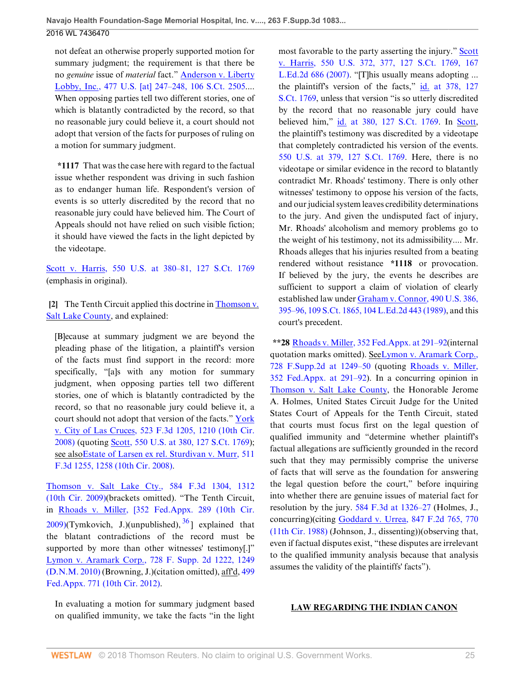not defeat an otherwise properly supported motion for summary judgment; the requirement is that there be no *genuine* issue of *material* fact." [Anderson v. Liberty](http://www.westlaw.com/Link/Document/FullText?findType=Y&serNum=1986132674&pubNum=0000708&originatingDoc=I4a89a3f0c8e111e6b27be1b44e7e7e5b&refType=RP&originationContext=document&vr=3.0&rs=cblt1.0&transitionType=DocumentItem&contextData=(sc.UserEnteredCitation)) [Lobby, Inc., 477 U.S. \[at\] 247–248, 106 S.Ct. 2505](http://www.westlaw.com/Link/Document/FullText?findType=Y&serNum=1986132674&pubNum=0000708&originatingDoc=I4a89a3f0c8e111e6b27be1b44e7e7e5b&refType=RP&originationContext=document&vr=3.0&rs=cblt1.0&transitionType=DocumentItem&contextData=(sc.UserEnteredCitation)).... When opposing parties tell two different stories, one of which is blatantly contradicted by the record, so that no reasonable jury could believe it, a court should not adopt that version of the facts for purposes of ruling on a motion for summary judgment.

**\*1117** That was the case here with regard to the factual issue whether respondent was driving in such fashion as to endanger human life. Respondent's version of events is so utterly discredited by the record that no reasonable jury could have believed him. The Court of Appeals should not have relied on such visible fiction; it should have viewed the facts in the light depicted by the videotape.

[Scott v. Harris, 550 U.S. at 380–81, 127 S.Ct. 1769](http://www.westlaw.com/Link/Document/FullText?findType=Y&serNum=2012126147&pubNum=0000708&originatingDoc=I4a89a3f0c8e111e6b27be1b44e7e7e5b&refType=RP&originationContext=document&vr=3.0&rs=cblt1.0&transitionType=DocumentItem&contextData=(sc.UserEnteredCitation)) (emphasis in original).

<span id="page-24-0"></span>**[\[2](#page-0-1)]** The Tenth Circuit applied this doctrine in [Thomson v.](http://www.westlaw.com/Link/Document/FullText?findType=Y&serNum=2020211302&pubNum=0000506&originatingDoc=I4a89a3f0c8e111e6b27be1b44e7e7e5b&refType=RP&originationContext=document&vr=3.0&rs=cblt1.0&transitionType=DocumentItem&contextData=(sc.UserEnteredCitation)) [Salt Lake County](http://www.westlaw.com/Link/Document/FullText?findType=Y&serNum=2020211302&pubNum=0000506&originatingDoc=I4a89a3f0c8e111e6b27be1b44e7e7e5b&refType=RP&originationContext=document&vr=3.0&rs=cblt1.0&transitionType=DocumentItem&contextData=(sc.UserEnteredCitation)), and explained:

[B]ecause at summary judgment we are beyond the pleading phase of the litigation, a plaintiff's version of the facts must find support in the record: more specifically, "[a]s with any motion for summary judgment, when opposing parties tell two different stories, one of which is blatantly contradicted by the record, so that no reasonable jury could believe it, a court should not adopt that version of the facts." [York](http://www.westlaw.com/Link/Document/FullText?findType=Y&serNum=2015851956&pubNum=0000506&originatingDoc=I4a89a3f0c8e111e6b27be1b44e7e7e5b&refType=RP&fi=co_pp_sp_506_1210&originationContext=document&vr=3.0&rs=cblt1.0&transitionType=DocumentItem&contextData=(sc.UserEnteredCitation)#co_pp_sp_506_1210) [v. City of Las Cruces, 523 F.3d 1205, 1210 \(10th Cir.](http://www.westlaw.com/Link/Document/FullText?findType=Y&serNum=2015851956&pubNum=0000506&originatingDoc=I4a89a3f0c8e111e6b27be1b44e7e7e5b&refType=RP&fi=co_pp_sp_506_1210&originationContext=document&vr=3.0&rs=cblt1.0&transitionType=DocumentItem&contextData=(sc.UserEnteredCitation)#co_pp_sp_506_1210) [2008\)](http://www.westlaw.com/Link/Document/FullText?findType=Y&serNum=2015851956&pubNum=0000506&originatingDoc=I4a89a3f0c8e111e6b27be1b44e7e7e5b&refType=RP&fi=co_pp_sp_506_1210&originationContext=document&vr=3.0&rs=cblt1.0&transitionType=DocumentItem&contextData=(sc.UserEnteredCitation)#co_pp_sp_506_1210) (quoting [Scott, 550 U.S. at 380, 127 S.Ct. 1769\)](http://www.westlaw.com/Link/Document/FullText?findType=Y&serNum=2012126147&pubNum=0000708&originatingDoc=I4a89a3f0c8e111e6b27be1b44e7e7e5b&refType=RP&originationContext=document&vr=3.0&rs=cblt1.0&transitionType=DocumentItem&contextData=(sc.UserEnteredCitation)); see als[oEstate of Larsen ex rel. Sturdivan v. Murr, 511](http://www.westlaw.com/Link/Document/FullText?findType=Y&serNum=2014542289&pubNum=0000506&originatingDoc=I4a89a3f0c8e111e6b27be1b44e7e7e5b&refType=RP&fi=co_pp_sp_506_1258&originationContext=document&vr=3.0&rs=cblt1.0&transitionType=DocumentItem&contextData=(sc.UserEnteredCitation)#co_pp_sp_506_1258) [F.3d 1255, 1258 \(10th Cir. 2008\)](http://www.westlaw.com/Link/Document/FullText?findType=Y&serNum=2014542289&pubNum=0000506&originatingDoc=I4a89a3f0c8e111e6b27be1b44e7e7e5b&refType=RP&fi=co_pp_sp_506_1258&originationContext=document&vr=3.0&rs=cblt1.0&transitionType=DocumentItem&contextData=(sc.UserEnteredCitation)#co_pp_sp_506_1258).

[Thomson v. Salt Lake Cty., 584 F.3d 1304, 1312](http://www.westlaw.com/Link/Document/FullText?findType=Y&serNum=2020211302&pubNum=0000506&originatingDoc=I4a89a3f0c8e111e6b27be1b44e7e7e5b&refType=RP&fi=co_pp_sp_506_1312&originationContext=document&vr=3.0&rs=cblt1.0&transitionType=DocumentItem&contextData=(sc.UserEnteredCitation)#co_pp_sp_506_1312) [\(10th Cir. 2009\)\(](http://www.westlaw.com/Link/Document/FullText?findType=Y&serNum=2020211302&pubNum=0000506&originatingDoc=I4a89a3f0c8e111e6b27be1b44e7e7e5b&refType=RP&fi=co_pp_sp_506_1312&originationContext=document&vr=3.0&rs=cblt1.0&transitionType=DocumentItem&contextData=(sc.UserEnteredCitation)#co_pp_sp_506_1312)brackets omitted). "The Tenth Circuit, in [Rhoads v. Miller, \[352 Fed.Appx. 289 \(10th Cir.](http://www.westlaw.com/Link/Document/FullText?findType=Y&serNum=2020306542&pubNum=0006538&originatingDoc=I4a89a3f0c8e111e6b27be1b44e7e7e5b&refType=RP&originationContext=document&vr=3.0&rs=cblt1.0&transitionType=DocumentItem&contextData=(sc.UserEnteredCitation))  $2009$ )(Tymkovich, J.)(unpublished),  $36$ ] explained that the blatant contradictions of the record must be supported by more than other witnesses' testimony[.]" [Lymon v. Aramark Corp., 728 F. Supp. 2d 1222, 1249](http://www.westlaw.com/Link/Document/FullText?findType=Y&serNum=2022667178&pubNum=0004637&originatingDoc=I4a89a3f0c8e111e6b27be1b44e7e7e5b&refType=RP&fi=co_pp_sp_4637_1249&originationContext=document&vr=3.0&rs=cblt1.0&transitionType=DocumentItem&contextData=(sc.UserEnteredCitation)#co_pp_sp_4637_1249) [\(D.N.M. 2010\)](http://www.westlaw.com/Link/Document/FullText?findType=Y&serNum=2022667178&pubNum=0004637&originatingDoc=I4a89a3f0c8e111e6b27be1b44e7e7e5b&refType=RP&fi=co_pp_sp_4637_1249&originationContext=document&vr=3.0&rs=cblt1.0&transitionType=DocumentItem&contextData=(sc.UserEnteredCitation)#co_pp_sp_4637_1249) (Browning, J.)(citation omitted), aff'd, [499](http://www.westlaw.com/Link/Document/FullText?findType=Y&serNum=2028831912&pubNum=0006538&originatingDoc=I4a89a3f0c8e111e6b27be1b44e7e7e5b&refType=RP&originationContext=document&vr=3.0&rs=cblt1.0&transitionType=DocumentItem&contextData=(sc.UserEnteredCitation)) [Fed.Appx. 771 \(10th Cir. 2012\).](http://www.westlaw.com/Link/Document/FullText?findType=Y&serNum=2028831912&pubNum=0006538&originatingDoc=I4a89a3f0c8e111e6b27be1b44e7e7e5b&refType=RP&originationContext=document&vr=3.0&rs=cblt1.0&transitionType=DocumentItem&contextData=(sc.UserEnteredCitation))

In evaluating a motion for summary judgment based on qualified immunity, we take the facts "in the light most favorable to the party asserting the injury." [Scott](http://www.westlaw.com/Link/Document/FullText?findType=Y&serNum=2012126147&pubNum=0000708&originatingDoc=I4a89a3f0c8e111e6b27be1b44e7e7e5b&refType=RP&originationContext=document&vr=3.0&rs=cblt1.0&transitionType=DocumentItem&contextData=(sc.UserEnteredCitation)) [v. Harris, 550 U.S. 372, 377, 127 S.Ct. 1769, 167](http://www.westlaw.com/Link/Document/FullText?findType=Y&serNum=2012126147&pubNum=0000708&originatingDoc=I4a89a3f0c8e111e6b27be1b44e7e7e5b&refType=RP&originationContext=document&vr=3.0&rs=cblt1.0&transitionType=DocumentItem&contextData=(sc.UserEnteredCitation)) [L.Ed.2d 686 \(2007\)](http://www.westlaw.com/Link/Document/FullText?findType=Y&serNum=2012126147&pubNum=0000708&originatingDoc=I4a89a3f0c8e111e6b27be1b44e7e7e5b&refType=RP&originationContext=document&vr=3.0&rs=cblt1.0&transitionType=DocumentItem&contextData=(sc.UserEnteredCitation)). "[T]his usually means adopting ... the plaintiff's version of the facts," [id. at 378, 127](http://www.westlaw.com/Link/Document/FullText?findType=Y&serNum=2012126147&pubNum=0000708&originatingDoc=I4a89a3f0c8e111e6b27be1b44e7e7e5b&refType=RP&originationContext=document&vr=3.0&rs=cblt1.0&transitionType=DocumentItem&contextData=(sc.UserEnteredCitation)) [S.Ct. 1769,](http://www.westlaw.com/Link/Document/FullText?findType=Y&serNum=2012126147&pubNum=0000708&originatingDoc=I4a89a3f0c8e111e6b27be1b44e7e7e5b&refType=RP&originationContext=document&vr=3.0&rs=cblt1.0&transitionType=DocumentItem&contextData=(sc.UserEnteredCitation)) unless that version "is so utterly discredited by the record that no reasonable jury could have believed him," [id. at 380, 127 S.Ct. 1769](http://www.westlaw.com/Link/Document/FullText?findType=Y&serNum=2012126147&pubNum=0000708&originatingDoc=I4a89a3f0c8e111e6b27be1b44e7e7e5b&refType=RP&originationContext=document&vr=3.0&rs=cblt1.0&transitionType=DocumentItem&contextData=(sc.UserEnteredCitation)). In [Scott](http://www.westlaw.com/Link/Document/FullText?findType=Y&serNum=2012126147&pubNum=0000780&originatingDoc=I4a89a3f0c8e111e6b27be1b44e7e7e5b&refType=RP&originationContext=document&vr=3.0&rs=cblt1.0&transitionType=DocumentItem&contextData=(sc.UserEnteredCitation)), the plaintiff's testimony was discredited by a videotape that completely contradicted his version of the events. [550 U.S. at 379, 127 S.Ct. 1769](http://www.westlaw.com/Link/Document/FullText?findType=Y&serNum=2012126147&pubNum=0000708&originatingDoc=I4a89a3f0c8e111e6b27be1b44e7e7e5b&refType=RP&originationContext=document&vr=3.0&rs=cblt1.0&transitionType=DocumentItem&contextData=(sc.UserEnteredCitation)). Here, there is no videotape or similar evidence in the record to blatantly contradict Mr. Rhoads' testimony. There is only other witnesses' testimony to oppose his version of the facts, and our judicial system leaves credibility determinations to the jury. And given the undisputed fact of injury, Mr. Rhoads' alcoholism and memory problems go to the weight of his testimony, not its admissibility.... Mr. Rhoads alleges that his injuries resulted from a beating rendered without resistance **\*1118** or provocation. If believed by the jury, the events he describes are sufficient to support a claim of violation of clearly established law under [Graham v. Connor, 490 U.S. 386,](http://www.westlaw.com/Link/Document/FullText?findType=Y&serNum=1989072182&pubNum=0000708&originatingDoc=I4a89a3f0c8e111e6b27be1b44e7e7e5b&refType=RP&originationContext=document&vr=3.0&rs=cblt1.0&transitionType=DocumentItem&contextData=(sc.UserEnteredCitation)) [395–96, 109 S.Ct. 1865, 104 L.Ed.2d 443 \(1989\)](http://www.westlaw.com/Link/Document/FullText?findType=Y&serNum=1989072182&pubNum=0000708&originatingDoc=I4a89a3f0c8e111e6b27be1b44e7e7e5b&refType=RP&originationContext=document&vr=3.0&rs=cblt1.0&transitionType=DocumentItem&contextData=(sc.UserEnteredCitation)), and this court's precedent.

**\*\*28** [Rhoads v. Miller, 352 Fed.Appx. at 291–92\(](http://www.westlaw.com/Link/Document/FullText?findType=Y&serNum=2020306542&pubNum=0006538&originatingDoc=I4a89a3f0c8e111e6b27be1b44e7e7e5b&refType=RP&fi=co_pp_sp_6538_291&originationContext=document&vr=3.0&rs=cblt1.0&transitionType=DocumentItem&contextData=(sc.UserEnteredCitation)#co_pp_sp_6538_291)internal quotation marks omitted). See[Lymon v. Aramark Corp.,](http://www.westlaw.com/Link/Document/FullText?findType=Y&serNum=2022667178&pubNum=0004637&originatingDoc=I4a89a3f0c8e111e6b27be1b44e7e7e5b&refType=RP&fi=co_pp_sp_4637_1249&originationContext=document&vr=3.0&rs=cblt1.0&transitionType=DocumentItem&contextData=(sc.UserEnteredCitation)#co_pp_sp_4637_1249) [728 F.Supp.2d at 1249–50](http://www.westlaw.com/Link/Document/FullText?findType=Y&serNum=2022667178&pubNum=0004637&originatingDoc=I4a89a3f0c8e111e6b27be1b44e7e7e5b&refType=RP&fi=co_pp_sp_4637_1249&originationContext=document&vr=3.0&rs=cblt1.0&transitionType=DocumentItem&contextData=(sc.UserEnteredCitation)#co_pp_sp_4637_1249) (quoting [Rhoads v. Miller,](http://www.westlaw.com/Link/Document/FullText?findType=Y&serNum=2020306542&pubNum=0006538&originatingDoc=I4a89a3f0c8e111e6b27be1b44e7e7e5b&refType=RP&fi=co_pp_sp_6538_291&originationContext=document&vr=3.0&rs=cblt1.0&transitionType=DocumentItem&contextData=(sc.UserEnteredCitation)#co_pp_sp_6538_291) [352 Fed.Appx. at 291–92\)](http://www.westlaw.com/Link/Document/FullText?findType=Y&serNum=2020306542&pubNum=0006538&originatingDoc=I4a89a3f0c8e111e6b27be1b44e7e7e5b&refType=RP&fi=co_pp_sp_6538_291&originationContext=document&vr=3.0&rs=cblt1.0&transitionType=DocumentItem&contextData=(sc.UserEnteredCitation)#co_pp_sp_6538_291). In a concurring opinion in [Thomson v. Salt Lake County,](http://www.westlaw.com/Link/Document/FullText?findType=Y&serNum=2020211302&pubNum=0000506&originatingDoc=I4a89a3f0c8e111e6b27be1b44e7e7e5b&refType=RP&originationContext=document&vr=3.0&rs=cblt1.0&transitionType=DocumentItem&contextData=(sc.UserEnteredCitation)) the Honorable Jerome A. Holmes, United States Circuit Judge for the United States Court of Appeals for the Tenth Circuit, stated that courts must focus first on the legal question of qualified immunity and "determine whether plaintiff's factual allegations are sufficiently grounded in the record such that they may permissibly comprise the universe of facts that will serve as the foundation for answering the legal question before the court," before inquiring into whether there are genuine issues of material fact for resolution by the jury. [584 F.3d at 1326–27](http://www.westlaw.com/Link/Document/FullText?findType=Y&serNum=2020211302&pubNum=0000506&originatingDoc=I4a89a3f0c8e111e6b27be1b44e7e7e5b&refType=RP&fi=co_pp_sp_506_1326&originationContext=document&vr=3.0&rs=cblt1.0&transitionType=DocumentItem&contextData=(sc.UserEnteredCitation)#co_pp_sp_506_1326) (Holmes, J., concurring)(citing [Goddard v. Urrea, 847 F.2d 765, 770](http://www.westlaw.com/Link/Document/FullText?findType=Y&serNum=1988073161&pubNum=0000350&originatingDoc=I4a89a3f0c8e111e6b27be1b44e7e7e5b&refType=RP&fi=co_pp_sp_350_770&originationContext=document&vr=3.0&rs=cblt1.0&transitionType=DocumentItem&contextData=(sc.UserEnteredCitation)#co_pp_sp_350_770) [\(11th Cir. 1988\)](http://www.westlaw.com/Link/Document/FullText?findType=Y&serNum=1988073161&pubNum=0000350&originatingDoc=I4a89a3f0c8e111e6b27be1b44e7e7e5b&refType=RP&fi=co_pp_sp_350_770&originationContext=document&vr=3.0&rs=cblt1.0&transitionType=DocumentItem&contextData=(sc.UserEnteredCitation)#co_pp_sp_350_770) (Johnson, J., dissenting))(observing that, even if factual disputes exist, "these disputes are irrelevant to the qualified immunity analysis because that analysis assumes the validity of the plaintiffs' facts").

#### **LAW REGARDING THE INDIAN CANON**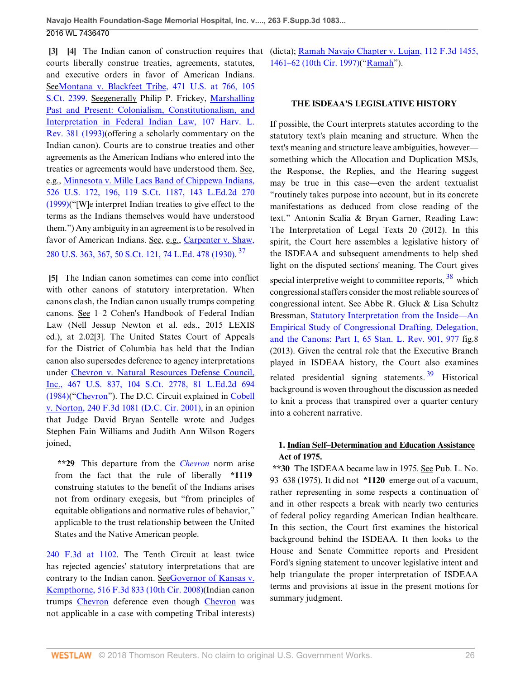<span id="page-25-1"></span><span id="page-25-0"></span>**[\[3](#page-0-2)] [\[4](#page-1-1)]** The Indian canon of construction requires that (dicta); [Ramah Navajo Chapter v. Lujan, 112 F.3d 1455,](http://www.westlaw.com/Link/Document/FullText?findType=Y&serNum=1997106222&pubNum=0000506&originatingDoc=I4a89a3f0c8e111e6b27be1b44e7e7e5b&refType=RP&fi=co_pp_sp_506_1461&originationContext=document&vr=3.0&rs=cblt1.0&transitionType=DocumentItem&contextData=(sc.UserEnteredCitation)#co_pp_sp_506_1461) courts liberally construe treaties, agreements, statutes, and executive orders in favor of American Indians. Se[eMontana v. Blackfeet Tribe, 471 U.S. at 766, 105](http://www.westlaw.com/Link/Document/FullText?findType=Y&serNum=1985127858&pubNum=0000708&originatingDoc=I4a89a3f0c8e111e6b27be1b44e7e7e5b&refType=RP&originationContext=document&vr=3.0&rs=cblt1.0&transitionType=DocumentItem&contextData=(sc.UserEnteredCitation)) [S.Ct. 2399.](http://www.westlaw.com/Link/Document/FullText?findType=Y&serNum=1985127858&pubNum=0000708&originatingDoc=I4a89a3f0c8e111e6b27be1b44e7e7e5b&refType=RP&originationContext=document&vr=3.0&rs=cblt1.0&transitionType=DocumentItem&contextData=(sc.UserEnteredCitation)) Seegenerally Philip P. Frickey, [Marshalling](http://www.westlaw.com/Link/Document/FullText?findType=Y&serNum=0103315100&pubNum=0003084&originatingDoc=I4a89a3f0c8e111e6b27be1b44e7e7e5b&refType=LR&originationContext=document&vr=3.0&rs=cblt1.0&transitionType=DocumentItem&contextData=(sc.UserEnteredCitation)) [Past and Present: Colonialism, Constitutionalism, and](http://www.westlaw.com/Link/Document/FullText?findType=Y&serNum=0103315100&pubNum=0003084&originatingDoc=I4a89a3f0c8e111e6b27be1b44e7e7e5b&refType=LR&originationContext=document&vr=3.0&rs=cblt1.0&transitionType=DocumentItem&contextData=(sc.UserEnteredCitation)) [Interpretation in Federal Indian Law, 107 Harv. L.](http://www.westlaw.com/Link/Document/FullText?findType=Y&serNum=0103315100&pubNum=0003084&originatingDoc=I4a89a3f0c8e111e6b27be1b44e7e7e5b&refType=LR&originationContext=document&vr=3.0&rs=cblt1.0&transitionType=DocumentItem&contextData=(sc.UserEnteredCitation)) [Rev. 381 \(1993\)](http://www.westlaw.com/Link/Document/FullText?findType=Y&serNum=0103315100&pubNum=0003084&originatingDoc=I4a89a3f0c8e111e6b27be1b44e7e7e5b&refType=LR&originationContext=document&vr=3.0&rs=cblt1.0&transitionType=DocumentItem&contextData=(sc.UserEnteredCitation))(offering a scholarly commentary on the Indian canon). Courts are to construe treaties and other agreements as the American Indians who entered into the treaties or agreements would have understood them. See, e.g., [Minnesota v. Mille Lacs Band of Chippewa Indians,](http://www.westlaw.com/Link/Document/FullText?findType=Y&serNum=1999085330&pubNum=0000708&originatingDoc=I4a89a3f0c8e111e6b27be1b44e7e7e5b&refType=RP&originationContext=document&vr=3.0&rs=cblt1.0&transitionType=DocumentItem&contextData=(sc.UserEnteredCitation)) [526 U.S. 172, 196, 119 S.Ct. 1187, 143 L.Ed.2d 270](http://www.westlaw.com/Link/Document/FullText?findType=Y&serNum=1999085330&pubNum=0000708&originatingDoc=I4a89a3f0c8e111e6b27be1b44e7e7e5b&refType=RP&originationContext=document&vr=3.0&rs=cblt1.0&transitionType=DocumentItem&contextData=(sc.UserEnteredCitation)) [\(1999\)\(](http://www.westlaw.com/Link/Document/FullText?findType=Y&serNum=1999085330&pubNum=0000708&originatingDoc=I4a89a3f0c8e111e6b27be1b44e7e7e5b&refType=RP&originationContext=document&vr=3.0&rs=cblt1.0&transitionType=DocumentItem&contextData=(sc.UserEnteredCitation))"[W]e interpret Indian treaties to give effect to the terms as the Indians themselves would have understood them.") Any ambiguity in an agreement is to be resolved in favor of American Indians. See, e.g., [Carpenter v. Shaw,](http://www.westlaw.com/Link/Document/FullText?findType=Y&serNum=1930122166&pubNum=0000708&originatingDoc=I4a89a3f0c8e111e6b27be1b44e7e7e5b&refType=RP&originationContext=document&vr=3.0&rs=cblt1.0&transitionType=DocumentItem&contextData=(sc.UserEnteredCitation)) [280 U.S. 363, 367, 50 S.Ct. 121, 74 L.Ed. 478 \(1930\).](http://www.westlaw.com/Link/Document/FullText?findType=Y&serNum=1930122166&pubNum=0000708&originatingDoc=I4a89a3f0c8e111e6b27be1b44e7e7e5b&refType=RP&originationContext=document&vr=3.0&rs=cblt1.0&transitionType=DocumentItem&contextData=(sc.UserEnteredCitation)) [37](#page-74-0)

<span id="page-25-2"></span>**[\[5](#page-1-2)]** The Indian canon sometimes can come into conflict with other canons of statutory interpretation. When canons clash, the Indian canon usually trumps competing canons. See 1–2 Cohen's Handbook of Federal Indian Law (Nell Jessup Newton et al. eds., 2015 LEXIS ed.), at 2.02[3]. The United States Court of Appeals for the District of Columbia has held that the Indian canon also supersedes deference to agency interpretations under [Chevron v. Natural Resources Defense Council,](http://www.westlaw.com/Link/Document/FullText?findType=Y&serNum=1984130736&pubNum=0000708&originatingDoc=I4a89a3f0c8e111e6b27be1b44e7e7e5b&refType=RP&originationContext=document&vr=3.0&rs=cblt1.0&transitionType=DocumentItem&contextData=(sc.UserEnteredCitation)) [Inc., 467 U.S. 837, 104 S.Ct. 2778, 81 L.Ed.2d 694](http://www.westlaw.com/Link/Document/FullText?findType=Y&serNum=1984130736&pubNum=0000708&originatingDoc=I4a89a3f0c8e111e6b27be1b44e7e7e5b&refType=RP&originationContext=document&vr=3.0&rs=cblt1.0&transitionType=DocumentItem&contextData=(sc.UserEnteredCitation)) [\(1984\)\(](http://www.westlaw.com/Link/Document/FullText?findType=Y&serNum=1984130736&pubNum=0000708&originatingDoc=I4a89a3f0c8e111e6b27be1b44e7e7e5b&refType=RP&originationContext=document&vr=3.0&rs=cblt1.0&transitionType=DocumentItem&contextData=(sc.UserEnteredCitation))"[Chevron"](http://www.westlaw.com/Link/Document/FullText?findType=Y&serNum=1984130736&originatingDoc=I4a89a3f0c8e111e6b27be1b44e7e7e5b&refType=RP&originationContext=document&vr=3.0&rs=cblt1.0&transitionType=DocumentItem&contextData=(sc.UserEnteredCitation))). The D.C. Circuit explained in [Cobell](http://www.westlaw.com/Link/Document/FullText?findType=Y&serNum=2001126262&pubNum=0000506&originatingDoc=I4a89a3f0c8e111e6b27be1b44e7e7e5b&refType=RP&originationContext=document&vr=3.0&rs=cblt1.0&transitionType=DocumentItem&contextData=(sc.UserEnteredCitation)) [v. Norton, 240 F.3d 1081 \(D.C. Cir. 2001\)](http://www.westlaw.com/Link/Document/FullText?findType=Y&serNum=2001126262&pubNum=0000506&originatingDoc=I4a89a3f0c8e111e6b27be1b44e7e7e5b&refType=RP&originationContext=document&vr=3.0&rs=cblt1.0&transitionType=DocumentItem&contextData=(sc.UserEnteredCitation)), in an opinion that Judge David Bryan Sentelle wrote and Judges Stephen Fain Williams and Judith Ann Wilson Rogers joined,

**\*\*29** This departure from the *[Chevron](http://www.westlaw.com/Link/Document/FullText?findType=Y&serNum=1984130736&pubNum=0000780&originatingDoc=I4a89a3f0c8e111e6b27be1b44e7e7e5b&refType=RP&originationContext=document&vr=3.0&rs=cblt1.0&transitionType=DocumentItem&contextData=(sc.UserEnteredCitation))* norm arise from the fact that the rule of liberally **\*1119** construing statutes to the benefit of the Indians arises not from ordinary exegesis, but "from principles of equitable obligations and normative rules of behavior," applicable to the trust relationship between the United States and the Native American people.

[240 F.3d at 1102.](http://www.westlaw.com/Link/Document/FullText?findType=Y&serNum=2001126262&pubNum=0000506&originatingDoc=I4a89a3f0c8e111e6b27be1b44e7e7e5b&refType=RP&fi=co_pp_sp_506_1102&originationContext=document&vr=3.0&rs=cblt1.0&transitionType=DocumentItem&contextData=(sc.UserEnteredCitation)#co_pp_sp_506_1102) The Tenth Circuit at least twice has rejected agencies' statutory interpretations that are contrary to the Indian canon. Se[eGovernor of Kansas v.](http://www.westlaw.com/Link/Document/FullText?findType=Y&serNum=2014946675&pubNum=0000506&originatingDoc=I4a89a3f0c8e111e6b27be1b44e7e7e5b&refType=RP&originationContext=document&vr=3.0&rs=cblt1.0&transitionType=DocumentItem&contextData=(sc.UserEnteredCitation)) [Kempthorne, 516 F.3d 833 \(10th Cir. 2008\)](http://www.westlaw.com/Link/Document/FullText?findType=Y&serNum=2014946675&pubNum=0000506&originatingDoc=I4a89a3f0c8e111e6b27be1b44e7e7e5b&refType=RP&originationContext=document&vr=3.0&rs=cblt1.0&transitionType=DocumentItem&contextData=(sc.UserEnteredCitation))(Indian canon trumps [Chevron](http://www.westlaw.com/Link/Document/FullText?findType=Y&serNum=1984130736&originatingDoc=I4a89a3f0c8e111e6b27be1b44e7e7e5b&refType=RP&originationContext=document&vr=3.0&rs=cblt1.0&transitionType=DocumentItem&contextData=(sc.UserEnteredCitation)) deference even though [Chevron](http://www.westlaw.com/Link/Document/FullText?findType=Y&serNum=1984130736&originatingDoc=I4a89a3f0c8e111e6b27be1b44e7e7e5b&refType=RP&originationContext=document&vr=3.0&rs=cblt1.0&transitionType=DocumentItem&contextData=(sc.UserEnteredCitation)) was not applicable in a case with competing Tribal interests) [1461–62 \(10th Cir. 1997\)](http://www.westlaw.com/Link/Document/FullText?findType=Y&serNum=1997106222&pubNum=0000506&originatingDoc=I4a89a3f0c8e111e6b27be1b44e7e7e5b&refType=RP&fi=co_pp_sp_506_1461&originationContext=document&vr=3.0&rs=cblt1.0&transitionType=DocumentItem&contextData=(sc.UserEnteredCitation)#co_pp_sp_506_1461)("[Ramah](http://www.westlaw.com/Link/Document/FullText?findType=Y&serNum=1997106222&originatingDoc=I4a89a3f0c8e111e6b27be1b44e7e7e5b&refType=RP&originationContext=document&vr=3.0&rs=cblt1.0&transitionType=DocumentItem&contextData=(sc.UserEnteredCitation))").

### **THE ISDEAA'S LEGISLATIVE HISTORY**

If possible, the Court interprets statutes according to the statutory text's plain meaning and structure. When the text's meaning and structure leave ambiguities, however something which the Allocation and Duplication MSJs, the Response, the Replies, and the Hearing suggest may be true in this case—even the ardent textualist "routinely takes purpose into account, but in its concrete manifestations as deduced from close reading of the text." Antonin Scalia & Bryan Garner, Reading Law: The Interpretation of Legal Texts 20 (2012). In this spirit, the Court here assembles a legislative history of the ISDEAA and subsequent amendments to help shed light on the disputed sections' meaning. The Court gives special interpretive weight to committee reports, <sup>[38](#page-74-1)</sup> which congressional staffers consider the most reliable sources of congressional intent. See Abbe R. Gluck & Lisa Schultz Bressman, [Statutory Interpretation from the Inside—An](http://www.westlaw.com/Link/Document/FullText?findType=Y&serNum=0390194505&pubNum=0001239&originatingDoc=I4a89a3f0c8e111e6b27be1b44e7e7e5b&refType=LR&originationContext=document&vr=3.0&rs=cblt1.0&transitionType=DocumentItem&contextData=(sc.UserEnteredCitation)) [Empirical Study of Congressional Drafting, Delegation,](http://www.westlaw.com/Link/Document/FullText?findType=Y&serNum=0390194505&pubNum=0001239&originatingDoc=I4a89a3f0c8e111e6b27be1b44e7e7e5b&refType=LR&originationContext=document&vr=3.0&rs=cblt1.0&transitionType=DocumentItem&contextData=(sc.UserEnteredCitation)) [and the Canons: Part I, 65 Stan. L. Rev. 901, 977](http://www.westlaw.com/Link/Document/FullText?findType=Y&serNum=0390194505&pubNum=0001239&originatingDoc=I4a89a3f0c8e111e6b27be1b44e7e7e5b&refType=LR&originationContext=document&vr=3.0&rs=cblt1.0&transitionType=DocumentItem&contextData=(sc.UserEnteredCitation)) fig.8 (2013). Given the central role that the Executive Branch played in ISDEAA history, the Court also examines related presidential signing statements. [39](#page-74-2) Historical background is woven throughout the discussion as needed to knit a process that transpired over a quarter century into a coherent narrative.

### **1. Indian Self–Determination and Education Assistance Act of 1975.**

**\*\*30** The ISDEAA became law in 1975. See Pub. L. No. 93–638 (1975). It did not **\*1120** emerge out of a vacuum, rather representing in some respects a continuation of and in other respects a break with nearly two centuries of federal policy regarding American Indian healthcare. In this section, the Court first examines the historical background behind the ISDEAA. It then looks to the House and Senate Committee reports and President Ford's signing statement to uncover legislative intent and help triangulate the proper interpretation of ISDEAA terms and provisions at issue in the present motions for summary judgment.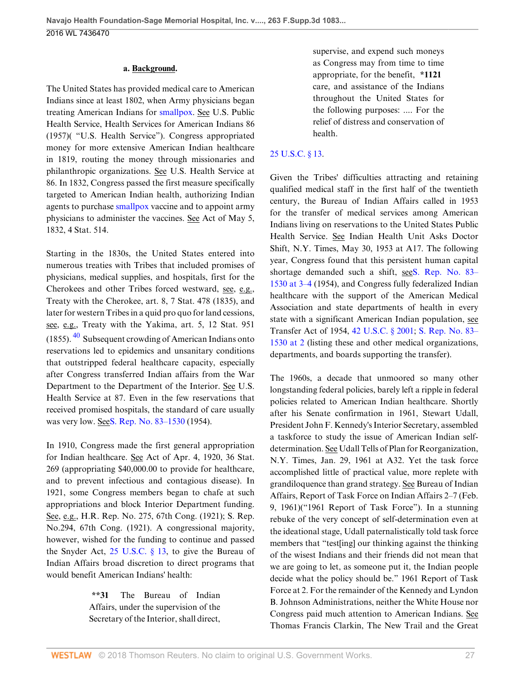#### **a. Background.**

The United States has provided medical care to American Indians since at least 1802, when Army physicians began treating American Indians for [smallpox.](http://www.westlaw.com/Link/Document/FullText?entityType=disease&entityId=Ib159aa79475411db9765f9243f53508a&originationContext=document&transitionType=DocumentItem&contextData=(sc.Default)&vr=3.0&rs=cblt1.0) See U.S. Public Health Service, Health Services for American Indians 86 (1957)( "U.S. Health Service"). Congress appropriated money for more extensive American Indian healthcare in 1819, routing the money through missionaries and philanthropic organizations. See U.S. Health Service at 86. In 1832, Congress passed the first measure specifically targeted to American Indian health, authorizing Indian agents to purchase [smallpox](http://www.westlaw.com/Link/Document/FullText?entityType=disease&entityId=Ib159aa79475411db9765f9243f53508a&originationContext=document&transitionType=DocumentItem&contextData=(sc.Default)&vr=3.0&rs=cblt1.0) vaccine and to appoint army physicians to administer the vaccines. See Act of May 5, 1832, 4 Stat. 514.

Starting in the 1830s, the United States entered into numerous treaties with Tribes that included promises of physicians, medical supplies, and hospitals, first for the Cherokees and other Tribes forced westward, see, e.g., Treaty with the Cherokee, art. 8, 7 Stat. 478 (1835), and later for western Tribes in a quid pro quo for land cessions, see, e.g., Treaty with the Yakima, art. 5, 12 Stat. 951  $(1855)$ .  $\frac{40}{1855}$  $\frac{40}{1855}$  $\frac{40}{1855}$  Subsequent crowding of American Indians onto reservations led to epidemics and unsanitary conditions that outstripped federal healthcare capacity, especially after Congress transferred Indian affairs from the War Department to the Department of the Interior. See U.S. Health Service at 87. Even in the few reservations that received promised hospitals, the standard of care usually was very low. Se[eS. Rep. No. 83–1530](http://www.westlaw.com/Link/Document/FullText?findType=Y&serNum=0100971878&pubNum=0001503&originatingDoc=I4a89a3f0c8e111e6b27be1b44e7e7e5b&refType=TV&originationContext=document&vr=3.0&rs=cblt1.0&transitionType=DocumentItem&contextData=(sc.UserEnteredCitation)) (1954).

In 1910, Congress made the first general appropriation for Indian healthcare. See Act of Apr. 4, 1920, 36 Stat. 269 (appropriating \$40,000.00 to provide for healthcare, and to prevent infectious and contagious disease). In 1921, some Congress members began to chafe at such appropriations and block Interior Department funding. See, e.g., H.R. Rep. No. 275, 67th Cong. (1921); S. Rep. No.294, 67th Cong. (1921). A congressional majority, however, wished for the funding to continue and passed the Snyder Act, [25 U.S.C. § 13,](http://www.westlaw.com/Link/Document/FullText?findType=L&pubNum=1000546&cite=25USCAS13&originatingDoc=I4a89a3f0c8e111e6b27be1b44e7e7e5b&refType=LQ&originationContext=document&vr=3.0&rs=cblt1.0&transitionType=DocumentItem&contextData=(sc.UserEnteredCitation)) to give the Bureau of Indian Affairs broad discretion to direct programs that would benefit American Indians' health:

> **\*\*31** The Bureau of Indian Affairs, under the supervision of the Secretary of the Interior, shall direct,

supervise, and expend such moneys as Congress may from time to time appropriate, for the benefit, **\*1121** care, and assistance of the Indians throughout the United States for the following purposes: .... For the relief of distress and conservation of health.

# [25 U.S.C. § 13](http://www.westlaw.com/Link/Document/FullText?findType=L&pubNum=1000546&cite=25USCAS13&originatingDoc=I4a89a3f0c8e111e6b27be1b44e7e7e5b&refType=LQ&originationContext=document&vr=3.0&rs=cblt1.0&transitionType=DocumentItem&contextData=(sc.UserEnteredCitation)).

Given the Tribes' difficulties attracting and retaining qualified medical staff in the first half of the twentieth century, the Bureau of Indian Affairs called in 1953 for the transfer of medical services among American Indians living on reservations to the United States Public Health Service. See Indian Health Unit Asks Doctor Shift, N.Y. Times, May 30, 1953 at A17. The following year, Congress found that this persistent human capital shortage demanded such a shift, se[eS. Rep. No. 83–](http://www.westlaw.com/Link/Document/FullText?findType=Y&serNum=0100971878&pubNum=0001503&originatingDoc=I4a89a3f0c8e111e6b27be1b44e7e7e5b&refType=TV&originationContext=document&vr=3.0&rs=cblt1.0&transitionType=DocumentItem&contextData=(sc.UserEnteredCitation)) [1530 at 3–4](http://www.westlaw.com/Link/Document/FullText?findType=Y&serNum=0100971878&pubNum=0001503&originatingDoc=I4a89a3f0c8e111e6b27be1b44e7e7e5b&refType=TV&originationContext=document&vr=3.0&rs=cblt1.0&transitionType=DocumentItem&contextData=(sc.UserEnteredCitation)) (1954), and Congress fully federalized Indian healthcare with the support of the American Medical Association and state departments of health in every state with a significant American Indian population, see Transfer Act of 1954, [42 U.S.C. § 2001;](http://www.westlaw.com/Link/Document/FullText?findType=L&pubNum=1000546&cite=42USCAS2001&originatingDoc=I4a89a3f0c8e111e6b27be1b44e7e7e5b&refType=LQ&originationContext=document&vr=3.0&rs=cblt1.0&transitionType=DocumentItem&contextData=(sc.UserEnteredCitation)) [S. Rep. No. 83–](http://www.westlaw.com/Link/Document/FullText?findType=Y&serNum=0100971878&pubNum=0001503&originatingDoc=I4a89a3f0c8e111e6b27be1b44e7e7e5b&refType=TV&originationContext=document&vr=3.0&rs=cblt1.0&transitionType=DocumentItem&contextData=(sc.UserEnteredCitation)) [1530 at 2](http://www.westlaw.com/Link/Document/FullText?findType=Y&serNum=0100971878&pubNum=0001503&originatingDoc=I4a89a3f0c8e111e6b27be1b44e7e7e5b&refType=TV&originationContext=document&vr=3.0&rs=cblt1.0&transitionType=DocumentItem&contextData=(sc.UserEnteredCitation)) (listing these and other medical organizations, departments, and boards supporting the transfer).

The 1960s, a decade that unmoored so many other longstanding federal policies, barely left a ripple in federal policies related to American Indian healthcare. Shortly after his Senate confirmation in 1961, Stewart Udall, President John F. Kennedy's Interior Secretary, assembled a taskforce to study the issue of American Indian selfdetermination. See Udall Tells of Plan for Reorganization, N.Y. Times, Jan. 29, 1961 at A32. Yet the task force accomplished little of practical value, more replete with grandiloquence than grand strategy. See Bureau of Indian Affairs, Report of Task Force on Indian Affairs 2–7 (Feb. 9, 1961)("1961 Report of Task Force"). In a stunning rebuke of the very concept of self-determination even at the ideational stage, Udall paternalistically told task force members that "test[ing] our thinking against the thinking of the wisest Indians and their friends did not mean that we are going to let, as someone put it, the Indian people decide what the policy should be." 1961 Report of Task Force at 2. For the remainder of the Kennedy and Lyndon B. Johnson Administrations, neither the White House nor Congress paid much attention to American Indians. See Thomas Francis Clarkin, The New Trail and the Great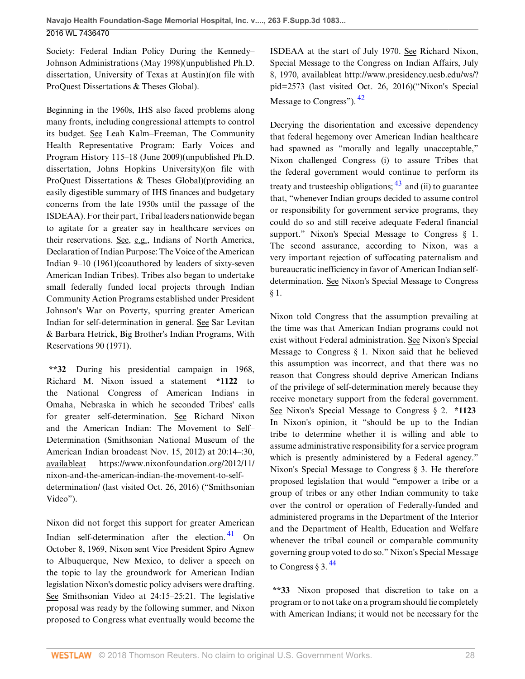Society: Federal Indian Policy During the Kennedy– Johnson Administrations (May 1998)(unpublished Ph.D. dissertation, University of Texas at Austin)(on file with ProQuest Dissertations & Theses Global).

Beginning in the 1960s, IHS also faced problems along many fronts, including congressional attempts to control its budget. See Leah Kalm–Freeman, The Community Health Representative Program: Early Voices and Program History 115–18 (June 2009)(unpublished Ph.D. dissertation, Johns Hopkins University)(on file with ProQuest Dissertations & Theses Global)(providing an easily digestible summary of IHS finances and budgetary concerns from the late 1950s until the passage of the ISDEAA). For their part, Tribal leaders nationwide began to agitate for a greater say in healthcare services on their reservations. See, e.g., Indians of North America, Declaration of Indian Purpose: The Voice of the American Indian 9–10 (1961)(coauthored by leaders of sixty-seven American Indian Tribes). Tribes also began to undertake small federally funded local projects through Indian Community Action Programs established under President Johnson's War on Poverty, spurring greater American Indian for self-determination in general. See Sar Levitan & Barbara Hetrick, Big Brother's Indian Programs, With Reservations 90 (1971).

**\*\*32** During his presidential campaign in 1968, Richard M. Nixon issued a statement **\*1122** to the National Congress of American Indians in Omaha, Nebraska in which he seconded Tribes' calls for greater self-determination. See Richard Nixon and the American Indian: The Movement to Self– Determination (Smithsonian National Museum of the American Indian broadcast Nov. 15, 2012) at 20:14–:30, availableat https://www.nixonfoundation.org/2012/11/ nixon-and-the-american-indian-the-movement-to-selfdetermination/ (last visited Oct. 26, 2016) ("Smithsonian Video").

Nixon did not forget this support for greater American Indian self-determination after the election. $41$  On October 8, 1969, Nixon sent Vice President Spiro Agnew to Albuquerque, New Mexico, to deliver a speech on the topic to lay the groundwork for American Indian legislation Nixon's domestic policy advisers were drafting. See Smithsonian Video at 24:15–25:21. The legislative proposal was ready by the following summer, and Nixon proposed to Congress what eventually would become the

ISDEAA at the start of July 1970. See Richard Nixon, Special Message to the Congress on Indian Affairs, July 8, 1970, availableat http://www.presidency.ucsb.edu/ws/? pid=2573 (last visited Oct. 26, 2016)("Nixon's Special Message to Congress"). [42](#page-74-5)

Decrying the disorientation and excessive dependency that federal hegemony over American Indian healthcare had spawned as "morally and legally unacceptable," Nixon challenged Congress (i) to assure Tribes that the federal government would continue to perform its treaty and trusteeship obligations;  $^{43}$  $^{43}$  $^{43}$  and (ii) to guarantee that, "whenever Indian groups decided to assume control or responsibility for government service programs, they could do so and still receive adequate Federal financial support." Nixon's Special Message to Congress § 1. The second assurance, according to Nixon, was a very important rejection of suffocating paternalism and bureaucratic inefficiency in favor of American Indian selfdetermination. See Nixon's Special Message to Congress § 1.

Nixon told Congress that the assumption prevailing at the time was that American Indian programs could not exist without Federal administration. See Nixon's Special Message to Congress § 1. Nixon said that he believed this assumption was incorrect, and that there was no reason that Congress should deprive American Indians of the privilege of self-determination merely because they receive monetary support from the federal government. See Nixon's Special Message to Congress § 2. **\*1123** In Nixon's opinion, it "should be up to the Indian tribe to determine whether it is willing and able to assume administrative responsibility for a service program which is presently administered by a Federal agency." Nixon's Special Message to Congress § 3. He therefore proposed legislation that would "empower a tribe or a group of tribes or any other Indian community to take over the control or operation of Federally-funded and administered programs in the Department of the Interior and the Department of Health, Education and Welfare whenever the tribal council or comparable community governing group voted to do so." Nixon's Special Message to Congress  $\S 3.44$  $\S 3.44$ 

**\*\*33** Nixon proposed that discretion to take on a program or to not take on a program should lie completely with American Indians; it would not be necessary for the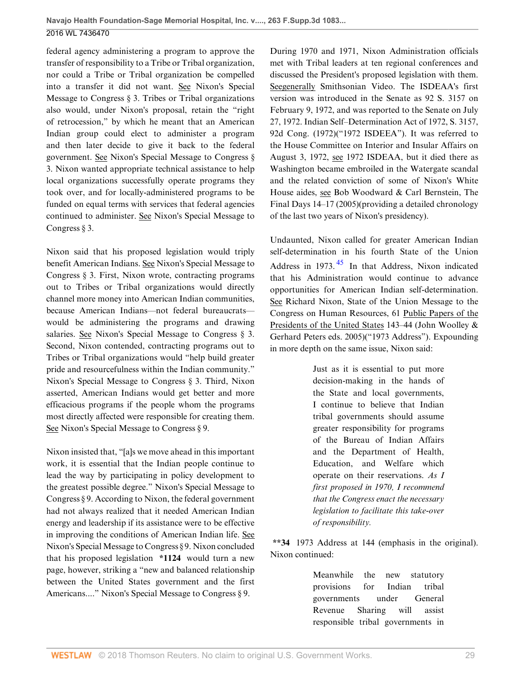federal agency administering a program to approve the transfer of responsibility to a Tribe or Tribal organization, nor could a Tribe or Tribal organization be compelled into a transfer it did not want. See Nixon's Special Message to Congress § 3. Tribes or Tribal organizations also would, under Nixon's proposal, retain the "right of retrocession," by which he meant that an American Indian group could elect to administer a program and then later decide to give it back to the federal government. See Nixon's Special Message to Congress § 3. Nixon wanted appropriate technical assistance to help local organizations successfully operate programs they took over, and for locally-administered programs to be funded on equal terms with services that federal agencies continued to administer. See Nixon's Special Message to Congress § 3.

Nixon said that his proposed legislation would triply benefit American Indians. See Nixon's Special Message to Congress § 3. First, Nixon wrote, contracting programs out to Tribes or Tribal organizations would directly channel more money into American Indian communities, because American Indians—not federal bureaucrats would be administering the programs and drawing salaries. See Nixon's Special Message to Congress § 3. Second, Nixon contended, contracting programs out to Tribes or Tribal organizations would "help build greater pride and resourcefulness within the Indian community." Nixon's Special Message to Congress § 3. Third, Nixon asserted, American Indians would get better and more efficacious programs if the people whom the programs most directly affected were responsible for creating them. See Nixon's Special Message to Congress § 9.

Nixon insisted that, "[a]s we move ahead in this important work, it is essential that the Indian people continue to lead the way by participating in policy development to the greatest possible degree." Nixon's Special Message to Congress § 9. According to Nixon, the federal government had not always realized that it needed American Indian energy and leadership if its assistance were to be effective in improving the conditions of American Indian life. See Nixon's Special Message to Congress § 9. Nixon concluded that his proposed legislation **\*1124** would turn a new page, however, striking a "new and balanced relationship between the United States government and the first Americans...." Nixon's Special Message to Congress § 9.

During 1970 and 1971, Nixon Administration officials met with Tribal leaders at ten regional conferences and discussed the President's proposed legislation with them. Seegenerally Smithsonian Video. The ISDEAA's first version was introduced in the Senate as 92 S. 3157 on February 9, 1972, and was reported to the Senate on July 27, 1972. Indian Self–Determination Act of 1972, S. 3157, 92d Cong. (1972)("1972 ISDEEA"). It was referred to the House Committee on Interior and Insular Affairs on August 3, 1972, see 1972 ISDEAA, but it died there as Washington became embroiled in the Watergate scandal and the related conviction of some of Nixon's White House aides, see Bob Woodward & Carl Bernstein, The Final Days 14–17 (2005)(providing a detailed chronology of the last two years of Nixon's presidency).

Undaunted, Nixon called for greater American Indian self-determination in his fourth State of the Union Address in 1973. [45](#page-74-8) In that Address, Nixon indicated that his Administration would continue to advance opportunities for American Indian self-determination. See Richard Nixon, State of the Union Message to the Congress on Human Resources, 61 Public Papers of the Presidents of the United States 143–44 (John Woolley & Gerhard Peters eds. 2005)("1973 Address"). Expounding in more depth on the same issue, Nixon said:

> Just as it is essential to put more decision-making in the hands of the State and local governments, I continue to believe that Indian tribal governments should assume greater responsibility for programs of the Bureau of Indian Affairs and the Department of Health, Education, and Welfare which operate on their reservations. *As I first proposed in 1970, I recommend that the Congress enact the necessary legislation to facilitate this take-over of responsibility.*

**\*\*34** 1973 Address at 144 (emphasis in the original). Nixon continued:

> Meanwhile the new statutory provisions for Indian tribal governments under General Revenue Sharing will assist responsible tribal governments in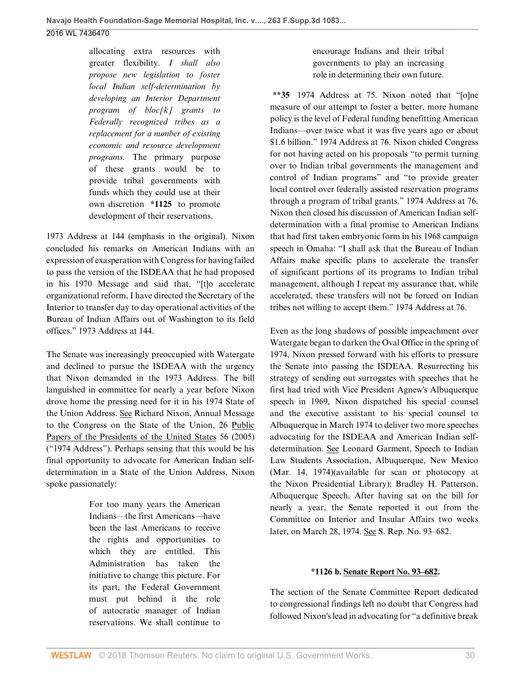allocating extra resources with greater flexibility. *I shall also propose new legislation to foster local Indian self-determination by developing an Interior Department program of bloc[k] grants to Federally recognized tribes as a replacement for a number of existing economic and resource development programs.* The primary purpose of these grants would be to provide tribal governments with funds which they could use at their own discretion **\*1125** to promote development of their reservations.

1973 Address at 144 (emphasis in the original). Nixon concluded his remarks on American Indians with an expression of exasperation with Congress for having failed to pass the version of the ISDEAA that he had proposed in his 1970 Message and said that, "[t]o accelerate organizational reform, I have directed the Secretary of the Interior to transfer day to day operational activities of the Bureau of Indian Affairs out of Washington to its field offices." 1973 Address at 144.

The Senate was increasingly preoccupied with Watergate and declined to pursue the ISDEAA with the urgency that Nixon demanded in the 1973 Address. The bill languished in committee for nearly a year before Nixon drove home the pressing need for it in his 1974 State of the Union Address. See Richard Nixon, Annual Message to the Congress on the State of the Union, 26 Public Papers of the Presidents of the United States 56 (2005) ("1974 Address"). Perhaps sensing that this would be his final opportunity to advocate for American Indian selfdetermination in a State of the Union Address, Nixon spoke passionately:

> For too many years the American Indians—the first Americans—have been the last Americans to receive the rights and opportunities to which they are entitled. This Administration has taken the initiative to change this picture. For its part, the Federal Government must put behind it the role of autocratic manager of Indian reservations. We shall continue to

encourage Indians and their tribal governments to play an increasing role in determining their own future.

**\*\*35** 1974 Address at 75. Nixon noted that "[o]ne measure of our attempt to foster a better, more humane policy is the level of Federal funding benefitting American Indians—over twice what it was five years ago or about \$1.6 billion." 1974 Address at 76. Nixon chided Congress for not having acted on his proposals "to permit turning over to Indian tribal governments the management and control of Indian programs" and "to provide greater local control over federally assisted reservation programs through a program of tribal grants." 1974 Address at 76. Nixon then closed his discussion of American Indian selfdetermination with a final promise to American Indians that had first taken embryonic form in his 1968 campaign speech in Omaha: "I shall ask that the Bureau of Indian Affairs make specific plans to accelerate the transfer of significant portions of its programs to Indian tribal management, although I repeat my assurance that, while accelerated, these transfers will not be forced on Indian tribes not willing to accept them." 1974 Address at 76.

Even as the long shadows of possible impeachment over Watergate began to darken the Oval Office in the spring of 1974, Nixon pressed forward with his efforts to pressure the Senate into passing the ISDEAA. Resurrecting his strategy of sending out surrogates with speeches that he first had tried with Vice President Agnew's Albuquerque speech in 1969, Nixon dispatched his special counsel and the executive assistant to his special counsel to Albuquerque in March 1974 to deliver two more speeches advocating for the ISDEAA and American Indian selfdetermination. See Leonard Garment, Speech to Indian Law Students Association, Albuquerque, New Mexico (Mar. 14, 1974)(available for scan or photocopy at the Nixon Presidential Library); Bradley H. Patterson, Albuquerque Speech. After having sat on the bill for nearly a year, the Senate reported it out from the Committee on Interior and Insular Affairs two weeks later, on March 28, 1974. See S. Rep. No. 93–682.

# **\*1126 b. Senate Report No. 93–682.**

The section of the Senate Committee Report dedicated to congressional findings left no doubt that Congress had followed Nixon's lead in advocating for "a definitive break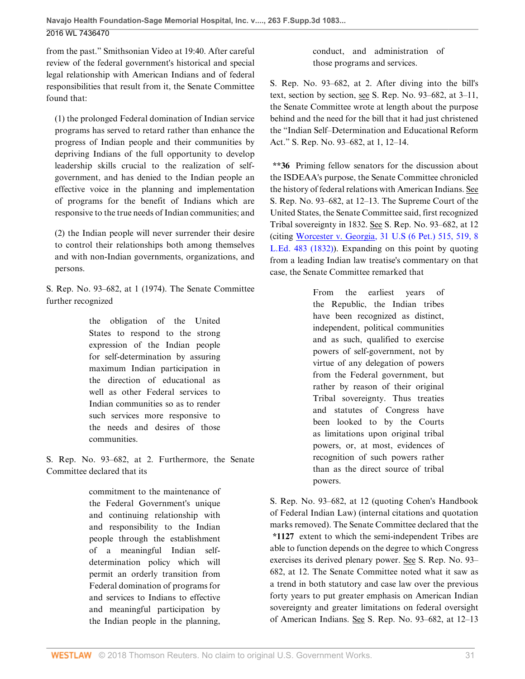from the past." Smithsonian Video at 19:40. After careful review of the federal government's historical and special legal relationship with American Indians and of federal responsibilities that result from it, the Senate Committee found that:

(1) the prolonged Federal domination of Indian service programs has served to retard rather than enhance the progress of Indian people and their communities by depriving Indians of the full opportunity to develop leadership skills crucial to the realization of selfgovernment, and has denied to the Indian people an effective voice in the planning and implementation of programs for the benefit of Indians which are responsive to the true needs of Indian communities; and

(2) the Indian people will never surrender their desire to control their relationships both among themselves and with non-Indian governments, organizations, and persons.

S. Rep. No. 93–682, at 1 (1974). The Senate Committee further recognized

> the obligation of the United States to respond to the strong expression of the Indian people for self-determination by assuring maximum Indian participation in the direction of educational as well as other Federal services to Indian communities so as to render such services more responsive to the needs and desires of those communities.

S. Rep. No. 93–682, at 2. Furthermore, the Senate Committee declared that its

> commitment to the maintenance of the Federal Government's unique and continuing relationship with and responsibility to the Indian people through the establishment of a meaningful Indian selfdetermination policy which will permit an orderly transition from Federal domination of programs for and services to Indians to effective and meaningful participation by the Indian people in the planning,

conduct, and administration of those programs and services.

S. Rep. No. 93–682, at 2. After diving into the bill's text, section by section, see S. Rep. No. 93–682, at 3–11, the Senate Committee wrote at length about the purpose behind and the need for the bill that it had just christened the "Indian Self–Determination and Educational Reform Act." S. Rep. No. 93–682, at 1, 12–14.

**\*\*36** Priming fellow senators for the discussion about the ISDEAA's purpose, the Senate Committee chronicled the history of federal relations with American Indians. See S. Rep. No. 93–682, at 12–13. The Supreme Court of the United States, the Senate Committee said, first recognized Tribal sovereignty in 1832. See S. Rep. No. 93–682, at 12 (citing [Worcester v. Georgia, 31 U.S \(6 Pet.\) 515, 519, 8](http://www.westlaw.com/Link/Document/FullText?findType=Y&serNum=1800140351&pubNum=0000780&originatingDoc=I4a89a3f0c8e111e6b27be1b44e7e7e5b&refType=RP&fi=co_pp_sp_780_519&originationContext=document&vr=3.0&rs=cblt1.0&transitionType=DocumentItem&contextData=(sc.UserEnteredCitation)#co_pp_sp_780_519) [L.Ed. 483 \(1832\)\)](http://www.westlaw.com/Link/Document/FullText?findType=Y&serNum=1800140351&pubNum=0000780&originatingDoc=I4a89a3f0c8e111e6b27be1b44e7e7e5b&refType=RP&fi=co_pp_sp_780_519&originationContext=document&vr=3.0&rs=cblt1.0&transitionType=DocumentItem&contextData=(sc.UserEnteredCitation)#co_pp_sp_780_519). Expanding on this point by quoting from a leading Indian law treatise's commentary on that case, the Senate Committee remarked that

> From the earliest years of the Republic, the Indian tribes have been recognized as distinct, independent, political communities and as such, qualified to exercise powers of self-government, not by virtue of any delegation of powers from the Federal government, but rather by reason of their original Tribal sovereignty. Thus treaties and statutes of Congress have been looked to by the Courts as limitations upon original tribal powers, or, at most, evidences of recognition of such powers rather than as the direct source of tribal powers.

S. Rep. No. 93–682, at 12 (quoting Cohen's Handbook of Federal Indian Law) (internal citations and quotation marks removed). The Senate Committee declared that the **\*1127** extent to which the semi-independent Tribes are able to function depends on the degree to which Congress exercises its derived plenary power. See S. Rep. No. 93– 682, at 12. The Senate Committee noted what it saw as a trend in both statutory and case law over the previous forty years to put greater emphasis on American Indian sovereignty and greater limitations on federal oversight of American Indians. See S. Rep. No. 93–682, at 12–13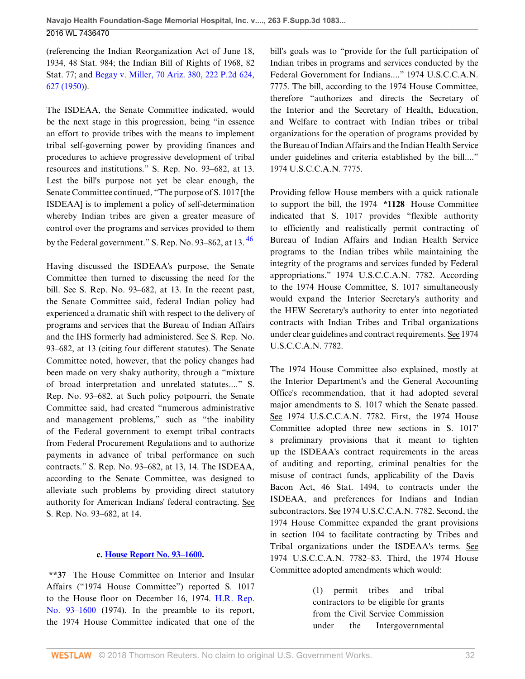(referencing the Indian Reorganization Act of June 18, 1934, 48 Stat. 984; the Indian Bill of Rights of 1968, 82 Stat. 77; and [Begay v. Miller, 70 Ariz. 380, 222 P.2d 624,](http://www.westlaw.com/Link/Document/FullText?findType=Y&serNum=1950111903&pubNum=0000661&originatingDoc=I4a89a3f0c8e111e6b27be1b44e7e7e5b&refType=RP&fi=co_pp_sp_661_627&originationContext=document&vr=3.0&rs=cblt1.0&transitionType=DocumentItem&contextData=(sc.UserEnteredCitation)#co_pp_sp_661_627) [627 \(1950\)](http://www.westlaw.com/Link/Document/FullText?findType=Y&serNum=1950111903&pubNum=0000661&originatingDoc=I4a89a3f0c8e111e6b27be1b44e7e7e5b&refType=RP&fi=co_pp_sp_661_627&originationContext=document&vr=3.0&rs=cblt1.0&transitionType=DocumentItem&contextData=(sc.UserEnteredCitation)#co_pp_sp_661_627)).

The ISDEAA, the Senate Committee indicated, would be the next stage in this progression, being "in essence an effort to provide tribes with the means to implement tribal self-governing power by providing finances and procedures to achieve progressive development of tribal resources and institutions." S. Rep. No. 93–682, at 13. Lest the bill's purpose not yet be clear enough, the Senate Committee continued, "The purpose of S. 1017 [the ISDEAA] is to implement a policy of self-determination whereby Indian tribes are given a greater measure of control over the programs and services provided to them by the Federal government." S. Rep. No. 93–862, at 13. $\frac{46}{3}$  $\frac{46}{3}$  $\frac{46}{3}$ 

Having discussed the ISDEAA's purpose, the Senate Committee then turned to discussing the need for the bill. See S. Rep. No. 93–682, at 13. In the recent past, the Senate Committee said, federal Indian policy had experienced a dramatic shift with respect to the delivery of programs and services that the Bureau of Indian Affairs and the IHS formerly had administered. See S. Rep. No. 93–682, at 13 (citing four different statutes). The Senate Committee noted, however, that the policy changes had been made on very shaky authority, through a "mixture of broad interpretation and unrelated statutes...." S. Rep. No. 93–682, at Such policy potpourri, the Senate Committee said, had created "numerous administrative and management problems," such as "the inability of the Federal government to exempt tribal contracts from Federal Procurement Regulations and to authorize payments in advance of tribal performance on such contracts." S. Rep. No. 93–682, at 13, 14. The ISDEAA, according to the Senate Committee, was designed to alleviate such problems by providing direct statutory authority for American Indians' federal contracting. See S. Rep. No. 93–682, at 14.

# **c. [House Report No. 93–1600.](http://www.westlaw.com/Link/Document/FullText?findType=Y&serNum=0100747336&pubNum=0100014&originatingDoc=I4a89a3f0c8e111e6b27be1b44e7e7e5b&refType=TV&originationContext=document&vr=3.0&rs=cblt1.0&transitionType=DocumentItem&contextData=(sc.UserEnteredCitation))**

**\*\*37** The House Committee on Interior and Insular Affairs ("1974 House Committee") reported S. 1017 to the House floor on December 16, 1974. [H.R. Rep.](http://www.westlaw.com/Link/Document/FullText?findType=Y&serNum=0100747336&pubNum=0100014&originatingDoc=I4a89a3f0c8e111e6b27be1b44e7e7e5b&refType=TV&originationContext=document&vr=3.0&rs=cblt1.0&transitionType=DocumentItem&contextData=(sc.UserEnteredCitation)) [No. 93–1600](http://www.westlaw.com/Link/Document/FullText?findType=Y&serNum=0100747336&pubNum=0100014&originatingDoc=I4a89a3f0c8e111e6b27be1b44e7e7e5b&refType=TV&originationContext=document&vr=3.0&rs=cblt1.0&transitionType=DocumentItem&contextData=(sc.UserEnteredCitation)) (1974). In the preamble to its report, the 1974 House Committee indicated that one of the bill's goals was to "provide for the full participation of Indian tribes in programs and services conducted by the Federal Government for Indians...." 1974 U.S.C.C.A.N. 7775. The bill, according to the 1974 House Committee, therefore "authorizes and directs the Secretary of the Interior and the Secretary of Health, Education, and Welfare to contract with Indian tribes or tribal organizations for the operation of programs provided by the Bureau of Indian Affairs and the Indian Health Service under guidelines and criteria established by the bill...." 1974 U.S.C.C.A.N. 7775.

Providing fellow House members with a quick rationale to support the bill, the 1974 **\*1128** House Committee indicated that S. 1017 provides "flexible authority to efficiently and realistically permit contracting of Bureau of Indian Affairs and Indian Health Service programs to the Indian tribes while maintaining the integrity of the programs and services funded by Federal appropriations." 1974 U.S.C.C.A.N. 7782. According to the 1974 House Committee, S. 1017 simultaneously would expand the Interior Secretary's authority and the HEW Secretary's authority to enter into negotiated contracts with Indian Tribes and Tribal organizations under clear guidelines and contract requirements. See 1974 U.S.C.C.A.N. 7782.

The 1974 House Committee also explained, mostly at the Interior Department's and the General Accounting Office's recommendation, that it had adopted several major amendments to S. 1017 which the Senate passed. See 1974 U.S.C.C.A.N. 7782. First, the 1974 House Committee adopted three new sections in S. 1017' s preliminary provisions that it meant to tighten up the ISDEAA's contract requirements in the areas of auditing and reporting, criminal penalties for the misuse of contract funds, applicability of the Davis– Bacon Act, 46 Stat. 1494, to contracts under the ISDEAA, and preferences for Indians and Indian subcontractors. See 1974 U.S.C.C.A.N. 7782. Second, the 1974 House Committee expanded the grant provisions in section 104 to facilitate contracting by Tribes and Tribal organizations under the ISDEAA's terms. See 1974 U.S.C.C.A.N. 7782–83. Third, the 1974 House Committee adopted amendments which would:

> (1) permit tribes and tribal contractors to be eligible for grants from the Civil Service Commission under the Intergovernmental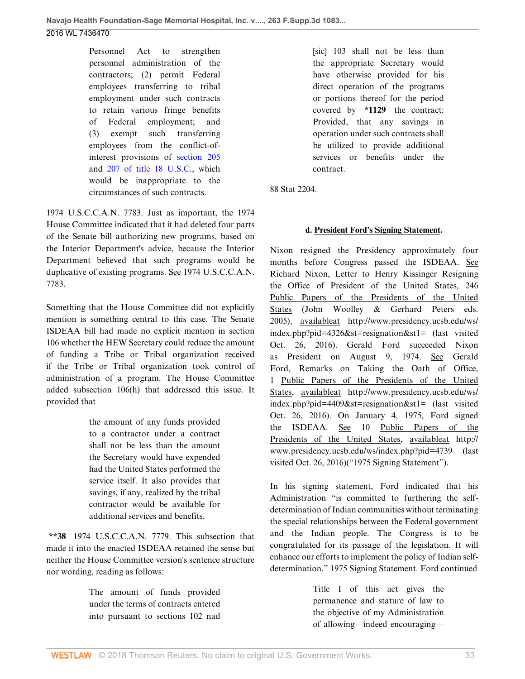Personnel Act to strengthen personnel administration of the contractors; (2) permit Federal employees transferring to tribal employment under such contracts to retain various fringe benefits of Federal employment; and (3) exempt such transferring employees from the conflict-ofinterest provisions of [section 205](http://www.westlaw.com/Link/Document/FullText?findType=L&pubNum=1000546&cite=18USCAS205&originatingDoc=I4a89a3f0c8e111e6b27be1b44e7e7e5b&refType=LQ&originationContext=document&vr=3.0&rs=cblt1.0&transitionType=DocumentItem&contextData=(sc.UserEnteredCitation)) and [207 of title 18 U.S.C](http://www.westlaw.com/Link/Document/FullText?findType=L&pubNum=1000546&cite=18USCAS207&originatingDoc=I4a89a3f0c8e111e6b27be1b44e7e7e5b&refType=LQ&originationContext=document&vr=3.0&rs=cblt1.0&transitionType=DocumentItem&contextData=(sc.UserEnteredCitation))., which would be inappropriate to the circumstances of such contracts.

1974 U.S.C.C.A.N. 7783. Just as important, the 1974 House Committee indicated that it had deleted four parts of the Senate bill authorizing new programs, based on the Interior Department's advice, because the Interior Department believed that such programs would be duplicative of existing programs. See 1974 U.S.C.C.A.N. 7783.

Something that the House Committee did not explicitly mention is something central to this case. The Senate ISDEAA bill had made no explicit mention in section 106 whether the HEW Secretary could reduce the amount of funding a Tribe or Tribal organization received if the Tribe or Tribal organization took control of administration of a program. The House Committee added subsection 106(h) that addressed this issue. It provided that

> the amount of any funds provided to a contractor under a contract shall not be less than the amount the Secretary would have expended had the United States performed the service itself. It also provides that savings, if any, realized by the tribal contractor would be available for additional services and benefits.

**\*\*38** 1974 U.S.C.C.A.N. 7779. This subsection that made it into the enacted ISDEAA retained the sense but neither the House Committee version's sentence structure nor wording, reading as follows:

> The amount of funds provided under the terms of contracts entered into pursuant to sections 102 nad

[sic] 103 shall not be less than the appropriate Secretary would have otherwise provided for his direct operation of the programs or portions thereof for the period covered by **\*1129** the contract: Provided, that any savings in operation under such contracts shall be utilized to provide additional services or benefits under the contract.

88 Stat 2204.

# **d. President Ford's Signing Statement.**

Nixon resigned the Presidency approximately four months before Congress passed the ISDEAA. See Richard Nixon, Letter to Henry Kissinger Resigning the Office of President of the United States, 246 Public Papers of the Presidents of the United States (John Woolley & Gerhard Peters eds. 2005), availableat http://www.presidency.ucsb.edu/ws/ index.php?pid=4326&st=resignation&st1= (last visited Oct. 26, 2016). Gerald Ford succeeded Nixon as President on August 9, 1974. See Gerald Ford, Remarks on Taking the Oath of Office, 1 Public Papers of the Presidents of the United States, availableat http://www.presidency.ucsb.edu/ws/ index.php?pid=4409&st=resignation&st1= (last visited Oct. 26, 2016). On January 4, 1975, Ford signed the ISDEAA. See 10 Public Papers of the Presidents of the United States, availableat http:// www.presidency.ucsb.edu/ws/index.php?pid=4739 (last visited Oct. 26, 2016)("1975 Signing Statement").

In his signing statement, Ford indicated that his Administration "is committed to furthering the selfdetermination of Indian communities without terminating the special relationships between the Federal government and the Indian people. The Congress is to be congratulated for its passage of the legislation. It will enhance our efforts to implement the policy of Indian selfdetermination." 1975 Signing Statement. Ford continued

> Title I of this act gives the permanence and stature of law to the objective of my Administration of allowing—indeed encouraging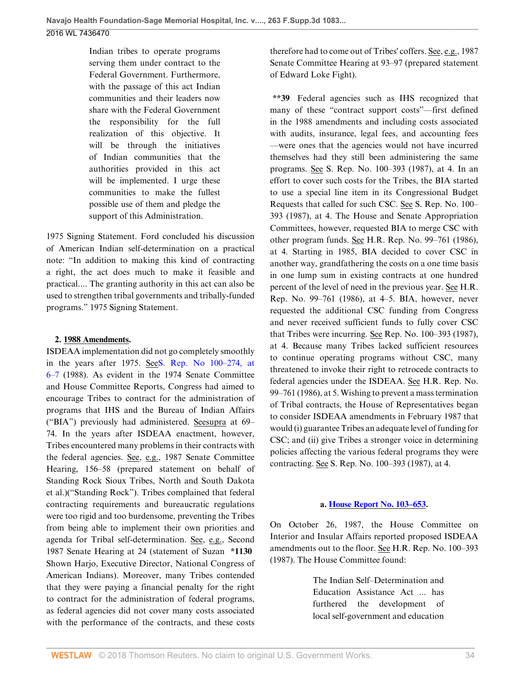Indian tribes to operate programs serving them under contract to the Federal Government. Furthermore, with the passage of this act Indian communities and their leaders now share with the Federal Government the responsibility for the full realization of this objective. It will be through the initiatives of Indian communities that the authorities provided in this act will be implemented. I urge these communities to make the fullest possible use of them and pledge the support of this Administration.

1975 Signing Statement. Ford concluded his discussion of American Indian self-determination on a practical note: "In addition to making this kind of contracting a right, the act does much to make it feasible and practical.... The granting authority in this act can also be used to strengthen tribal governments and tribally-funded programs." 1975 Signing Statement.

# **2. 1988 Amendments.**

ISDEAA implementation did not go completely smoothly in the years after 1975. See[S. Rep. No 100–274, at](http://www.westlaw.com/Link/Document/FullText?findType=Y&serNum=0100092176&pubNum=0001503&originatingDoc=I4a89a3f0c8e111e6b27be1b44e7e7e5b&refType=TV&originationContext=document&vr=3.0&rs=cblt1.0&transitionType=DocumentItem&contextData=(sc.UserEnteredCitation)) [6–7](http://www.westlaw.com/Link/Document/FullText?findType=Y&serNum=0100092176&pubNum=0001503&originatingDoc=I4a89a3f0c8e111e6b27be1b44e7e7e5b&refType=TV&originationContext=document&vr=3.0&rs=cblt1.0&transitionType=DocumentItem&contextData=(sc.UserEnteredCitation)) (1988). As evident in the 1974 Senate Committee and House Committee Reports, Congress had aimed to encourage Tribes to contract for the administration of programs that IHS and the Bureau of Indian Affairs ("BIA") previously had administered. Seesupra at 69– 74. In the years after ISDEAA enactment, however, Tribes encountered many problems in their contracts with the federal agencies. See, e.g., 1987 Senate Committee Hearing, 156–58 (prepared statement on behalf of Standing Rock Sioux Tribes, North and South Dakota et al.)("Standing Rock"). Tribes complained that federal contracting requirements and bureaucratic regulations were too rigid and too burdensome, preventing the Tribes from being able to implement their own priorities and agenda for Tribal self-determination. See, e.g., Second 1987 Senate Hearing at 24 (statement of Suzan **\*1130** Shown Harjo, Executive Director, National Congress of American Indians). Moreover, many Tribes contended that they were paying a financial penalty for the right to contract for the administration of federal programs, as federal agencies did not cover many costs associated with the performance of the contracts, and these costs

therefore had to come out of Tribes' coffers. See, e.g., 1987 Senate Committee Hearing at 93–97 (prepared statement of Edward Loke Fight).

**\*\*39** Federal agencies such as IHS recognized that many of these "contract support costs"—first defined in the 1988 amendments and including costs associated with audits, insurance, legal fees, and accounting fees —were ones that the agencies would not have incurred themselves had they still been administering the same programs. See S. Rep. No. 100–393 (1987), at 4. In an effort to cover such costs for the Tribes, the BIA started to use a special line item in its Congressional Budget Requests that called for such CSC. See S. Rep. No. 100– 393 (1987), at 4. The House and Senate Appropriation Committees, however, requested BIA to merge CSC with other program funds. See H.R. Rep. No. 99–761 (1986), at 4. Starting in 1985, BIA decided to cover CSC in another way, grandfathering the costs on a one time basis in one lump sum in existing contracts at one hundred percent of the level of need in the previous year. See H.R. Rep. No. 99–761 (1986), at 4–5. BIA, however, never requested the additional CSC funding from Congress and never received sufficient funds to fully cover CSC that Tribes were incurring. See Rep. No. 100–393 (1987), at 4. Because many Tribes lacked sufficient resources to continue operating programs without CSC, many threatened to invoke their right to retrocede contracts to federal agencies under the ISDEAA. See H.R. Rep. No. 99–761 (1986), at 5. Wishing to prevent a mass termination of Tribal contracts, the House of Representatives began to consider ISDEAA amendments in February 1987 that would (i) guarantee Tribes an adequate level of funding for CSC; and (ii) give Tribes a stronger voice in determining policies affecting the various federal programs they were contracting. See S. Rep. No. 100–393 (1987), at 4.

# **a. [House Report No. 103–653.](http://www.westlaw.com/Link/Document/FullText?findType=Y&serNum=0104487084&pubNum=0100014&originatingDoc=I4a89a3f0c8e111e6b27be1b44e7e7e5b&refType=TV&originationContext=document&vr=3.0&rs=cblt1.0&transitionType=DocumentItem&contextData=(sc.UserEnteredCitation))**

On October 26, 1987, the House Committee on Interior and Insular Affairs reported proposed ISDEAA amendments out to the floor. See H.R. Rep. No. 100–393 (1987). The House Committee found:

> The Indian Self–Determination and Education Assistance Act ... has furthered the development of local self-government and education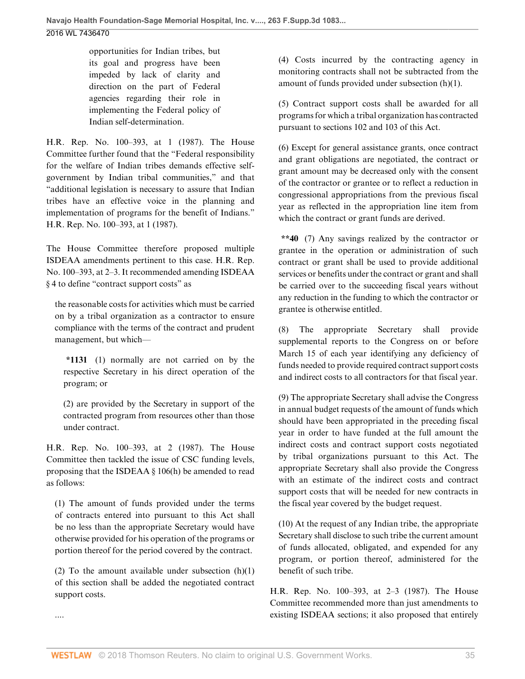opportunities for Indian tribes, but its goal and progress have been impeded by lack of clarity and direction on the part of Federal agencies regarding their role in implementing the Federal policy of Indian self-determination.

H.R. Rep. No. 100–393, at 1 (1987). The House Committee further found that the "Federal responsibility for the welfare of Indian tribes demands effective selfgovernment by Indian tribal communities," and that "additional legislation is necessary to assure that Indian tribes have an effective voice in the planning and implementation of programs for the benefit of Indians." H.R. Rep. No. 100–393, at 1 (1987).

The House Committee therefore proposed multiple ISDEAA amendments pertinent to this case. H.R. Rep. No. 100–393, at 2–3. It recommended amending ISDEAA § 4 to define "contract support costs" as

the reasonable costs for activities which must be carried on by a tribal organization as a contractor to ensure compliance with the terms of the contract and prudent management, but which—

**\*1131** (1) normally are not carried on by the respective Secretary in his direct operation of the program; or

(2) are provided by the Secretary in support of the contracted program from resources other than those under contract.

H.R. Rep. No. 100–393, at 2 (1987). The House Committee then tackled the issue of CSC funding levels, proposing that the ISDEAA § 106(h) be amended to read as follows:

(1) The amount of funds provided under the terms of contracts entered into pursuant to this Act shall be no less than the appropriate Secretary would have otherwise provided for his operation of the programs or portion thereof for the period covered by the contract.

(2) To the amount available under subsection  $(h)(1)$ of this section shall be added the negotiated contract support costs.

....

(4) Costs incurred by the contracting agency in monitoring contracts shall not be subtracted from the amount of funds provided under subsection (h)(1).

(5) Contract support costs shall be awarded for all programs for which a tribal organization has contracted pursuant to sections 102 and 103 of this Act.

(6) Except for general assistance grants, once contract and grant obligations are negotiated, the contract or grant amount may be decreased only with the consent of the contractor or grantee or to reflect a reduction in congressional appropriations from the previous fiscal year as reflected in the appropriation line item from which the contract or grant funds are derived.

**\*\*40** (7) Any savings realized by the contractor or grantee in the operation or administration of such contract or grant shall be used to provide additional services or benefits under the contract or grant and shall be carried over to the succeeding fiscal years without any reduction in the funding to which the contractor or grantee is otherwise entitled.

(8) The appropriate Secretary shall provide supplemental reports to the Congress on or before March 15 of each year identifying any deficiency of funds needed to provide required contract support costs and indirect costs to all contractors for that fiscal year.

(9) The appropriate Secretary shall advise the Congress in annual budget requests of the amount of funds which should have been appropriated in the preceding fiscal year in order to have funded at the full amount the indirect costs and contract support costs negotiated by tribal organizations pursuant to this Act. The appropriate Secretary shall also provide the Congress with an estimate of the indirect costs and contract support costs that will be needed for new contracts in the fiscal year covered by the budget request.

(10) At the request of any Indian tribe, the appropriate Secretary shall disclose to such tribe the current amount of funds allocated, obligated, and expended for any program, or portion thereof, administered for the benefit of such tribe.

H.R. Rep. No. 100–393, at 2–3 (1987). The House Committee recommended more than just amendments to existing ISDEAA sections; it also proposed that entirely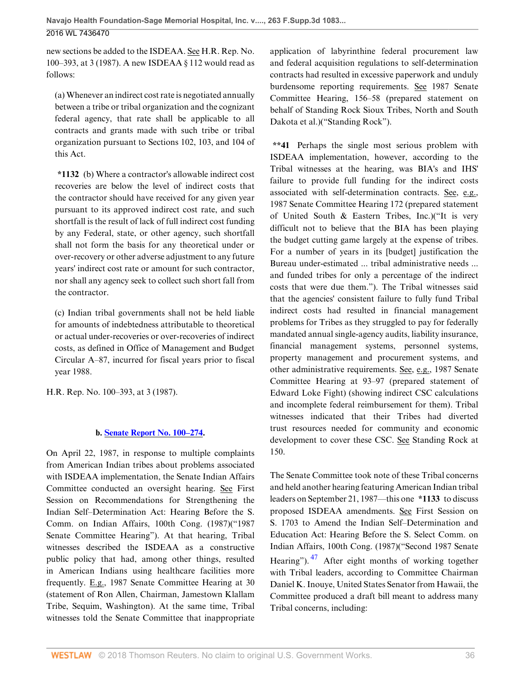**Navajo Health Foundation-Sage Memorial Hospital, Inc. v...., 263 F.Supp.3d 1083...** 2016 WL 7436470

new sections be added to the ISDEAA. See H.R. Rep. No. 100–393, at 3 (1987). A new ISDEAA § 112 would read as follows:

(a) Whenever an indirect cost rate is negotiated annually between a tribe or tribal organization and the cognizant federal agency, that rate shall be applicable to all contracts and grants made with such tribe or tribal organization pursuant to Sections 102, 103, and 104 of this Act.

**\*1132** (b) Where a contractor's allowable indirect cost recoveries are below the level of indirect costs that the contractor should have received for any given year pursuant to its approved indirect cost rate, and such shortfall is the result of lack of full indirect cost funding by any Federal, state, or other agency, such shortfall shall not form the basis for any theoretical under or over-recovery or other adverse adjustment to any future years' indirect cost rate or amount for such contractor, nor shall any agency seek to collect such short fall from the contractor.

(c) Indian tribal governments shall not be held liable for amounts of indebtedness attributable to theoretical or actual under-recoveries or over-recoveries of indirect costs, as defined in Office of Management and Budget Circular A–87, incurred for fiscal years prior to fiscal year 1988.

H.R. Rep. No. 100–393, at 3 (1987).

# **b. [Senate Report No. 100–274.](http://www.westlaw.com/Link/Document/FullText?findType=Y&serNum=0100092176&pubNum=0001503&originatingDoc=I4a89a3f0c8e111e6b27be1b44e7e7e5b&refType=TV&originationContext=document&vr=3.0&rs=cblt1.0&transitionType=DocumentItem&contextData=(sc.UserEnteredCitation))**

On April 22, 1987, in response to multiple complaints from American Indian tribes about problems associated with ISDEAA implementation, the Senate Indian Affairs Committee conducted an oversight hearing. See First Session on Recommendations for Strengthening the Indian Self–Determination Act: Hearing Before the S. Comm. on Indian Affairs, 100th Cong. (1987)("1987 Senate Committee Hearing"). At that hearing, Tribal witnesses described the ISDEAA as a constructive public policy that had, among other things, resulted in American Indians using healthcare facilities more frequently. E.g., 1987 Senate Committee Hearing at 30 (statement of Ron Allen, Chairman, Jamestown Klallam Tribe, Sequim, Washington). At the same time, Tribal witnesses told the Senate Committee that inappropriate

application of labyrinthine federal procurement law and federal acquisition regulations to self-determination contracts had resulted in excessive paperwork and unduly burdensome reporting requirements. See 1987 Senate Committee Hearing, 156–58 (prepared statement on behalf of Standing Rock Sioux Tribes, North and South Dakota et al.)("Standing Rock").

**\*\*41** Perhaps the single most serious problem with ISDEAA implementation, however, according to the Tribal witnesses at the hearing, was BIA's and IHS' failure to provide full funding for the indirect costs associated with self-determination contracts. See, e.g., 1987 Senate Committee Hearing 172 (prepared statement of United South & Eastern Tribes, Inc.)("It is very difficult not to believe that the BIA has been playing the budget cutting game largely at the expense of tribes. For a number of years in its [budget] justification the Bureau under-estimated ... tribal administrative needs ... and funded tribes for only a percentage of the indirect costs that were due them."). The Tribal witnesses said that the agencies' consistent failure to fully fund Tribal indirect costs had resulted in financial management problems for Tribes as they struggled to pay for federally mandated annual single-agency audits, liability insurance, financial management systems, personnel systems, property management and procurement systems, and other administrative requirements. See, e.g., 1987 Senate Committee Hearing at 93–97 (prepared statement of Edward Loke Fight) (showing indirect CSC calculations and incomplete federal reimbursement for them). Tribal witnesses indicated that their Tribes had diverted trust resources needed for community and economic development to cover these CSC. See Standing Rock at 150.

The Senate Committee took note of these Tribal concerns and held another hearing featuring American Indian tribal leaders on September 21, 1987—this one **\*1133** to discuss proposed ISDEAA amendments. See First Session on S. 1703 to Amend the Indian Self–Determination and Education Act: Hearing Before the S. Select Comm. on Indian Affairs, 100th Cong. (1987)("Second 1987 Senate Hearing").  $47$  After eight months of working together with Tribal leaders, according to Committee Chairman Daniel K. Inouye, United States Senator from Hawaii, the Committee produced a draft bill meant to address many Tribal concerns, including: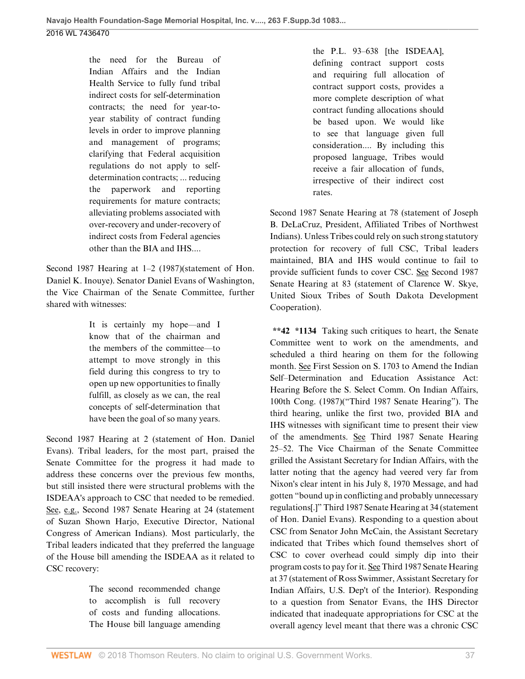the need for the Bureau of Indian Affairs and the Indian Health Service to fully fund tribal indirect costs for self-determination contracts; the need for year-toyear stability of contract funding levels in order to improve planning and management of programs; clarifying that Federal acquisition regulations do not apply to selfdetermination contracts; ... reducing the paperwork and reporting requirements for mature contracts; alleviating problems associated with over-recovery and under-recovery of indirect costs from Federal agencies other than the BIA and IHS....

Second 1987 Hearing at 1–2 (1987)(statement of Hon. Daniel K. Inouye). Senator Daniel Evans of Washington, the Vice Chairman of the Senate Committee, further shared with witnesses:

> It is certainly my hope—and I know that of the chairman and the members of the committee—to attempt to move strongly in this field during this congress to try to open up new opportunities to finally fulfill, as closely as we can, the real concepts of self-determination that have been the goal of so many years.

Second 1987 Hearing at 2 (statement of Hon. Daniel Evans). Tribal leaders, for the most part, praised the Senate Committee for the progress it had made to address these concerns over the previous few months, but still insisted there were structural problems with the ISDEAA's approach to CSC that needed to be remedied. See, e.g., Second 1987 Senate Hearing at 24 (statement of Suzan Shown Harjo, Executive Director, National Congress of American Indians). Most particularly, the Tribal leaders indicated that they preferred the language of the House bill amending the ISDEAA as it related to CSC recovery:

> The second recommended change to accomplish is full recovery of costs and funding allocations. The House bill language amending

the P.L. 93–638 [the ISDEAA], defining contract support costs and requiring full allocation of contract support costs, provides a more complete description of what contract funding allocations should be based upon. We would like to see that language given full consideration.... By including this proposed language, Tribes would receive a fair allocation of funds, irrespective of their indirect cost rates.

Second 1987 Senate Hearing at 78 (statement of Joseph B. DeLaCruz, President, Affiliated Tribes of Northwest Indians). Unless Tribes could rely on such strong statutory protection for recovery of full CSC, Tribal leaders maintained, BIA and IHS would continue to fail to provide sufficient funds to cover CSC. See Second 1987 Senate Hearing at 83 (statement of Clarence W. Skye, United Sioux Tribes of South Dakota Development Cooperation).

**\*\*42 \*1134** Taking such critiques to heart, the Senate Committee went to work on the amendments, and scheduled a third hearing on them for the following month. See First Session on S. 1703 to Amend the Indian Self–Determination and Education Assistance Act: Hearing Before the S. Select Comm. On Indian Affairs, 100th Cong. (1987)("Third 1987 Senate Hearing"). The third hearing, unlike the first two, provided BIA and IHS witnesses with significant time to present their view of the amendments. See Third 1987 Senate Hearing 25–52. The Vice Chairman of the Senate Committee grilled the Assistant Secretary for Indian Affairs, with the latter noting that the agency had veered very far from Nixon's clear intent in his July 8, 1970 Message, and had gotten "bound up in conflicting and probably unnecessary regulations[.]" Third 1987 Senate Hearing at 34 (statement of Hon. Daniel Evans). Responding to a question about CSC from Senator John McCain, the Assistant Secretary indicated that Tribes which found themselves short of CSC to cover overhead could simply dip into their program costs to pay for it. See Third 1987 Senate Hearing at 37 (statement of Ross Swimmer, Assistant Secretary for Indian Affairs, U.S. Dep't of the Interior). Responding to a question from Senator Evans, the IHS Director indicated that inadequate appropriations for CSC at the overall agency level meant that there was a chronic CSC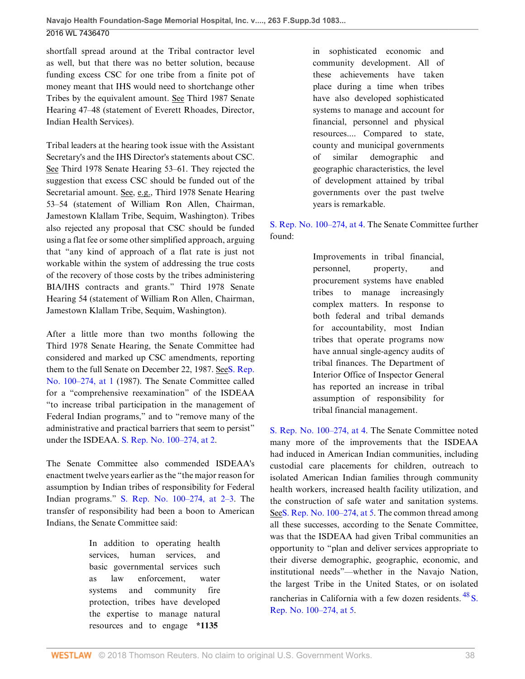shortfall spread around at the Tribal contractor level as well, but that there was no better solution, because funding excess CSC for one tribe from a finite pot of money meant that IHS would need to shortchange other Tribes by the equivalent amount. See Third 1987 Senate Hearing 47–48 (statement of Everett Rhoades, Director, Indian Health Services).

Tribal leaders at the hearing took issue with the Assistant Secretary's and the IHS Director's statements about CSC. See Third 1978 Senate Hearing 53–61. They rejected the suggestion that excess CSC should be funded out of the Secretarial amount. See, e.g., Third 1978 Senate Hearing 53–54 (statement of William Ron Allen, Chairman, Jamestown Klallam Tribe, Sequim, Washington). Tribes also rejected any proposal that CSC should be funded using a flat fee or some other simplified approach, arguing that "any kind of approach of a flat rate is just not workable within the system of addressing the true costs of the recovery of those costs by the tribes administering BIA/IHS contracts and grants." Third 1978 Senate Hearing 54 (statement of William Ron Allen, Chairman, Jamestown Klallam Tribe, Sequim, Washington).

After a little more than two months following the Third 1978 Senate Hearing, the Senate Committee had considered and marked up CSC amendments, reporting them to the full Senate on December 22, 1987. Se[eS. Rep.](http://www.westlaw.com/Link/Document/FullText?findType=Y&serNum=0100092176&pubNum=0001503&originatingDoc=I4a89a3f0c8e111e6b27be1b44e7e7e5b&refType=TV&originationContext=document&vr=3.0&rs=cblt1.0&transitionType=DocumentItem&contextData=(sc.UserEnteredCitation)) [No. 100–274, at 1](http://www.westlaw.com/Link/Document/FullText?findType=Y&serNum=0100092176&pubNum=0001503&originatingDoc=I4a89a3f0c8e111e6b27be1b44e7e7e5b&refType=TV&originationContext=document&vr=3.0&rs=cblt1.0&transitionType=DocumentItem&contextData=(sc.UserEnteredCitation)) (1987). The Senate Committee called for a "comprehensive reexamination" of the ISDEAA "to increase tribal participation in the management of Federal Indian programs," and to "remove many of the administrative and practical barriers that seem to persist" under the ISDEAA. [S. Rep. No. 100–274, at 2](http://www.westlaw.com/Link/Document/FullText?findType=Y&serNum=0100092176&pubNum=0001503&originatingDoc=I4a89a3f0c8e111e6b27be1b44e7e7e5b&refType=TV&originationContext=document&vr=3.0&rs=cblt1.0&transitionType=DocumentItem&contextData=(sc.UserEnteredCitation)).

The Senate Committee also commended ISDEAA's enactment twelve years earlier as the "the major reason for assumption by Indian tribes of responsibility for Federal Indian programs." [S. Rep. No. 100–274, at 2–3.](http://www.westlaw.com/Link/Document/FullText?findType=Y&serNum=0100092176&pubNum=0001503&originatingDoc=I4a89a3f0c8e111e6b27be1b44e7e7e5b&refType=TV&originationContext=document&vr=3.0&rs=cblt1.0&transitionType=DocumentItem&contextData=(sc.UserEnteredCitation)) The transfer of responsibility had been a boon to American Indians, the Senate Committee said:

> In addition to operating health services, human services, and basic governmental services such as law enforcement, water systems and community fire protection, tribes have developed the expertise to manage natural resources and to engage **\*1135**

in sophisticated economic and community development. All of these achievements have taken place during a time when tribes have also developed sophisticated systems to manage and account for financial, personnel and physical resources.... Compared to state, county and municipal governments of similar demographic and geographic characteristics, the level of development attained by tribal governments over the past twelve years is remarkable.

[S. Rep. No. 100–274, at 4.](http://www.westlaw.com/Link/Document/FullText?findType=Y&serNum=0100092176&pubNum=0001503&originatingDoc=I4a89a3f0c8e111e6b27be1b44e7e7e5b&refType=TV&originationContext=document&vr=3.0&rs=cblt1.0&transitionType=DocumentItem&contextData=(sc.UserEnteredCitation)) The Senate Committee further found:

> Improvements in tribal financial, personnel, property, and procurement systems have enabled tribes to manage increasingly complex matters. In response to both federal and tribal demands for accountability, most Indian tribes that operate programs now have annual single-agency audits of tribal finances. The Department of Interior Office of Inspector General has reported an increase in tribal assumption of responsibility for tribal financial management.

[S. Rep. No. 100–274, at 4.](http://www.westlaw.com/Link/Document/FullText?findType=Y&serNum=0100092176&pubNum=0001503&originatingDoc=I4a89a3f0c8e111e6b27be1b44e7e7e5b&refType=TV&originationContext=document&vr=3.0&rs=cblt1.0&transitionType=DocumentItem&contextData=(sc.UserEnteredCitation)) The Senate Committee noted many more of the improvements that the ISDEAA had induced in American Indian communities, including custodial care placements for children, outreach to isolated American Indian families through community health workers, increased health facility utilization, and the construction of safe water and sanitation systems. Se[eS. Rep. No. 100–274, at 5.](http://www.westlaw.com/Link/Document/FullText?findType=Y&serNum=0100092176&pubNum=0001503&originatingDoc=I4a89a3f0c8e111e6b27be1b44e7e7e5b&refType=TV&originationContext=document&vr=3.0&rs=cblt1.0&transitionType=DocumentItem&contextData=(sc.UserEnteredCitation)) The common thread among all these successes, according to the Senate Committee, was that the ISDEAA had given Tribal communities an opportunity to "plan and deliver services appropriate to their diverse demographic, geographic, economic, and institutional needs"—whether in the Navajo Nation, the largest Tribe in the United States, or on isolated rancherias in California with a few dozen residents.  $^{48}$  $^{48}$  $^{48}$  [S.](http://www.westlaw.com/Link/Document/FullText?findType=Y&serNum=0100092176&pubNum=0001503&originatingDoc=I4a89a3f0c8e111e6b27be1b44e7e7e5b&refType=TV&originationContext=document&vr=3.0&rs=cblt1.0&transitionType=DocumentItem&contextData=(sc.UserEnteredCitation)) [Rep. No. 100–274, at 5.](http://www.westlaw.com/Link/Document/FullText?findType=Y&serNum=0100092176&pubNum=0001503&originatingDoc=I4a89a3f0c8e111e6b27be1b44e7e7e5b&refType=TV&originationContext=document&vr=3.0&rs=cblt1.0&transitionType=DocumentItem&contextData=(sc.UserEnteredCitation))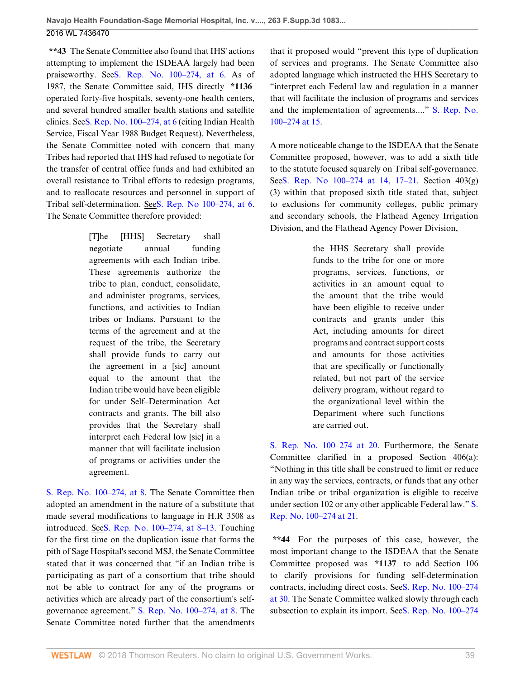**\*\*43** The Senate Committee also found that IHS' actions attempting to implement the ISDEAA largely had been praiseworthy. Se[eS. Rep. No. 100–274, at 6](http://www.westlaw.com/Link/Document/FullText?findType=Y&serNum=0100092176&pubNum=0001503&originatingDoc=I4a89a3f0c8e111e6b27be1b44e7e7e5b&refType=TV&originationContext=document&vr=3.0&rs=cblt1.0&transitionType=DocumentItem&contextData=(sc.UserEnteredCitation)). As of 1987, the Senate Committee said, IHS directly **\*1136** operated forty-five hospitals, seventy-one health centers, and several hundred smaller health stations and satellite clinics. Se[eS. Rep. No. 100–274, at 6](http://www.westlaw.com/Link/Document/FullText?findType=Y&serNum=0100092176&pubNum=0001503&originatingDoc=I4a89a3f0c8e111e6b27be1b44e7e7e5b&refType=TV&originationContext=document&vr=3.0&rs=cblt1.0&transitionType=DocumentItem&contextData=(sc.UserEnteredCitation)) (citing Indian Health Service, Fiscal Year 1988 Budget Request). Nevertheless, the Senate Committee noted with concern that many Tribes had reported that IHS had refused to negotiate for the transfer of central office funds and had exhibited an overall resistance to Tribal efforts to redesign programs, and to reallocate resources and personnel in support of Tribal self-determination. Se[eS. Rep. No 100–274, at 6](http://www.westlaw.com/Link/Document/FullText?findType=Y&serNum=0100092176&pubNum=0001503&originatingDoc=I4a89a3f0c8e111e6b27be1b44e7e7e5b&refType=TV&originationContext=document&vr=3.0&rs=cblt1.0&transitionType=DocumentItem&contextData=(sc.UserEnteredCitation)). The Senate Committee therefore provided:

> [T]he [HHS] Secretary shall negotiate annual funding agreements with each Indian tribe. These agreements authorize the tribe to plan, conduct, consolidate, and administer programs, services, functions, and activities to Indian tribes or Indians. Pursuant to the terms of the agreement and at the request of the tribe, the Secretary shall provide funds to carry out the agreement in a [sic] amount equal to the amount that the Indian tribe would have been eligible for under Self–Determination Act contracts and grants. The bill also provides that the Secretary shall interpret each Federal low [sic] in a manner that will facilitate inclusion of programs or activities under the agreement.

[S. Rep. No. 100–274, at 8.](http://www.westlaw.com/Link/Document/FullText?findType=Y&serNum=0100092176&pubNum=0001503&originatingDoc=I4a89a3f0c8e111e6b27be1b44e7e7e5b&refType=TV&originationContext=document&vr=3.0&rs=cblt1.0&transitionType=DocumentItem&contextData=(sc.UserEnteredCitation)) The Senate Committee then adopted an amendment in the nature of a substitute that made several modifications to language in H.R 3508 as introduced. See[S. Rep. No. 100–274, at 8–13.](http://www.westlaw.com/Link/Document/FullText?findType=Y&serNum=0100092176&pubNum=0001503&originatingDoc=I4a89a3f0c8e111e6b27be1b44e7e7e5b&refType=TV&originationContext=document&vr=3.0&rs=cblt1.0&transitionType=DocumentItem&contextData=(sc.UserEnteredCitation)) Touching for the first time on the duplication issue that forms the pith of Sage Hospital's second MSJ, the Senate Committee stated that it was concerned that "if an Indian tribe is participating as part of a consortium that tribe should not be able to contract for any of the programs or activities which are already part of the consortium's selfgovernance agreement." [S. Rep. No. 100–274, at 8](http://www.westlaw.com/Link/Document/FullText?findType=Y&serNum=0100092176&pubNum=0001503&originatingDoc=I4a89a3f0c8e111e6b27be1b44e7e7e5b&refType=TV&originationContext=document&vr=3.0&rs=cblt1.0&transitionType=DocumentItem&contextData=(sc.UserEnteredCitation)). The Senate Committee noted further that the amendments

that it proposed would "prevent this type of duplication of services and programs. The Senate Committee also adopted language which instructed the HHS Secretary to "interpret each Federal law and regulation in a manner that will facilitate the inclusion of programs and services and the implementation of agreements...." [S. Rep. No.](http://www.westlaw.com/Link/Document/FullText?findType=Y&serNum=0100092176&pubNum=0001503&originatingDoc=I4a89a3f0c8e111e6b27be1b44e7e7e5b&refType=TV&originationContext=document&vr=3.0&rs=cblt1.0&transitionType=DocumentItem&contextData=(sc.UserEnteredCitation)) [100–274 at 15](http://www.westlaw.com/Link/Document/FullText?findType=Y&serNum=0100092176&pubNum=0001503&originatingDoc=I4a89a3f0c8e111e6b27be1b44e7e7e5b&refType=TV&originationContext=document&vr=3.0&rs=cblt1.0&transitionType=DocumentItem&contextData=(sc.UserEnteredCitation)).

A more noticeable change to the ISDEAA that the Senate Committee proposed, however, was to add a sixth title to the statute focused squarely on Tribal self-governance. Se[eS. Rep. No 100–274 at 14, 17–21](http://www.westlaw.com/Link/Document/FullText?findType=Y&serNum=0100092176&pubNum=0001503&originatingDoc=I4a89a3f0c8e111e6b27be1b44e7e7e5b&refType=TV&originationContext=document&vr=3.0&rs=cblt1.0&transitionType=DocumentItem&contextData=(sc.UserEnteredCitation)). Section 403(g) (3) within that proposed sixth title stated that, subject to exclusions for community colleges, public primary and secondary schools, the Flathead Agency Irrigation Division, and the Flathead Agency Power Division,

> the HHS Secretary shall provide funds to the tribe for one or more programs, services, functions, or activities in an amount equal to the amount that the tribe would have been eligible to receive under contracts and grants under this Act, including amounts for direct programs and contract support costs and amounts for those activities that are specifically or functionally related, but not part of the service delivery program, without regard to the organizational level within the Department where such functions are carried out.

[S. Rep. No. 100–274 at 20](http://www.westlaw.com/Link/Document/FullText?findType=Y&serNum=0100092176&pubNum=0001503&originatingDoc=I4a89a3f0c8e111e6b27be1b44e7e7e5b&refType=TV&originationContext=document&vr=3.0&rs=cblt1.0&transitionType=DocumentItem&contextData=(sc.UserEnteredCitation)). Furthermore, the Senate Committee clarified in a proposed Section 406(a): "Nothing in this title shall be construed to limit or reduce in any way the services, contracts, or funds that any other Indian tribe or tribal organization is eligible to receive under section 102 or any other applicable Federal law." [S.](http://www.westlaw.com/Link/Document/FullText?findType=Y&serNum=0100092176&pubNum=0001503&originatingDoc=I4a89a3f0c8e111e6b27be1b44e7e7e5b&refType=TV&originationContext=document&vr=3.0&rs=cblt1.0&transitionType=DocumentItem&contextData=(sc.UserEnteredCitation)) [Rep. No. 100–274 at 21](http://www.westlaw.com/Link/Document/FullText?findType=Y&serNum=0100092176&pubNum=0001503&originatingDoc=I4a89a3f0c8e111e6b27be1b44e7e7e5b&refType=TV&originationContext=document&vr=3.0&rs=cblt1.0&transitionType=DocumentItem&contextData=(sc.UserEnteredCitation)).

**\*\*44** For the purposes of this case, however, the most important change to the ISDEAA that the Senate Committee proposed was **\*1137** to add Section 106 to clarify provisions for funding self-determination contracts, including direct costs. See[S. Rep. No. 100–274](http://www.westlaw.com/Link/Document/FullText?findType=Y&serNum=0100092176&pubNum=0001503&originatingDoc=I4a89a3f0c8e111e6b27be1b44e7e7e5b&refType=TV&originationContext=document&vr=3.0&rs=cblt1.0&transitionType=DocumentItem&contextData=(sc.UserEnteredCitation)) [at 30.](http://www.westlaw.com/Link/Document/FullText?findType=Y&serNum=0100092176&pubNum=0001503&originatingDoc=I4a89a3f0c8e111e6b27be1b44e7e7e5b&refType=TV&originationContext=document&vr=3.0&rs=cblt1.0&transitionType=DocumentItem&contextData=(sc.UserEnteredCitation)) The Senate Committee walked slowly through each subsection to explain its import. Se[eS. Rep. No. 100–274](http://www.westlaw.com/Link/Document/FullText?findType=Y&serNum=0100092176&pubNum=0001503&originatingDoc=I4a89a3f0c8e111e6b27be1b44e7e7e5b&refType=TV&originationContext=document&vr=3.0&rs=cblt1.0&transitionType=DocumentItem&contextData=(sc.UserEnteredCitation))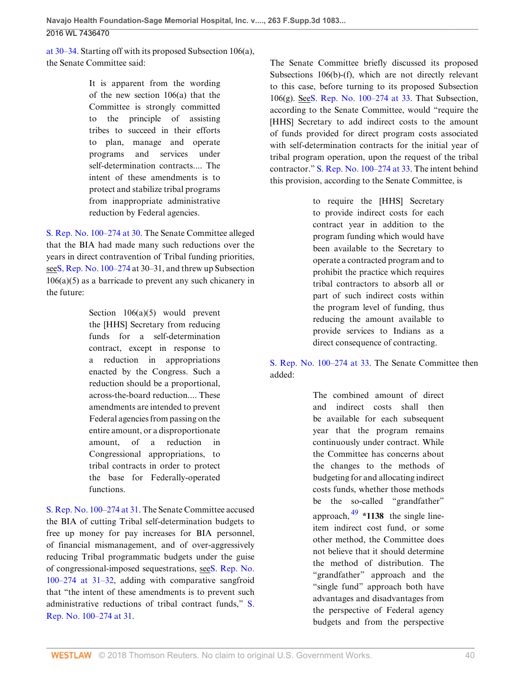[at 30–34](http://www.westlaw.com/Link/Document/FullText?findType=Y&serNum=0100092176&pubNum=0001503&originatingDoc=I4a89a3f0c8e111e6b27be1b44e7e7e5b&refType=TV&originationContext=document&vr=3.0&rs=cblt1.0&transitionType=DocumentItem&contextData=(sc.UserEnteredCitation)). Starting off with its proposed Subsection 106(a), the Senate Committee said:

> It is apparent from the wording of the new section 106(a) that the Committee is strongly committed to the principle of assisting tribes to succeed in their efforts to plan, manage and operate programs and services under self-determination contracts.... The intent of these amendments is to protect and stabilize tribal programs from inappropriate administrative reduction by Federal agencies.

[S. Rep. No. 100–274 at 30.](http://www.westlaw.com/Link/Document/FullText?findType=Y&serNum=0100092176&pubNum=0001503&originatingDoc=I4a89a3f0c8e111e6b27be1b44e7e7e5b&refType=TV&originationContext=document&vr=3.0&rs=cblt1.0&transitionType=DocumentItem&contextData=(sc.UserEnteredCitation)) The Senate Committee alleged that the BIA had made many such reductions over the years in direct contravention of Tribal funding priorities, see[S, Rep. No. 100–274](http://www.westlaw.com/Link/Document/FullText?findType=Y&serNum=0100092176&pubNum=0001503&originatingDoc=I4a89a3f0c8e111e6b27be1b44e7e7e5b&refType=TV&originationContext=document&vr=3.0&rs=cblt1.0&transitionType=DocumentItem&contextData=(sc.UserEnteredCitation)) at 30–31, and threw up Subsection 106(a)(5) as a barricade to prevent any such chicanery in the future:

> Section  $106(a)(5)$  would prevent the [HHS] Secretary from reducing funds for a self-determination contract, except in response to a reduction in appropriations enacted by the Congress. Such a reduction should be a proportional, across-the-board reduction.... These amendments are intended to prevent Federal agencies from passing on the entire amount, or a disproportionate amount, of a reduction in Congressional appropriations, to tribal contracts in order to protect the base for Federally-operated functions.

[S. Rep. No. 100–274 at 31.](http://www.westlaw.com/Link/Document/FullText?findType=Y&serNum=0100092176&pubNum=0001503&originatingDoc=I4a89a3f0c8e111e6b27be1b44e7e7e5b&refType=TV&originationContext=document&vr=3.0&rs=cblt1.0&transitionType=DocumentItem&contextData=(sc.UserEnteredCitation)) The Senate Committee accused the BIA of cutting Tribal self-determination budgets to free up money for pay increases for BIA personnel, of financial mismanagement, and of over-aggressively reducing Tribal programmatic budgets under the guise of congressional-imposed sequestrations, se[eS. Rep. No.](http://www.westlaw.com/Link/Document/FullText?findType=Y&serNum=0100092176&pubNum=0001503&originatingDoc=I4a89a3f0c8e111e6b27be1b44e7e7e5b&refType=TV&originationContext=document&vr=3.0&rs=cblt1.0&transitionType=DocumentItem&contextData=(sc.UserEnteredCitation)) [100–274 at 31–32,](http://www.westlaw.com/Link/Document/FullText?findType=Y&serNum=0100092176&pubNum=0001503&originatingDoc=I4a89a3f0c8e111e6b27be1b44e7e7e5b&refType=TV&originationContext=document&vr=3.0&rs=cblt1.0&transitionType=DocumentItem&contextData=(sc.UserEnteredCitation)) adding with comparative sangfroid that "the intent of these amendments is to prevent such administrative reductions of tribal contract funds," [S.](http://www.westlaw.com/Link/Document/FullText?findType=Y&serNum=0100092176&pubNum=0001503&originatingDoc=I4a89a3f0c8e111e6b27be1b44e7e7e5b&refType=TV&originationContext=document&vr=3.0&rs=cblt1.0&transitionType=DocumentItem&contextData=(sc.UserEnteredCitation)) [Rep. No. 100–274 at 31](http://www.westlaw.com/Link/Document/FullText?findType=Y&serNum=0100092176&pubNum=0001503&originatingDoc=I4a89a3f0c8e111e6b27be1b44e7e7e5b&refType=TV&originationContext=document&vr=3.0&rs=cblt1.0&transitionType=DocumentItem&contextData=(sc.UserEnteredCitation)).

The Senate Committee briefly discussed its proposed Subsections 106(b)-(f), which are not directly relevant to this case, before turning to its proposed Subsection 106(g). Se[eS. Rep. No. 100–274 at 33.](http://www.westlaw.com/Link/Document/FullText?findType=Y&serNum=0100092176&pubNum=0001503&originatingDoc=I4a89a3f0c8e111e6b27be1b44e7e7e5b&refType=TV&originationContext=document&vr=3.0&rs=cblt1.0&transitionType=DocumentItem&contextData=(sc.UserEnteredCitation)) That Subsection, according to the Senate Committee, would "require the [HHS] Secretary to add indirect costs to the amount of funds provided for direct program costs associated with self-determination contracts for the initial year of tribal program operation, upon the request of the tribal contractor." [S. Rep. No. 100–274 at 33](http://www.westlaw.com/Link/Document/FullText?findType=Y&serNum=0100092176&pubNum=0001503&originatingDoc=I4a89a3f0c8e111e6b27be1b44e7e7e5b&refType=TV&originationContext=document&vr=3.0&rs=cblt1.0&transitionType=DocumentItem&contextData=(sc.UserEnteredCitation)). The intent behind this provision, according to the Senate Committee, is

> to require the [HHS] Secretary to provide indirect costs for each contract year in addition to the program funding which would have been available to the Secretary to operate a contracted program and to prohibit the practice which requires tribal contractors to absorb all or part of such indirect costs within the program level of funding, thus reducing the amount available to provide services to Indians as a direct consequence of contracting.

[S. Rep. No. 100–274 at 33.](http://www.westlaw.com/Link/Document/FullText?findType=Y&serNum=0100092176&pubNum=0001503&originatingDoc=I4a89a3f0c8e111e6b27be1b44e7e7e5b&refType=TV&originationContext=document&vr=3.0&rs=cblt1.0&transitionType=DocumentItem&contextData=(sc.UserEnteredCitation)) The Senate Committee then added:

> The combined amount of direct and indirect costs shall then be available for each subsequent year that the program remains continuously under contract. While the Committee has concerns about the changes to the methods of budgeting for and allocating indirect costs funds, whether those methods be the so-called "grandfather" approach, [49](#page-75-1) **\*1138** the single lineitem indirect cost fund, or some other method, the Committee does not believe that it should determine the method of distribution. The "grandfather" approach and the "single fund" approach both have advantages and disadvantages from the perspective of Federal agency budgets and from the perspective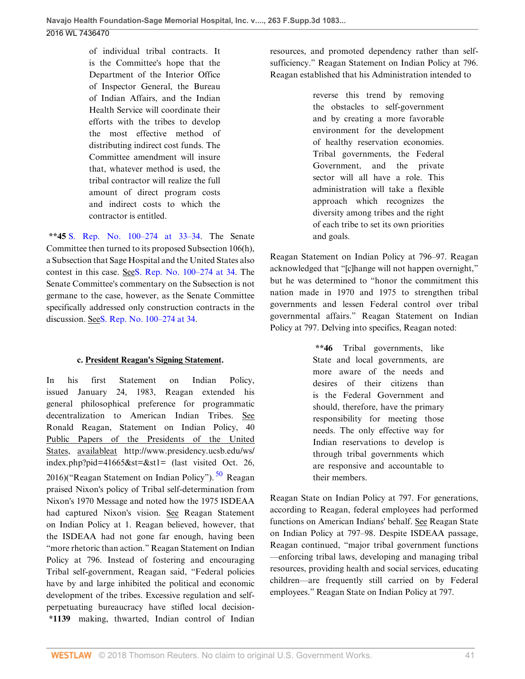of individual tribal contracts. It is the Committee's hope that the Department of the Interior Office of Inspector General, the Bureau of Indian Affairs, and the Indian Health Service will coordinate their efforts with the tribes to develop the most effective method of distributing indirect cost funds. The Committee amendment will insure that, whatever method is used, the tribal contractor will realize the full amount of direct program costs and indirect costs to which the contractor is entitled.

**\*\*45** [S. Rep. No. 100–274 at 33–34.](http://www.westlaw.com/Link/Document/FullText?findType=Y&serNum=0100092176&pubNum=0001503&originatingDoc=I4a89a3f0c8e111e6b27be1b44e7e7e5b&refType=TV&originationContext=document&vr=3.0&rs=cblt1.0&transitionType=DocumentItem&contextData=(sc.UserEnteredCitation)) The Senate Committee then turned to its proposed Subsection 106(h), a Subsection that Sage Hospital and the United States also contest in this case. Se[eS. Rep. No. 100–274 at 34](http://www.westlaw.com/Link/Document/FullText?findType=Y&serNum=0100092176&pubNum=0001503&originatingDoc=I4a89a3f0c8e111e6b27be1b44e7e7e5b&refType=TV&originationContext=document&vr=3.0&rs=cblt1.0&transitionType=DocumentItem&contextData=(sc.UserEnteredCitation)). The Senate Committee's commentary on the Subsection is not germane to the case, however, as the Senate Committee specifically addressed only construction contracts in the discussion. See[S. Rep. No. 100–274 at 34.](http://www.westlaw.com/Link/Document/FullText?findType=Y&serNum=0100092176&pubNum=0001503&originatingDoc=I4a89a3f0c8e111e6b27be1b44e7e7e5b&refType=TV&originationContext=document&vr=3.0&rs=cblt1.0&transitionType=DocumentItem&contextData=(sc.UserEnteredCitation))

### **c. President Reagan's Signing Statement.**

In his first Statement on Indian Policy, issued January 24, 1983, Reagan extended his general philosophical preference for programmatic decentralization to American Indian Tribes. See Ronald Reagan, Statement on Indian Policy, 40 Public Papers of the Presidents of the United States, availableat http://www.presidency.ucsb.edu/ws/ index.php?pid=41665&st=&st1= (last visited Oct. 26, 2016)("Reagan Statement on Indian Policy").  $50$  Reagan praised Nixon's policy of Tribal self-determination from Nixon's 1970 Message and noted how the 1975 ISDEAA had captured Nixon's vision. See Reagan Statement on Indian Policy at 1. Reagan believed, however, that the ISDEAA had not gone far enough, having been "more rhetoric than action." Reagan Statement on Indian Policy at 796. Instead of fostering and encouraging Tribal self-government, Reagan said, "Federal policies have by and large inhibited the political and economic development of the tribes. Excessive regulation and selfperpetuating bureaucracy have stifled local decision- **\*1139** making, thwarted, Indian control of Indian

resources, and promoted dependency rather than selfsufficiency." Reagan Statement on Indian Policy at 796. Reagan established that his Administration intended to

> reverse this trend by removing the obstacles to self-government and by creating a more favorable environment for the development of healthy reservation economies. Tribal governments, the Federal Government, and the private sector will all have a role. This administration will take a flexible approach which recognizes the diversity among tribes and the right of each tribe to set its own priorities and goals.

Reagan Statement on Indian Policy at 796–97. Reagan acknowledged that "[c]hange will not happen overnight," but he was determined to "honor the commitment this nation made in 1970 and 1975 to strengthen tribal governments and lessen Federal control over tribal governmental affairs." Reagan Statement on Indian Policy at 797. Delving into specifics, Reagan noted:

> **\*\*46** Tribal governments, like State and local governments, are more aware of the needs and desires of their citizens than is the Federal Government and should, therefore, have the primary responsibility for meeting those needs. The only effective way for Indian reservations to develop is through tribal governments which are responsive and accountable to their members.

Reagan State on Indian Policy at 797. For generations, according to Reagan, federal employees had performed functions on American Indians' behalf. See Reagan State on Indian Policy at 797–98. Despite ISDEAA passage, Reagan continued, "major tribal government functions —enforcing tribal laws, developing and managing tribal resources, providing health and social services, educating children—are frequently still carried on by Federal employees." Reagan State on Indian Policy at 797.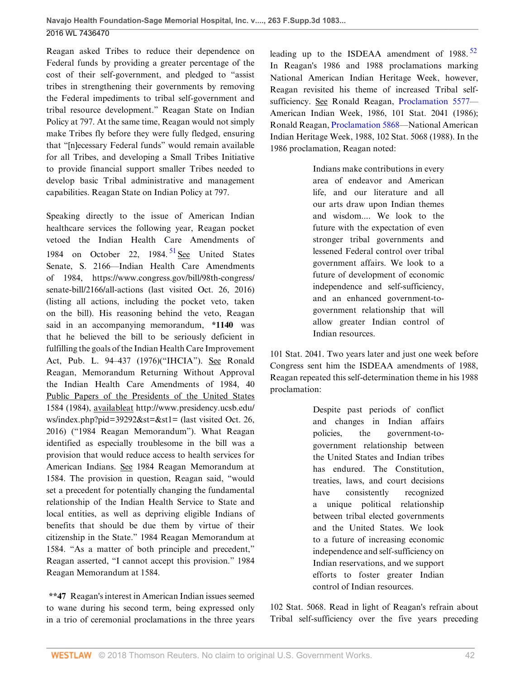Reagan asked Tribes to reduce their dependence on Federal funds by providing a greater percentage of the cost of their self-government, and pledged to "assist tribes in strengthening their governments by removing the Federal impediments to tribal self-government and tribal resource development." Reagan State on Indian Policy at 797. At the same time, Reagan would not simply make Tribes fly before they were fully fledged, ensuring that "[n]ecessary Federal funds" would remain available for all Tribes, and developing a Small Tribes Initiative to provide financial support smaller Tribes needed to develop basic Tribal administrative and management capabilities. Reagan State on Indian Policy at 797.

Speaking directly to the issue of American Indian healthcare services the following year, Reagan pocket vetoed the Indian Health Care Amendments of 1984 on October 22, 1984.<sup>[51](#page-75-3)</sup> See United States Senate, S. 2166—Indian Health Care Amendments of 1984, https://www.congress.gov/bill/98th-congress/ senate-bill/2166/all-actions (last visited Oct. 26, 2016) (listing all actions, including the pocket veto, taken on the bill). His reasoning behind the veto, Reagan said in an accompanying memorandum, **\*1140** was that he believed the bill to be seriously deficient in fulfilling the goals of the Indian Health Care Improvement Act, Pub. L. 94–437 (1976)("IHCIA"). See Ronald Reagan, Memorandum Returning Without Approval the Indian Health Care Amendments of 1984, 40 Public Papers of the Presidents of the United States 1584 (1984), availableat http://www.presidency.ucsb.edu/ ws/index.php?pid=39292&st=&st1= (last visited Oct. 26, 2016) ("1984 Reagan Memorandum"). What Reagan identified as especially troublesome in the bill was a provision that would reduce access to health services for American Indians. See 1984 Reagan Memorandum at 1584. The provision in question, Reagan said, "would set a precedent for potentially changing the fundamental relationship of the Indian Health Service to State and local entities, as well as depriving eligible Indians of benefits that should be due them by virtue of their citizenship in the State." 1984 Reagan Memorandum at 1584. "As a matter of both principle and precedent," Reagan asserted, "I cannot accept this provision." 1984 Reagan Memorandum at 1584.

**\*\*47** Reagan's interest in American Indian issues seemed to wane during his second term, being expressed only in a trio of ceremonial proclamations in the three years leading up to the ISDEAA amendment of 1988.<sup>[52](#page-76-0)</sup> In Reagan's 1986 and 1988 proclamations marking National American Indian Heritage Week, however, Reagan revisited his theme of increased Tribal selfsufficiency. See Ronald Reagan, [Proclamation 5577—](http://www.westlaw.com/Link/Document/FullText?findType=Y&serNum=1986307842&pubNum=0003112&originatingDoc=I4a89a3f0c8e111e6b27be1b44e7e7e5b&refType=CA&originationContext=document&vr=3.0&rs=cblt1.0&transitionType=DocumentItem&contextData=(sc.UserEnteredCitation)) American Indian Week, 1986, 101 Stat. 2041 (1986); Ronald Reagan, [Proclamation 5868](http://www.westlaw.com/Link/Document/FullText?findType=Y&serNum=1988355314&pubNum=0003112&originatingDoc=I4a89a3f0c8e111e6b27be1b44e7e7e5b&refType=CA&originationContext=document&vr=3.0&rs=cblt1.0&transitionType=DocumentItem&contextData=(sc.UserEnteredCitation))—National American Indian Heritage Week, 1988, 102 Stat. 5068 (1988). In the 1986 proclamation, Reagan noted:

> Indians make contributions in every area of endeavor and American life, and our literature and all our arts draw upon Indian themes and wisdom.... We look to the future with the expectation of even stronger tribal governments and lessened Federal control over tribal government affairs. We look to a future of development of economic independence and self-sufficiency, and an enhanced government-togovernment relationship that will allow greater Indian control of Indian resources.

101 Stat. 2041. Two years later and just one week before Congress sent him the ISDEAA amendments of 1988, Reagan repeated this self-determination theme in his 1988 proclamation:

> Despite past periods of conflict and changes in Indian affairs policies, the government-togovernment relationship between the United States and Indian tribes has endured. The Constitution, treaties, laws, and court decisions have consistently recognized a unique political relationship between tribal elected governments and the United States. We look to a future of increasing economic independence and self-sufficiency on Indian reservations, and we support efforts to foster greater Indian control of Indian resources.

102 Stat. 5068. Read in light of Reagan's refrain about Tribal self-sufficiency over the five years preceding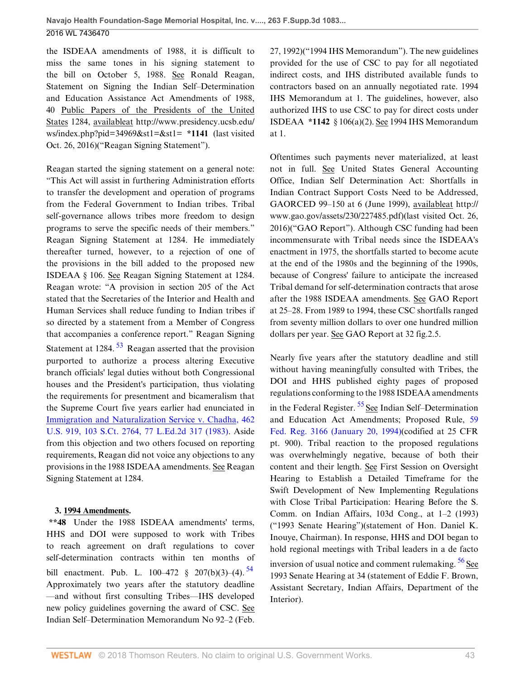the ISDEAA amendments of 1988, it is difficult to miss the same tones in his signing statement to the bill on October 5, 1988. See Ronald Reagan, Statement on Signing the Indian Self–Determination and Education Assistance Act Amendments of 1988, 40 Public Papers of the Presidents of the United States 1284, availableat http://www.presidency.ucsb.edu/ ws/index.php?pid=34969&st1=&st1= **\*1141** (last visited Oct. 26, 2016)("Reagan Signing Statement").

Reagan started the signing statement on a general note: "This Act will assist in furthering Administration efforts to transfer the development and operation of programs from the Federal Government to Indian tribes. Tribal self-governance allows tribes more freedom to design programs to serve the specific needs of their members." Reagan Signing Statement at 1284. He immediately thereafter turned, however, to a rejection of one of the provisions in the bill added to the proposed new ISDEAA § 106. See Reagan Signing Statement at 1284. Reagan wrote: "A provision in section 205 of the Act stated that the Secretaries of the Interior and Health and Human Services shall reduce funding to Indian tribes if so directed by a statement from a Member of Congress that accompanies a conference report." Reagan Signing Statement at 1284.  $53$  Reagan asserted that the provision purported to authorize a process altering Executive branch officials' legal duties without both Congressional houses and the President's participation, thus violating the requirements for presentment and bicameralism that the Supreme Court five years earlier had enunciated in [Immigration and Naturalization Service v. Chadha, 462](http://www.westlaw.com/Link/Document/FullText?findType=Y&serNum=1983129415&pubNum=0000708&originatingDoc=I4a89a3f0c8e111e6b27be1b44e7e7e5b&refType=RP&originationContext=document&vr=3.0&rs=cblt1.0&transitionType=DocumentItem&contextData=(sc.UserEnteredCitation)) [U.S. 919, 103 S.Ct. 2764, 77 L.Ed.2d 317 \(1983\)](http://www.westlaw.com/Link/Document/FullText?findType=Y&serNum=1983129415&pubNum=0000708&originatingDoc=I4a89a3f0c8e111e6b27be1b44e7e7e5b&refType=RP&originationContext=document&vr=3.0&rs=cblt1.0&transitionType=DocumentItem&contextData=(sc.UserEnteredCitation)). Aside from this objection and two others focused on reporting requirements, Reagan did not voice any objections to any provisions in the 1988 ISDEAA amendments. See Reagan Signing Statement at 1284.

#### **3. 1994 Amendments.**

**\*\*48** Under the 1988 ISDEAA amendments' terms, HHS and DOI were supposed to work with Tribes to reach agreement on draft regulations to cover self-determination contracts within ten months of bill enactment. Pub. L.  $100-472 \text{ } \text{\&} 207(b)(3)-(4).$ <sup>[54](#page-76-2)</sup> Approximately two years after the statutory deadline —and without first consulting Tribes—IHS developed new policy guidelines governing the award of CSC. See Indian Self–Determination Memorandum No 92–2 (Feb.

27, 1992)("1994 IHS Memorandum"). The new guidelines provided for the use of CSC to pay for all negotiated indirect costs, and IHS distributed available funds to contractors based on an annually negotiated rate. 1994 IHS Memorandum at 1. The guidelines, however, also authorized IHS to use CSC to pay for direct costs under ISDEAA **\*1142** § 106(a)(2). See 1994 IHS Memorandum at 1.

Oftentimes such payments never materialized, at least not in full. See United States General Accounting Office, Indian Self Determination Act: Shortfalls in Indian Contract Support Costs Need to be Addressed, GAORCED 99–150 at 6 (June 1999), availableat http:// www.gao.gov/assets/230/227485.pdf)(last visited Oct. 26, 2016)("GAO Report"). Although CSC funding had been incommensurate with Tribal needs since the ISDEAA's enactment in 1975, the shortfalls started to become acute at the end of the 1980s and the beginning of the 1990s, because of Congress' failure to anticipate the increased Tribal demand for self-determination contracts that arose after the 1988 ISDEAA amendments. See GAO Report at 25–28. From 1989 to 1994, these CSC shortfalls ranged from seventy million dollars to over one hundred million dollars per year. See GAO Report at 32 fig.2.5.

Nearly five years after the statutory deadline and still without having meaningfully consulted with Tribes, the DOI and HHS published eighty pages of proposed regulations conforming to the 1988 ISDEAA amendments in the Federal Register.<sup>[55](#page-76-3)</sup> See Indian Self-Determination and Education Act Amendments; Proposed Rule, [59](http://www.westlaw.com/Link/Document/FullText?findType=l&pubNum=0001037&cite=UUID(IC85A9350311E11DA815BD679F0D6A697)&originatingDoc=I4a89a3f0c8e111e6b27be1b44e7e7e5b&refType=CP&fi=co_pp_sp_1037_3166&originationContext=document&vr=3.0&rs=cblt1.0&transitionType=DocumentItem&contextData=(sc.UserEnteredCitation)#co_pp_sp_1037_3166) [Fed. Reg. 3166 \(January 20, 1994\)](http://www.westlaw.com/Link/Document/FullText?findType=l&pubNum=0001037&cite=UUID(IC85A9350311E11DA815BD679F0D6A697)&originatingDoc=I4a89a3f0c8e111e6b27be1b44e7e7e5b&refType=CP&fi=co_pp_sp_1037_3166&originationContext=document&vr=3.0&rs=cblt1.0&transitionType=DocumentItem&contextData=(sc.UserEnteredCitation)#co_pp_sp_1037_3166)(codified at 25 CFR pt. 900). Tribal reaction to the proposed regulations was overwhelmingly negative, because of both their content and their length. See First Session on Oversight Hearing to Establish a Detailed Timeframe for the Swift Development of New Implementing Regulations with Close Tribal Participation: Hearing Before the S. Comm. on Indian Affairs, 103d Cong., at 1–2 (1993) ("1993 Senate Hearing")(statement of Hon. Daniel K. Inouye, Chairman). In response, HHS and DOI began to hold regional meetings with Tribal leaders in a de facto inversion of usual notice and comment rulemaking. <sup>[56](#page-76-4)</sup> See 1993 Senate Hearing at 34 (statement of Eddie F. Brown, Assistant Secretary, Indian Affairs, Department of the Interior).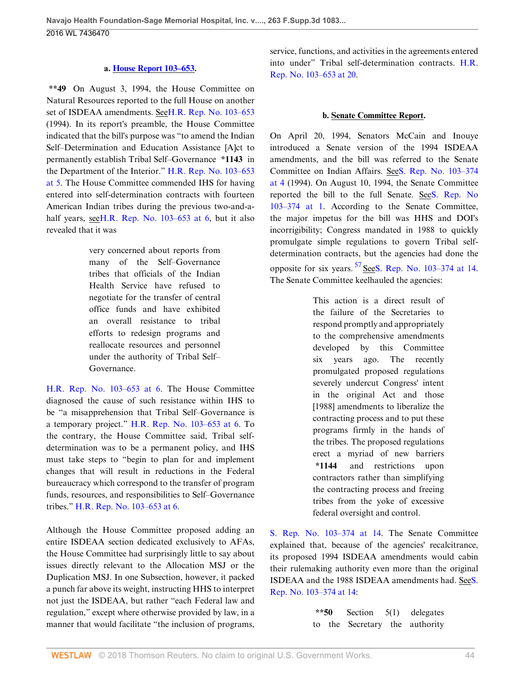#### **a. [House Report 103–653.](http://www.westlaw.com/Link/Document/FullText?findType=Y&serNum=0104487084&pubNum=0100014&originatingDoc=I4a89a3f0c8e111e6b27be1b44e7e7e5b&refType=TV&originationContext=document&vr=3.0&rs=cblt1.0&transitionType=DocumentItem&contextData=(sc.UserEnteredCitation))**

**\*\*49** On August 3, 1994, the House Committee on Natural Resources reported to the full House on another set of ISDEAA amendments. SeeH.R. Rep. No. 103-653 (1994). In its report's preamble, the House Committee indicated that the bill's purpose was "to amend the Indian Self–Determination and Education Assistance [A]ct to permanently establish Tribal Self–Governance **\*1143** in the Department of the Interior." [H.R. Rep. No. 103–653](http://www.westlaw.com/Link/Document/FullText?findType=Y&serNum=0104487084&pubNum=0100014&originatingDoc=I4a89a3f0c8e111e6b27be1b44e7e7e5b&refType=TV&originationContext=document&vr=3.0&rs=cblt1.0&transitionType=DocumentItem&contextData=(sc.UserEnteredCitation)) [at 5](http://www.westlaw.com/Link/Document/FullText?findType=Y&serNum=0104487084&pubNum=0100014&originatingDoc=I4a89a3f0c8e111e6b27be1b44e7e7e5b&refType=TV&originationContext=document&vr=3.0&rs=cblt1.0&transitionType=DocumentItem&contextData=(sc.UserEnteredCitation)). The House Committee commended IHS for having entered into self-determination contracts with fourteen American Indian tribes during the previous two-and-ahalf years, se[eH.R. Rep. No. 103–653 at 6](http://www.westlaw.com/Link/Document/FullText?findType=Y&serNum=0104487084&pubNum=0100014&originatingDoc=I4a89a3f0c8e111e6b27be1b44e7e7e5b&refType=TV&originationContext=document&vr=3.0&rs=cblt1.0&transitionType=DocumentItem&contextData=(sc.UserEnteredCitation)), but it also revealed that it was

> very concerned about reports from many of the Self–Governance tribes that officials of the Indian Health Service have refused to negotiate for the transfer of central office funds and have exhibited an overall resistance to tribal efforts to redesign programs and reallocate resources and personnel under the authority of Tribal Self– Governance.

[H.R. Rep. No. 103–653 at 6](http://www.westlaw.com/Link/Document/FullText?findType=Y&serNum=0104487084&pubNum=0100014&originatingDoc=I4a89a3f0c8e111e6b27be1b44e7e7e5b&refType=TV&originationContext=document&vr=3.0&rs=cblt1.0&transitionType=DocumentItem&contextData=(sc.UserEnteredCitation)). The House Committee diagnosed the cause of such resistance within IHS to be "a misapprehension that Tribal Self–Governance is a temporary project." [H.R. Rep. No. 103–653 at 6](http://www.westlaw.com/Link/Document/FullText?findType=Y&serNum=0104487084&pubNum=0100014&originatingDoc=I4a89a3f0c8e111e6b27be1b44e7e7e5b&refType=TV&originationContext=document&vr=3.0&rs=cblt1.0&transitionType=DocumentItem&contextData=(sc.UserEnteredCitation)). To the contrary, the House Committee said, Tribal selfdetermination was to be a permanent policy, and IHS must take steps to "begin to plan for and implement changes that will result in reductions in the Federal bureaucracy which correspond to the transfer of program funds, resources, and responsibilities to Self–Governance tribes." [H.R. Rep. No. 103–653 at 6.](http://www.westlaw.com/Link/Document/FullText?findType=Y&serNum=0104487084&pubNum=0100014&originatingDoc=I4a89a3f0c8e111e6b27be1b44e7e7e5b&refType=TV&originationContext=document&vr=3.0&rs=cblt1.0&transitionType=DocumentItem&contextData=(sc.UserEnteredCitation))

Although the House Committee proposed adding an entire ISDEAA section dedicated exclusively to AFAs, the House Committee had surprisingly little to say about issues directly relevant to the Allocation MSJ or the Duplication MSJ. In one Subsection, however, it packed a punch far above its weight, instructing HHS to interpret not just the ISDEAA, but rather "each Federal law and regulation," except where otherwise provided by law, in a manner that would facilitate "the inclusion of programs,

service, functions, and activities in the agreements entered into under" Tribal self-determination contracts. [H.R.](http://www.westlaw.com/Link/Document/FullText?findType=Y&serNum=0104487084&pubNum=0100014&originatingDoc=I4a89a3f0c8e111e6b27be1b44e7e7e5b&refType=TV&originationContext=document&vr=3.0&rs=cblt1.0&transitionType=DocumentItem&contextData=(sc.UserEnteredCitation)) [Rep. No. 103–653 at 20](http://www.westlaw.com/Link/Document/FullText?findType=Y&serNum=0104487084&pubNum=0100014&originatingDoc=I4a89a3f0c8e111e6b27be1b44e7e7e5b&refType=TV&originationContext=document&vr=3.0&rs=cblt1.0&transitionType=DocumentItem&contextData=(sc.UserEnteredCitation)).

#### **b. Senate Committee Report.**

On April 20, 1994, Senators McCain and Inouye introduced a Senate version of the 1994 ISDEAA amendments, and the bill was referred to the Senate Committee on Indian Affairs. Se[eS. Rep. No. 103–374](http://www.westlaw.com/Link/Document/FullText?findType=Y&serNum=0104640955&pubNum=0001503&originatingDoc=I4a89a3f0c8e111e6b27be1b44e7e7e5b&refType=TV&originationContext=document&vr=3.0&rs=cblt1.0&transitionType=DocumentItem&contextData=(sc.UserEnteredCitation)) [at 4](http://www.westlaw.com/Link/Document/FullText?findType=Y&serNum=0104640955&pubNum=0001503&originatingDoc=I4a89a3f0c8e111e6b27be1b44e7e7e5b&refType=TV&originationContext=document&vr=3.0&rs=cblt1.0&transitionType=DocumentItem&contextData=(sc.UserEnteredCitation)) (1994). On August 10, 1994, the Senate Committee reported the bill to the full Senate. Se[eS. Rep. No](http://www.westlaw.com/Link/Document/FullText?findType=Y&serNum=0104640955&pubNum=0001503&originatingDoc=I4a89a3f0c8e111e6b27be1b44e7e7e5b&refType=TV&originationContext=document&vr=3.0&rs=cblt1.0&transitionType=DocumentItem&contextData=(sc.UserEnteredCitation)) [103–374 at 1.](http://www.westlaw.com/Link/Document/FullText?findType=Y&serNum=0104640955&pubNum=0001503&originatingDoc=I4a89a3f0c8e111e6b27be1b44e7e7e5b&refType=TV&originationContext=document&vr=3.0&rs=cblt1.0&transitionType=DocumentItem&contextData=(sc.UserEnteredCitation)) According to the Senate Committee, the major impetus for the bill was HHS and DOI's incorrigibility; Congress mandated in 1988 to quickly promulgate simple regulations to govern Tribal selfdetermination contracts, but the agencies had done the opposite for six years. [57](#page-76-5) See[S. Rep. No. 103–374 at 14](http://www.westlaw.com/Link/Document/FullText?findType=Y&serNum=0104640955&pubNum=0001503&originatingDoc=I4a89a3f0c8e111e6b27be1b44e7e7e5b&refType=TV&originationContext=document&vr=3.0&rs=cblt1.0&transitionType=DocumentItem&contextData=(sc.UserEnteredCitation)). The Senate Committee keelhauled the agencies:

> This action is a direct result of the failure of the Secretaries to respond promptly and appropriately to the comprehensive amendments developed by this Committee six years ago. The recently promulgated proposed regulations severely undercut Congress' intent in the original Act and those [1988] amendments to liberalize the contracting process and to put these programs firmly in the hands of the tribes. The proposed regulations erect a myriad of new barriers **\*1144** and restrictions upon contractors rather than simplifying the contracting process and freeing tribes from the yoke of excessive federal oversight and control.

[S. Rep. No. 103–374 at 14.](http://www.westlaw.com/Link/Document/FullText?findType=Y&serNum=0104640955&pubNum=0001503&originatingDoc=I4a89a3f0c8e111e6b27be1b44e7e7e5b&refType=TV&originationContext=document&vr=3.0&rs=cblt1.0&transitionType=DocumentItem&contextData=(sc.UserEnteredCitation)) The Senate Committee explained that, because of the agencies' recalcitrance, its proposed 1994 ISDEAA amendments would cabin their rulemaking authority even more than the original ISDEAA and the 1988 ISDEAA amendments had. See[S.](http://www.westlaw.com/Link/Document/FullText?findType=Y&serNum=0104640955&pubNum=0001503&originatingDoc=I4a89a3f0c8e111e6b27be1b44e7e7e5b&refType=TV&originationContext=document&vr=3.0&rs=cblt1.0&transitionType=DocumentItem&contextData=(sc.UserEnteredCitation)) [Rep. No. 103–374 at 14](http://www.westlaw.com/Link/Document/FullText?findType=Y&serNum=0104640955&pubNum=0001503&originatingDoc=I4a89a3f0c8e111e6b27be1b44e7e7e5b&refType=TV&originationContext=document&vr=3.0&rs=cblt1.0&transitionType=DocumentItem&contextData=(sc.UserEnteredCitation)):

> **\*\*50** Section 5(1) delegates to the Secretary the authority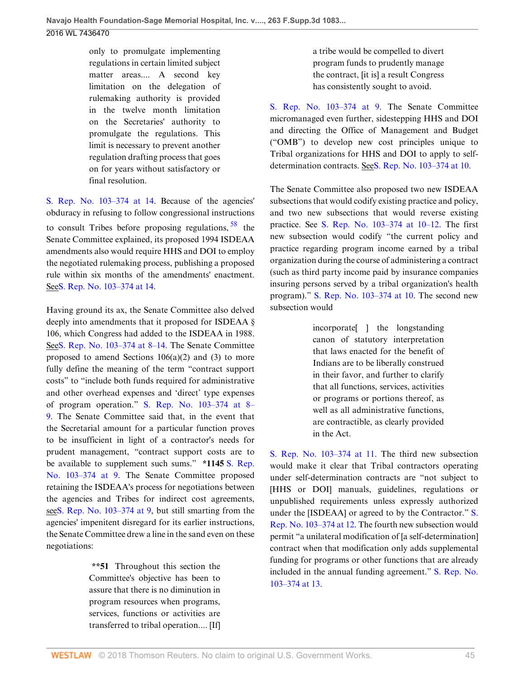only to promulgate implementing regulations in certain limited subject matter areas.... A second key limitation on the delegation of rulemaking authority is provided in the twelve month limitation on the Secretaries' authority to promulgate the regulations. This limit is necessary to prevent another regulation drafting process that goes on for years without satisfactory or final resolution.

[S. Rep. No. 103–374 at 14](http://www.westlaw.com/Link/Document/FullText?findType=Y&serNum=0104640955&pubNum=0001503&originatingDoc=I4a89a3f0c8e111e6b27be1b44e7e7e5b&refType=TV&originationContext=document&vr=3.0&rs=cblt1.0&transitionType=DocumentItem&contextData=(sc.UserEnteredCitation)). Because of the agencies' obduracy in refusing to follow congressional instructions to consult Tribes before proposing regulations, [58](#page-76-6) the Senate Committee explained, its proposed 1994 ISDEAA amendments also would require HHS and DOI to employ the negotiated rulemaking process, publishing a proposed rule within six months of the amendments' enactment. Se[eS. Rep. No. 103–374 at 14](http://www.westlaw.com/Link/Document/FullText?findType=Y&serNum=0104640955&pubNum=0001503&originatingDoc=I4a89a3f0c8e111e6b27be1b44e7e7e5b&refType=TV&originationContext=document&vr=3.0&rs=cblt1.0&transitionType=DocumentItem&contextData=(sc.UserEnteredCitation)).

Having ground its ax, the Senate Committee also delved deeply into amendments that it proposed for ISDEAA § 106, which Congress had added to the ISDEAA in 1988. Se[eS. Rep. No. 103–374 at 8–14.](http://www.westlaw.com/Link/Document/FullText?findType=Y&serNum=0104640955&pubNum=0001503&originatingDoc=I4a89a3f0c8e111e6b27be1b44e7e7e5b&refType=TV&originationContext=document&vr=3.0&rs=cblt1.0&transitionType=DocumentItem&contextData=(sc.UserEnteredCitation)) The Senate Committee proposed to amend Sections  $106(a)(2)$  and (3) to more fully define the meaning of the term "contract support costs" to "include both funds required for administrative and other overhead expenses and 'direct' type expenses of program operation." [S. Rep. No. 103–374 at 8–](http://www.westlaw.com/Link/Document/FullText?findType=Y&serNum=0104640955&pubNum=0001503&originatingDoc=I4a89a3f0c8e111e6b27be1b44e7e7e5b&refType=TV&originationContext=document&vr=3.0&rs=cblt1.0&transitionType=DocumentItem&contextData=(sc.UserEnteredCitation)) [9](http://www.westlaw.com/Link/Document/FullText?findType=Y&serNum=0104640955&pubNum=0001503&originatingDoc=I4a89a3f0c8e111e6b27be1b44e7e7e5b&refType=TV&originationContext=document&vr=3.0&rs=cblt1.0&transitionType=DocumentItem&contextData=(sc.UserEnteredCitation)). The Senate Committee said that, in the event that the Secretarial amount for a particular function proves to be insufficient in light of a contractor's needs for prudent management, "contract support costs are to be available to supplement such sums." **\*1145** [S. Rep.](http://www.westlaw.com/Link/Document/FullText?findType=Y&serNum=0104640955&pubNum=0001503&originatingDoc=I4a89a3f0c8e111e6b27be1b44e7e7e5b&refType=TV&originationContext=document&vr=3.0&rs=cblt1.0&transitionType=DocumentItem&contextData=(sc.UserEnteredCitation)) No. 103-374 at 9. The Senate Committee proposed retaining the ISDEAA's process for negotiations between the agencies and Tribes for indirect cost agreements, see[S. Rep. No. 103–374 at 9](http://www.westlaw.com/Link/Document/FullText?findType=Y&serNum=0104640955&pubNum=0001503&originatingDoc=I4a89a3f0c8e111e6b27be1b44e7e7e5b&refType=TV&originationContext=document&vr=3.0&rs=cblt1.0&transitionType=DocumentItem&contextData=(sc.UserEnteredCitation)), but still smarting from the agencies' impenitent disregard for its earlier instructions, the Senate Committee drew a line in the sand even on these negotiations:

> **\*\*51** Throughout this section the Committee's objective has been to assure that there is no diminution in program resources when programs, services, functions or activities are transferred to tribal operation.... [If]

a tribe would be compelled to divert program funds to prudently manage the contract, [it is] a result Congress has consistently sought to avoid.

[S. Rep. No. 103–374 at 9.](http://www.westlaw.com/Link/Document/FullText?findType=Y&serNum=0104640955&pubNum=0001503&originatingDoc=I4a89a3f0c8e111e6b27be1b44e7e7e5b&refType=TV&originationContext=document&vr=3.0&rs=cblt1.0&transitionType=DocumentItem&contextData=(sc.UserEnteredCitation)) The Senate Committee micromanaged even further, sidestepping HHS and DOI and directing the Office of Management and Budget ("OMB") to develop new cost principles unique to Tribal organizations for HHS and DOI to apply to selfdetermination contracts. Se[eS. Rep. No. 103–374 at 10.](http://www.westlaw.com/Link/Document/FullText?findType=Y&serNum=0104640955&pubNum=0001503&originatingDoc=I4a89a3f0c8e111e6b27be1b44e7e7e5b&refType=TV&originationContext=document&vr=3.0&rs=cblt1.0&transitionType=DocumentItem&contextData=(sc.UserEnteredCitation))

The Senate Committee also proposed two new ISDEAA subsections that would codify existing practice and policy, and two new subsections that would reverse existing practice. See [S. Rep. No. 103–374 at 10–12](http://www.westlaw.com/Link/Document/FullText?findType=Y&serNum=0104640955&pubNum=0001503&originatingDoc=I4a89a3f0c8e111e6b27be1b44e7e7e5b&refType=TV&originationContext=document&vr=3.0&rs=cblt1.0&transitionType=DocumentItem&contextData=(sc.UserEnteredCitation)). The first new subsection would codify "the current policy and practice regarding program income earned by a tribal organization during the course of administering a contract (such as third party income paid by insurance companies insuring persons served by a tribal organization's health program)." [S. Rep. No. 103–374 at 10](http://www.westlaw.com/Link/Document/FullText?findType=Y&serNum=0104640955&pubNum=0001503&originatingDoc=I4a89a3f0c8e111e6b27be1b44e7e7e5b&refType=TV&originationContext=document&vr=3.0&rs=cblt1.0&transitionType=DocumentItem&contextData=(sc.UserEnteredCitation)). The second new subsection would

> incorporate[ ] the longstanding canon of statutory interpretation that laws enacted for the benefit of Indians are to be liberally construed in their favor, and further to clarify that all functions, services, activities or programs or portions thereof, as well as all administrative functions, are contractible, as clearly provided in the Act.

[S. Rep. No. 103–374 at 11](http://www.westlaw.com/Link/Document/FullText?findType=Y&serNum=0104640955&pubNum=0001503&originatingDoc=I4a89a3f0c8e111e6b27be1b44e7e7e5b&refType=TV&originationContext=document&vr=3.0&rs=cblt1.0&transitionType=DocumentItem&contextData=(sc.UserEnteredCitation)). The third new subsection would make it clear that Tribal contractors operating under self-determination contracts are "not subject to [HHS or DOI] manuals, guidelines, regulations or unpublished requirements unless expressly authorized under the [ISDEAA] or agreed to by the Contractor." [S.](http://www.westlaw.com/Link/Document/FullText?findType=Y&serNum=0104640955&pubNum=0001503&originatingDoc=I4a89a3f0c8e111e6b27be1b44e7e7e5b&refType=TV&originationContext=document&vr=3.0&rs=cblt1.0&transitionType=DocumentItem&contextData=(sc.UserEnteredCitation)) [Rep. No. 103–374 at 12](http://www.westlaw.com/Link/Document/FullText?findType=Y&serNum=0104640955&pubNum=0001503&originatingDoc=I4a89a3f0c8e111e6b27be1b44e7e7e5b&refType=TV&originationContext=document&vr=3.0&rs=cblt1.0&transitionType=DocumentItem&contextData=(sc.UserEnteredCitation)). The fourth new subsection would permit "a unilateral modification of [a self-determination] contract when that modification only adds supplemental funding for programs or other functions that are already included in the annual funding agreement." [S. Rep. No.](http://www.westlaw.com/Link/Document/FullText?findType=Y&serNum=0104640955&pubNum=0001503&originatingDoc=I4a89a3f0c8e111e6b27be1b44e7e7e5b&refType=TV&originationContext=document&vr=3.0&rs=cblt1.0&transitionType=DocumentItem&contextData=(sc.UserEnteredCitation)) [103–374 at 13](http://www.westlaw.com/Link/Document/FullText?findType=Y&serNum=0104640955&pubNum=0001503&originatingDoc=I4a89a3f0c8e111e6b27be1b44e7e7e5b&refType=TV&originationContext=document&vr=3.0&rs=cblt1.0&transitionType=DocumentItem&contextData=(sc.UserEnteredCitation)).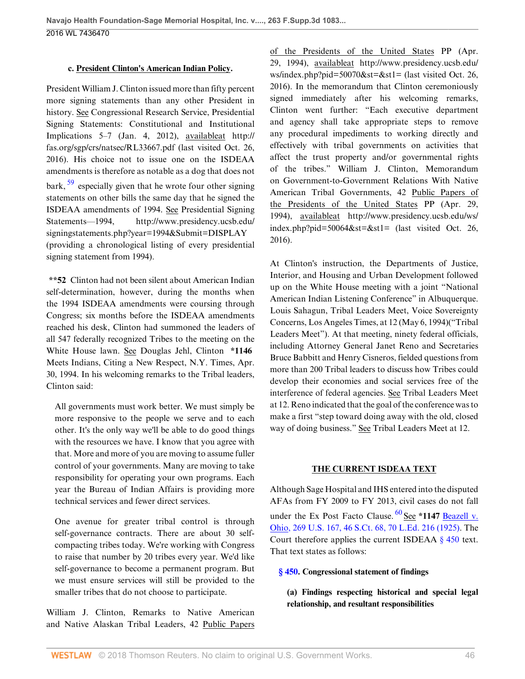#### **c. President Clinton's American Indian Policy.**

President William J. Clinton issued more than fifty percent more signing statements than any other President in history. See Congressional Research Service, Presidential Signing Statements: Constitutional and Institutional Implications 5–7 (Jan. 4, 2012), availableat http:// fas.org/sgp/crs/natsec/RL33667.pdf (last visited Oct. 26, 2016). His choice not to issue one on the ISDEAA amendments is therefore as notable as a dog that does not bark, <sup>[59](#page-76-7)</sup> especially given that he wrote four other signing statements on other bills the same day that he signed the ISDEAA amendments of 1994. See Presidential Signing Statements—1994, http://www.presidency.ucsb.edu/ signingstatements.php?year=1994&Submit=DISPLAY (providing a chronological listing of every presidential signing statement from 1994).

**\*\*52** Clinton had not been silent about American Indian self-determination, however, during the months when the 1994 ISDEAA amendments were coursing through Congress; six months before the ISDEAA amendments reached his desk, Clinton had summoned the leaders of all 547 federally recognized Tribes to the meeting on the White House lawn. See Douglas Jehl, Clinton **\*1146** Meets Indians, Citing a New Respect, N.Y. Times, Apr. 30, 1994. In his welcoming remarks to the Tribal leaders, Clinton said:

All governments must work better. We must simply be more responsive to the people we serve and to each other. It's the only way we'll be able to do good things with the resources we have. I know that you agree with that. More and more of you are moving to assume fuller control of your governments. Many are moving to take responsibility for operating your own programs. Each year the Bureau of Indian Affairs is providing more technical services and fewer direct services.

One avenue for greater tribal control is through self-governance contracts. There are about 30 selfcompacting tribes today. We're working with Congress to raise that number by 20 tribes every year. We'd like self-governance to become a permanent program. But we must ensure services will still be provided to the smaller tribes that do not choose to participate.

William J. Clinton, Remarks to Native American and Native Alaskan Tribal Leaders, 42 Public Papers

of the Presidents of the United States PP (Apr. 29, 1994), availableat http://www.presidency.ucsb.edu/ ws/index.php?pid=50070&st=&st1= (last visited Oct. 26, 2016). In the memorandum that Clinton ceremoniously signed immediately after his welcoming remarks, Clinton went further: "Each executive department and agency shall take appropriate steps to remove any procedural impediments to working directly and effectively with tribal governments on activities that affect the trust property and/or governmental rights of the tribes." William J. Clinton, Memorandum on Government-to-Government Relations With Native American Tribal Governments, 42 Public Papers of the Presidents of the United States PP (Apr. 29, 1994), availableat http://www.presidency.ucsb.edu/ws/ index.php?pid=50064&st=&st1= (last visited Oct. 26, 2016).

At Clinton's instruction, the Departments of Justice, Interior, and Housing and Urban Development followed up on the White House meeting with a joint "National American Indian Listening Conference" in Albuquerque. Louis Sahagun, Tribal Leaders Meet, Voice Sovereignty Concerns, Los Angeles Times, at 12 (May 6, 1994)("Tribal Leaders Meet"). At that meeting, ninety federal officials, including Attorney General Janet Reno and Secretaries Bruce Babbitt and Henry Cisneros, fielded questions from more than 200 Tribal leaders to discuss how Tribes could develop their economies and social services free of the interference of federal agencies. See Tribal Leaders Meet at 12. Reno indicated that the goal of the conference was to make a first "step toward doing away with the old, closed way of doing business." See Tribal Leaders Meet at 12.

### **THE CURRENT ISDEAA TEXT**

Although Sage Hospital and IHS entered into the disputed AFAs from FY 2009 to FY 2013, civil cases do not fall under the Ex Post Facto Clause. [60](#page-77-0) See **\*1147** [Beazell v.](http://www.westlaw.com/Link/Document/FullText?findType=Y&serNum=1925121648&pubNum=0000708&originatingDoc=I4a89a3f0c8e111e6b27be1b44e7e7e5b&refType=RP&originationContext=document&vr=3.0&rs=cblt1.0&transitionType=DocumentItem&contextData=(sc.UserEnteredCitation)) [Ohio, 269 U.S. 167, 46 S.Ct. 68, 70 L.Ed. 216 \(1925\)](http://www.westlaw.com/Link/Document/FullText?findType=Y&serNum=1925121648&pubNum=0000708&originatingDoc=I4a89a3f0c8e111e6b27be1b44e7e7e5b&refType=RP&originationContext=document&vr=3.0&rs=cblt1.0&transitionType=DocumentItem&contextData=(sc.UserEnteredCitation)). The Court therefore applies the current ISDEAA  $\S$  450 text. That text states as follows:

#### **[§ 450.](http://www.westlaw.com/Link/Document/FullText?findType=L&pubNum=1000546&cite=25USCAS450&originatingDoc=I4a89a3f0c8e111e6b27be1b44e7e7e5b&refType=LQ&originationContext=document&vr=3.0&rs=cblt1.0&transitionType=DocumentItem&contextData=(sc.UserEnteredCitation)) Congressional statement of findings**

**(a) Findings respecting historical and special legal relationship, and resultant responsibilities**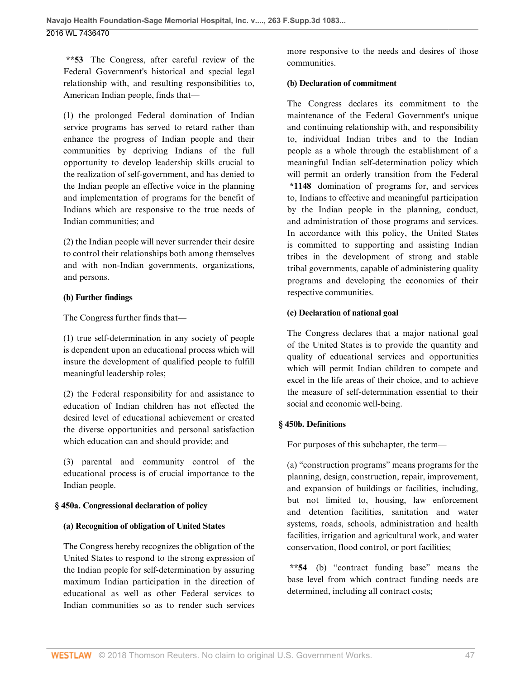**\*\*53** The Congress, after careful review of the Federal Government's historical and special legal relationship with, and resulting responsibilities to, American Indian people, finds that—

(1) the prolonged Federal domination of Indian service programs has served to retard rather than enhance the progress of Indian people and their communities by depriving Indians of the full opportunity to develop leadership skills crucial to the realization of self-government, and has denied to the Indian people an effective voice in the planning and implementation of programs for the benefit of Indians which are responsive to the true needs of Indian communities; and

(2) the Indian people will never surrender their desire to control their relationships both among themselves and with non-Indian governments, organizations, and persons.

### **(b) Further findings**

The Congress further finds that—

(1) true self-determination in any society of people is dependent upon an educational process which will insure the development of qualified people to fulfill meaningful leadership roles;

(2) the Federal responsibility for and assistance to education of Indian children has not effected the desired level of educational achievement or created the diverse opportunities and personal satisfaction which education can and should provide; and

(3) parental and community control of the educational process is of crucial importance to the Indian people.

### **§ 450a. Congressional declaration of policy**

### **(a) Recognition of obligation of United States**

The Congress hereby recognizes the obligation of the United States to respond to the strong expression of the Indian people for self-determination by assuring maximum Indian participation in the direction of educational as well as other Federal services to Indian communities so as to render such services

more responsive to the needs and desires of those communities.

### **(b) Declaration of commitment**

The Congress declares its commitment to the maintenance of the Federal Government's unique and continuing relationship with, and responsibility to, individual Indian tribes and to the Indian people as a whole through the establishment of a meaningful Indian self-determination policy which will permit an orderly transition from the Federal **\*1148** domination of programs for, and services to, Indians to effective and meaningful participation by the Indian people in the planning, conduct, and administration of those programs and services. In accordance with this policy, the United States is committed to supporting and assisting Indian tribes in the development of strong and stable tribal governments, capable of administering quality programs and developing the economies of their respective communities.

## **(c) Declaration of national goal**

The Congress declares that a major national goal of the United States is to provide the quantity and quality of educational services and opportunities which will permit Indian children to compete and excel in the life areas of their choice, and to achieve the measure of self-determination essential to their social and economic well-being.

## **§ 450b. Definitions**

For purposes of this subchapter, the term—

(a) "construction programs" means programs for the planning, design, construction, repair, improvement, and expansion of buildings or facilities, including, but not limited to, housing, law enforcement and detention facilities, sanitation and water systems, roads, schools, administration and health facilities, irrigation and agricultural work, and water conservation, flood control, or port facilities;

**\*\*54** (b) "contract funding base" means the base level from which contract funding needs are determined, including all contract costs;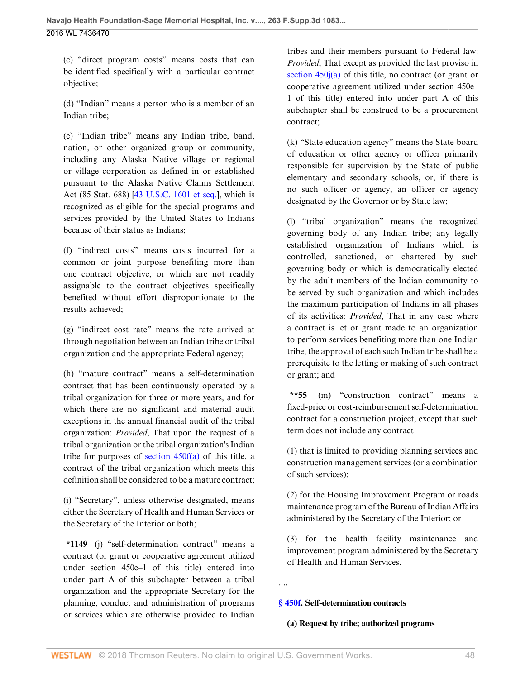(c) "direct program costs" means costs that can be identified specifically with a particular contract objective;

(d) "Indian" means a person who is a member of an Indian tribe;

(e) "Indian tribe" means any Indian tribe, band, nation, or other organized group or community, including any Alaska Native village or regional or village corporation as defined in or established pursuant to the Alaska Native Claims Settlement Act (85 Stat. 688) [[43 U.S.C. 1601 et seq.](http://www.westlaw.com/Link/Document/FullText?findType=L&pubNum=1000546&cite=43USCAS1601&originatingDoc=I4a89a3f0c8e111e6b27be1b44e7e7e5b&refType=LQ&originationContext=document&vr=3.0&rs=cblt1.0&transitionType=DocumentItem&contextData=(sc.UserEnteredCitation))], which is recognized as eligible for the special programs and services provided by the United States to Indians because of their status as Indians;

(f) "indirect costs" means costs incurred for a common or joint purpose benefiting more than one contract objective, or which are not readily assignable to the contract objectives specifically benefited without effort disproportionate to the results achieved;

(g) "indirect cost rate" means the rate arrived at through negotiation between an Indian tribe or tribal organization and the appropriate Federal agency;

(h) "mature contract" means a self-determination contract that has been continuously operated by a tribal organization for three or more years, and for which there are no significant and material audit exceptions in the annual financial audit of the tribal organization: *Provided*, That upon the request of a tribal organization or the tribal organization's Indian tribe for purposes of section  $450f(a)$  of this title, a contract of the tribal organization which meets this definition shall be considered to be a mature contract;

(i) "Secretary", unless otherwise designated, means either the Secretary of Health and Human Services or the Secretary of the Interior or both;

**\*1149** (j) "self-determination contract" means a contract (or grant or cooperative agreement utilized under section 450e–1 of this title) entered into under part A of this subchapter between a tribal organization and the appropriate Secretary for the planning, conduct and administration of programs or services which are otherwise provided to Indian

tribes and their members pursuant to Federal law: *Provided*, That except as provided the last proviso in section  $450j(a)$  of this title, no contract (or grant or cooperative agreement utilized under section 450e– 1 of this title) entered into under part A of this subchapter shall be construed to be a procurement contract;

(k) "State education agency" means the State board of education or other agency or officer primarily responsible for supervision by the State of public elementary and secondary schools, or, if there is no such officer or agency, an officer or agency designated by the Governor or by State law;

(l) "tribal organization" means the recognized governing body of any Indian tribe; any legally established organization of Indians which is controlled, sanctioned, or chartered by such governing body or which is democratically elected by the adult members of the Indian community to be served by such organization and which includes the maximum participation of Indians in all phases of its activities: *Provided*, That in any case where a contract is let or grant made to an organization to perform services benefiting more than one Indian tribe, the approval of each such Indian tribe shall be a prerequisite to the letting or making of such contract or grant; and

**\*\*55** (m) "construction contract" means a fixed-price or cost-reimbursement self-determination contract for a construction project, except that such term does not include any contract—

(1) that is limited to providing planning services and construction management services (or a combination of such services);

(2) for the Housing Improvement Program or roads maintenance program of the Bureau of Indian Affairs administered by the Secretary of the Interior; or

(3) for the health facility maintenance and improvement program administered by the Secretary of Health and Human Services.

....

#### **[§ 450f.](http://www.westlaw.com/Link/Document/FullText?findType=L&pubNum=1000546&cite=25USCAS450F&originatingDoc=I4a89a3f0c8e111e6b27be1b44e7e7e5b&refType=LQ&originationContext=document&vr=3.0&rs=cblt1.0&transitionType=DocumentItem&contextData=(sc.UserEnteredCitation)) Self-determination contracts**

#### **(a) Request by tribe; authorized programs**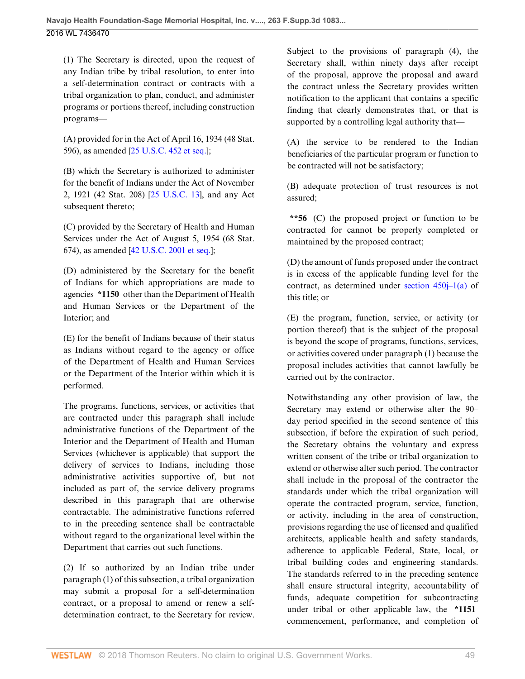(1) The Secretary is directed, upon the request of any Indian tribe by tribal resolution, to enter into a self-determination contract or contracts with a tribal organization to plan, conduct, and administer programs or portions thereof, including construction programs—

(A) provided for in the Act of April 16, 1934 (48 Stat. 596), as amended [[25 U.S.C. 452 et seq.\]](http://www.westlaw.com/Link/Document/FullText?findType=L&pubNum=1000546&cite=25USCAS452&originatingDoc=I4a89a3f0c8e111e6b27be1b44e7e7e5b&refType=LQ&originationContext=document&vr=3.0&rs=cblt1.0&transitionType=DocumentItem&contextData=(sc.UserEnteredCitation));

(B) which the Secretary is authorized to administer for the benefit of Indians under the Act of November 2, 1921 (42 Stat. 208) [[25 U.S.C. 13\]](http://www.westlaw.com/Link/Document/FullText?findType=L&pubNum=1000546&cite=25USCAS13&originatingDoc=I4a89a3f0c8e111e6b27be1b44e7e7e5b&refType=LQ&originationContext=document&vr=3.0&rs=cblt1.0&transitionType=DocumentItem&contextData=(sc.UserEnteredCitation)), and any Act subsequent thereto;

(C) provided by the Secretary of Health and Human Services under the Act of August 5, 1954 (68 Stat. 674), as amended [[42 U.S.C. 2001 et seq.\]](http://www.westlaw.com/Link/Document/FullText?findType=L&pubNum=1000546&cite=42USCAS2001&originatingDoc=I4a89a3f0c8e111e6b27be1b44e7e7e5b&refType=LQ&originationContext=document&vr=3.0&rs=cblt1.0&transitionType=DocumentItem&contextData=(sc.UserEnteredCitation));

(D) administered by the Secretary for the benefit of Indians for which appropriations are made to agencies **\*1150** other than the Department of Health and Human Services or the Department of the Interior; and

(E) for the benefit of Indians because of their status as Indians without regard to the agency or office of the Department of Health and Human Services or the Department of the Interior within which it is performed.

The programs, functions, services, or activities that are contracted under this paragraph shall include administrative functions of the Department of the Interior and the Department of Health and Human Services (whichever is applicable) that support the delivery of services to Indians, including those administrative activities supportive of, but not included as part of, the service delivery programs described in this paragraph that are otherwise contractable. The administrative functions referred to in the preceding sentence shall be contractable without regard to the organizational level within the Department that carries out such functions.

(2) If so authorized by an Indian tribe under paragraph (1) of this subsection, a tribal organization may submit a proposal for a self-determination contract, or a proposal to amend or renew a selfdetermination contract, to the Secretary for review.

Subject to the provisions of paragraph (4), the Secretary shall, within ninety days after receipt of the proposal, approve the proposal and award the contract unless the Secretary provides written notification to the applicant that contains a specific finding that clearly demonstrates that, or that is supported by a controlling legal authority that—

(A) the service to be rendered to the Indian beneficiaries of the particular program or function to be contracted will not be satisfactory;

(B) adequate protection of trust resources is not assured;

**\*\*56** (C) the proposed project or function to be contracted for cannot be properly completed or maintained by the proposed contract;

(D) the amount of funds proposed under the contract is in excess of the applicable funding level for the contract, as determined under section  $450j-1(a)$  of this title; or

(E) the program, function, service, or activity (or portion thereof) that is the subject of the proposal is beyond the scope of programs, functions, services, or activities covered under paragraph (1) because the proposal includes activities that cannot lawfully be carried out by the contractor.

Notwithstanding any other provision of law, the Secretary may extend or otherwise alter the 90– day period specified in the second sentence of this subsection, if before the expiration of such period, the Secretary obtains the voluntary and express written consent of the tribe or tribal organization to extend or otherwise alter such period. The contractor shall include in the proposal of the contractor the standards under which the tribal organization will operate the contracted program, service, function, or activity, including in the area of construction, provisions regarding the use of licensed and qualified architects, applicable health and safety standards, adherence to applicable Federal, State, local, or tribal building codes and engineering standards. The standards referred to in the preceding sentence shall ensure structural integrity, accountability of funds, adequate competition for subcontracting under tribal or other applicable law, the **\*1151** commencement, performance, and completion of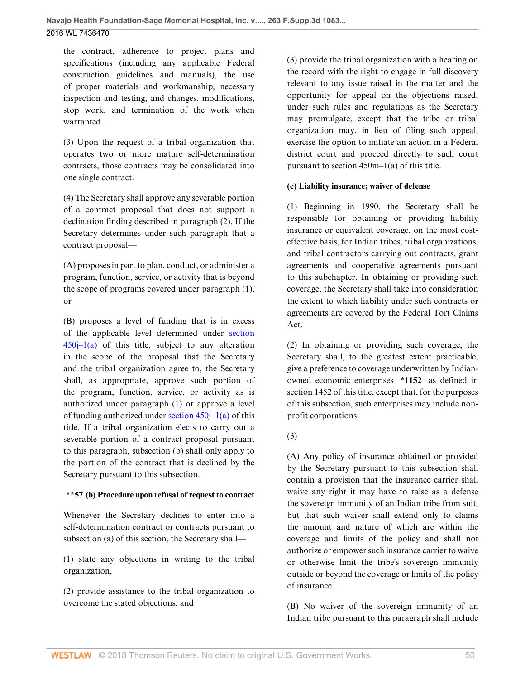the contract, adherence to project plans and specifications (including any applicable Federal construction guidelines and manuals), the use of proper materials and workmanship, necessary inspection and testing, and changes, modifications, stop work, and termination of the work when warranted.

(3) Upon the request of a tribal organization that operates two or more mature self-determination contracts, those contracts may be consolidated into one single contract.

(4) The Secretary shall approve any severable portion of a contract proposal that does not support a declination finding described in paragraph (2). If the Secretary determines under such paragraph that a contract proposal—

(A) proposes in part to plan, conduct, or administer a program, function, service, or activity that is beyond the scope of programs covered under paragraph (1), or

(B) proposes a level of funding that is in excess of the applicable level determined under [section](http://www.westlaw.com/Link/Document/FullText?findType=L&pubNum=1000546&cite=25USCAS450J-1&originatingDoc=I4a89a3f0c8e111e6b27be1b44e7e7e5b&refType=LQ&originationContext=document&vr=3.0&rs=cblt1.0&transitionType=DocumentItem&contextData=(sc.UserEnteredCitation))  $450j-1(a)$  of this title, subject to any alteration in the scope of the proposal that the Secretary and the tribal organization agree to, the Secretary shall, as appropriate, approve such portion of the program, function, service, or activity as is authorized under paragraph (1) or approve a level of funding authorized under section  $450j-1(a)$  of this title. If a tribal organization elects to carry out a severable portion of a contract proposal pursuant to this paragraph, subsection (b) shall only apply to the portion of the contract that is declined by the Secretary pursuant to this subsection.

### **\*\*57 (b) Procedure upon refusal of request to contract**

Whenever the Secretary declines to enter into a self-determination contract or contracts pursuant to subsection (a) of this section, the Secretary shall—

(1) state any objections in writing to the tribal organization,

(2) provide assistance to the tribal organization to overcome the stated objections, and

(3) provide the tribal organization with a hearing on the record with the right to engage in full discovery relevant to any issue raised in the matter and the opportunity for appeal on the objections raised, under such rules and regulations as the Secretary may promulgate, except that the tribe or tribal organization may, in lieu of filing such appeal, exercise the option to initiate an action in a Federal district court and proceed directly to such court pursuant to section 450m–1(a) of this title.

### **(c) Liability insurance; waiver of defense**

(1) Beginning in 1990, the Secretary shall be responsible for obtaining or providing liability insurance or equivalent coverage, on the most costeffective basis, for Indian tribes, tribal organizations, and tribal contractors carrying out contracts, grant agreements and cooperative agreements pursuant to this subchapter. In obtaining or providing such coverage, the Secretary shall take into consideration the extent to which liability under such contracts or agreements are covered by the Federal Tort Claims Act.

(2) In obtaining or providing such coverage, the Secretary shall, to the greatest extent practicable, give a preference to coverage underwritten by Indianowned economic enterprises **\*1152** as defined in section 1452 of this title, except that, for the purposes of this subsection, such enterprises may include nonprofit corporations.

### (3)

(A) Any policy of insurance obtained or provided by the Secretary pursuant to this subsection shall contain a provision that the insurance carrier shall waive any right it may have to raise as a defense the sovereign immunity of an Indian tribe from suit, but that such waiver shall extend only to claims the amount and nature of which are within the coverage and limits of the policy and shall not authorize or empower such insurance carrier to waive or otherwise limit the tribe's sovereign immunity outside or beyond the coverage or limits of the policy of insurance.

(B) No waiver of the sovereign immunity of an Indian tribe pursuant to this paragraph shall include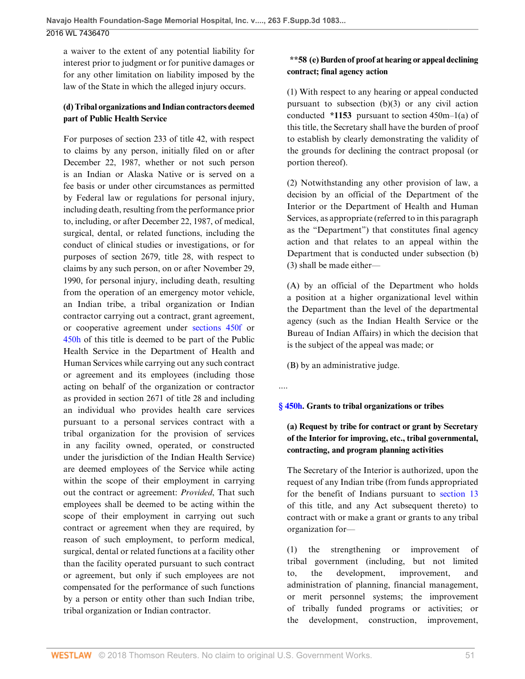a waiver to the extent of any potential liability for interest prior to judgment or for punitive damages or for any other limitation on liability imposed by the law of the State in which the alleged injury occurs.

### **(d) Tribal organizations and Indian contractors deemed part of Public Health Service**

For purposes of section 233 of title 42, with respect to claims by any person, initially filed on or after December 22, 1987, whether or not such person is an Indian or Alaska Native or is served on a fee basis or under other circumstances as permitted by Federal law or regulations for personal injury, including death, resulting from the performance prior to, including, or after December 22, 1987, of medical, surgical, dental, or related functions, including the conduct of clinical studies or investigations, or for purposes of section 2679, title 28, with respect to claims by any such person, on or after November 29, 1990, for personal injury, including death, resulting from the operation of an emergency motor vehicle, an Indian tribe, a tribal organization or Indian contractor carrying out a contract, grant agreement, or cooperative agreement under [sections 450f](http://www.westlaw.com/Link/Document/FullText?findType=L&pubNum=1000546&cite=25USCAS450F&originatingDoc=I4a89a3f0c8e111e6b27be1b44e7e7e5b&refType=LQ&originationContext=document&vr=3.0&rs=cblt1.0&transitionType=DocumentItem&contextData=(sc.UserEnteredCitation)) or [450h](http://www.westlaw.com/Link/Document/FullText?findType=L&pubNum=1000546&cite=25USCAS450H&originatingDoc=I4a89a3f0c8e111e6b27be1b44e7e7e5b&refType=LQ&originationContext=document&vr=3.0&rs=cblt1.0&transitionType=DocumentItem&contextData=(sc.UserEnteredCitation)) of this title is deemed to be part of the Public Health Service in the Department of Health and Human Services while carrying out any such contract or agreement and its employees (including those acting on behalf of the organization or contractor as provided in section 2671 of title 28 and including an individual who provides health care services pursuant to a personal services contract with a tribal organization for the provision of services in any facility owned, operated, or constructed under the jurisdiction of the Indian Health Service) are deemed employees of the Service while acting within the scope of their employment in carrying out the contract or agreement: *Provided*, That such employees shall be deemed to be acting within the scope of their employment in carrying out such contract or agreement when they are required, by reason of such employment, to perform medical, surgical, dental or related functions at a facility other than the facility operated pursuant to such contract or agreement, but only if such employees are not compensated for the performance of such functions by a person or entity other than such Indian tribe, tribal organization or Indian contractor.

# **\*\*58 (e) Burden of proof at hearing or appeal declining contract; final agency action**

(1) With respect to any hearing or appeal conducted pursuant to subsection (b)(3) or any civil action conducted **\*1153** pursuant to section 450m–1(a) of this title, the Secretary shall have the burden of proof to establish by clearly demonstrating the validity of the grounds for declining the contract proposal (or portion thereof).

(2) Notwithstanding any other provision of law, a decision by an official of the Department of the Interior or the Department of Health and Human Services, as appropriate (referred to in this paragraph as the "Department") that constitutes final agency action and that relates to an appeal within the Department that is conducted under subsection (b) (3) shall be made either—

(A) by an official of the Department who holds a position at a higher organizational level within the Department than the level of the departmental agency (such as the Indian Health Service or the Bureau of Indian Affairs) in which the decision that is the subject of the appeal was made; or

(B) by an administrative judge.

....

## **[§ 450h](http://www.westlaw.com/Link/Document/FullText?findType=L&pubNum=1000546&cite=25USCAS450H&originatingDoc=I4a89a3f0c8e111e6b27be1b44e7e7e5b&refType=LQ&originationContext=document&vr=3.0&rs=cblt1.0&transitionType=DocumentItem&contextData=(sc.UserEnteredCitation)). Grants to tribal organizations or tribes**

# **(a) Request by tribe for contract or grant by Secretary of the Interior for improving, etc., tribal governmental, contracting, and program planning activities**

The Secretary of the Interior is authorized, upon the request of any Indian tribe (from funds appropriated for the benefit of Indians pursuant to [section 13](http://www.westlaw.com/Link/Document/FullText?findType=L&pubNum=1000546&cite=25USCAS13&originatingDoc=I4a89a3f0c8e111e6b27be1b44e7e7e5b&refType=LQ&originationContext=document&vr=3.0&rs=cblt1.0&transitionType=DocumentItem&contextData=(sc.UserEnteredCitation)) of this title, and any Act subsequent thereto) to contract with or make a grant or grants to any tribal organization for—

(1) the strengthening or improvement of tribal government (including, but not limited to, the development, improvement, and administration of planning, financial management, or merit personnel systems; the improvement of tribally funded programs or activities; or the development, construction, improvement,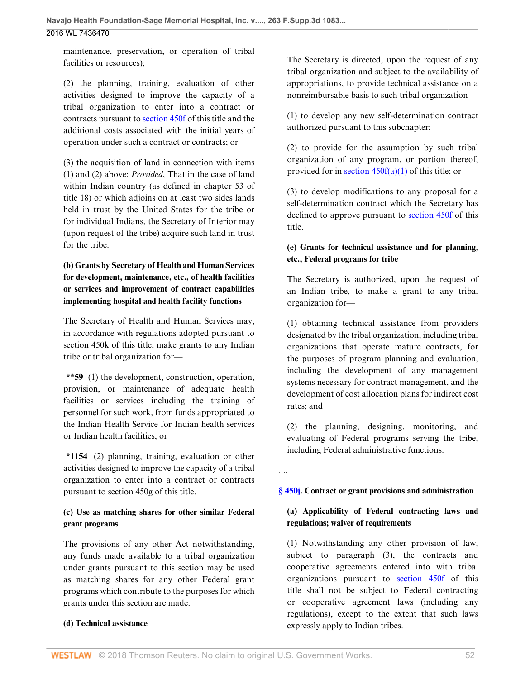maintenance, preservation, or operation of tribal facilities or resources);

(2) the planning, training, evaluation of other activities designed to improve the capacity of a tribal organization to enter into a contract or contracts pursuant to [section 450f](http://www.westlaw.com/Link/Document/FullText?findType=L&pubNum=1000546&cite=25USCAS450F&originatingDoc=I4a89a3f0c8e111e6b27be1b44e7e7e5b&refType=LQ&originationContext=document&vr=3.0&rs=cblt1.0&transitionType=DocumentItem&contextData=(sc.UserEnteredCitation)) of this title and the additional costs associated with the initial years of operation under such a contract or contracts; or

(3) the acquisition of land in connection with items (1) and (2) above: *Provided*, That in the case of land within Indian country (as defined in chapter 53 of title 18) or which adjoins on at least two sides lands held in trust by the United States for the tribe or for individual Indians, the Secretary of Interior may (upon request of the tribe) acquire such land in trust for the tribe.

**(b) Grants by Secretary of Health and Human Services for development, maintenance, etc., of health facilities or services and improvement of contract capabilities implementing hospital and health facility functions**

The Secretary of Health and Human Services may, in accordance with regulations adopted pursuant to section 450k of this title, make grants to any Indian tribe or tribal organization for—

**\*\*59** (1) the development, construction, operation, provision, or maintenance of adequate health facilities or services including the training of personnel for such work, from funds appropriated to the Indian Health Service for Indian health services or Indian health facilities; or

**\*1154** (2) planning, training, evaluation or other activities designed to improve the capacity of a tribal organization to enter into a contract or contracts pursuant to section 450g of this title.

## **(c) Use as matching shares for other similar Federal grant programs**

The provisions of any other Act notwithstanding, any funds made available to a tribal organization under grants pursuant to this section may be used as matching shares for any other Federal grant programs which contribute to the purposes for which grants under this section are made.

**(d) Technical assistance**

The Secretary is directed, upon the request of any tribal organization and subject to the availability of appropriations, to provide technical assistance on a nonreimbursable basis to such tribal organization—

(1) to develop any new self-determination contract authorized pursuant to this subchapter;

(2) to provide for the assumption by such tribal organization of any program, or portion thereof, provided for in section  $450f(a)(1)$  of this title; or

(3) to develop modifications to any proposal for a self-determination contract which the Secretary has declined to approve pursuant to [section 450f](http://www.westlaw.com/Link/Document/FullText?findType=L&pubNum=1000546&cite=25USCAS450F&originatingDoc=I4a89a3f0c8e111e6b27be1b44e7e7e5b&refType=LQ&originationContext=document&vr=3.0&rs=cblt1.0&transitionType=DocumentItem&contextData=(sc.UserEnteredCitation)) of this title.

## **(e) Grants for technical assistance and for planning, etc., Federal programs for tribe**

The Secretary is authorized, upon the request of an Indian tribe, to make a grant to any tribal organization for—

(1) obtaining technical assistance from providers designated by the tribal organization, including tribal organizations that operate mature contracts, for the purposes of program planning and evaluation, including the development of any management systems necessary for contract management, and the development of cost allocation plans for indirect cost rates; and

(2) the planning, designing, monitoring, and evaluating of Federal programs serving the tribe, including Federal administrative functions.

....

## **[§ 450j](http://www.westlaw.com/Link/Document/FullText?findType=L&pubNum=1000546&cite=25USCAS450J&originatingDoc=I4a89a3f0c8e111e6b27be1b44e7e7e5b&refType=LQ&originationContext=document&vr=3.0&rs=cblt1.0&transitionType=DocumentItem&contextData=(sc.UserEnteredCitation)). Contract or grant provisions and administration**

## **(a) Applicability of Federal contracting laws and regulations; waiver of requirements**

(1) Notwithstanding any other provision of law, subject to paragraph (3), the contracts and cooperative agreements entered into with tribal organizations pursuant to [section 450f](http://www.westlaw.com/Link/Document/FullText?findType=L&pubNum=1000546&cite=25USCAS450F&originatingDoc=I4a89a3f0c8e111e6b27be1b44e7e7e5b&refType=LQ&originationContext=document&vr=3.0&rs=cblt1.0&transitionType=DocumentItem&contextData=(sc.UserEnteredCitation)) of this title shall not be subject to Federal contracting or cooperative agreement laws (including any regulations), except to the extent that such laws expressly apply to Indian tribes.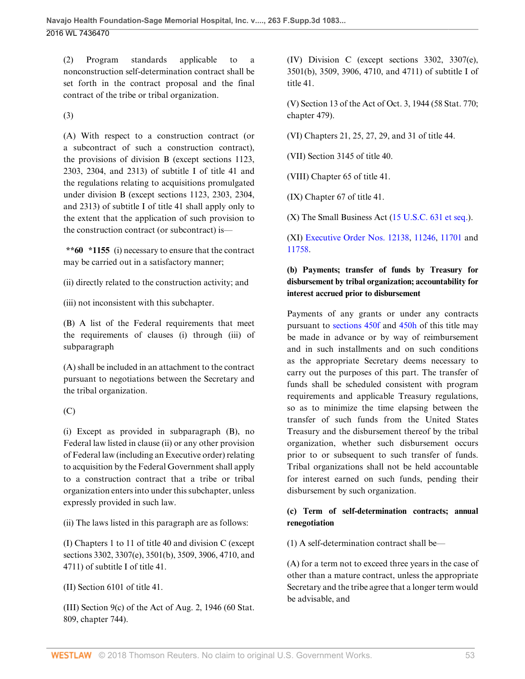(2) Program standards applicable to a nonconstruction self-determination contract shall be set forth in the contract proposal and the final contract of the tribe or tribal organization.

(3)

(A) With respect to a construction contract (or a subcontract of such a construction contract), the provisions of division B (except sections 1123, 2303, 2304, and 2313) of subtitle I of title 41 and the regulations relating to acquisitions promulgated under division B (except sections 1123, 2303, 2304, and 2313) of subtitle I of title 41 shall apply only to the extent that the application of such provision to the construction contract (or subcontract) is—

**\*\*60 \*1155** (i) necessary to ensure that the contract may be carried out in a satisfactory manner;

(ii) directly related to the construction activity; and

(iii) not inconsistent with this subchapter.

(B) A list of the Federal requirements that meet the requirements of clauses (i) through (iii) of subparagraph

(A) shall be included in an attachment to the contract pursuant to negotiations between the Secretary and the tribal organization.

(C)

(i) Except as provided in subparagraph (B), no Federal law listed in clause (ii) or any other provision of Federal law (including an Executive order) relating to acquisition by the Federal Government shall apply to a construction contract that a tribe or tribal organization enters into under this subchapter, unless expressly provided in such law.

(ii) The laws listed in this paragraph are as follows:

(I) Chapters 1 to 11 of title 40 and division C (except sections 3302, 3307(e), 3501(b), 3509, 3906, 4710, and 4711) of subtitle I of title 41.

(II) Section 6101 of title 41.

(III) Section 9(c) of the Act of Aug. 2, 1946 (60 Stat. 809, chapter 744).

(IV) Division C (except sections 3302, 3307(e), 3501(b), 3509, 3906, 4710, and 4711) of subtitle I of title 41.

(V) Section 13 of the Act of Oct. 3, 1944 (58 Stat. 770; chapter 479).

(VI) Chapters 21, 25, 27, 29, and 31 of title 44.

(VII) Section 3145 of title 40.

(VIII) Chapter 65 of title 41.

(IX) Chapter 67 of title 41.

(X) The Small Business Act ([15 U.S.C. 631 et seq.\)](http://www.westlaw.com/Link/Document/FullText?findType=L&pubNum=1000546&cite=15USCAS631&originatingDoc=I4a89a3f0c8e111e6b27be1b44e7e7e5b&refType=LQ&originationContext=document&vr=3.0&rs=cblt1.0&transitionType=DocumentItem&contextData=(sc.UserEnteredCitation)).

(XI) [Executive Order Nos. 12138](http://www.westlaw.com/Link/Document/FullText?findType=Y&serNum=1979164313&pubNum=0001043&originatingDoc=I4a89a3f0c8e111e6b27be1b44e7e7e5b&refType=CA&originationContext=document&vr=3.0&rs=cblt1.0&transitionType=DocumentItem&contextData=(sc.UserEnteredCitation)), [11246](http://www.westlaw.com/Link/Document/FullText?findType=Y&serNum=1965078314&pubNum=0001043&originatingDoc=I4a89a3f0c8e111e6b27be1b44e7e7e5b&refType=CA&originationContext=document&vr=3.0&rs=cblt1.0&transitionType=DocumentItem&contextData=(sc.UserEnteredCitation)), [11701](http://www.westlaw.com/Link/Document/FullText?findType=Y&serNum=1973155746&pubNum=0001043&originatingDoc=I4a89a3f0c8e111e6b27be1b44e7e7e5b&refType=CA&originationContext=document&vr=3.0&rs=cblt1.0&transitionType=DocumentItem&contextData=(sc.UserEnteredCitation)) and [11758](http://www.westlaw.com/Link/Document/FullText?findType=Y&serNum=1974163848&pubNum=0001043&originatingDoc=I4a89a3f0c8e111e6b27be1b44e7e7e5b&refType=CA&originationContext=document&vr=3.0&rs=cblt1.0&transitionType=DocumentItem&contextData=(sc.UserEnteredCitation)).

## **(b) Payments; transfer of funds by Treasury for disbursement by tribal organization; accountability for interest accrued prior to disbursement**

Payments of any grants or under any contracts pursuant to [sections 450f](http://www.westlaw.com/Link/Document/FullText?findType=L&pubNum=1000546&cite=25USCAS450F&originatingDoc=I4a89a3f0c8e111e6b27be1b44e7e7e5b&refType=LQ&originationContext=document&vr=3.0&rs=cblt1.0&transitionType=DocumentItem&contextData=(sc.UserEnteredCitation)) and [450h](http://www.westlaw.com/Link/Document/FullText?findType=L&pubNum=1000546&cite=25USCAS450H&originatingDoc=I4a89a3f0c8e111e6b27be1b44e7e7e5b&refType=LQ&originationContext=document&vr=3.0&rs=cblt1.0&transitionType=DocumentItem&contextData=(sc.UserEnteredCitation)) of this title may be made in advance or by way of reimbursement and in such installments and on such conditions as the appropriate Secretary deems necessary to carry out the purposes of this part. The transfer of funds shall be scheduled consistent with program requirements and applicable Treasury regulations, so as to minimize the time elapsing between the transfer of such funds from the United States Treasury and the disbursement thereof by the tribal organization, whether such disbursement occurs prior to or subsequent to such transfer of funds. Tribal organizations shall not be held accountable for interest earned on such funds, pending their disbursement by such organization.

## **(c) Term of self-determination contracts; annual renegotiation**

(1) A self-determination contract shall be—

(A) for a term not to exceed three years in the case of other than a mature contract, unless the appropriate Secretary and the tribe agree that a longer term would be advisable, and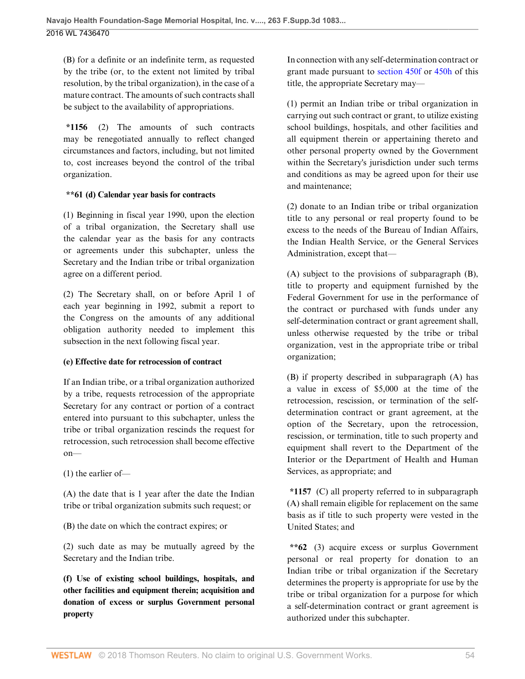(B) for a definite or an indefinite term, as requested by the tribe (or, to the extent not limited by tribal resolution, by the tribal organization), in the case of a mature contract. The amounts of such contracts shall be subject to the availability of appropriations.

**\*1156** (2) The amounts of such contracts may be renegotiated annually to reflect changed circumstances and factors, including, but not limited to, cost increases beyond the control of the tribal organization.

### **\*\*61 (d) Calendar year basis for contracts**

(1) Beginning in fiscal year 1990, upon the election of a tribal organization, the Secretary shall use the calendar year as the basis for any contracts or agreements under this subchapter, unless the Secretary and the Indian tribe or tribal organization agree on a different period.

(2) The Secretary shall, on or before April 1 of each year beginning in 1992, submit a report to the Congress on the amounts of any additional obligation authority needed to implement this subsection in the next following fiscal year.

## **(e) Effective date for retrocession of contract**

If an Indian tribe, or a tribal organization authorized by a tribe, requests retrocession of the appropriate Secretary for any contract or portion of a contract entered into pursuant to this subchapter, unless the tribe or tribal organization rescinds the request for retrocession, such retrocession shall become effective on—

(1) the earlier of—

(A) the date that is 1 year after the date the Indian tribe or tribal organization submits such request; or

(B) the date on which the contract expires; or

(2) such date as may be mutually agreed by the Secretary and the Indian tribe.

**(f) Use of existing school buildings, hospitals, and other facilities and equipment therein; acquisition and donation of excess or surplus Government personal property**

In connection with any self-determination contract or grant made pursuant to [section 450f](http://www.westlaw.com/Link/Document/FullText?findType=L&pubNum=1000546&cite=25USCAS450F&originatingDoc=I4a89a3f0c8e111e6b27be1b44e7e7e5b&refType=LQ&originationContext=document&vr=3.0&rs=cblt1.0&transitionType=DocumentItem&contextData=(sc.UserEnteredCitation)) or [450h](http://www.westlaw.com/Link/Document/FullText?findType=L&pubNum=1000546&cite=25USCAS450H&originatingDoc=I4a89a3f0c8e111e6b27be1b44e7e7e5b&refType=LQ&originationContext=document&vr=3.0&rs=cblt1.0&transitionType=DocumentItem&contextData=(sc.UserEnteredCitation)) of this title, the appropriate Secretary may—

(1) permit an Indian tribe or tribal organization in carrying out such contract or grant, to utilize existing school buildings, hospitals, and other facilities and all equipment therein or appertaining thereto and other personal property owned by the Government within the Secretary's jurisdiction under such terms and conditions as may be agreed upon for their use and maintenance;

(2) donate to an Indian tribe or tribal organization title to any personal or real property found to be excess to the needs of the Bureau of Indian Affairs, the Indian Health Service, or the General Services Administration, except that—

(A) subject to the provisions of subparagraph (B), title to property and equipment furnished by the Federal Government for use in the performance of the contract or purchased with funds under any self-determination contract or grant agreement shall, unless otherwise requested by the tribe or tribal organization, vest in the appropriate tribe or tribal organization;

(B) if property described in subparagraph (A) has a value in excess of \$5,000 at the time of the retrocession, rescission, or termination of the selfdetermination contract or grant agreement, at the option of the Secretary, upon the retrocession, rescission, or termination, title to such property and equipment shall revert to the Department of the Interior or the Department of Health and Human Services, as appropriate; and

**\*1157** (C) all property referred to in subparagraph (A) shall remain eligible for replacement on the same basis as if title to such property were vested in the United States; and

**\*\*62** (3) acquire excess or surplus Government personal or real property for donation to an Indian tribe or tribal organization if the Secretary determines the property is appropriate for use by the tribe or tribal organization for a purpose for which a self-determination contract or grant agreement is authorized under this subchapter.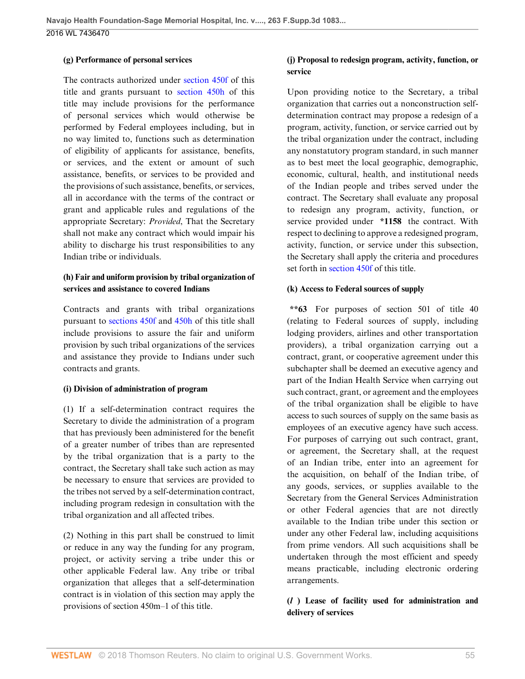#### **(g) Performance of personal services**

The contracts authorized under [section 450f](http://www.westlaw.com/Link/Document/FullText?findType=L&pubNum=1000546&cite=25USCAS450F&originatingDoc=I4a89a3f0c8e111e6b27be1b44e7e7e5b&refType=LQ&originationContext=document&vr=3.0&rs=cblt1.0&transitionType=DocumentItem&contextData=(sc.UserEnteredCitation)) of this title and grants pursuant to [section 450h](http://www.westlaw.com/Link/Document/FullText?findType=L&pubNum=1000546&cite=25USCAS450H&originatingDoc=I4a89a3f0c8e111e6b27be1b44e7e7e5b&refType=LQ&originationContext=document&vr=3.0&rs=cblt1.0&transitionType=DocumentItem&contextData=(sc.UserEnteredCitation)) of this title may include provisions for the performance of personal services which would otherwise be performed by Federal employees including, but in no way limited to, functions such as determination of eligibility of applicants for assistance, benefits, or services, and the extent or amount of such assistance, benefits, or services to be provided and the provisions of such assistance, benefits, or services, all in accordance with the terms of the contract or grant and applicable rules and regulations of the appropriate Secretary: *Provided*, That the Secretary shall not make any contract which would impair his ability to discharge his trust responsibilities to any Indian tribe or individuals.

## **(h) Fair and uniform provision by tribal organization of services and assistance to covered Indians**

Contracts and grants with tribal organizations pursuant to [sections 450f](http://www.westlaw.com/Link/Document/FullText?findType=L&pubNum=1000546&cite=25USCAS450F&originatingDoc=I4a89a3f0c8e111e6b27be1b44e7e7e5b&refType=LQ&originationContext=document&vr=3.0&rs=cblt1.0&transitionType=DocumentItem&contextData=(sc.UserEnteredCitation)) and [450h](http://www.westlaw.com/Link/Document/FullText?findType=L&pubNum=1000546&cite=25USCAS450H&originatingDoc=I4a89a3f0c8e111e6b27be1b44e7e7e5b&refType=LQ&originationContext=document&vr=3.0&rs=cblt1.0&transitionType=DocumentItem&contextData=(sc.UserEnteredCitation)) of this title shall include provisions to assure the fair and uniform provision by such tribal organizations of the services and assistance they provide to Indians under such contracts and grants.

### **(i) Division of administration of program**

(1) If a self-determination contract requires the Secretary to divide the administration of a program that has previously been administered for the benefit of a greater number of tribes than are represented by the tribal organization that is a party to the contract, the Secretary shall take such action as may be necessary to ensure that services are provided to the tribes not served by a self-determination contract, including program redesign in consultation with the tribal organization and all affected tribes.

(2) Nothing in this part shall be construed to limit or reduce in any way the funding for any program, project, or activity serving a tribe under this or other applicable Federal law. Any tribe or tribal organization that alleges that a self-determination contract is in violation of this section may apply the provisions of section 450m–1 of this title.

# **(j) Proposal to redesign program, activity, function, or service**

Upon providing notice to the Secretary, a tribal organization that carries out a nonconstruction selfdetermination contract may propose a redesign of a program, activity, function, or service carried out by the tribal organization under the contract, including any nonstatutory program standard, in such manner as to best meet the local geographic, demographic, economic, cultural, health, and institutional needs of the Indian people and tribes served under the contract. The Secretary shall evaluate any proposal to redesign any program, activity, function, or service provided under **\*1158** the contract. With respect to declining to approve a redesigned program, activity, function, or service under this subsection, the Secretary shall apply the criteria and procedures set forth in [section 450f](http://www.westlaw.com/Link/Document/FullText?findType=L&pubNum=1000546&cite=25USCAS450F&originatingDoc=I4a89a3f0c8e111e6b27be1b44e7e7e5b&refType=LQ&originationContext=document&vr=3.0&rs=cblt1.0&transitionType=DocumentItem&contextData=(sc.UserEnteredCitation)) of this title.

### **(k) Access to Federal sources of supply**

**\*\*63** For purposes of section 501 of title 40 (relating to Federal sources of supply, including lodging providers, airlines and other transportation providers), a tribal organization carrying out a contract, grant, or cooperative agreement under this subchapter shall be deemed an executive agency and part of the Indian Health Service when carrying out such contract, grant, or agreement and the employees of the tribal organization shall be eligible to have access to such sources of supply on the same basis as employees of an executive agency have such access. For purposes of carrying out such contract, grant, or agreement, the Secretary shall, at the request of an Indian tribe, enter into an agreement for the acquisition, on behalf of the Indian tribe, of any goods, services, or supplies available to the Secretary from the General Services Administration or other Federal agencies that are not directly available to the Indian tribe under this section or under any other Federal law, including acquisitions from prime vendors. All such acquisitions shall be undertaken through the most efficient and speedy means practicable, including electronic ordering arrangements.

## **(***l* **) Lease of facility used for administration and delivery of services**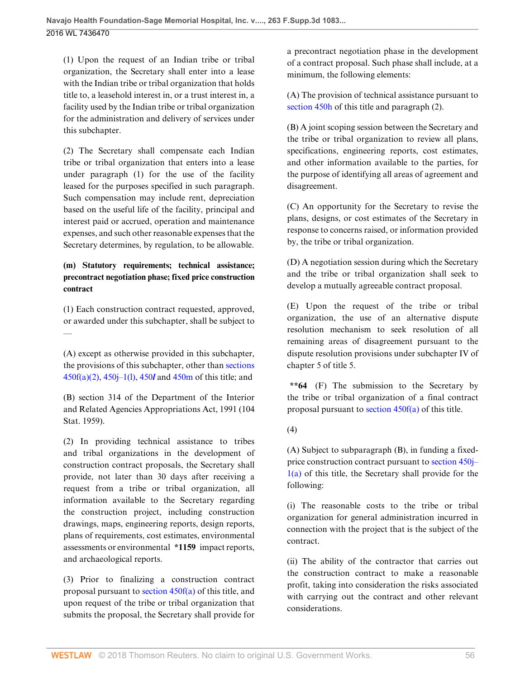(1) Upon the request of an Indian tribe or tribal organization, the Secretary shall enter into a lease with the Indian tribe or tribal organization that holds title to, a leasehold interest in, or a trust interest in, a facility used by the Indian tribe or tribal organization for the administration and delivery of services under this subchapter.

(2) The Secretary shall compensate each Indian tribe or tribal organization that enters into a lease under paragraph (1) for the use of the facility leased for the purposes specified in such paragraph. Such compensation may include rent, depreciation based on the useful life of the facility, principal and interest paid or accrued, operation and maintenance expenses, and such other reasonable expenses that the Secretary determines, by regulation, to be allowable.

## **(m) Statutory requirements; technical assistance; precontract negotiation phase; fixed price construction contract**

(1) Each construction contract requested, approved, or awarded under this subchapter, shall be subject to —

(A) except as otherwise provided in this subchapter, the provisions of this subchapter, other than [sections](http://www.westlaw.com/Link/Document/FullText?findType=L&pubNum=1000546&cite=25USCAS450F&originatingDoc=I4a89a3f0c8e111e6b27be1b44e7e7e5b&refType=LQ&originationContext=document&vr=3.0&rs=cblt1.0&transitionType=DocumentItem&contextData=(sc.UserEnteredCitation)) [450f\(a\)\(2\),](http://www.westlaw.com/Link/Document/FullText?findType=L&pubNum=1000546&cite=25USCAS450F&originatingDoc=I4a89a3f0c8e111e6b27be1b44e7e7e5b&refType=LQ&originationContext=document&vr=3.0&rs=cblt1.0&transitionType=DocumentItem&contextData=(sc.UserEnteredCitation)) [450j–1\(l\),](http://www.westlaw.com/Link/Document/FullText?findType=L&pubNum=1000546&cite=25USCAS450J-1&originatingDoc=I4a89a3f0c8e111e6b27be1b44e7e7e5b&refType=LQ&originationContext=document&vr=3.0&rs=cblt1.0&transitionType=DocumentItem&contextData=(sc.UserEnteredCitation)) [450](http://www.westlaw.com/Link/Document/FullText?findType=L&pubNum=1000546&cite=25USCAS450L&originatingDoc=I4a89a3f0c8e111e6b27be1b44e7e7e5b&refType=LQ&originationContext=document&vr=3.0&rs=cblt1.0&transitionType=DocumentItem&contextData=(sc.UserEnteredCitation))*l* and [450m](http://www.westlaw.com/Link/Document/FullText?findType=L&pubNum=1000546&cite=25USCAS450M&originatingDoc=I4a89a3f0c8e111e6b27be1b44e7e7e5b&refType=LQ&originationContext=document&vr=3.0&rs=cblt1.0&transitionType=DocumentItem&contextData=(sc.UserEnteredCitation)) of this title; and

(B) section 314 of the Department of the Interior and Related Agencies Appropriations Act, 1991 (104 Stat. 1959).

(2) In providing technical assistance to tribes and tribal organizations in the development of construction contract proposals, the Secretary shall provide, not later than 30 days after receiving a request from a tribe or tribal organization, all information available to the Secretary regarding the construction project, including construction drawings, maps, engineering reports, design reports, plans of requirements, cost estimates, environmental assessments or environmental **\*1159** impact reports, and archaeological reports.

(3) Prior to finalizing a construction contract proposal pursuant to [section 450f\(a\)](http://www.westlaw.com/Link/Document/FullText?findType=L&pubNum=1000546&cite=25USCAS450F&originatingDoc=I4a89a3f0c8e111e6b27be1b44e7e7e5b&refType=LQ&originationContext=document&vr=3.0&rs=cblt1.0&transitionType=DocumentItem&contextData=(sc.UserEnteredCitation)) of this title, and upon request of the tribe or tribal organization that submits the proposal, the Secretary shall provide for a precontract negotiation phase in the development of a contract proposal. Such phase shall include, at a minimum, the following elements:

(A) The provision of technical assistance pursuant to [section 450h](http://www.westlaw.com/Link/Document/FullText?findType=L&pubNum=1000546&cite=25USCAS450H&originatingDoc=I4a89a3f0c8e111e6b27be1b44e7e7e5b&refType=LQ&originationContext=document&vr=3.0&rs=cblt1.0&transitionType=DocumentItem&contextData=(sc.UserEnteredCitation)) of this title and paragraph (2).

(B) A joint scoping session between the Secretary and the tribe or tribal organization to review all plans, specifications, engineering reports, cost estimates, and other information available to the parties, for the purpose of identifying all areas of agreement and disagreement.

(C) An opportunity for the Secretary to revise the plans, designs, or cost estimates of the Secretary in response to concerns raised, or information provided by, the tribe or tribal organization.

(D) A negotiation session during which the Secretary and the tribe or tribal organization shall seek to develop a mutually agreeable contract proposal.

(E) Upon the request of the tribe or tribal organization, the use of an alternative dispute resolution mechanism to seek resolution of all remaining areas of disagreement pursuant to the dispute resolution provisions under subchapter IV of chapter 5 of title 5.

**\*\*64** (F) The submission to the Secretary by the tribe or tribal organization of a final contract proposal pursuant to [section 450f\(a\)](http://www.westlaw.com/Link/Document/FullText?findType=L&pubNum=1000546&cite=25USCAS450F&originatingDoc=I4a89a3f0c8e111e6b27be1b44e7e7e5b&refType=LQ&originationContext=document&vr=3.0&rs=cblt1.0&transitionType=DocumentItem&contextData=(sc.UserEnteredCitation)) of this title.

(4)

(A) Subject to subparagraph (B), in funding a fixedprice construction contract pursuant to [section 450j–](http://www.westlaw.com/Link/Document/FullText?findType=L&pubNum=1000546&cite=25USCAS450J-1&originatingDoc=I4a89a3f0c8e111e6b27be1b44e7e7e5b&refType=LQ&originationContext=document&vr=3.0&rs=cblt1.0&transitionType=DocumentItem&contextData=(sc.UserEnteredCitation))  $1(a)$  of this title, the Secretary shall provide for the following:

(i) The reasonable costs to the tribe or tribal organization for general administration incurred in connection with the project that is the subject of the contract.

(ii) The ability of the contractor that carries out the construction contract to make a reasonable profit, taking into consideration the risks associated with carrying out the contract and other relevant considerations.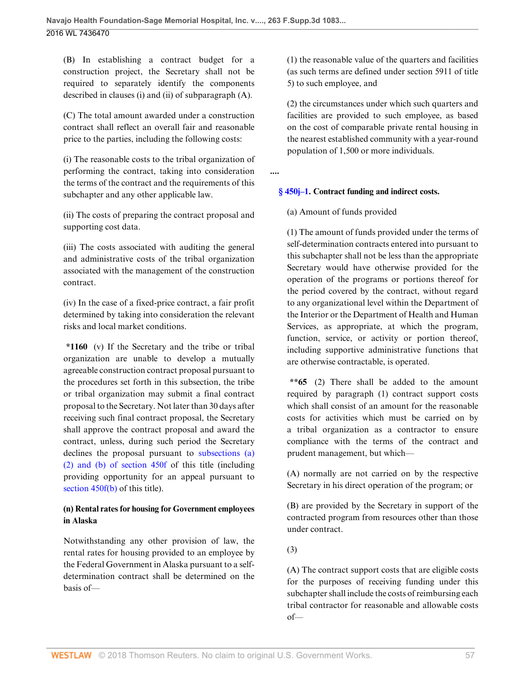(B) In establishing a contract budget for a construction project, the Secretary shall not be required to separately identify the components described in clauses (i) and (ii) of subparagraph (A).

(C) The total amount awarded under a construction contract shall reflect an overall fair and reasonable price to the parties, including the following costs:

(i) The reasonable costs to the tribal organization of performing the contract, taking into consideration the terms of the contract and the requirements of this subchapter and any other applicable law.

(ii) The costs of preparing the contract proposal and supporting cost data.

(iii) The costs associated with auditing the general and administrative costs of the tribal organization associated with the management of the construction contract.

(iv) In the case of a fixed-price contract, a fair profit determined by taking into consideration the relevant risks and local market conditions.

**\*1160** (v) If the Secretary and the tribe or tribal organization are unable to develop a mutually agreeable construction contract proposal pursuant to the procedures set forth in this subsection, the tribe or tribal organization may submit a final contract proposal to the Secretary. Not later than 30 days after receiving such final contract proposal, the Secretary shall approve the contract proposal and award the contract, unless, during such period the Secretary declines the proposal pursuant to [subsections \(a\)](http://www.westlaw.com/Link/Document/FullText?findType=L&pubNum=1000546&cite=25USCAS450F&originatingDoc=I4a89a3f0c8e111e6b27be1b44e7e7e5b&refType=LQ&originationContext=document&vr=3.0&rs=cblt1.0&transitionType=DocumentItem&contextData=(sc.UserEnteredCitation)) [\(2\) and \(b\) of section 450f](http://www.westlaw.com/Link/Document/FullText?findType=L&pubNum=1000546&cite=25USCAS450F&originatingDoc=I4a89a3f0c8e111e6b27be1b44e7e7e5b&refType=LQ&originationContext=document&vr=3.0&rs=cblt1.0&transitionType=DocumentItem&contextData=(sc.UserEnteredCitation)) of this title (including providing opportunity for an appeal pursuant to [section 450f\(b\)](http://www.westlaw.com/Link/Document/FullText?findType=L&pubNum=1000546&cite=25USCAS450F&originatingDoc=I4a89a3f0c8e111e6b27be1b44e7e7e5b&refType=LQ&originationContext=document&vr=3.0&rs=cblt1.0&transitionType=DocumentItem&contextData=(sc.UserEnteredCitation)) of this title).

## **(n) Rental rates for housing for Government employees in Alaska**

Notwithstanding any other provision of law, the rental rates for housing provided to an employee by the Federal Government in Alaska pursuant to a selfdetermination contract shall be determined on the basis of(1) the reasonable value of the quarters and facilities (as such terms are defined under section 5911 of title 5) to such employee, and

(2) the circumstances under which such quarters and facilities are provided to such employee, as based on the cost of comparable private rental housing in the nearest established community with a year-round population of 1,500 or more individuals.

**....**

## **[§ 450j–1](http://www.westlaw.com/Link/Document/FullText?findType=L&pubNum=1000546&cite=25USCAS450J-1&originatingDoc=I4a89a3f0c8e111e6b27be1b44e7e7e5b&refType=LQ&originationContext=document&vr=3.0&rs=cblt1.0&transitionType=DocumentItem&contextData=(sc.UserEnteredCitation)). Contract funding and indirect costs.**

(a) Amount of funds provided

(1) The amount of funds provided under the terms of self-determination contracts entered into pursuant to this subchapter shall not be less than the appropriate Secretary would have otherwise provided for the operation of the programs or portions thereof for the period covered by the contract, without regard to any organizational level within the Department of the Interior or the Department of Health and Human Services, as appropriate, at which the program, function, service, or activity or portion thereof, including supportive administrative functions that are otherwise contractable, is operated.

**\*\*65** (2) There shall be added to the amount required by paragraph (1) contract support costs which shall consist of an amount for the reasonable costs for activities which must be carried on by a tribal organization as a contractor to ensure compliance with the terms of the contract and prudent management, but which—

(A) normally are not carried on by the respective Secretary in his direct operation of the program; or

(B) are provided by the Secretary in support of the contracted program from resources other than those under contract.

(3)

(A) The contract support costs that are eligible costs for the purposes of receiving funding under this subchapter shall include the costs of reimbursing each tribal contractor for reasonable and allowable costs of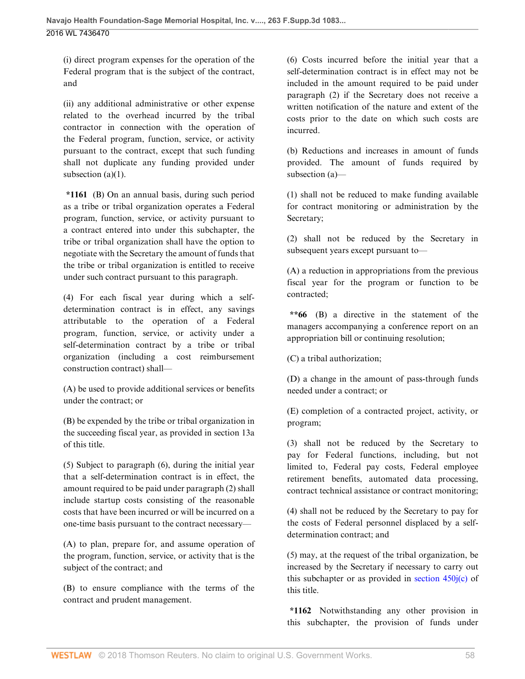(i) direct program expenses for the operation of the Federal program that is the subject of the contract, and

(ii) any additional administrative or other expense related to the overhead incurred by the tribal contractor in connection with the operation of the Federal program, function, service, or activity pursuant to the contract, except that such funding shall not duplicate any funding provided under subsection (a)(1).

**\*1161** (B) On an annual basis, during such period as a tribe or tribal organization operates a Federal program, function, service, or activity pursuant to a contract entered into under this subchapter, the tribe or tribal organization shall have the option to negotiate with the Secretary the amount of funds that the tribe or tribal organization is entitled to receive under such contract pursuant to this paragraph.

(4) For each fiscal year during which a selfdetermination contract is in effect, any savings attributable to the operation of a Federal program, function, service, or activity under a self-determination contract by a tribe or tribal organization (including a cost reimbursement construction contract) shall—

(A) be used to provide additional services or benefits under the contract; or

(B) be expended by the tribe or tribal organization in the succeeding fiscal year, as provided in section 13a of this title.

(5) Subject to paragraph (6), during the initial year that a self-determination contract is in effect, the amount required to be paid under paragraph (2) shall include startup costs consisting of the reasonable costs that have been incurred or will be incurred on a one-time basis pursuant to the contract necessary—

(A) to plan, prepare for, and assume operation of the program, function, service, or activity that is the subject of the contract; and

(B) to ensure compliance with the terms of the contract and prudent management.

(6) Costs incurred before the initial year that a self-determination contract is in effect may not be included in the amount required to be paid under paragraph (2) if the Secretary does not receive a written notification of the nature and extent of the costs prior to the date on which such costs are incurred.

(b) Reductions and increases in amount of funds provided. The amount of funds required by subsection (a)—

(1) shall not be reduced to make funding available for contract monitoring or administration by the Secretary;

(2) shall not be reduced by the Secretary in subsequent years except pursuant to—

(A) a reduction in appropriations from the previous fiscal year for the program or function to be contracted;

**\*\*66** (B) a directive in the statement of the managers accompanying a conference report on an appropriation bill or continuing resolution;

(C) a tribal authorization;

(D) a change in the amount of pass-through funds needed under a contract; or

(E) completion of a contracted project, activity, or program;

(3) shall not be reduced by the Secretary to pay for Federal functions, including, but not limited to, Federal pay costs, Federal employee retirement benefits, automated data processing, contract technical assistance or contract monitoring;

(4) shall not be reduced by the Secretary to pay for the costs of Federal personnel displaced by a selfdetermination contract; and

(5) may, at the request of the tribal organization, be increased by the Secretary if necessary to carry out this subchapter or as provided in section  $450j(c)$  of this title.

**\*1162** Notwithstanding any other provision in this subchapter, the provision of funds under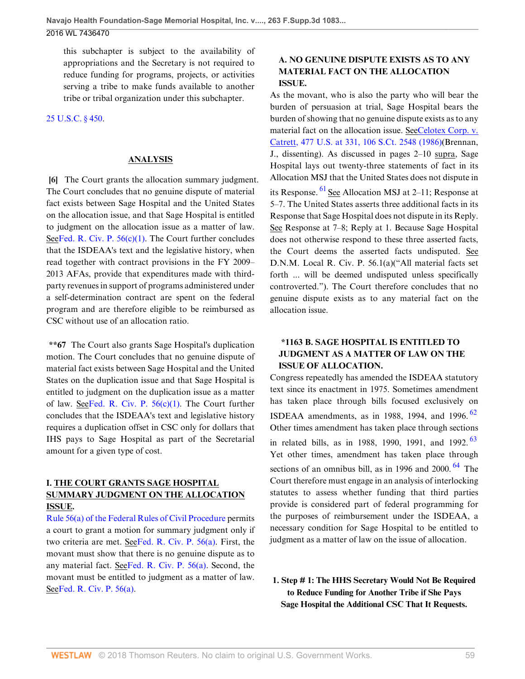this subchapter is subject to the availability of appropriations and the Secretary is not required to reduce funding for programs, projects, or activities serving a tribe to make funds available to another tribe or tribal organization under this subchapter.

[25 U.S.C. § 450](http://www.westlaw.com/Link/Document/FullText?findType=L&pubNum=1000546&cite=25USCAS450&originatingDoc=I4a89a3f0c8e111e6b27be1b44e7e7e5b&refType=LQ&originationContext=document&vr=3.0&rs=cblt1.0&transitionType=DocumentItem&contextData=(sc.UserEnteredCitation)).

#### **ANALYSIS**

**[\[6](#page-1-0)]** The Court grants the allocation summary judgment. The Court concludes that no genuine dispute of material fact exists between Sage Hospital and the United States on the allocation issue, and that Sage Hospital is entitled to judgment on the allocation issue as a matter of law. SeeFed. R. Civ. P.  $56(c)(1)$ . The Court further concludes that the ISDEAA's text and the legislative history, when read together with contract provisions in the FY 2009– 2013 AFAs, provide that expenditures made with thirdparty revenues in support of programs administered under a self-determination contract are spent on the federal program and are therefore eligible to be reimbursed as CSC without use of an allocation ratio.

**\*\*67** The Court also grants Sage Hospital's duplication motion. The Court concludes that no genuine dispute of material fact exists between Sage Hospital and the United States on the duplication issue and that Sage Hospital is entitled to judgment on the duplication issue as a matter of law. SeeFed. R. Civ. P.  $56(c)(1)$ . The Court further concludes that the ISDEAA's text and legislative history requires a duplication offset in CSC only for dollars that IHS pays to Sage Hospital as part of the Secretarial amount for a given type of cost.

## **I. THE COURT GRANTS SAGE HOSPITAL SUMMARY JUDGMENT ON THE ALLOCATION ISSUE.**

[Rule 56\(a\) of the Federal Rules of Civil Procedure](http://www.westlaw.com/Link/Document/FullText?findType=L&pubNum=1000600&cite=USFRCPR56&originatingDoc=I4a89a3f0c8e111e6b27be1b44e7e7e5b&refType=LQ&originationContext=document&vr=3.0&rs=cblt1.0&transitionType=DocumentItem&contextData=(sc.UserEnteredCitation)) permits a court to grant a motion for summary judgment only if two criteria are met. See[Fed. R. Civ. P. 56\(a\)](http://www.westlaw.com/Link/Document/FullText?findType=L&pubNum=1000600&cite=USFRCPR56&originatingDoc=I4a89a3f0c8e111e6b27be1b44e7e7e5b&refType=LQ&originationContext=document&vr=3.0&rs=cblt1.0&transitionType=DocumentItem&contextData=(sc.UserEnteredCitation)). First, the movant must show that there is no genuine dispute as to any material fact. Se[eFed. R. Civ. P. 56\(a\)](http://www.westlaw.com/Link/Document/FullText?findType=L&pubNum=1000600&cite=USFRCPR56&originatingDoc=I4a89a3f0c8e111e6b27be1b44e7e7e5b&refType=LQ&originationContext=document&vr=3.0&rs=cblt1.0&transitionType=DocumentItem&contextData=(sc.UserEnteredCitation)). Second, the movant must be entitled to judgment as a matter of law. Se[eFed. R. Civ. P. 56\(a\)](http://www.westlaw.com/Link/Document/FullText?findType=L&pubNum=1000600&cite=USFRCPR56&originatingDoc=I4a89a3f0c8e111e6b27be1b44e7e7e5b&refType=LQ&originationContext=document&vr=3.0&rs=cblt1.0&transitionType=DocumentItem&contextData=(sc.UserEnteredCitation)).

# **A. NO GENUINE DISPUTE EXISTS AS TO ANY MATERIAL FACT ON THE ALLOCATION ISSUE.**

As the movant, who is also the party who will bear the burden of persuasion at trial, Sage Hospital bears the burden of showing that no genuine dispute exists as to any material fact on the allocation issue. Se[eCelotex Corp. v.](http://www.westlaw.com/Link/Document/FullText?findType=Y&serNum=1986132677&pubNum=0000708&originatingDoc=I4a89a3f0c8e111e6b27be1b44e7e7e5b&refType=RP&originationContext=document&vr=3.0&rs=cblt1.0&transitionType=DocumentItem&contextData=(sc.UserEnteredCitation)) [Catrett, 477 U.S. at 331, 106 S.Ct. 2548 \(1986\)\(](http://www.westlaw.com/Link/Document/FullText?findType=Y&serNum=1986132677&pubNum=0000708&originatingDoc=I4a89a3f0c8e111e6b27be1b44e7e7e5b&refType=RP&originationContext=document&vr=3.0&rs=cblt1.0&transitionType=DocumentItem&contextData=(sc.UserEnteredCitation))Brennan, J., dissenting). As discussed in pages 2–10 supra, Sage Hospital lays out twenty-three statements of fact in its Allocation MSJ that the United States does not dispute in its Response. [61](#page-77-1) See Allocation MSJ at 2–11; Response at 5–7. The United States asserts three additional facts in its Response that Sage Hospital does not dispute in its Reply. See Response at 7–8; Reply at 1. Because Sage Hospital does not otherwise respond to these three asserted facts, the Court deems the asserted facts undisputed. See D.N.M. Local R. Civ. P. 56.1(a)("All material facts set forth ... will be deemed undisputed unless specifically controverted."). The Court therefore concludes that no genuine dispute exists as to any material fact on the allocation issue.

## **\*1163 B. SAGE HOSPITAL IS ENTITLED TO JUDGMENT AS A MATTER OF LAW ON THE ISSUE OF ALLOCATION.**

Congress repeatedly has amended the ISDEAA statutory text since its enactment in 1975. Sometimes amendment has taken place through bills focused exclusively on ISDEAA amendments, as in 1988, 1994, and 1996. [62](#page-77-2) Other times amendment has taken place through sections in related bills, as in 1988, 1990, 1991, and 1992.  $^{63}$  $^{63}$  $^{63}$ Yet other times, amendment has taken place through sections of an omnibus bill, as in 1996 and 2000.<sup>[64](#page-77-4)</sup> The Court therefore must engage in an analysis of interlocking statutes to assess whether funding that third parties provide is considered part of federal programming for the purposes of reimbursement under the ISDEAA, a necessary condition for Sage Hospital to be entitled to judgment as a matter of law on the issue of allocation.

# **1. Step # 1: The HHS Secretary Would Not Be Required to Reduce Funding for Another Tribe if She Pays Sage Hospital the Additional CSC That It Requests.**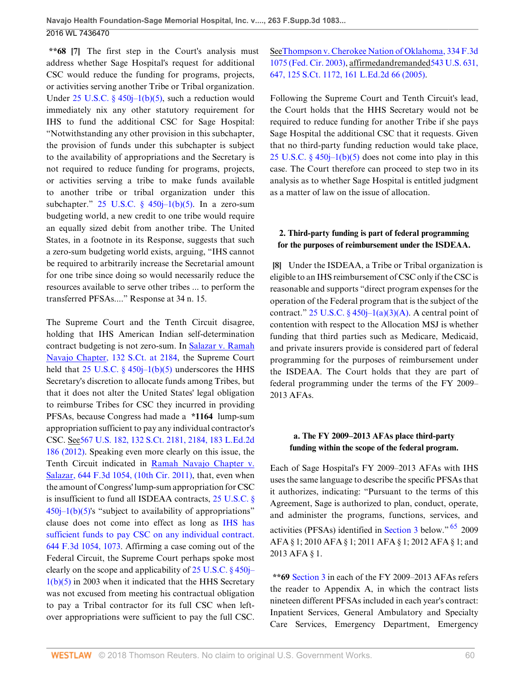**\*\*68 [\[7](#page-1-1)]** The first step in the Court's analysis must address whether Sage Hospital's request for additional CSC would reduce the funding for programs, projects, or activities serving another Tribe or Tribal organization. Under 25 U.S.C. §  $450j-1(b)(5)$ , such a reduction would immediately nix any other statutory requirement for IHS to fund the additional CSC for Sage Hospital: "Notwithstanding any other provision in this subchapter, the provision of funds under this subchapter is subject to the availability of appropriations and the Secretary is not required to reduce funding for programs, projects, or activities serving a tribe to make funds available to another tribe or tribal organization under this subchapter." 25 U.S.C. §  $450j-1(b)(5)$ . In a zero-sum budgeting world, a new credit to one tribe would require an equally sized debit from another tribe. The United States, in a footnote in its Response, suggests that such a zero-sum budgeting world exists, arguing, "IHS cannot be required to arbitrarily increase the Secretarial amount for one tribe since doing so would necessarily reduce the resources available to serve other tribes ... to perform the transferred PFSAs...." Response at 34 n. 15.

The Supreme Court and the Tenth Circuit disagree, holding that IHS American Indian self-determination contract budgeting is not zero-sum. In [Salazar v. Ramah](http://www.westlaw.com/Link/Document/FullText?findType=Y&serNum=2027916173&pubNum=0000708&originatingDoc=I4a89a3f0c8e111e6b27be1b44e7e7e5b&refType=RP&fi=co_pp_sp_708_2184&originationContext=document&vr=3.0&rs=cblt1.0&transitionType=DocumentItem&contextData=(sc.UserEnteredCitation)#co_pp_sp_708_2184) [Navajo Chapter, 132 S.Ct. at 2184,](http://www.westlaw.com/Link/Document/FullText?findType=Y&serNum=2027916173&pubNum=0000708&originatingDoc=I4a89a3f0c8e111e6b27be1b44e7e7e5b&refType=RP&fi=co_pp_sp_708_2184&originationContext=document&vr=3.0&rs=cblt1.0&transitionType=DocumentItem&contextData=(sc.UserEnteredCitation)#co_pp_sp_708_2184) the Supreme Court held that  $25 \text{ U.S.C.}$  §  $450j-1(b)(5)$  underscores the HHS Secretary's discretion to allocate funds among Tribes, but that it does not alter the United States' legal obligation to reimburse Tribes for CSC they incurred in providing PFSAs, because Congress had made a **\*1164** lump-sum appropriation sufficient to pay any individual contractor's CSC. Se[e567 U.S. 182, 132 S.Ct. 2181, 2184, 183 L.Ed.2d](http://www.westlaw.com/Link/Document/FullText?findType=Y&serNum=2027916173&pubNum=0000708&originatingDoc=I4a89a3f0c8e111e6b27be1b44e7e7e5b&refType=RP&fi=co_pp_sp_708_2184&originationContext=document&vr=3.0&rs=cblt1.0&transitionType=DocumentItem&contextData=(sc.UserEnteredCitation)#co_pp_sp_708_2184) [186 \(2012\).](http://www.westlaw.com/Link/Document/FullText?findType=Y&serNum=2027916173&pubNum=0000708&originatingDoc=I4a89a3f0c8e111e6b27be1b44e7e7e5b&refType=RP&fi=co_pp_sp_708_2184&originationContext=document&vr=3.0&rs=cblt1.0&transitionType=DocumentItem&contextData=(sc.UserEnteredCitation)#co_pp_sp_708_2184) Speaking even more clearly on this issue, the Tenth Circuit indicated in [Ramah Navajo Chapter v.](http://www.westlaw.com/Link/Document/FullText?findType=Y&serNum=2025247005&pubNum=0000506&originatingDoc=I4a89a3f0c8e111e6b27be1b44e7e7e5b&refType=RP&originationContext=document&vr=3.0&rs=cblt1.0&transitionType=DocumentItem&contextData=(sc.UserEnteredCitation)) [Salazar, 644 F.3d 1054, \(10th Cir. 2011\)](http://www.westlaw.com/Link/Document/FullText?findType=Y&serNum=2025247005&pubNum=0000506&originatingDoc=I4a89a3f0c8e111e6b27be1b44e7e7e5b&refType=RP&originationContext=document&vr=3.0&rs=cblt1.0&transitionType=DocumentItem&contextData=(sc.UserEnteredCitation)), that, even when the amount of Congress' lump-sum appropriation for CSC is insufficient to fund all ISDEAA contracts, [25 U.S.C. §](http://www.westlaw.com/Link/Document/FullText?findType=L&pubNum=1000546&cite=25USCAS450J-1&originatingDoc=I4a89a3f0c8e111e6b27be1b44e7e7e5b&refType=LQ&originationContext=document&vr=3.0&rs=cblt1.0&transitionType=DocumentItem&contextData=(sc.UserEnteredCitation))  $450j-1(b)(5)$ 's "subject to availability of appropriations" clause does not come into effect as long as [IHS has](http://www.westlaw.com/Link/Document/FullText?findType=Y&serNum=2025247005&pubNum=0000506&originatingDoc=I4a89a3f0c8e111e6b27be1b44e7e7e5b&refType=RP&fi=co_pp_sp_506_1073&originationContext=document&vr=3.0&rs=cblt1.0&transitionType=DocumentItem&contextData=(sc.UserEnteredCitation)#co_pp_sp_506_1073) [sufficient funds to pay CSC on any individual contract.](http://www.westlaw.com/Link/Document/FullText?findType=Y&serNum=2025247005&pubNum=0000506&originatingDoc=I4a89a3f0c8e111e6b27be1b44e7e7e5b&refType=RP&fi=co_pp_sp_506_1073&originationContext=document&vr=3.0&rs=cblt1.0&transitionType=DocumentItem&contextData=(sc.UserEnteredCitation)#co_pp_sp_506_1073) [644 F.3d 1054, 1073.](http://www.westlaw.com/Link/Document/FullText?findType=Y&serNum=2025247005&pubNum=0000506&originatingDoc=I4a89a3f0c8e111e6b27be1b44e7e7e5b&refType=RP&fi=co_pp_sp_506_1073&originationContext=document&vr=3.0&rs=cblt1.0&transitionType=DocumentItem&contextData=(sc.UserEnteredCitation)#co_pp_sp_506_1073) Affirming a case coming out of the Federal Circuit, the Supreme Court perhaps spoke most clearly on the scope and applicability of [25 U.S.C. § 450j–](http://www.westlaw.com/Link/Document/FullText?findType=L&pubNum=1000546&cite=25USCAS450J-1&originatingDoc=I4a89a3f0c8e111e6b27be1b44e7e7e5b&refType=LQ&originationContext=document&vr=3.0&rs=cblt1.0&transitionType=DocumentItem&contextData=(sc.UserEnteredCitation)) [1\(b\)\(5\)](http://www.westlaw.com/Link/Document/FullText?findType=L&pubNum=1000546&cite=25USCAS450J-1&originatingDoc=I4a89a3f0c8e111e6b27be1b44e7e7e5b&refType=LQ&originationContext=document&vr=3.0&rs=cblt1.0&transitionType=DocumentItem&contextData=(sc.UserEnteredCitation)) in 2003 when it indicated that the HHS Secretary was not excused from meeting his contractual obligation to pay a Tribal contractor for its full CSC when leftover appropriations were sufficient to pay the full CSC. Se[eThompson v. Cherokee Nation of Oklahoma, 334 F.3d](http://www.westlaw.com/Link/Document/FullText?findType=Y&serNum=2003467898&pubNum=0000506&originatingDoc=I4a89a3f0c8e111e6b27be1b44e7e7e5b&refType=RP&originationContext=document&vr=3.0&rs=cblt1.0&transitionType=DocumentItem&contextData=(sc.UserEnteredCitation)) [1075 \(Fed. Cir. 2003\)](http://www.westlaw.com/Link/Document/FullText?findType=Y&serNum=2003467898&pubNum=0000506&originatingDoc=I4a89a3f0c8e111e6b27be1b44e7e7e5b&refType=RP&originationContext=document&vr=3.0&rs=cblt1.0&transitionType=DocumentItem&contextData=(sc.UserEnteredCitation)), affirmedandremande[d543 U.S. 631,](http://www.westlaw.com/Link/Document/FullText?findType=Y&serNum=2006291904&pubNum=0000708&originatingDoc=I4a89a3f0c8e111e6b27be1b44e7e7e5b&refType=RP&originationContext=document&vr=3.0&rs=cblt1.0&transitionType=DocumentItem&contextData=(sc.UserEnteredCitation)) [647, 125 S.Ct. 1172, 161 L.Ed.2d 66 \(2005\).](http://www.westlaw.com/Link/Document/FullText?findType=Y&serNum=2006291904&pubNum=0000708&originatingDoc=I4a89a3f0c8e111e6b27be1b44e7e7e5b&refType=RP&originationContext=document&vr=3.0&rs=cblt1.0&transitionType=DocumentItem&contextData=(sc.UserEnteredCitation))

Following the Supreme Court and Tenth Circuit's lead, the Court holds that the HHS Secretary would not be required to reduce funding for another Tribe if she pays Sage Hospital the additional CSC that it requests. Given that no third-party funding reduction would take place, 25 U.S.C. §  $450j-1(b)(5)$  does not come into play in this case. The Court therefore can proceed to step two in its analysis as to whether Sage Hospital is entitled judgment as a matter of law on the issue of allocation.

## **2. Third-party funding is part of federal programming for the purposes of reimbursement under the ISDEAA.**

**[\[8](#page-1-2)]** Under the ISDEAA, a Tribe or Tribal organization is eligible to an IHS reimbursement of CSC only if the CSC is reasonable and supports "direct program expenses for the operation of the Federal program that is the subject of the contract." 25 U.S.C. §  $450j-1(a)(3)(A)$ . A central point of contention with respect to the Allocation MSJ is whether funding that third parties such as Medicare, Medicaid, and private insurers provide is considered part of federal programming for the purposes of reimbursement under the ISDEAA. The Court holds that they are part of federal programming under the terms of the FY 2009– 2013 AFAs.

### **a. The FY 2009–2013 AFAs place third-party funding within the scope of the federal program.**

Each of Sage Hospital's FY 2009–2013 AFAs with IHS uses the same language to describe the specific PFSAs that it authorizes, indicating: "Pursuant to the terms of this Agreement, Sage is authorized to plan, conduct, operate, and administer the programs, functions, services, and activities (PFSAs) identified in [Section 3](http://www.westlaw.com/Link/Document/FullText?findType=L&pubNum=1000583&cite=USCOARTIIS3&originatingDoc=I4a89a3f0c8e111e6b27be1b44e7e7e5b&refType=LQ&originationContext=document&vr=3.0&rs=cblt1.0&transitionType=DocumentItem&contextData=(sc.UserEnteredCitation)) below." [65](#page-77-5) 2009 AFA § 1; 2010 AFA § 1; 2011 AFA § 1; 2012 AFA § 1; and 2013 AFA § 1.

**\*\*69** [Section 3](http://www.westlaw.com/Link/Document/FullText?findType=L&pubNum=1000583&cite=USCOARTIIS3&originatingDoc=I4a89a3f0c8e111e6b27be1b44e7e7e5b&refType=LQ&originationContext=document&vr=3.0&rs=cblt1.0&transitionType=DocumentItem&contextData=(sc.UserEnteredCitation)) in each of the FY 2009–2013 AFAs refers the reader to Appendix A, in which the contract lists nineteen different PFSAs included in each year's contract: Inpatient Services, General Ambulatory and Specialty Care Services, Emergency Department, Emergency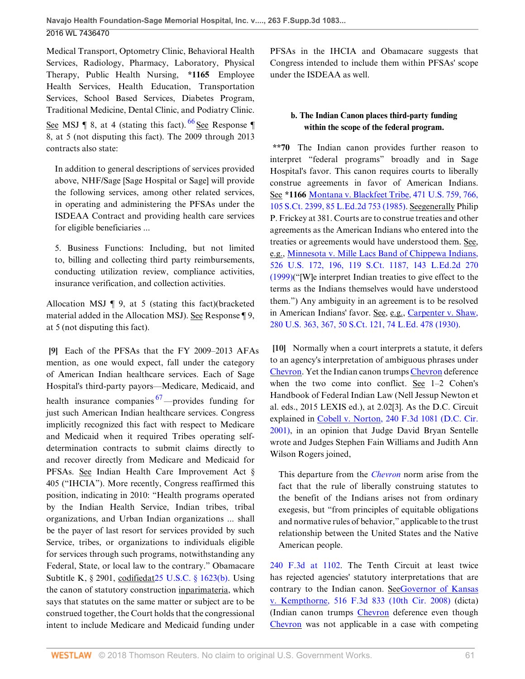Medical Transport, Optometry Clinic, Behavioral Health Services, Radiology, Pharmacy, Laboratory, Physical Therapy, Public Health Nursing, **\*1165** Employee Health Services, Health Education, Transportation Services, School Based Services, Diabetes Program, Traditional Medicine, Dental Clinic, and Podiatry Clinic. See MSJ  $\P$  8, at 4 (stating this fact). <sup>[66](#page-77-6)</sup> See Response  $\P$ 8, at 5 (not disputing this fact). The 2009 through 2013 contracts also state:

In addition to general descriptions of services provided above, NHF/Sage [Sage Hospital or Sage] will provide the following services, among other related services, in operating and administering the PFSAs under the ISDEAA Contract and providing health care services for eligible beneficiaries ...

5. Business Functions: Including, but not limited to, billing and collecting third party reimbursements, conducting utilization review, compliance activities, insurance verification, and collection activities.

Allocation MSJ  $\P$  9, at 5 (stating this fact)(bracketed material added in the Allocation MSJ). See Response ¶ 9, at 5 (not disputing this fact).

**[\[9](#page-2-0)]** Each of the PFSAs that the FY 2009–2013 AFAs mention, as one would expect, fall under the category of American Indian healthcare services. Each of Sage Hospital's third-party payors—Medicare, Medicaid, and health insurance companies  $\frac{67}{2}$  $\frac{67}{2}$  $\frac{67}{2}$  provides funding for just such American Indian healthcare services. Congress implicitly recognized this fact with respect to Medicare and Medicaid when it required Tribes operating selfdetermination contracts to submit claims directly to and recover directly from Medicare and Medicaid for PFSAs. See Indian Health Care Improvement Act § 405 ("IHCIA"). More recently, Congress reaffirmed this position, indicating in 2010: "Health programs operated by the Indian Health Service, Indian tribes, tribal organizations, and Urban Indian organizations ... shall be the payer of last resort for services provided by such Service, tribes, or organizations to individuals eligible for services through such programs, notwithstanding any Federal, State, or local law to the contrary." Obamacare Subtitle K, § 2901, codifieda[t25 U.S.C. § 1623\(b\).](http://www.westlaw.com/Link/Document/FullText?findType=L&pubNum=1000546&cite=25USCAS1623&originatingDoc=I4a89a3f0c8e111e6b27be1b44e7e7e5b&refType=SP&originationContext=document&vr=3.0&rs=cblt1.0&transitionType=DocumentItem&contextData=(sc.UserEnteredCitation)#co_pp_a83b000018c76) Using the canon of statutory construction inparimateria, which says that statutes on the same matter or subject are to be construed together, the Court holds that the congressional intent to include Medicare and Medicaid funding under

PFSAs in the IHCIA and Obamacare suggests that Congress intended to include them within PFSAs' scope under the ISDEAA as well.

## **b. The Indian Canon places third-party funding within the scope of the federal program.**

**\*\*70** The Indian canon provides further reason to interpret "federal programs" broadly and in Sage Hospital's favor. This canon requires courts to liberally construe agreements in favor of American Indians. See **\*1166** [Montana v. Blackfeet Tribe, 471 U.S. 759, 766,](http://www.westlaw.com/Link/Document/FullText?findType=Y&serNum=1985127858&pubNum=0000708&originatingDoc=I4a89a3f0c8e111e6b27be1b44e7e7e5b&refType=RP&originationContext=document&vr=3.0&rs=cblt1.0&transitionType=DocumentItem&contextData=(sc.UserEnteredCitation)) [105 S.Ct. 2399, 85 L.Ed.2d 753 \(1985\)](http://www.westlaw.com/Link/Document/FullText?findType=Y&serNum=1985127858&pubNum=0000708&originatingDoc=I4a89a3f0c8e111e6b27be1b44e7e7e5b&refType=RP&originationContext=document&vr=3.0&rs=cblt1.0&transitionType=DocumentItem&contextData=(sc.UserEnteredCitation)). Seegenerally Philip P. Frickey at 381. Courts are to construe treaties and other agreements as the American Indians who entered into the treaties or agreements would have understood them. See, e.g., [Minnesota v. Mille Lacs Band of Chippewa Indians,](http://www.westlaw.com/Link/Document/FullText?findType=Y&serNum=1999085330&pubNum=0000708&originatingDoc=I4a89a3f0c8e111e6b27be1b44e7e7e5b&refType=RP&originationContext=document&vr=3.0&rs=cblt1.0&transitionType=DocumentItem&contextData=(sc.UserEnteredCitation)) [526 U.S. 172, 196, 119 S.Ct. 1187, 143 L.Ed.2d 270](http://www.westlaw.com/Link/Document/FullText?findType=Y&serNum=1999085330&pubNum=0000708&originatingDoc=I4a89a3f0c8e111e6b27be1b44e7e7e5b&refType=RP&originationContext=document&vr=3.0&rs=cblt1.0&transitionType=DocumentItem&contextData=(sc.UserEnteredCitation)) [\(1999\)\(](http://www.westlaw.com/Link/Document/FullText?findType=Y&serNum=1999085330&pubNum=0000708&originatingDoc=I4a89a3f0c8e111e6b27be1b44e7e7e5b&refType=RP&originationContext=document&vr=3.0&rs=cblt1.0&transitionType=DocumentItem&contextData=(sc.UserEnteredCitation))"[W]e interpret Indian treaties to give effect to the terms as the Indians themselves would have understood them.") Any ambiguity in an agreement is to be resolved in American Indians' favor. See, e.g., [Carpenter v. Shaw,](http://www.westlaw.com/Link/Document/FullText?findType=Y&serNum=1930122166&pubNum=0000708&originatingDoc=I4a89a3f0c8e111e6b27be1b44e7e7e5b&refType=RP&originationContext=document&vr=3.0&rs=cblt1.0&transitionType=DocumentItem&contextData=(sc.UserEnteredCitation)) [280 U.S. 363, 367, 50 S.Ct. 121, 74 L.Ed. 478 \(1930\).](http://www.westlaw.com/Link/Document/FullText?findType=Y&serNum=1930122166&pubNum=0000708&originatingDoc=I4a89a3f0c8e111e6b27be1b44e7e7e5b&refType=RP&originationContext=document&vr=3.0&rs=cblt1.0&transitionType=DocumentItem&contextData=(sc.UserEnteredCitation))

**[\[10](#page-2-1)]** Normally when a court interprets a statute, it defers to an agency's interpretation of ambiguous phrases under [Chevron.](http://www.westlaw.com/Link/Document/FullText?findType=Y&serNum=1984130736&originatingDoc=I4a89a3f0c8e111e6b27be1b44e7e7e5b&refType=RP&originationContext=document&vr=3.0&rs=cblt1.0&transitionType=DocumentItem&contextData=(sc.UserEnteredCitation)) Yet the Indian canon trumps [Chevron](http://www.westlaw.com/Link/Document/FullText?findType=Y&serNum=1984130736&originatingDoc=I4a89a3f0c8e111e6b27be1b44e7e7e5b&refType=RP&originationContext=document&vr=3.0&rs=cblt1.0&transitionType=DocumentItem&contextData=(sc.UserEnteredCitation)) deference when the two come into conflict. See 1–2 Cohen's Handbook of Federal Indian Law (Nell Jessup Newton et al. eds., 2015 LEXIS ed.), at 2.02[3]. As the D.C. Circuit explained in [Cobell v. Norton, 240 F.3d 1081 \(D.C. Cir.](http://www.westlaw.com/Link/Document/FullText?findType=Y&serNum=2001126262&pubNum=0000506&originatingDoc=I4a89a3f0c8e111e6b27be1b44e7e7e5b&refType=RP&originationContext=document&vr=3.0&rs=cblt1.0&transitionType=DocumentItem&contextData=(sc.UserEnteredCitation)) [2001\)](http://www.westlaw.com/Link/Document/FullText?findType=Y&serNum=2001126262&pubNum=0000506&originatingDoc=I4a89a3f0c8e111e6b27be1b44e7e7e5b&refType=RP&originationContext=document&vr=3.0&rs=cblt1.0&transitionType=DocumentItem&contextData=(sc.UserEnteredCitation)), in an opinion that Judge David Bryan Sentelle wrote and Judges Stephen Fain Williams and Judith Ann Wilson Rogers joined,

This departure from the *[Chevron](http://www.westlaw.com/Link/Document/FullText?findType=Y&serNum=1984130736&pubNum=0000780&originatingDoc=I4a89a3f0c8e111e6b27be1b44e7e7e5b&refType=RP&originationContext=document&vr=3.0&rs=cblt1.0&transitionType=DocumentItem&contextData=(sc.UserEnteredCitation))* norm arise from the fact that the rule of liberally construing statutes to the benefit of the Indians arises not from ordinary exegesis, but "from principles of equitable obligations and normative rules of behavior," applicable to the trust relationship between the United States and the Native American people.

[240 F.3d at 1102.](http://www.westlaw.com/Link/Document/FullText?findType=Y&serNum=2001126262&pubNum=0000506&originatingDoc=I4a89a3f0c8e111e6b27be1b44e7e7e5b&refType=RP&fi=co_pp_sp_506_1102&originationContext=document&vr=3.0&rs=cblt1.0&transitionType=DocumentItem&contextData=(sc.UserEnteredCitation)#co_pp_sp_506_1102) The Tenth Circuit at least twice has rejected agencies' statutory interpretations that are contrary to the Indian canon. See[Governor of Kansas](http://www.westlaw.com/Link/Document/FullText?findType=Y&serNum=2014946675&pubNum=0000506&originatingDoc=I4a89a3f0c8e111e6b27be1b44e7e7e5b&refType=RP&originationContext=document&vr=3.0&rs=cblt1.0&transitionType=DocumentItem&contextData=(sc.UserEnteredCitation)) [v. Kempthorne, 516 F.3d 833 \(10th Cir. 2008\)](http://www.westlaw.com/Link/Document/FullText?findType=Y&serNum=2014946675&pubNum=0000506&originatingDoc=I4a89a3f0c8e111e6b27be1b44e7e7e5b&refType=RP&originationContext=document&vr=3.0&rs=cblt1.0&transitionType=DocumentItem&contextData=(sc.UserEnteredCitation)) (dicta) (Indian canon trumps [Chevron](http://www.westlaw.com/Link/Document/FullText?findType=Y&serNum=1984130736&originatingDoc=I4a89a3f0c8e111e6b27be1b44e7e7e5b&refType=RP&originationContext=document&vr=3.0&rs=cblt1.0&transitionType=DocumentItem&contextData=(sc.UserEnteredCitation)) deference even though [Chevron](http://www.westlaw.com/Link/Document/FullText?findType=Y&serNum=1984130736&originatingDoc=I4a89a3f0c8e111e6b27be1b44e7e7e5b&refType=RP&originationContext=document&vr=3.0&rs=cblt1.0&transitionType=DocumentItem&contextData=(sc.UserEnteredCitation)) was not applicable in a case with competing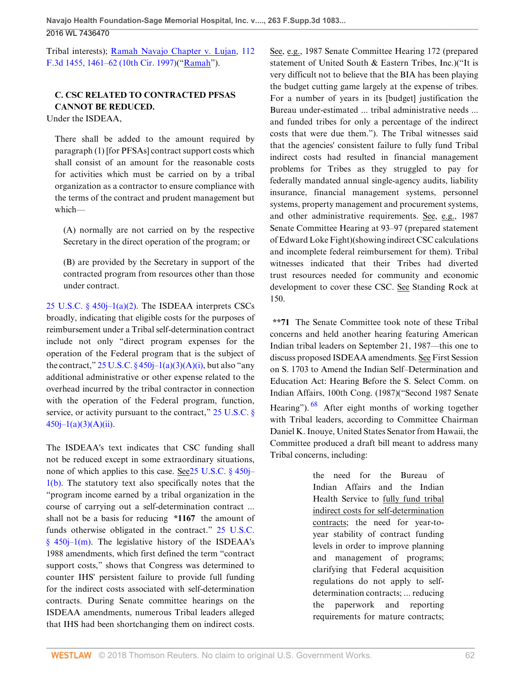Tribal interests); [Ramah Navajo Chapter v. Lujan, 112](http://www.westlaw.com/Link/Document/FullText?findType=Y&serNum=1997106222&pubNum=0000506&originatingDoc=I4a89a3f0c8e111e6b27be1b44e7e7e5b&refType=RP&fi=co_pp_sp_506_1461&originationContext=document&vr=3.0&rs=cblt1.0&transitionType=DocumentItem&contextData=(sc.UserEnteredCitation)#co_pp_sp_506_1461) [F.3d 1455, 1461–62 \(10th Cir. 1997\)](http://www.westlaw.com/Link/Document/FullText?findType=Y&serNum=1997106222&pubNum=0000506&originatingDoc=I4a89a3f0c8e111e6b27be1b44e7e7e5b&refType=RP&fi=co_pp_sp_506_1461&originationContext=document&vr=3.0&rs=cblt1.0&transitionType=DocumentItem&contextData=(sc.UserEnteredCitation)#co_pp_sp_506_1461)(["Ramah"](http://www.westlaw.com/Link/Document/FullText?findType=Y&serNum=1997106222&originatingDoc=I4a89a3f0c8e111e6b27be1b44e7e7e5b&refType=RP&originationContext=document&vr=3.0&rs=cblt1.0&transitionType=DocumentItem&contextData=(sc.UserEnteredCitation))).

# **C. CSC RELATED TO CONTRACTED PFSAS CANNOT BE REDUCED.**

Under the ISDEAA,

There shall be added to the amount required by paragraph (1) [for PFSAs] contract support costs which shall consist of an amount for the reasonable costs for activities which must be carried on by a tribal organization as a contractor to ensure compliance with the terms of the contract and prudent management but which—

(A) normally are not carried on by the respective Secretary in the direct operation of the program; or

(B) are provided by the Secretary in support of the contracted program from resources other than those under contract.

[25 U.S.C. § 450j–1\(a\)\(2\).](http://www.westlaw.com/Link/Document/FullText?findType=L&pubNum=1000546&cite=25USCAS450J-1&originatingDoc=I4a89a3f0c8e111e6b27be1b44e7e7e5b&refType=LQ&originationContext=document&vr=3.0&rs=cblt1.0&transitionType=DocumentItem&contextData=(sc.UserEnteredCitation)) The ISDEAA interprets CSCs broadly, indicating that eligible costs for the purposes of reimbursement under a Tribal self-determination contract include not only "direct program expenses for the operation of the Federal program that is the subject of the contract,"  $25 \text{ U.S.C.}$  § 450 $\text{j}$ –1(a)(3)(A)(i), but also "any additional administrative or other expense related to the overhead incurred by the tribal contractor in connection with the operation of the Federal program, function, service, or activity pursuant to the contract," [25 U.S.C. §](http://www.westlaw.com/Link/Document/FullText?findType=L&pubNum=1000546&cite=25USCAS450J-1&originatingDoc=I4a89a3f0c8e111e6b27be1b44e7e7e5b&refType=LQ&originationContext=document&vr=3.0&rs=cblt1.0&transitionType=DocumentItem&contextData=(sc.UserEnteredCitation))  $450j-1(a)(3)(A)(ii)$ .

The ISDEAA's text indicates that CSC funding shall not be reduced except in some extraordinary situations, none of which applies to this case. Se[e25 U.S.C. § 450j–](http://www.westlaw.com/Link/Document/FullText?findType=L&pubNum=1000546&cite=25USCAS450J-1&originatingDoc=I4a89a3f0c8e111e6b27be1b44e7e7e5b&refType=LQ&originationContext=document&vr=3.0&rs=cblt1.0&transitionType=DocumentItem&contextData=(sc.UserEnteredCitation)) [1\(b\)](http://www.westlaw.com/Link/Document/FullText?findType=L&pubNum=1000546&cite=25USCAS450J-1&originatingDoc=I4a89a3f0c8e111e6b27be1b44e7e7e5b&refType=LQ&originationContext=document&vr=3.0&rs=cblt1.0&transitionType=DocumentItem&contextData=(sc.UserEnteredCitation)). The statutory text also specifically notes that the "program income earned by a tribal organization in the course of carrying out a self-determination contract ... shall not be a basis for reducing **\*1167** the amount of funds otherwise obligated in the contract." [25 U.S.C.](http://www.westlaw.com/Link/Document/FullText?findType=L&pubNum=1000546&cite=25USCAS450J-1&originatingDoc=I4a89a3f0c8e111e6b27be1b44e7e7e5b&refType=LQ&originationContext=document&vr=3.0&rs=cblt1.0&transitionType=DocumentItem&contextData=(sc.UserEnteredCitation))  $§$  450j-1(m). The legislative history of the ISDEAA's 1988 amendments, which first defined the term "contract support costs," shows that Congress was determined to counter IHS' persistent failure to provide full funding for the indirect costs associated with self-determination contracts. During Senate committee hearings on the ISDEAA amendments, numerous Tribal leaders alleged that IHS had been shortchanging them on indirect costs.

See, e.g., 1987 Senate Committee Hearing 172 (prepared statement of United South & Eastern Tribes, Inc.)("It is very difficult not to believe that the BIA has been playing the budget cutting game largely at the expense of tribes. For a number of years in its [budget] justification the Bureau under-estimated ... tribal administrative needs ... and funded tribes for only a percentage of the indirect costs that were due them."). The Tribal witnesses said that the agencies' consistent failure to fully fund Tribal indirect costs had resulted in financial management problems for Tribes as they struggled to pay for federally mandated annual single-agency audits, liability insurance, financial management systems, personnel systems, property management and procurement systems, and other administrative requirements. See, e.g., 1987 Senate Committee Hearing at 93–97 (prepared statement of Edward Loke Fight)(showing indirect CSC calculations and incomplete federal reimbursement for them). Tribal witnesses indicated that their Tribes had diverted trust resources needed for community and economic development to cover these CSC. See Standing Rock at 150.

**\*\*71** The Senate Committee took note of these Tribal concerns and held another hearing featuring American Indian tribal leaders on September 21, 1987—this one to discuss proposed ISDEAA amendments. See First Session on S. 1703 to Amend the Indian Self–Determination and Education Act: Hearing Before the S. Select Comm. on Indian Affairs, 100th Cong. (1987)("Second 1987 Senate Hearing"). [68](#page-77-8) After eight months of working together with Tribal leaders, according to Committee Chairman Daniel K. Inouye, United States Senator from Hawaii, the Committee produced a draft bill meant to address many Tribal concerns, including:

> the need for the Bureau of Indian Affairs and the Indian Health Service to fully fund tribal indirect costs for self-determination contracts; the need for year-toyear stability of contract funding levels in order to improve planning and management of programs; clarifying that Federal acquisition regulations do not apply to selfdetermination contracts; ... reducing the paperwork and reporting requirements for mature contracts;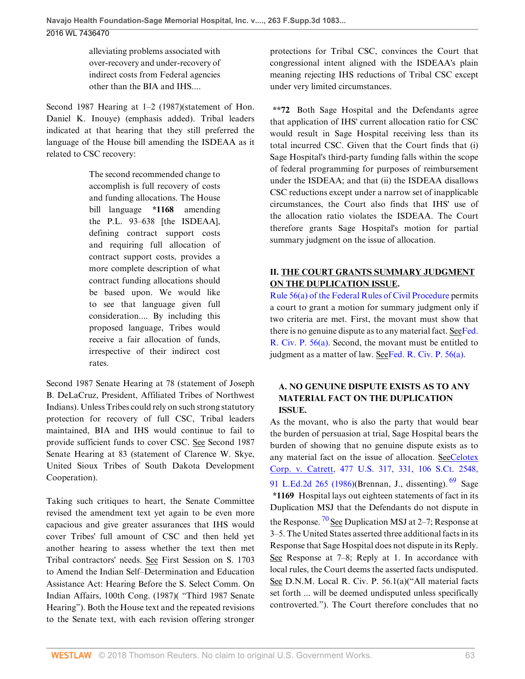alleviating problems associated with over-recovery and under-recovery of indirect costs from Federal agencies other than the BIA and IHS....

Second 1987 Hearing at 1–2 (1987)(statement of Hon. Daniel K. Inouye) (emphasis added). Tribal leaders indicated at that hearing that they still preferred the language of the House bill amending the ISDEAA as it related to CSC recovery:

> The second recommended change to accomplish is full recovery of costs and funding allocations. The House bill language **\*1168** amending the P.L. 93–638 [the ISDEAA], defining contract support costs and requiring full allocation of contract support costs, provides a more complete description of what contract funding allocations should be based upon. We would like to see that language given full consideration.... By including this proposed language, Tribes would receive a fair allocation of funds, irrespective of their indirect cost rates.

Second 1987 Senate Hearing at 78 (statement of Joseph B. DeLaCruz, President, Affiliated Tribes of Northwest Indians). Unless Tribes could rely on such strong statutory protection for recovery of full CSC, Tribal leaders maintained, BIA and IHS would continue to fail to provide sufficient funds to cover CSC. See Second 1987 Senate Hearing at 83 (statement of Clarence W. Skye, United Sioux Tribes of South Dakota Development Cooperation).

Taking such critiques to heart, the Senate Committee revised the amendment text yet again to be even more capacious and give greater assurances that IHS would cover Tribes' full amount of CSC and then held yet another hearing to assess whether the text then met Tribal contractors' needs. See First Session on S. 1703 to Amend the Indian Self–Determination and Education Assistance Act: Hearing Before the S. Select Comm. On Indian Affairs, 100th Cong. (1987)( "Third 1987 Senate Hearing"). Both the House text and the repeated revisions to the Senate text, with each revision offering stronger

protections for Tribal CSC, convinces the Court that congressional intent aligned with the ISDEAA's plain meaning rejecting IHS reductions of Tribal CSC except under very limited circumstances.

**\*\*72** Both Sage Hospital and the Defendants agree that application of IHS' current allocation ratio for CSC would result in Sage Hospital receiving less than its total incurred CSC. Given that the Court finds that (i) Sage Hospital's third-party funding falls within the scope of federal programming for purposes of reimbursement under the ISDEAA; and that (ii) the ISDEAA disallows CSC reductions except under a narrow set of inapplicable circumstances, the Court also finds that IHS' use of the allocation ratio violates the ISDEAA. The Court therefore grants Sage Hospital's motion for partial summary judgment on the issue of allocation.

# **II. THE COURT GRANTS SUMMARY JUDGMENT ON THE DUPLICATION ISSUE.**

[Rule 56\(a\) of the Federal Rules of Civil Procedure](http://www.westlaw.com/Link/Document/FullText?findType=L&pubNum=1000600&cite=USFRCPR56&originatingDoc=I4a89a3f0c8e111e6b27be1b44e7e7e5b&refType=LQ&originationContext=document&vr=3.0&rs=cblt1.0&transitionType=DocumentItem&contextData=(sc.UserEnteredCitation)) permits a court to grant a motion for summary judgment only if two criteria are met. First, the movant must show that there is no genuine dispute as to any material fact. See[Fed.](http://www.westlaw.com/Link/Document/FullText?findType=L&pubNum=1000600&cite=USFRCPR56&originatingDoc=I4a89a3f0c8e111e6b27be1b44e7e7e5b&refType=LQ&originationContext=document&vr=3.0&rs=cblt1.0&transitionType=DocumentItem&contextData=(sc.UserEnteredCitation)) [R. Civ. P. 56\(a\).](http://www.westlaw.com/Link/Document/FullText?findType=L&pubNum=1000600&cite=USFRCPR56&originatingDoc=I4a89a3f0c8e111e6b27be1b44e7e7e5b&refType=LQ&originationContext=document&vr=3.0&rs=cblt1.0&transitionType=DocumentItem&contextData=(sc.UserEnteredCitation)) Second, the movant must be entitled to judgment as a matter of law. See[Fed. R. Civ. P. 56\(a\).](http://www.westlaw.com/Link/Document/FullText?findType=L&pubNum=1000600&cite=USFRCPR56&originatingDoc=I4a89a3f0c8e111e6b27be1b44e7e7e5b&refType=LQ&originationContext=document&vr=3.0&rs=cblt1.0&transitionType=DocumentItem&contextData=(sc.UserEnteredCitation))

## **A. NO GENUINE DISPUTE EXISTS AS TO ANY MATERIAL FACT ON THE DUPLICATION ISSUE.**

As the movant, who is also the party that would bear the burden of persuasion at trial, Sage Hospital bears the burden of showing that no genuine dispute exists as to any material fact on the issue of allocation. Se[eCelotex](http://www.westlaw.com/Link/Document/FullText?findType=Y&serNum=1986132677&pubNum=0000708&originatingDoc=I4a89a3f0c8e111e6b27be1b44e7e7e5b&refType=RP&originationContext=document&vr=3.0&rs=cblt1.0&transitionType=DocumentItem&contextData=(sc.UserEnteredCitation)) [Corp. v. Catrett, 477 U.S. 317, 331, 106 S.Ct. 2548,](http://www.westlaw.com/Link/Document/FullText?findType=Y&serNum=1986132677&pubNum=0000708&originatingDoc=I4a89a3f0c8e111e6b27be1b44e7e7e5b&refType=RP&originationContext=document&vr=3.0&rs=cblt1.0&transitionType=DocumentItem&contextData=(sc.UserEnteredCitation)) [91 L.Ed.2d 265 \(1986\)\(](http://www.westlaw.com/Link/Document/FullText?findType=Y&serNum=1986132677&pubNum=0000708&originatingDoc=I4a89a3f0c8e111e6b27be1b44e7e7e5b&refType=RP&originationContext=document&vr=3.0&rs=cblt1.0&transitionType=DocumentItem&contextData=(sc.UserEnteredCitation))Brennan, J., dissenting). [69](#page-77-9) Sage **\*1169** Hospital lays out eighteen statements of fact in its Duplication MSJ that the Defendants do not dispute in the Response.  $\frac{70}{10}$  $\frac{70}{10}$  $\frac{70}{10}$  See Duplication MSJ at 2–7; Response at 3–5. The United States asserted three additional facts in its Response that Sage Hospital does not dispute in its Reply. See Response at 7–8; Reply at 1. In accordance with local rules, the Court deems the asserted facts undisputed. See D.N.M. Local R. Civ. P. 56.1(a)("All material facts set forth ... will be deemed undisputed unless specifically controverted."). The Court therefore concludes that no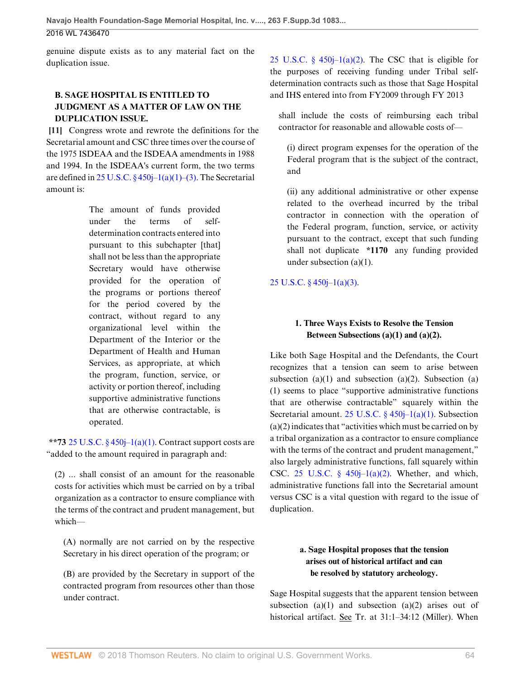genuine dispute exists as to any material fact on the duplication issue.

# **B. SAGE HOSPITAL IS ENTITLED TO JUDGMENT AS A MATTER OF LAW ON THE DUPLICATION ISSUE.**

**[\[11](#page-2-2)]** Congress wrote and rewrote the definitions for the Secretarial amount and CSC three times over the course of the 1975 ISDEAA and the ISDEAA amendments in 1988 and 1994. In the ISDEAA's current form, the two terms are defined in  $25$  U.S.C.  $\S$  450j–1(a)(1)–(3). The Secretarial amount is:

> The amount of funds provided under the terms of selfdetermination contracts entered into pursuant to this subchapter [that] shall not be less than the appropriate Secretary would have otherwise provided for the operation of the programs or portions thereof for the period covered by the contract, without regard to any organizational level within the Department of the Interior or the Department of Health and Human Services, as appropriate, at which the program, function, service, or activity or portion thereof, including supportive administrative functions that are otherwise contractable, is operated.

**\*\*73** [25 U.S.C. § 450j–1\(a\)\(1\)](http://www.westlaw.com/Link/Document/FullText?findType=L&pubNum=1000546&cite=25USCAS450J-1&originatingDoc=I4a89a3f0c8e111e6b27be1b44e7e7e5b&refType=LQ&originationContext=document&vr=3.0&rs=cblt1.0&transitionType=DocumentItem&contextData=(sc.UserEnteredCitation)). Contract support costs are "added to the amount required in paragraph and:

(2) ... shall consist of an amount for the reasonable costs for activities which must be carried on by a tribal organization as a contractor to ensure compliance with the terms of the contract and prudent management, but which—

(A) normally are not carried on by the respective Secretary in his direct operation of the program; or

(B) are provided by the Secretary in support of the contracted program from resources other than those under contract.

25 U.S.C. §  $450j-1(a)(2)$ . The CSC that is eligible for the purposes of receiving funding under Tribal selfdetermination contracts such as those that Sage Hospital and IHS entered into from FY2009 through FY 2013

shall include the costs of reimbursing each tribal contractor for reasonable and allowable costs of—

(i) direct program expenses for the operation of the Federal program that is the subject of the contract, and

(ii) any additional administrative or other expense related to the overhead incurred by the tribal contractor in connection with the operation of the Federal program, function, service, or activity pursuant to the contract, except that such funding shall not duplicate **\*1170** any funding provided under subsection (a)(1).

[25 U.S.C. § 450j–1\(a\)\(3\)](http://www.westlaw.com/Link/Document/FullText?findType=L&pubNum=1000546&cite=25USCAS450J-1&originatingDoc=I4a89a3f0c8e111e6b27be1b44e7e7e5b&refType=LQ&originationContext=document&vr=3.0&rs=cblt1.0&transitionType=DocumentItem&contextData=(sc.UserEnteredCitation)).

# **1. Three Ways Exists to Resolve the Tension Between Subsections (a)(1) and (a)(2).**

Like both Sage Hospital and the Defendants, the Court recognizes that a tension can seem to arise between subsection (a)(1) and subsection (a)(2). Subsection (a) (1) seems to place "supportive administrative functions that are otherwise contractable" squarely within the Secretarial amount. 25 U.S.C. §  $450j-1(a)(1)$ . Subsection (a)(2) indicates that "activities which must be carried on by a tribal organization as a contractor to ensure compliance with the terms of the contract and prudent management," also largely administrative functions, fall squarely within CSC. 25 U.S.C. §  $450j-1(a)(2)$ . Whether, and which, administrative functions fall into the Secretarial amount versus CSC is a vital question with regard to the issue of duplication.

## **a. Sage Hospital proposes that the tension arises out of historical artifact and can be resolved by statutory archeology.**

Sage Hospital suggests that the apparent tension between subsection  $(a)(1)$  and subsection  $(a)(2)$  arises out of historical artifact. See Tr. at 31:1-34:12 (Miller). When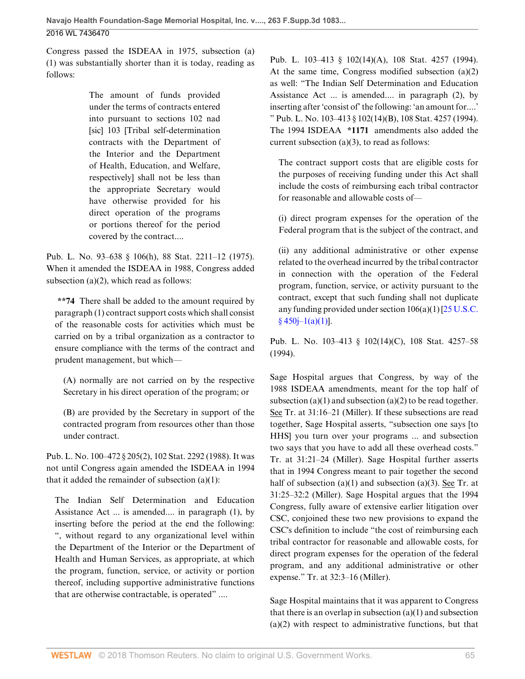**Navajo Health Foundation-Sage Memorial Hospital, Inc. v...., 263 F.Supp.3d 1083...** 2016 WL 7436470

Congress passed the ISDEAA in 1975, subsection (a) (1) was substantially shorter than it is today, reading as follows:

> The amount of funds provided under the terms of contracts entered into pursuant to sections 102 nad [sic] 103 [Tribal self-determination contracts with the Department of the Interior and the Department of Health, Education, and Welfare, respectively] shall not be less than the appropriate Secretary would have otherwise provided for his direct operation of the programs or portions thereof for the period covered by the contract....

Pub. L. No. 93–638 § 106(h), 88 Stat. 2211–12 (1975). When it amended the ISDEAA in 1988, Congress added subsection (a)(2), which read as follows:

**\*\*74** There shall be added to the amount required by paragraph (1) contract support costs which shall consist of the reasonable costs for activities which must be carried on by a tribal organization as a contractor to ensure compliance with the terms of the contract and prudent management, but which—

(A) normally are not carried on by the respective Secretary in his direct operation of the program; or

(B) are provided by the Secretary in support of the contracted program from resources other than those under contract.

Pub. L. No. 100–472 § 205(2), 102 Stat. 2292 (1988). It was not until Congress again amended the ISDEAA in 1994 that it added the remainder of subsection  $(a)(1)$ :

The Indian Self Determination and Education Assistance Act ... is amended.... in paragraph (1), by inserting before the period at the end the following: ", without regard to any organizational level within the Department of the Interior or the Department of Health and Human Services, as appropriate, at which the program, function, service, or activity or portion thereof, including supportive administrative functions that are otherwise contractable, is operated" ....

Pub. L. 103–413 § 102(14)(A), 108 Stat. 4257 (1994). At the same time, Congress modified subsection (a)(2) as well: "The Indian Self Determination and Education Assistance Act ... is amended.... in paragraph (2), by inserting after 'consist of' the following: 'an amount for....' " Pub. L. No. 103–413 § 102(14)(B), 108 Stat. 4257 (1994). The 1994 ISDEAA **\*1171** amendments also added the current subsection  $(a)(3)$ , to read as follows:

The contract support costs that are eligible costs for the purposes of receiving funding under this Act shall include the costs of reimbursing each tribal contractor for reasonable and allowable costs of—

(i) direct program expenses for the operation of the Federal program that is the subject of the contract, and

(ii) any additional administrative or other expense related to the overhead incurred by the tribal contractor in connection with the operation of the Federal program, function, service, or activity pursuant to the contract, except that such funding shall not duplicate any funding provided under section 106(a)(1) [\[25 U.S.C.](http://www.westlaw.com/Link/Document/FullText?findType=L&pubNum=1000546&cite=25USCAS450J-1&originatingDoc=I4a89a3f0c8e111e6b27be1b44e7e7e5b&refType=LQ&originationContext=document&vr=3.0&rs=cblt1.0&transitionType=DocumentItem&contextData=(sc.UserEnteredCitation))  $§$  450 $j-1$ (a)(1)].

Pub. L. No. 103–413 § 102(14)(C), 108 Stat. 4257–58 (1994).

Sage Hospital argues that Congress, by way of the 1988 ISDEAA amendments, meant for the top half of subsection (a)(1) and subsection (a)(2) to be read together. See Tr. at 31:16–21 (Miller). If these subsections are read together, Sage Hospital asserts, "subsection one says [to HHS] you turn over your programs ... and subsection two says that you have to add all these overhead costs." Tr. at 31:21–24 (Miller). Sage Hospital further asserts that in 1994 Congress meant to pair together the second half of subsection  $(a)(1)$  and subsection  $(a)(3)$ . See Tr. at 31:25–32:2 (Miller). Sage Hospital argues that the 1994 Congress, fully aware of extensive earlier litigation over CSC, conjoined these two new provisions to expand the CSC's definition to include "the cost of reimbursing each tribal contractor for reasonable and allowable costs, for direct program expenses for the operation of the federal program, and any additional administrative or other expense." Tr. at 32:3–16 (Miller).

Sage Hospital maintains that it was apparent to Congress that there is an overlap in subsection  $(a)(1)$  and subsection (a)(2) with respect to administrative functions, but that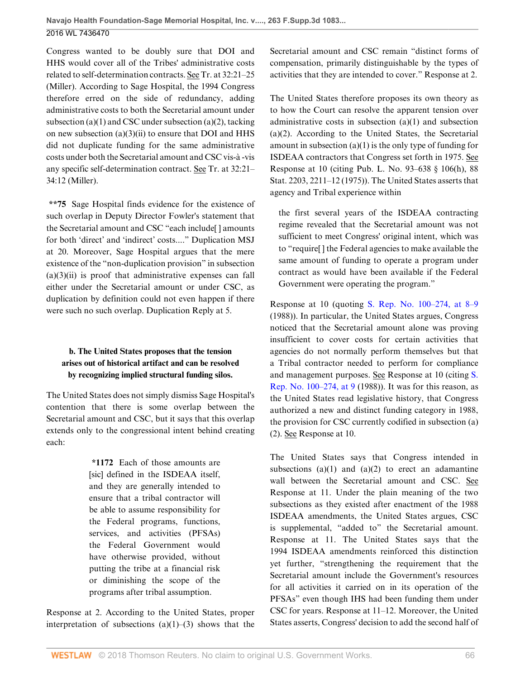Congress wanted to be doubly sure that DOI and HHS would cover all of the Tribes' administrative costs related to self-determination contracts. See Tr. at 32:21–25 (Miller). According to Sage Hospital, the 1994 Congress therefore erred on the side of redundancy, adding administrative costs to both the Secretarial amount under subsection (a)(1) and CSC under subsection (a)(2), tacking on new subsection (a)(3)(ii) to ensure that DOI and HHS did not duplicate funding for the same administrative costs under both the Secretarial amount and CSC vis-à -vis any specific self-determination contract. See Tr. at 32:21– 34:12 (Miller).

**\*\*75** Sage Hospital finds evidence for the existence of such overlap in Deputy Director Fowler's statement that the Secretarial amount and CSC "each include[ ] amounts for both 'direct' and 'indirect' costs...." Duplication MSJ at 20. Moreover, Sage Hospital argues that the mere existence of the "non-duplication provision" in subsection  $(a)(3)(ii)$  is proof that administrative expenses can fall either under the Secretarial amount or under CSC, as duplication by definition could not even happen if there were such no such overlap. Duplication Reply at 5.

## **b. The United States proposes that the tension arises out of historical artifact and can be resolved by recognizing implied structural funding silos.**

The United States does not simply dismiss Sage Hospital's contention that there is some overlap between the Secretarial amount and CSC, but it says that this overlap extends only to the congressional intent behind creating each:

> **\*1172** Each of those amounts are [sic] defined in the ISDEAA itself, and they are generally intended to ensure that a tribal contractor will be able to assume responsibility for the Federal programs, functions, services, and activities (PFSAs) the Federal Government would have otherwise provided, without putting the tribe at a financial risk or diminishing the scope of the programs after tribal assumption.

Response at 2. According to the United States, proper interpretation of subsections  $(a)(1)$ – $(3)$  shows that the Secretarial amount and CSC remain "distinct forms of compensation, primarily distinguishable by the types of activities that they are intended to cover." Response at 2.

The United States therefore proposes its own theory as to how the Court can resolve the apparent tension over administrative costs in subsection (a)(1) and subsection (a)(2). According to the United States, the Secretarial amount in subsection (a)(1) is the only type of funding for ISDEAA contractors that Congress set forth in 1975. See Response at 10 (citing Pub. L. No. 93–638 § 106(h), 88 Stat. 2203, 2211–12 (1975)). The United States asserts that agency and Tribal experience within

the first several years of the ISDEAA contracting regime revealed that the Secretarial amount was not sufficient to meet Congress' original intent, which was to "require[ ] the Federal agencies to make available the same amount of funding to operate a program under contract as would have been available if the Federal Government were operating the program."

Response at 10 (quoting [S. Rep. No. 100–274, at 8–9](http://www.westlaw.com/Link/Document/FullText?findType=Y&serNum=0100092176&pubNum=0001503&originatingDoc=I4a89a3f0c8e111e6b27be1b44e7e7e5b&refType=TV&originationContext=document&vr=3.0&rs=cblt1.0&transitionType=DocumentItem&contextData=(sc.UserEnteredCitation)) (1988)). In particular, the United States argues, Congress noticed that the Secretarial amount alone was proving insufficient to cover costs for certain activities that agencies do not normally perform themselves but that a Tribal contractor needed to perform for compliance and management purposes. See Response at 10 (citing [S.](http://www.westlaw.com/Link/Document/FullText?findType=Y&serNum=0100092176&pubNum=0001503&originatingDoc=I4a89a3f0c8e111e6b27be1b44e7e7e5b&refType=TV&originationContext=document&vr=3.0&rs=cblt1.0&transitionType=DocumentItem&contextData=(sc.UserEnteredCitation)) [Rep. No. 100–274, at 9](http://www.westlaw.com/Link/Document/FullText?findType=Y&serNum=0100092176&pubNum=0001503&originatingDoc=I4a89a3f0c8e111e6b27be1b44e7e7e5b&refType=TV&originationContext=document&vr=3.0&rs=cblt1.0&transitionType=DocumentItem&contextData=(sc.UserEnteredCitation)) (1988)). It was for this reason, as the United States read legislative history, that Congress authorized a new and distinct funding category in 1988, the provision for CSC currently codified in subsection (a) (2). See Response at 10.

The United States says that Congress intended in subsections  $(a)(1)$  and  $(a)(2)$  to erect an adamantine wall between the Secretarial amount and CSC. See Response at 11. Under the plain meaning of the two subsections as they existed after enactment of the 1988 ISDEAA amendments, the United States argues, CSC is supplemental, "added to" the Secretarial amount. Response at 11. The United States says that the 1994 ISDEAA amendments reinforced this distinction yet further, "strengthening the requirement that the Secretarial amount include the Government's resources for all activities it carried on in its operation of the PFSAs" even though IHS had been funding them under CSC for years. Response at 11–12. Moreover, the United States asserts, Congress' decision to add the second half of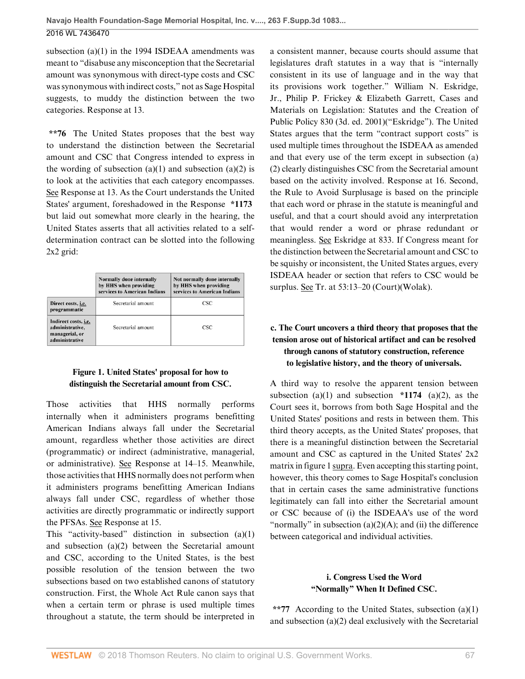subsection (a)(1) in the 1994 ISDEAA amendments was meant to "disabuse any misconception that the Secretarial amount was synonymous with direct-type costs and CSC was synonymous with indirect costs," not as Sage Hospital suggests, to muddy the distinction between the two categories. Response at 13.

**\*\*76** The United States proposes that the best way to understand the distinction between the Secretarial amount and CSC that Congress intended to express in the wording of subsection  $(a)(1)$  and subsection  $(a)(2)$  is to look at the activities that each category encompasses. See Response at 13. As the Court understands the United States' argument, foreshadowed in the Response **\*1173** but laid out somewhat more clearly in the hearing, the United States asserts that all activities related to a self[determination contract can be slotted into the followi](http://www.westlaw.com/Link/Document/Blob/Ia075ae10b82f11e7a04c010000000000.png?originationContext=document&vr=3.0&rs=cblt1.0&transitionType=DocumentImage&contextData=(sc.UserEnteredCitation))ng 2x2 grid:

|                                                                             | Normally done internally<br>by HHS when providing<br>services to American Indians | Not normally done internally<br>by HHS when providing<br>services to American Indians |
|-----------------------------------------------------------------------------|-----------------------------------------------------------------------------------|---------------------------------------------------------------------------------------|
| Direct costs, i.e.<br>programmatic                                          | Secretarial amount                                                                | CSC                                                                                   |
| Indirect costs, i.e.<br>administrative,<br>managerial, or<br>administrative | Secretarial amount                                                                | CSC                                                                                   |

## **Figure 1. United States' proposal for how to distinguish the Secretarial amount from CSC.**

Those activities that HHS normally performs internally when it administers programs benefitting American Indians always fall under the Secretarial amount, regardless whether those activities are direct (programmatic) or indirect (administrative, managerial, or administrative). See Response at 14–15. Meanwhile, those activities that HHS normally does not perform when it administers programs benefitting American Indians always fall under CSC, regardless of whether those activities are directly programmatic or indirectly support the PFSAs. See Response at 15.

This "activity-based" distinction in subsection (a)(1) and subsection (a)(2) between the Secretarial amount and CSC, according to the United States, is the best possible resolution of the tension between the two subsections based on two established canons of statutory construction. First, the Whole Act Rule canon says that when a certain term or phrase is used multiple times throughout a statute, the term should be interpreted in a consistent manner, because courts should assume that legislatures draft statutes in a way that is "internally consistent in its use of language and in the way that its provisions work together." William N. Eskridge, Jr., Philip P. Frickey & Elizabeth Garrett, Cases and Materials on Legislation: Statutes and the Creation of Public Policy 830 (3d. ed. 2001)("Eskridge"). The United States argues that the term "contract support costs" is used multiple times throughout the ISDEAA as amended and that every use of the term except in subsection (a) (2) clearly distinguishes CSC from the Secretarial amount based on the activity involved. Response at 16. Second, the Rule to Avoid Surplusage is based on the principle that each word or phrase in the statute is meaningful and useful, and that a court should avoid any interpretation that would render a word or phrase redundant or meaningless. See Eskridge at 833. If Congress meant for the distinction between the Secretarial amount and CSC to be squishy or inconsistent, the United States argues, every ISDEAA header or section that refers to CSC would be surplus. See Tr. at 53:13–20 (Court)(Wolak).

# **c. The Court uncovers a third theory that proposes that the tension arose out of historical artifact and can be resolved through canons of statutory construction, reference to legislative history, and the theory of universals.**

A third way to resolve the apparent tension between subsection (a)(1) and subsection **\*1174** (a)(2), as the Court sees it, borrows from both Sage Hospital and the United States' positions and rests in between them. This third theory accepts, as the United States' proposes, that there is a meaningful distinction between the Secretarial amount and CSC as captured in the United States' 2x2 matrix in figure 1 supra. Even accepting this starting point, however, this theory comes to Sage Hospital's conclusion that in certain cases the same administrative functions legitimately can fall into either the Secretarial amount or CSC because of (i) the ISDEAA's use of the word "normally" in subsection  $(a)(2)(A)$ ; and  $(ii)$  the difference between categorical and individual activities.

## **i. Congress Used the Word "Normally" When It Defined CSC.**

**\*\*77** According to the United States, subsection (a)(1) and subsection (a)(2) deal exclusively with the Secretarial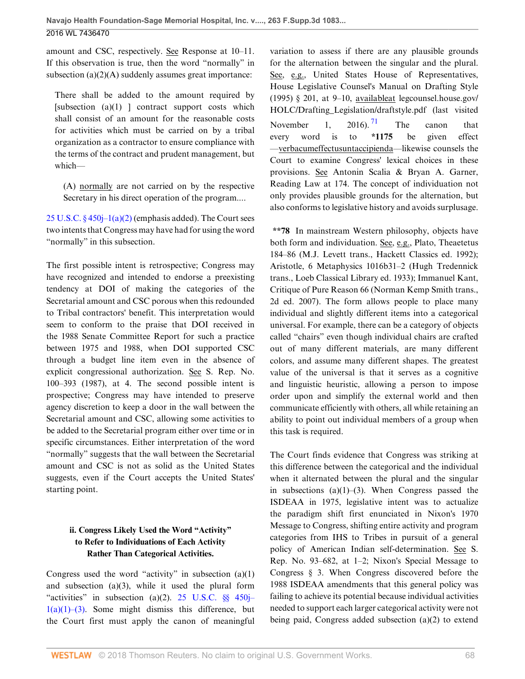amount and CSC, respectively. See Response at 10–11. If this observation is true, then the word "normally" in subsection (a)(2)(A) suddenly assumes great importance:

There shall be added to the amount required by [subsection  $(a)(1)$ ] contract support costs which shall consist of an amount for the reasonable costs for activities which must be carried on by a tribal organization as a contractor to ensure compliance with the terms of the contract and prudent management, but which—

(A) normally are not carried on by the respective Secretary in his direct operation of the program....

25 U.S.C.  $\S 450j-1(a)(2)$  (emphasis added). The Court sees two intents that Congress may have had for using the word "normally" in this subsection.

The first possible intent is retrospective; Congress may have recognized and intended to endorse a preexisting tendency at DOI of making the categories of the Secretarial amount and CSC porous when this redounded to Tribal contractors' benefit. This interpretation would seem to conform to the praise that DOI received in the 1988 Senate Committee Report for such a practice between 1975 and 1988, when DOI supported CSC through a budget line item even in the absence of explicit congressional authorization. See S. Rep. No. 100–393 (1987), at 4. The second possible intent is prospective; Congress may have intended to preserve agency discretion to keep a door in the wall between the Secretarial amount and CSC, allowing some activities to be added to the Secretarial program either over time or in specific circumstances. Either interpretation of the word "normally" suggests that the wall between the Secretarial amount and CSC is not as solid as the United States suggests, even if the Court accepts the United States' starting point.

# **ii. Congress Likely Used the Word "Activity" to Refer to Individuations of Each Activity Rather Than Categorical Activities.**

Congress used the word "activity" in subsection  $(a)(1)$ and subsection  $(a)(3)$ , while it used the plural form "activities" in subsection (a)(2). 25 U.S.C.  $\S$ § 450j–  $1(a)(1)$ –(3). Some might dismiss this difference, but the Court first must apply the canon of meaningful variation to assess if there are any plausible grounds for the alternation between the singular and the plural. See, e.g., United States House of Representatives, House Legislative Counsel's Manual on Drafting Style (1995) § 201, at 9–10, availableat legcounsel.house.gov/ HOLC/Drafting\_Legislation/draftstyle.pdf (last visited November 1, 2016).<sup>[71](#page-77-11)</sup> The canon that every word is to **\*1175** be given effect —verbacumeffectusuntaccipienda—likewise counsels the Court to examine Congress' lexical choices in these provisions. See Antonin Scalia & Bryan A. Garner, Reading Law at 174. The concept of individuation not only provides plausible grounds for the alternation, but also conforms to legislative history and avoids surplusage.

**\*\*78** In mainstream Western philosophy, objects have both form and individuation. See, e.g., Plato, Theaetetus 184–86 (M.J. Levett trans., Hackett Classics ed. 1992); Aristotle, 6 Metaphysics 1016b31–2 (Hugh Tredennick trans., Loeb Classical Library ed. 1933); Immanuel Kant, Critique of Pure Reason 66 (Norman Kemp Smith trans., 2d ed. 2007). The form allows people to place many individual and slightly different items into a categorical universal. For example, there can be a category of objects called "chairs" even though individual chairs are crafted out of many different materials, are many different colors, and assume many different shapes. The greatest value of the universal is that it serves as a cognitive and linguistic heuristic, allowing a person to impose order upon and simplify the external world and then communicate efficiently with others, all while retaining an ability to point out individual members of a group when this task is required.

The Court finds evidence that Congress was striking at this difference between the categorical and the individual when it alternated between the plural and the singular in subsections  $(a)(1)$ –(3). When Congress passed the ISDEAA in 1975, legislative intent was to actualize the paradigm shift first enunciated in Nixon's 1970 Message to Congress, shifting entire activity and program categories from IHS to Tribes in pursuit of a general policy of American Indian self-determination. See S. Rep. No. 93–682, at 1–2; Nixon's Special Message to Congress § 3. When Congress discovered before the 1988 ISDEAA amendments that this general policy was failing to achieve its potential because individual activities needed to support each larger categorical activity were not being paid, Congress added subsection (a)(2) to extend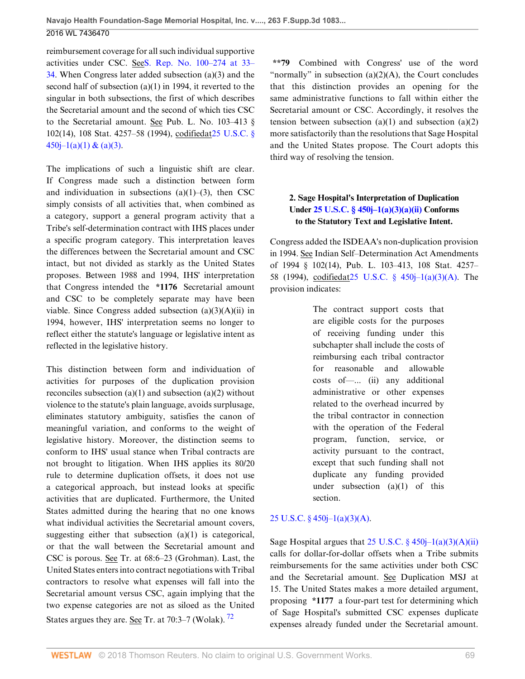reimbursement coverage for all such individual supportive activities under CSC. Se[eS. Rep. No. 100–274 at 33–](http://www.westlaw.com/Link/Document/FullText?findType=Y&serNum=0100092176&pubNum=0001503&originatingDoc=I4a89a3f0c8e111e6b27be1b44e7e7e5b&refType=TV&originationContext=document&vr=3.0&rs=cblt1.0&transitionType=DocumentItem&contextData=(sc.UserEnteredCitation)) [34](http://www.westlaw.com/Link/Document/FullText?findType=Y&serNum=0100092176&pubNum=0001503&originatingDoc=I4a89a3f0c8e111e6b27be1b44e7e7e5b&refType=TV&originationContext=document&vr=3.0&rs=cblt1.0&transitionType=DocumentItem&contextData=(sc.UserEnteredCitation)). When Congress later added subsection (a)(3) and the second half of subsection (a)(1) in 1994, it reverted to the singular in both subsections, the first of which describes the Secretarial amount and the second of which ties CSC to the Secretarial amount. See Pub. L. No. 103–413 § 102(14), 108 Stat. 4257–58 (1994), codifieda[t25 U.S.C. §](http://www.westlaw.com/Link/Document/FullText?findType=L&pubNum=1000546&cite=25USCAS450J-1&originatingDoc=I4a89a3f0c8e111e6b27be1b44e7e7e5b&refType=LQ&originationContext=document&vr=3.0&rs=cblt1.0&transitionType=DocumentItem&contextData=(sc.UserEnteredCitation)) 450 $j-1(a)(1)$  &  $(a)(3)$ .

The implications of such a linguistic shift are clear. If Congress made such a distinction between form and individuation in subsections  $(a)(1)$ – $(3)$ , then CSC simply consists of all activities that, when combined as a category, support a general program activity that a Tribe's self-determination contract with IHS places under a specific program category. This interpretation leaves the differences between the Secretarial amount and CSC intact, but not divided as starkly as the United States proposes. Between 1988 and 1994, IHS' interpretation that Congress intended the **\*1176** Secretarial amount and CSC to be completely separate may have been viable. Since Congress added subsection  $(a)(3)(A)(ii)$  in 1994, however, IHS' interpretation seems no longer to reflect either the statute's language or legislative intent as reflected in the legislative history.

This distinction between form and individuation of activities for purposes of the duplication provision reconciles subsection  $(a)(1)$  and subsection  $(a)(2)$  without violence to the statute's plain language, avoids surplusage, eliminates statutory ambiguity, satisfies the canon of meaningful variation, and conforms to the weight of legislative history. Moreover, the distinction seems to conform to IHS' usual stance when Tribal contracts are not brought to litigation. When IHS applies its 80/20 rule to determine duplication offsets, it does not use a categorical approach, but instead looks at specific activities that are duplicated. Furthermore, the United States admitted during the hearing that no one knows what individual activities the Secretarial amount covers, suggesting either that subsection  $(a)(1)$  is categorical, or that the wall between the Secretarial amount and CSC is porous. See Tr. at 68:6–23 (Grohman). Last, the United States enters into contract negotiations with Tribal contractors to resolve what expenses will fall into the Secretarial amount versus CSC, again implying that the two expense categories are not as siloed as the United States argues they are. See Tr. at 70:3–7 (Wolak).<sup>[72](#page-78-0)</sup>

**\*\*79** Combined with Congress' use of the word "normally" in subsection  $(a)(2)(A)$ , the Court concludes that this distinction provides an opening for the same administrative functions to fall within either the Secretarial amount or CSC. Accordingly, it resolves the tension between subsection  $(a)(1)$  and subsection  $(a)(2)$ more satisfactorily than the resolutions that Sage Hospital and the United States propose. The Court adopts this third way of resolving the tension.

## **2. Sage Hospital's Interpretation of Duplication Under [25 U.S.C. § 450j–1\(a\)\(3\)\(a\)\(ii\)](http://www.westlaw.com/Link/Document/FullText?findType=L&pubNum=1000546&cite=25USCAS450J-1&originatingDoc=I4a89a3f0c8e111e6b27be1b44e7e7e5b&refType=LQ&originationContext=document&vr=3.0&rs=cblt1.0&transitionType=DocumentItem&contextData=(sc.UserEnteredCitation)) Conforms to the Statutory Text and Legislative Intent.**

Congress added the ISDEAA's non-duplication provision in 1994. See Indian Self–Determination Act Amendments of 1994 § 102(14), Pub. L. 103–413, 108 Stat. 4257– 58 (1994), codifiedat[25 U.S.C. § 450j–1\(a\)\(3\)\(A\)](http://www.westlaw.com/Link/Document/FullText?findType=L&pubNum=1000546&cite=25USCAS450J-1&originatingDoc=I4a89a3f0c8e111e6b27be1b44e7e7e5b&refType=LQ&originationContext=document&vr=3.0&rs=cblt1.0&transitionType=DocumentItem&contextData=(sc.UserEnteredCitation)). The provision indicates:

> The contract support costs that are eligible costs for the purposes of receiving funding under this subchapter shall include the costs of reimbursing each tribal contractor for reasonable and allowable costs of—... (ii) any additional administrative or other expenses related to the overhead incurred by the tribal contractor in connection with the operation of the Federal program, function, service, or activity pursuant to the contract, except that such funding shall not duplicate any funding provided under subsection  $(a)(1)$  of this section.

## [25 U.S.C. § 450j–1\(a\)\(3\)\(A\).](http://www.westlaw.com/Link/Document/FullText?findType=L&pubNum=1000546&cite=25USCAS450J-1&originatingDoc=I4a89a3f0c8e111e6b27be1b44e7e7e5b&refType=LQ&originationContext=document&vr=3.0&rs=cblt1.0&transitionType=DocumentItem&contextData=(sc.UserEnteredCitation))

Sage Hospital argues that  $25 \text{ U.S.C.} \frac{6}{5} \cdot 450 \cdot (-1) \cdot (3)(\text{A})(\text{ii})$ calls for dollar-for-dollar offsets when a Tribe submits reimbursements for the same activities under both CSC and the Secretarial amount. See Duplication MSJ at 15. The United States makes a more detailed argument, proposing **\*1177** a four-part test for determining which of Sage Hospital's submitted CSC expenses duplicate expenses already funded under the Secretarial amount.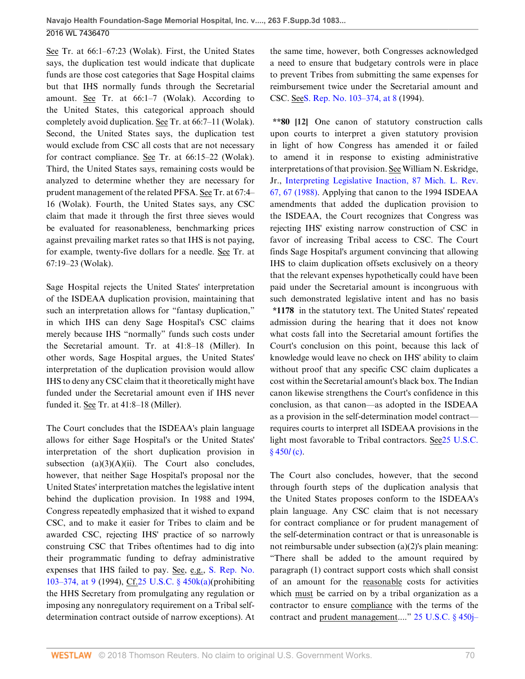See Tr. at 66:1–67:23 (Wolak). First, the United States says, the duplication test would indicate that duplicate funds are those cost categories that Sage Hospital claims but that IHS normally funds through the Secretarial amount. See Tr. at 66:1–7 (Wolak). According to the United States, this categorical approach should completely avoid duplication. See Tr. at 66:7–11 (Wolak). Second, the United States says, the duplication test would exclude from CSC all costs that are not necessary for contract compliance. See Tr. at 66:15–22 (Wolak). Third, the United States says, remaining costs would be analyzed to determine whether they are necessary for prudent management of the related PFSA. See Tr. at 67:4– 16 (Wolak). Fourth, the United States says, any CSC claim that made it through the first three sieves would be evaluated for reasonableness, benchmarking prices against prevailing market rates so that IHS is not paying, for example, twenty-five dollars for a needle. See Tr. at 67:19–23 (Wolak).

Sage Hospital rejects the United States' interpretation of the ISDEAA duplication provision, maintaining that such an interpretation allows for "fantasy duplication," in which IHS can deny Sage Hospital's CSC claims merely because IHS "normally" funds such costs under the Secretarial amount. Tr. at 41:8–18 (Miller). In other words, Sage Hospital argues, the United States' interpretation of the duplication provision would allow IHS to deny any CSC claim that it theoretically might have funded under the Secretarial amount even if IHS never funded it. See Tr. at 41:8–18 (Miller).

The Court concludes that the ISDEAA's plain language allows for either Sage Hospital's or the United States' interpretation of the short duplication provision in subsection  $(a)(3)(A)(ii)$ . The Court also concludes, however, that neither Sage Hospital's proposal nor the United States' interpretation matches the legislative intent behind the duplication provision. In 1988 and 1994, Congress repeatedly emphasized that it wished to expand CSC, and to make it easier for Tribes to claim and be awarded CSC, rejecting IHS' practice of so narrowly construing CSC that Tribes oftentimes had to dig into their programmatic funding to defray administrative expenses that IHS failed to pay. See, e.g., [S. Rep. No.](http://www.westlaw.com/Link/Document/FullText?findType=Y&serNum=0104640955&pubNum=0001503&originatingDoc=I4a89a3f0c8e111e6b27be1b44e7e7e5b&refType=TV&originationContext=document&vr=3.0&rs=cblt1.0&transitionType=DocumentItem&contextData=(sc.UserEnteredCitation)) [103–374, at 9](http://www.westlaw.com/Link/Document/FullText?findType=Y&serNum=0104640955&pubNum=0001503&originatingDoc=I4a89a3f0c8e111e6b27be1b44e7e7e5b&refType=TV&originationContext=document&vr=3.0&rs=cblt1.0&transitionType=DocumentItem&contextData=(sc.UserEnteredCitation)) (1994), Cf.[25 U.S.C. § 450k\(a\)\(](http://www.westlaw.com/Link/Document/FullText?findType=L&pubNum=1000546&cite=25USCAS450K&originatingDoc=I4a89a3f0c8e111e6b27be1b44e7e7e5b&refType=LQ&originationContext=document&vr=3.0&rs=cblt1.0&transitionType=DocumentItem&contextData=(sc.UserEnteredCitation))prohibiting the HHS Secretary from promulgating any regulation or imposing any nonregulatory requirement on a Tribal selfdetermination contract outside of narrow exceptions). At the same time, however, both Congresses acknowledged a need to ensure that budgetary controls were in place to prevent Tribes from submitting the same expenses for reimbursement twice under the Secretarial amount and CSC. Se[eS. Rep. No. 103–374, at 8](http://www.westlaw.com/Link/Document/FullText?findType=Y&serNum=0104640955&pubNum=0001503&originatingDoc=I4a89a3f0c8e111e6b27be1b44e7e7e5b&refType=TV&originationContext=document&vr=3.0&rs=cblt1.0&transitionType=DocumentItem&contextData=(sc.UserEnteredCitation)) (1994).

**\*\*80 [\[12](#page-2-3)]** One canon of statutory construction calls upon courts to interpret a given statutory provision in light of how Congress has amended it or failed to amend it in response to existing administrative interpretations of that provision. See William N. Eskridge, Jr., [Interpreting Legislative Inaction, 87 Mich. L. Rev.](http://www.westlaw.com/Link/Document/FullText?findType=Y&serNum=0102032250&pubNum=0001192&originatingDoc=I4a89a3f0c8e111e6b27be1b44e7e7e5b&refType=LR&originationContext=document&vr=3.0&rs=cblt1.0&transitionType=DocumentItem&contextData=(sc.UserEnteredCitation)) [67, 67 \(1988\)](http://www.westlaw.com/Link/Document/FullText?findType=Y&serNum=0102032250&pubNum=0001192&originatingDoc=I4a89a3f0c8e111e6b27be1b44e7e7e5b&refType=LR&originationContext=document&vr=3.0&rs=cblt1.0&transitionType=DocumentItem&contextData=(sc.UserEnteredCitation)). Applying that canon to the 1994 ISDEAA amendments that added the duplication provision to the ISDEAA, the Court recognizes that Congress was rejecting IHS' existing narrow construction of CSC in favor of increasing Tribal access to CSC. The Court finds Sage Hospital's argument convincing that allowing IHS to claim duplication offsets exclusively on a theory that the relevant expenses hypothetically could have been paid under the Secretarial amount is incongruous with such demonstrated legislative intent and has no basis **\*1178** in the statutory text. The United States' repeated admission during the hearing that it does not know what costs fall into the Secretarial amount fortifies the Court's conclusion on this point, because this lack of knowledge would leave no check on IHS' ability to claim without proof that any specific CSC claim duplicates a cost within the Secretarial amount's black box. The Indian canon likewise strengthens the Court's confidence in this conclusion, as that canon—as adopted in the ISDEAA as a provision in the self-determination model contract requires courts to interpret all ISDEAA provisions in the light most favorable to Tribal contractors. See[25 U.S.C.](http://www.westlaw.com/Link/Document/FullText?findType=L&pubNum=1000546&cite=25USCAS450L&originatingDoc=I4a89a3f0c8e111e6b27be1b44e7e7e5b&refType=LQ&originationContext=document&vr=3.0&rs=cblt1.0&transitionType=DocumentItem&contextData=(sc.UserEnteredCitation)) [§ 450](http://www.westlaw.com/Link/Document/FullText?findType=L&pubNum=1000546&cite=25USCAS450L&originatingDoc=I4a89a3f0c8e111e6b27be1b44e7e7e5b&refType=LQ&originationContext=document&vr=3.0&rs=cblt1.0&transitionType=DocumentItem&contextData=(sc.UserEnteredCitation))*l* (c).

The Court also concludes, however, that the second through fourth steps of the duplication analysis that the United States proposes conform to the ISDEAA's plain language. Any CSC claim that is not necessary for contract compliance or for prudent management of the self-determination contract or that is unreasonable is not reimbursable under subsection (a)(2)'s plain meaning: "There shall be added to the amount required by paragraph (1) contract support costs which shall consist of an amount for the reasonable costs for activities which must be carried on by a tribal organization as a contractor to ensure compliance with the terms of the contract and prudent management...." [25 U.S.C. § 450j–](http://www.westlaw.com/Link/Document/FullText?findType=L&pubNum=1000546&cite=25USCAS450J-1&originatingDoc=I4a89a3f0c8e111e6b27be1b44e7e7e5b&refType=LQ&originationContext=document&vr=3.0&rs=cblt1.0&transitionType=DocumentItem&contextData=(sc.UserEnteredCitation))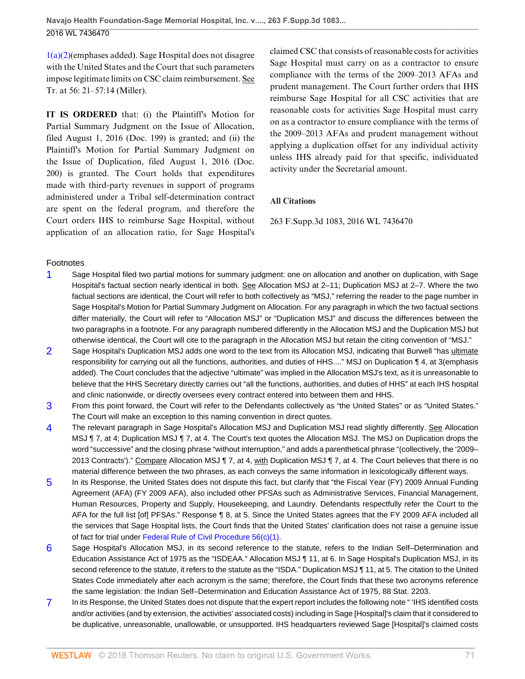**Navajo Health Foundation-Sage Memorial Hospital, Inc. v...., 263 F.Supp.3d 1083...** 2016 WL 7436470

[1\(a\)\(2\)](http://www.westlaw.com/Link/Document/FullText?findType=L&pubNum=1000546&cite=25USCAS450J-1&originatingDoc=I4a89a3f0c8e111e6b27be1b44e7e7e5b&refType=LQ&originationContext=document&vr=3.0&rs=cblt1.0&transitionType=DocumentItem&contextData=(sc.UserEnteredCitation))(emphases added). Sage Hospital does not disagree with the United States and the Court that such parameters impose legitimate limits on CSC claim reimbursement. See Tr. at 56: 21–57:14 (Miller).

**IT IS ORDERED** that: (i) the Plaintiff's Motion for Partial Summary Judgment on the Issue of Allocation, filed August 1, 2016 (Doc. 199) is granted; and (ii) the Plaintiff's Motion for Partial Summary Judgment on the Issue of Duplication, filed August 1, 2016 (Doc. 200) is granted. The Court holds that expenditures made with third-party revenues in support of programs administered under a Tribal self-determination contract are spent on the federal program, and therefore the Court orders IHS to reimburse Sage Hospital, without application of an allocation ratio, for Sage Hospital's

claimed CSC that consists of reasonable costs for activities Sage Hospital must carry on as a contractor to ensure compliance with the terms of the 2009–2013 AFAs and prudent management. The Court further orders that IHS reimburse Sage Hospital for all CSC activities that are reasonable costs for activities Sage Hospital must carry on as a contractor to ensure compliance with the terms of the 2009–2013 AFAs and prudent management without applying a duplication offset for any individual activity unless IHS already paid for that specific, individuated activity under the Secretarial amount.

#### **All Citations**

263 F.Supp.3d 1083, 2016 WL 7436470

#### Footnotes

- [1](#page-3-0) Sage Hospital filed two partial motions for summary judgment: one on allocation and another on duplication, with Sage Hospital's factual section nearly identical in both. See Allocation MSJ at 2–11; Duplication MSJ at 2–7. Where the two factual sections are identical, the Court will refer to both collectively as "MSJ," referring the reader to the page number in Sage Hospital's Motion for Partial Summary Judgment on Allocation. For any paragraph in which the two factual sections differ materially, the Court will refer to "Allocation MSJ" or "Duplication MSJ" and discuss the differences between the two paragraphs in a footnote. For any paragraph numbered differently in the Allocation MSJ and the Duplication MSJ but otherwise identical, the Court will cite to the paragraph in the Allocation MSJ but retain the citing convention of "MSJ."
- [2](#page-3-1) Sage Hospital's Duplication MSJ adds one word to the text from its Allocation MSJ, indicating that Burwell "has ultimate responsibility for carrying out all the functions, authorities, and duties of HHS...." MSJ on Duplication ¶ 4, at 3(emphasis added). The Court concludes that the adjective "ultimate" was implied in the Allocation MSJ's text, as it is unreasonable to believe that the HHS Secretary directly carries out "all the functions, authorities, and duties of HHS" at each IHS hospital and clinic nationwide, or directly oversees every contract entered into between them and HHS.
- [3](#page-3-2) From this point forward, the Court will refer to the Defendants collectively as "the United States" or as "United States." The Court will make an exception to this naming convention in direct quotes.
- [4](#page-4-0) The relevant paragraph in Sage Hospital's Allocation MSJ and Duplication MSJ read slightly differently. See Allocation MSJ ¶ 7, at 4; Duplication MSJ ¶ 7, at 4. The Court's text quotes the Allocation MSJ. The MSJ on Duplication drops the word "successive" and the closing phrase "without interruption," and adds a parenthetical phrase "(collectively, the '2009– 2013 Contracts')." Compare Allocation MSJ  $\P$  7, at 4, with Duplication MSJ  $\P$  7, at 4. The Court believes that there is no material difference between the two phrases, as each conveys the same information in lexicologically different ways.
- [5](#page-4-1) In its Response, the United States does not dispute this fact, but clarify that "the Fiscal Year (FY) 2009 Annual Funding Agreement (AFA) (FY 2009 AFA), also included other PFSAs such as Administrative Services, Financial Management, Human Resources, Property and Supply, Housekeeping, and Laundry. Defendants respectfully refer the Court to the AFA for the full list [of] PFSAs." Response ¶ 8, at 5. Since the United States agrees that the FY 2009 AFA included all the services that Sage Hospital lists, the Court finds that the United States' clarification does not raise a genuine issue of fact for trial under [Federal Rule of Civil Procedure 56\(c\)\(1\).](http://www.westlaw.com/Link/Document/FullText?findType=L&pubNum=1000600&cite=USFRCPR56&originatingDoc=I4a89a3f0c8e111e6b27be1b44e7e7e5b&refType=LQ&originationContext=document&vr=3.0&rs=cblt1.0&transitionType=DocumentItem&contextData=(sc.UserEnteredCitation))
- [6](#page-4-2) Sage Hospital's Allocation MSJ, in its second reference to the statute, refers to the Indian Self–Determination and Education Assistance Act of 1975 as the "ISDEAA." Allocation MSJ ¶ 11, at 6. In Sage Hospital's Duplication MSJ, in its second reference to the statute, it refers to the statute as the "ISDA." Duplication MSJ ¶ 11, at 5. The citation to the United States Code immediately after each acronym is the same; therefore, the Court finds that these two acronyms reference the same legislation: the Indian Self–Determination and Education Assistance Act of 1975, 88 Stat. 2203.
- [7](#page-4-3) In its Response, the United States does not dispute that the expert report includes the following note " 'IHS identified costs and/or activities (and by extension, the activities' associated costs) including in Sage [Hospital]'s claim that it considered to be duplicative, unreasonable, unallowable, or unsupported. IHS headquarters reviewed Sage [Hospital]'s claimed costs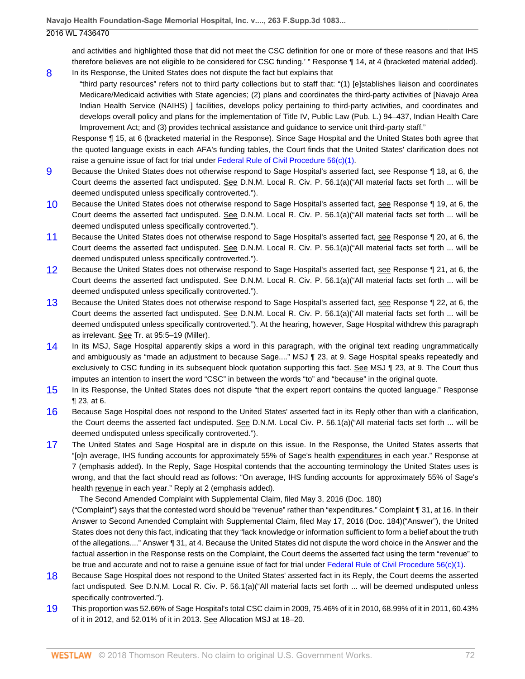and activities and highlighted those that did not meet the CSC definition for one or more of these reasons and that IHS therefore believes are not eligible to be considered for CSC funding.' " Response ¶ 14, at 4 (bracketed material added).

[8](#page-4-4) In its Response, the United States does not dispute the fact but explains that "third party resources" refers not to third party collections but to staff that: "(1) [e]stablishes liaison and coordinates Medicare/Medicaid activities with State agencies; (2) plans and coordinates the third-party activities of [Navajo Area Indian Health Service (NAIHS) ] facilities, develops policy pertaining to third-party activities, and coordinates and develops overall policy and plans for the implementation of Title IV, Public Law (Pub. L.) 94–437, Indian Health Care Improvement Act; and (3) provides technical assistance and guidance to service unit third-party staff."

Response ¶ 15, at 6 (bracketed material in the Response). Since Sage Hospital and the United States both agree that the quoted language exists in each AFA's funding tables, the Court finds that the United States' clarification does not raise a genuine issue of fact for trial under Federal Rule of Civil Procedure  $56(c)(1)$ .

- [9](#page-5-0) Because the United States does not otherwise respond to Sage Hospital's asserted fact, see Response ¶ 18, at 6, the Court deems the asserted fact undisputed. See D.N.M. Local R. Civ. P. 56.1(a)("All material facts set forth ... will be deemed undisputed unless specifically controverted.").
- [10](#page-5-1) Because the United States does not otherwise respond to Sage Hospital's asserted fact, see Response ¶ 19, at 6, the Court deems the asserted fact undisputed. See D.N.M. Local R. Civ. P. 56.1(a)("All material facts set forth ... will be deemed undisputed unless specifically controverted.").
- [11](#page-5-2) Because the United States does not otherwise respond to Sage Hospital's asserted fact, see Response ¶ 20, at 6, the Court deems the asserted fact undisputed. See D.N.M. Local R. Civ. P. 56.1(a)("All material facts set forth ... will be deemed undisputed unless specifically controverted.").
- [12](#page-5-3) Because the United States does not otherwise respond to Sage Hospital's asserted fact, see Response ¶ 21, at 6, the Court deems the asserted fact undisputed. See D.N.M. Local R. Civ. P. 56.1(a)("All material facts set forth ... will be deemed undisputed unless specifically controverted.").
- [13](#page-5-4) Because the United States does not otherwise respond to Sage Hospital's asserted fact, see Response 1 22, at 6, the Court deems the asserted fact undisputed. See D.N.M. Local R. Civ. P. 56.1(a)("All material facts set forth ... will be deemed undisputed unless specifically controverted."). At the hearing, however, Sage Hospital withdrew this paragraph as irrelevant. See Tr. at 95:5-19 (Miller).
- [14](#page-5-5) In its MSJ, Sage Hospital apparently skips a word in this paragraph, with the original text reading ungrammatically and ambiguously as "made an adjustment to because Sage...." MSJ ¶ 23, at 9. Sage Hospital speaks repeatedly and exclusively to CSC funding in its subsequent block quotation supporting this fact. See MSJ ¶ 23, at 9. The Court thus imputes an intention to insert the word "CSC" in between the words "to" and "because" in the original quote.
- [15](#page-6-0) In its Response, the United States does not dispute "that the expert report contains the quoted language." Response ¶ 23, at 6.
- [16](#page-6-1) Because Sage Hospital does not respond to the United States' asserted fact in its Reply other than with a clarification, the Court deems the asserted fact undisputed. See D.N.M. Local Civ. P. 56.1(a)("All material facts set forth ... will be deemed undisputed unless specifically controverted.").
- [17](#page-6-2) The United States and Sage Hospital are in dispute on this issue. In the Response, the United States asserts that "[o]n average, IHS funding accounts for approximately 55% of Sage's health expenditures in each year." Response at 7 (emphasis added). In the Reply, Sage Hospital contends that the accounting terminology the United States uses is wrong, and that the fact should read as follows: "On average, IHS funding accounts for approximately 55% of Sage's health revenue in each year." Reply at 2 (emphasis added).

The Second Amended Complaint with Supplemental Claim, filed May 3, 2016 (Doc. 180)

("Complaint") says that the contested word should be "revenue" rather than "expenditures." Complaint ¶ 31, at 16. In their Answer to Second Amended Complaint with Supplemental Claim, filed May 17, 2016 (Doc. 184)("Answer"), the United States does not deny this fact, indicating that they "lack knowledge or information sufficient to form a belief about the truth of the allegations...." Answer ¶ 31, at 4. Because the United States did not dispute the word choice in the Answer and the factual assertion in the Response rests on the Complaint, the Court deems the asserted fact using the term "revenue" to be true and accurate and not to raise a genuine issue of fact for trial under Federal Rule of Civil Procedure  $56(c)(1)$ .

- [18](#page-6-3) Because Sage Hospital does not respond to the United States' asserted fact in its Reply, the Court deems the asserted fact undisputed. See D.N.M. Local R. Civ. P. 56.1(a)("All material facts set forth ... will be deemed undisputed unless specifically controverted.").
- [19](#page-6-4) This proportion was 52.66% of Sage Hospital's total CSC claim in 2009, 75.46% of it in 2010, 68.99% of it in 2011, 60.43% of it in 2012, and 52.01% of it in 2013. See Allocation MSJ at 18–20.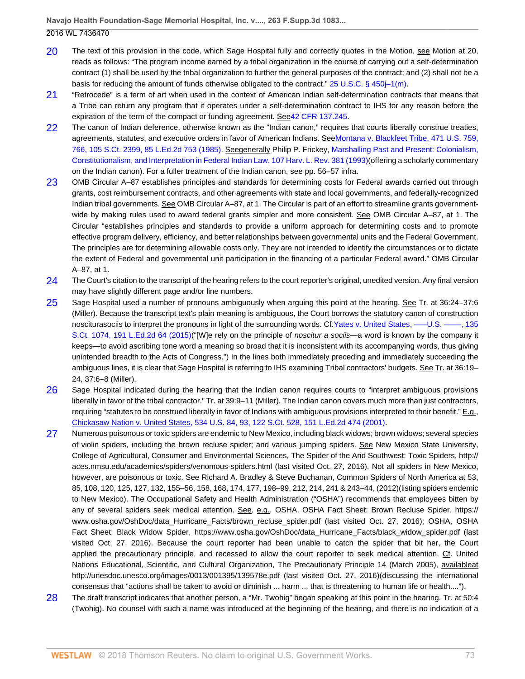- [20](#page-7-0) The text of this provision in the code, which Sage Hospital fully and correctly quotes in the Motion, see Motion at 20, reads as follows: "The program income earned by a tribal organization in the course of carrying out a self-determination contract (1) shall be used by the tribal organization to further the general purposes of the contract; and (2) shall not be a basis for reducing the amount of funds otherwise obligated to the contract." [25 U.S.C. § 450j–1\(m\)](http://www.westlaw.com/Link/Document/FullText?findType=L&pubNum=1000546&cite=25USCAS450J-1&originatingDoc=I4a89a3f0c8e111e6b27be1b44e7e7e5b&refType=LQ&originationContext=document&vr=3.0&rs=cblt1.0&transitionType=DocumentItem&contextData=(sc.UserEnteredCitation)).
- [21](#page-7-1) "Retrocede" is a term of art when used in the context of American Indian self-determination contracts that means that a Tribe can return any program that it operates under a self-determination contract to IHS for any reason before the expiration of the term of the compact or funding agreement. Se[e42 CFR 137.245](http://www.westlaw.com/Link/Document/FullText?findType=L&pubNum=1000547&cite=42CFRS137.245&originatingDoc=I4a89a3f0c8e111e6b27be1b44e7e7e5b&refType=LQ&originationContext=document&vr=3.0&rs=cblt1.0&transitionType=DocumentItem&contextData=(sc.UserEnteredCitation)).
- [22](#page-10-0) The canon of Indian deference, otherwise known as the "Indian canon," requires that courts liberally construe treaties, agreements, statutes, and executive orders in favor of American Indians. Se[eMontana v. Blackfeet Tribe, 471 U.S. 759,](http://www.westlaw.com/Link/Document/FullText?findType=Y&serNum=1985127858&pubNum=0000708&originatingDoc=I4a89a3f0c8e111e6b27be1b44e7e7e5b&refType=RP&originationContext=document&vr=3.0&rs=cblt1.0&transitionType=DocumentItem&contextData=(sc.UserEnteredCitation)) [766, 105 S.Ct. 2399, 85 L.Ed.2d 753 \(1985\).](http://www.westlaw.com/Link/Document/FullText?findType=Y&serNum=1985127858&pubNum=0000708&originatingDoc=I4a89a3f0c8e111e6b27be1b44e7e7e5b&refType=RP&originationContext=document&vr=3.0&rs=cblt1.0&transitionType=DocumentItem&contextData=(sc.UserEnteredCitation)) Seegenerally Philip P. Frickey, [Marshalling Past and Present: Colonialism,](http://www.westlaw.com/Link/Document/FullText?findType=Y&serNum=0103315100&pubNum=0003084&originatingDoc=I4a89a3f0c8e111e6b27be1b44e7e7e5b&refType=LR&originationContext=document&vr=3.0&rs=cblt1.0&transitionType=DocumentItem&contextData=(sc.UserEnteredCitation)) [Constitutionalism, and Interpretation in Federal Indian Law, 107 Harv. L. Rev. 381 \(1993\)\(](http://www.westlaw.com/Link/Document/FullText?findType=Y&serNum=0103315100&pubNum=0003084&originatingDoc=I4a89a3f0c8e111e6b27be1b44e7e7e5b&refType=LR&originationContext=document&vr=3.0&rs=cblt1.0&transitionType=DocumentItem&contextData=(sc.UserEnteredCitation))offering a scholarly commentary on the Indian canon). For a fuller treatment of the Indian canon, see pp. 56–57 infra.
- [23](#page-11-0) OMB Circular A–87 establishes principles and standards for determining costs for Federal awards carried out through grants, cost reimbursement contracts, and other agreements with state and local governments, and federally-recognized Indian tribal governments. See OMB Circular A–87, at 1. The Circular is part of an effort to streamline grants governmentwide by making rules used to award federal grants simpler and more consistent. See OMB Circular A–87, at 1. The Circular "establishes principles and standards to provide a uniform approach for determining costs and to promote effective program delivery, efficiency, and better relationships between governmental units and the Federal Government. The principles are for determining allowable costs only. They are not intended to identify the circumstances or to dictate the extent of Federal and governmental unit participation in the financing of a particular Federal award." OMB Circular A–87, at 1.
- [24](#page-15-0) The Court's citation to the transcript of the hearing refers to the court reporter's original, unedited version. Any final version may have slightly different page and/or line numbers.
- [25](#page-16-0) Sage Hospital used a number of pronouns ambiguously when arguing this point at the hearing. See Tr. at 36:24–37:6 (Miller). Because the transcript text's plain meaning is ambiguous, the Court borrows the statutory canon of construction nosciturasociis to interpret the pronouns in light of the surrounding words. Cf. Yates v. United States, -----U.S. -----, 135 [S.Ct. 1074, 191 L.Ed.2d 64 \(2015\)](http://www.westlaw.com/Link/Document/FullText?findType=Y&serNum=2035496669&pubNum=0000708&originatingDoc=I4a89a3f0c8e111e6b27be1b44e7e7e5b&refType=RP&originationContext=document&vr=3.0&rs=cblt1.0&transitionType=DocumentItem&contextData=(sc.UserEnteredCitation))("[W]e rely on the principle of noscitur a sociis—a word is known by the company it keeps—to avoid ascribing tone word a meaning so broad that it is inconsistent with its accompanying words, thus giving unintended breadth to the Acts of Congress.") In the lines both immediately preceding and immediately succeeding the ambiguous lines, it is clear that Sage Hospital is referring to IHS examining Tribal contractors' budgets. See Tr. at 36:19-24, 37:6–8 (Miller).
- [26](#page-16-1) Sage Hospital indicated during the hearing that the Indian canon requires courts to "interpret ambiguous provisions liberally in favor of the tribal contractor." Tr. at 39:9–11 (Miller). The Indian canon covers much more than just contractors, requiring "statutes to be construed liberally in favor of Indians with ambiguous provisions interpreted to their benefit." E.g., [Chickasaw Nation v. United States, 534 U.S. 84, 93, 122 S.Ct. 528, 151 L.Ed.2d 474 \(2001\)](http://www.westlaw.com/Link/Document/FullText?findType=Y&serNum=2001473494&pubNum=0000708&originatingDoc=I4a89a3f0c8e111e6b27be1b44e7e7e5b&refType=RP&originationContext=document&vr=3.0&rs=cblt1.0&transitionType=DocumentItem&contextData=(sc.UserEnteredCitation)).
- [27](#page-16-2) Numerous poisonous or toxic spiders are endemic to New Mexico, including black widows; brown widows; several species of violin spiders, including the brown recluse spider; and various jumping spiders. See New Mexico State University, College of Agricultural, Consumer and Environmental Sciences, The Spider of the Arid Southwest: Toxic Spiders, http:// aces.nmsu.edu/academics/spiders/venomous-spiders.html (last visited Oct. 27, 2016). Not all spiders in New Mexico, however, are poisonous or toxic. See Richard A. Bradley & Steve Buchanan, Common Spiders of North America at 53, 85, 108, 120, 125, 127, 132, 155–56, 158, 168, 174, 177, 198–99, 212, 214, 241 & 243–44, (2012)(listing spiders endemic to New Mexico). The Occupational Safety and Health Administration ("OSHA") recommends that employees bitten by any of several spiders seek medical attention. See, e.g., OSHA, OSHA Fact Sheet: Brown Recluse Spider, https:// www.osha.gov/OshDoc/data\_Hurricane\_Facts/brown\_recluse\_spider.pdf (last visited Oct. 27, 2016); OSHA, OSHA Fact Sheet: Black Widow Spider, https://www.osha.gov/OshDoc/data\_Hurricane\_Facts/black\_widow\_spider.pdf (last visited Oct. 27, 2016). Because the court reporter had been unable to catch the spider that bit her, the Court applied the precautionary principle, and recessed to allow the court reporter to seek medical attention. Cf. United Nations Educational, Scientific, and Cultural Organization, The Precautionary Principle 14 (March 2005), availableat http://unesdoc.unesco.org/images/0013/001395/139578e.pdf (last visited Oct. 27, 2016)(discussing the international consensus that "actions shall be taken to avoid or diminish ... harm ... that is threatening to human life or health....").
- [28](#page-17-0) The draft transcript indicates that another person, a "Mr. Twohig" began speaking at this point in the hearing. Tr. at 50:4 (Twohig). No counsel with such a name was introduced at the beginning of the hearing, and there is no indication of a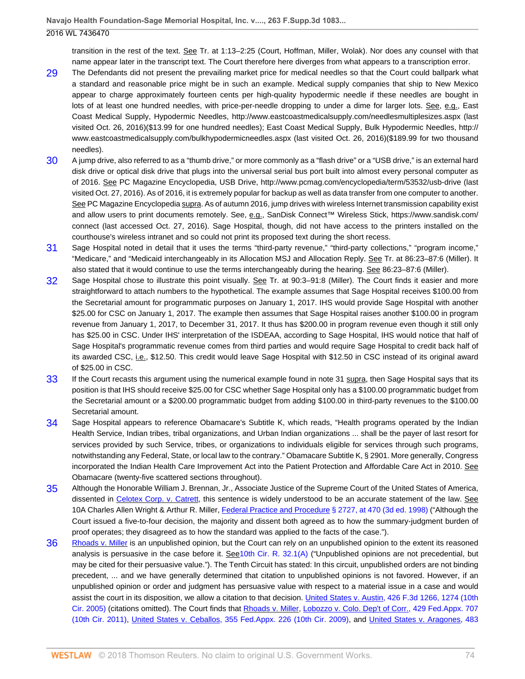transition in the rest of the text. See Tr. at 1:13–2:25 (Court, Hoffman, Miller, Wolak). Nor does any counsel with that name appear later in the transcript text. The Court therefore here diverges from what appears to a transcription error.

- [29](#page-19-0) The Defendants did not present the prevailing market price for medical needles so that the Court could ballpark what a standard and reasonable price might be in such an example. Medical supply companies that ship to New Mexico appear to charge approximately fourteen cents per high-quality hypodermic needle if these needles are bought in lots of at least one hundred needles, with price-per-needle dropping to under a dime for larger lots. See, e.g., East Coast Medical Supply, Hypodermic Needles, http://www.eastcoastmedicalsupply.com/needlesmultiplesizes.aspx (last visited Oct. 26, 2016)(\$13.99 for one hundred needles); East Coast Medical Supply, Bulk Hypodermic Needles, http:// www.eastcoastmedicalsupply.com/bulkhypodermicneedles.aspx (last visited Oct. 26, 2016)(\$189.99 for two thousand needles).
- [30](#page-20-0) A jump drive, also referred to as a "thumb drive," or more commonly as a "flash drive" or a "USB drive," is an external hard disk drive or optical disk drive that plugs into the universal serial bus port built into almost every personal computer as of 2016. See PC Magazine Encyclopedia, USB Drive, http://www.pcmag.com/encyclopedia/term/53532/usb-drive (last visited Oct. 27, 2016). As of 2016, it is extremely popular for backup as well as data transfer from one computer to another. See PC Magazine Encyclopedia supra. As of autumn 2016, jump drives with wireless Internet transmission capability exist and allow users to print documents remotely. See, e.g., SanDisk Connect™ Wireless Stick, https://www.sandisk.com/ connect (last accessed Oct. 27, 2016). Sage Hospital, though, did not have access to the printers installed on the courthouse's wireless intranet and so could not print its proposed text during the short recess.
- [31](#page-21-0) Sage Hospital noted in detail that it uses the terms "third-party revenue," "third-party collections," "program income," "Medicare," and "Medicaid interchangeably in its Allocation MSJ and Allocation Reply. See Tr. at 86:23–87:6 (Miller). It also stated that it would continue to use the terms interchangeably during the hearing. See 86:23-87:6 (Miller).
- [32](#page-21-1) Sage Hospital chose to illustrate this point visually. See Tr. at 90:3-91:8 (Miller). The Court finds it easier and more straightforward to attach numbers to the hypothetical. The example assumes that Sage Hospital receives \$100.00 from the Secretarial amount for programmatic purposes on January 1, 2017. IHS would provide Sage Hospital with another \$25.00 for CSC on January 1, 2017. The example then assumes that Sage Hospital raises another \$100.00 in program revenue from January 1, 2017, to December 31, 2017. It thus has \$200.00 in program revenue even though it still only has \$25.00 in CSC. Under IHS' interpretation of the ISDEAA, according to Sage Hospital, IHS would notice that half of Sage Hospital's programmatic revenue comes from third parties and would require Sage Hospital to credit back half of its awarded CSC, *i.e.*, \$12.50. This credit would leave Sage Hospital with \$12.50 in CSC instead of its original award of \$25.00 in CSC.
- [33](#page-21-2) If the Court recasts this argument using the numerical example found in note 31 supra, then Sage Hospital says that its position is that IHS should receive \$25.00 for CSC whether Sage Hospital only has a \$100.00 programmatic budget from the Secretarial amount or a \$200.00 programmatic budget from adding \$100.00 in third-party revenues to the \$100.00 Secretarial amount.
- [34](#page-22-0) Sage Hospital appears to reference Obamacare's Subtitle K, which reads, "Health programs operated by the Indian Health Service, Indian tribes, tribal organizations, and Urban Indian organizations ... shall be the payer of last resort for services provided by such Service, tribes, or organizations to individuals eligible for services through such programs, notwithstanding any Federal, State, or local law to the contrary." Obamacare Subtitle K, § 2901. More generally, Congress incorporated the Indian Health Care Improvement Act into the Patient Protection and Affordable Care Act in 2010. See Obamacare (twenty-five scattered sections throughout).
- [35](#page-22-1) Although the Honorable William J. Brennan, Jr., Associate Justice of the Supreme Court of the United States of America, dissented in [Celotex Corp. v. Catrett,](http://www.westlaw.com/Link/Document/FullText?findType=Y&serNum=1986132677&pubNum=0000780&originatingDoc=I4a89a3f0c8e111e6b27be1b44e7e7e5b&refType=RP&originationContext=document&vr=3.0&rs=cblt1.0&transitionType=DocumentItem&contextData=(sc.UserEnteredCitation)) this sentence is widely understood to be an accurate statement of the law. See 10A Charles Allen Wright & Arthur R. Miller, [Federal Practice and Procedure § 2727, at 470 \(3d ed. 1998\)](http://www.westlaw.com/Link/Document/FullText?findType=Y&serNum=0108902524&pubNum=0102228&originatingDoc=I4a89a3f0c8e111e6b27be1b44e7e7e5b&refType=TS&originationContext=document&vr=3.0&rs=cblt1.0&transitionType=DocumentItem&contextData=(sc.UserEnteredCitation)) ("Although the Court issued a five-to-four decision, the majority and dissent both agreed as to how the summary-judgment burden of proof operates; they disagreed as to how the standard was applied to the facts of the case.").
- [36](#page-24-0) [Rhoads v. Miller](http://www.westlaw.com/Link/Document/FullText?findType=Y&serNum=2020306542&pubNum=0006538&originatingDoc=I4a89a3f0c8e111e6b27be1b44e7e7e5b&refType=RP&originationContext=document&vr=3.0&rs=cblt1.0&transitionType=DocumentItem&contextData=(sc.UserEnteredCitation)) is an unpublished opinion, but the Court can rely on an unpublished opinion to the extent its reasoned analysis is persuasive in the case before it. See [10th Cir. R. 32.1\(A\)](http://www.westlaw.com/Link/Document/FullText?findType=L&pubNum=1000891&cite=CTA10R32.1&originatingDoc=I4a89a3f0c8e111e6b27be1b44e7e7e5b&refType=LQ&originationContext=document&vr=3.0&rs=cblt1.0&transitionType=DocumentItem&contextData=(sc.UserEnteredCitation)) ("Unpublished opinions are not precedential, but may be cited for their persuasive value."). The Tenth Circuit has stated: In this circuit, unpublished orders are not binding precedent, ... and we have generally determined that citation to unpublished opinions is not favored. However, if an unpublished opinion or order and judgment has persuasive value with respect to a material issue in a case and would assist the court in its disposition, we allow a citation to that decision. [United States v. Austin, 426 F.3d 1266, 1274 \(10th](http://www.westlaw.com/Link/Document/FullText?findType=Y&serNum=2007510134&pubNum=0000506&originatingDoc=I4a89a3f0c8e111e6b27be1b44e7e7e5b&refType=RP&fi=co_pp_sp_506_1274&originationContext=document&vr=3.0&rs=cblt1.0&transitionType=DocumentItem&contextData=(sc.UserEnteredCitation)#co_pp_sp_506_1274) [Cir. 2005\)](http://www.westlaw.com/Link/Document/FullText?findType=Y&serNum=2007510134&pubNum=0000506&originatingDoc=I4a89a3f0c8e111e6b27be1b44e7e7e5b&refType=RP&fi=co_pp_sp_506_1274&originationContext=document&vr=3.0&rs=cblt1.0&transitionType=DocumentItem&contextData=(sc.UserEnteredCitation)#co_pp_sp_506_1274) (citations omitted). The Court finds that [Rhoads v. Miller,](http://www.westlaw.com/Link/Document/FullText?findType=Y&serNum=2020306542&pubNum=0006538&originatingDoc=I4a89a3f0c8e111e6b27be1b44e7e7e5b&refType=RP&originationContext=document&vr=3.0&rs=cblt1.0&transitionType=DocumentItem&contextData=(sc.UserEnteredCitation)) [Lobozzo v. Colo. Dep't of Corr., 429 Fed.Appx. 707](http://www.westlaw.com/Link/Document/FullText?findType=Y&serNum=2025638265&pubNum=0006538&originatingDoc=I4a89a3f0c8e111e6b27be1b44e7e7e5b&refType=RP&originationContext=document&vr=3.0&rs=cblt1.0&transitionType=DocumentItem&contextData=(sc.UserEnteredCitation)) [\(10th Cir. 2011\),](http://www.westlaw.com/Link/Document/FullText?findType=Y&serNum=2025638265&pubNum=0006538&originatingDoc=I4a89a3f0c8e111e6b27be1b44e7e7e5b&refType=RP&originationContext=document&vr=3.0&rs=cblt1.0&transitionType=DocumentItem&contextData=(sc.UserEnteredCitation)) [United States v. Ceballos, 355 Fed.Appx. 226 \(10th Cir. 2009\),](http://www.westlaw.com/Link/Document/FullText?findType=Y&serNum=2020661212&pubNum=0006538&originatingDoc=I4a89a3f0c8e111e6b27be1b44e7e7e5b&refType=RP&originationContext=document&vr=3.0&rs=cblt1.0&transitionType=DocumentItem&contextData=(sc.UserEnteredCitation)) and [United States v. Aragones, 483](http://www.westlaw.com/Link/Document/FullText?findType=Y&serNum=2027724435&pubNum=0006538&originatingDoc=I4a89a3f0c8e111e6b27be1b44e7e7e5b&refType=RP&originationContext=document&vr=3.0&rs=cblt1.0&transitionType=DocumentItem&contextData=(sc.UserEnteredCitation))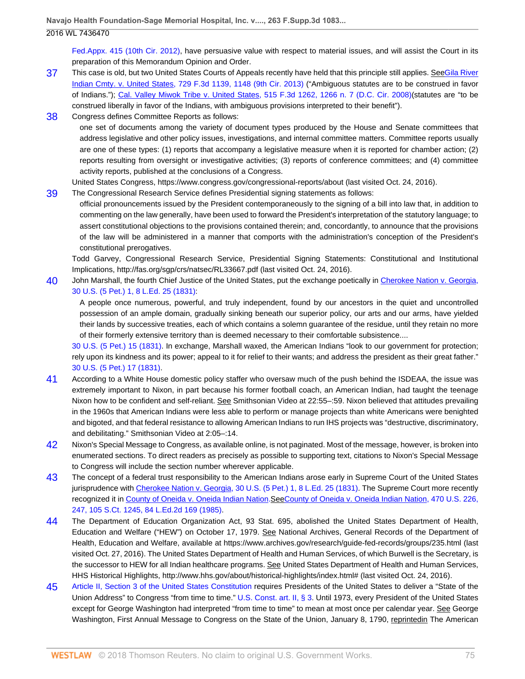[Fed.Appx. 415 \(10th Cir. 2012\)](http://www.westlaw.com/Link/Document/FullText?findType=Y&serNum=2027724435&pubNum=0006538&originatingDoc=I4a89a3f0c8e111e6b27be1b44e7e7e5b&refType=RP&originationContext=document&vr=3.0&rs=cblt1.0&transitionType=DocumentItem&contextData=(sc.UserEnteredCitation)), have persuasive value with respect to material issues, and will assist the Court in its preparation of this Memorandum Opinion and Order.

- [37](#page-25-0) This case is old, but two United States Courts of Appeals recently have held that this principle still applies. See[Gila River](http://www.westlaw.com/Link/Document/FullText?findType=Y&serNum=2030574399&pubNum=0000506&originatingDoc=I4a89a3f0c8e111e6b27be1b44e7e7e5b&refType=RP&fi=co_pp_sp_506_1148&originationContext=document&vr=3.0&rs=cblt1.0&transitionType=DocumentItem&contextData=(sc.UserEnteredCitation)#co_pp_sp_506_1148) [Indian Cmty. v. United States, 729 F.3d 1139, 1148 \(9th Cir. 2013\)](http://www.westlaw.com/Link/Document/FullText?findType=Y&serNum=2030574399&pubNum=0000506&originatingDoc=I4a89a3f0c8e111e6b27be1b44e7e7e5b&refType=RP&fi=co_pp_sp_506_1148&originationContext=document&vr=3.0&rs=cblt1.0&transitionType=DocumentItem&contextData=(sc.UserEnteredCitation)#co_pp_sp_506_1148) ("Ambiguous statutes are to be construed in favor of Indians."); [Cal. Valley Miwok Tribe v. United States, 515 F.3d 1262, 1266 n. 7 \(D.C. Cir. 2008\)](http://www.westlaw.com/Link/Document/FullText?findType=Y&serNum=2015248284&pubNum=0000506&originatingDoc=I4a89a3f0c8e111e6b27be1b44e7e7e5b&refType=RP&fi=co_pp_sp_506_1266&originationContext=document&vr=3.0&rs=cblt1.0&transitionType=DocumentItem&contextData=(sc.UserEnteredCitation)#co_pp_sp_506_1266)(statutes are "to be construed liberally in favor of the Indians, with ambiguous provisions interpreted to their benefit").
- [38](#page-25-1) Congress defines Committee Reports as follows:

one set of documents among the variety of document types produced by the House and Senate committees that address legislative and other policy issues, investigations, and internal committee matters. Committee reports usually are one of these types: (1) reports that accompany a legislative measure when it is reported for chamber action; (2) reports resulting from oversight or investigative activities; (3) reports of conference committees; and (4) committee activity reports, published at the conclusions of a Congress.

United States Congress, https://www.congress.gov/congressional-reports/about (last visited Oct. 24, 2016).

[39](#page-25-2) The Congressional Research Service defines Presidential signing statements as follows:

official pronouncements issued by the President contemporaneously to the signing of a bill into law that, in addition to commenting on the law generally, have been used to forward the President's interpretation of the statutory language; to assert constitutional objections to the provisions contained therein; and, concordantly, to announce that the provisions of the law will be administered in a manner that comports with the administration's conception of the President's constitutional prerogatives.

Todd Garvey, Congressional Research Service, Presidential Signing Statements: Constitutional and Institutional Implications, http://fas.org/sgp/crs/natsec/RL33667.pdf (last visited Oct. 24, 2016).

[40](#page-26-0) John Marshall, the fourth Chief Justice of the United States, put the exchange poetically in [Cherokee Nation v. Georgia,](http://www.westlaw.com/Link/Document/FullText?findType=Y&serNum=1831192543&pubNum=0000780&originatingDoc=I4a89a3f0c8e111e6b27be1b44e7e7e5b&refType=RP&originationContext=document&vr=3.0&rs=cblt1.0&transitionType=DocumentItem&contextData=(sc.UserEnteredCitation)) [30 U.S. \(5 Pet.\) 1, 8 L.Ed. 25 \(1831\)](http://www.westlaw.com/Link/Document/FullText?findType=Y&serNum=1831192543&pubNum=0000780&originatingDoc=I4a89a3f0c8e111e6b27be1b44e7e7e5b&refType=RP&originationContext=document&vr=3.0&rs=cblt1.0&transitionType=DocumentItem&contextData=(sc.UserEnteredCitation)):

A people once numerous, powerful, and truly independent, found by our ancestors in the quiet and uncontrolled possession of an ample domain, gradually sinking beneath our superior policy, our arts and our arms, have yielded their lands by successive treaties, each of which contains a solemn guarantee of the residue, until they retain no more of their formerly extensive territory than is deemed necessary to their comfortable subsistence....

[30 U.S. \(5 Pet.\) 15 \(1831\)](http://www.westlaw.com/Link/Document/FullText?findType=Y&serNum=1831192543&pubNum=0000780&originatingDoc=I4a89a3f0c8e111e6b27be1b44e7e7e5b&refType=RP&originationContext=document&vr=3.0&rs=cblt1.0&transitionType=DocumentItem&contextData=(sc.UserEnteredCitation)). In exchange, Marshall waxed, the American Indians "look to our government for protection; rely upon its kindness and its power; appeal to it for relief to their wants; and address the president as their great father." [30 U.S. \(5 Pet.\) 17 \(1831\)](http://www.westlaw.com/Link/Document/FullText?findType=Y&serNum=1831192543&pubNum=0000780&originatingDoc=I4a89a3f0c8e111e6b27be1b44e7e7e5b&refType=RP&originationContext=document&vr=3.0&rs=cblt1.0&transitionType=DocumentItem&contextData=(sc.UserEnteredCitation)).

- [41](#page-27-0) According to a White House domestic policy staffer who oversaw much of the push behind the ISDEAA, the issue was extremely important to Nixon, in part because his former football coach, an American Indian, had taught the teenage Nixon how to be confident and self-reliant. See Smithsonian Video at 22:55-:59. Nixon believed that attitudes prevailing in the 1960s that American Indians were less able to perform or manage projects than white Americans were benighted and bigoted, and that federal resistance to allowing American Indians to run IHS projects was "destructive, discriminatory, and debilitating." Smithsonian Video at 2:05–:14.
- [42](#page-27-1) Nixon's Special Message to Congress, as available online, is not paginated. Most of the message, however, is broken into enumerated sections. To direct readers as precisely as possible to supporting text, citations to Nixon's Special Message to Congress will include the section number wherever applicable.
- [43](#page-27-2) The concept of a federal trust responsibility to the American Indians arose early in Supreme Court of the United States jurisprudence with [Cherokee Nation v. Georgia, 30 U.S. \(5 Pet.\) 1, 8 L.Ed. 25 \(1831\).](http://www.westlaw.com/Link/Document/FullText?findType=Y&serNum=1831192543&pubNum=0000780&originatingDoc=I4a89a3f0c8e111e6b27be1b44e7e7e5b&refType=RP&originationContext=document&vr=3.0&rs=cblt1.0&transitionType=DocumentItem&contextData=(sc.UserEnteredCitation)) The Supreme Court more recently recognized it in [County of Oneida v. Oneida Indian Nation.S](http://www.westlaw.com/Link/Document/FullText?findType=Y&serNum=1985110909&pubNum=0000780&originatingDoc=I4a89a3f0c8e111e6b27be1b44e7e7e5b&refType=RP&originationContext=document&vr=3.0&rs=cblt1.0&transitionType=DocumentItem&contextData=(sc.UserEnteredCitation))ee[County of Oneida v. Oneida Indian Nation, 470 U.S. 226,](http://www.westlaw.com/Link/Document/FullText?findType=Y&serNum=1985110909&pubNum=0000708&originatingDoc=I4a89a3f0c8e111e6b27be1b44e7e7e5b&refType=RP&originationContext=document&vr=3.0&rs=cblt1.0&transitionType=DocumentItem&contextData=(sc.UserEnteredCitation)) [247, 105 S.Ct. 1245, 84 L.Ed.2d 169 \(1985\).](http://www.westlaw.com/Link/Document/FullText?findType=Y&serNum=1985110909&pubNum=0000708&originatingDoc=I4a89a3f0c8e111e6b27be1b44e7e7e5b&refType=RP&originationContext=document&vr=3.0&rs=cblt1.0&transitionType=DocumentItem&contextData=(sc.UserEnteredCitation))
- [44](#page-27-3) The Department of Education Organization Act, 93 Stat. 695, abolished the United States Department of Health, Education and Welfare ("HEW") on October 17, 1979. See National Archives, General Records of the Department of Health, Education and Welfare, available at https://www.archives.gov/research/guide-fed-records/groups/235.html (last visited Oct. 27, 2016). The United States Department of Health and Human Services, of which Burwell is the Secretary, is the successor to HEW for all Indian healthcare programs. See United States Department of Health and Human Services, HHS Historical Highlights, http://www.hhs.gov/about/historical-highlights/index.html# (last visited Oct. 24, 2016).
- [45](#page-28-0) [Article II, Section 3 of the United States Constitution](http://www.westlaw.com/Link/Document/FullText?findType=L&pubNum=1000583&cite=USCOARTIIS3&originatingDoc=I4a89a3f0c8e111e6b27be1b44e7e7e5b&refType=LQ&originationContext=document&vr=3.0&rs=cblt1.0&transitionType=DocumentItem&contextData=(sc.UserEnteredCitation)) requires Presidents of the United States to deliver a "State of the Union Address" to Congress "from time to time." [U.S. Const. art. II, § 3.](http://www.westlaw.com/Link/Document/FullText?findType=L&pubNum=1000583&cite=USCOARTIIS3&originatingDoc=I4a89a3f0c8e111e6b27be1b44e7e7e5b&refType=LQ&originationContext=document&vr=3.0&rs=cblt1.0&transitionType=DocumentItem&contextData=(sc.UserEnteredCitation)) Until 1973, every President of the United States except for George Washington had interpreted "from time to time" to mean at most once per calendar year. See George Washington, First Annual Message to Congress on the State of the Union, January 8, 1790, reprintedin The American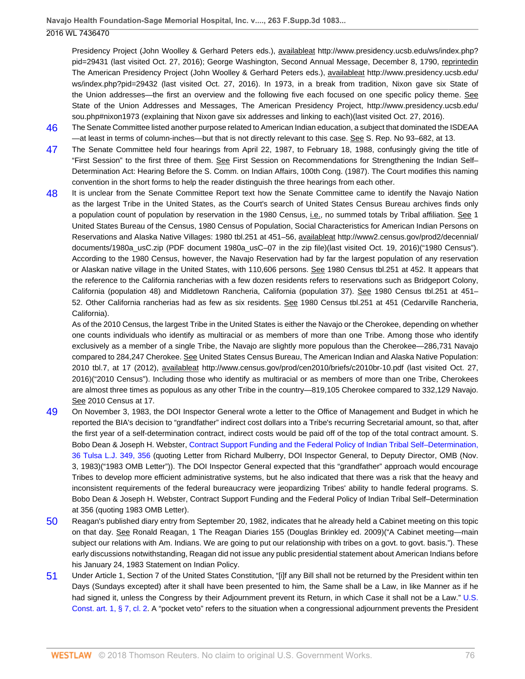Presidency Project (John Woolley & Gerhard Peters eds.), availableat http://www.presidency.ucsb.edu/ws/index.php? pid=29431 (last visited Oct. 27, 2016); George Washington, Second Annual Message, December 8, 1790, reprintedin The American Presidency Project (John Woolley & Gerhard Peters eds.), availableat http://www.presidency.ucsb.edu/ ws/index.php?pid=29432 (last visited Oct. 27, 2016). In 1973, in a break from tradition, Nixon gave six State of the Union addresses—the first an overview and the following five each focused on one specific policy theme. See State of the Union Addresses and Messages, The American Presidency Project, http://www.presidency.ucsb.edu/ sou.php#nixon1973 (explaining that Nixon gave six addresses and linking to each)(last visited Oct. 27, 2016).

- [46](#page-31-0) The Senate Committee listed another purpose related to American Indian education, a subject that dominated the ISDEAA —at least in terms of column-inches—but that is not directly relevant to this case. See S. Rep. No 93–682, at 13.
- [47](#page-35-0) The Senate Committee held four hearings from April 22, 1987, to February 18, 1988, confusingly giving the title of "First Session" to the first three of them. See First Session on Recommendations for Strengthening the Indian Self-Determination Act: Hearing Before the S. Comm. on Indian Affairs, 100th Cong. (1987). The Court modifies this naming convention in the short forms to help the reader distinguish the three hearings from each other.
- [48](#page-37-0) It is unclear from the Senate Committee Report text how the Senate Committee came to identify the Navajo Nation as the largest Tribe in the United States, as the Court's search of United States Census Bureau archives finds only a population count of population by reservation in the 1980 Census, *i.e.*, no summed totals by Tribal affiliation. See 1 United States Bureau of the Census, 1980 Census of Population, Social Characteristics for American Indian Persons on Reservations and Alaska Native Villages: 1980 tbl.251 at 451–56, availableat http://www2.census.gov/prod2/decennial/ documents/1980a\_usC.zip (PDF document 1980a\_usC–07 in the zip file)(last visited Oct. 19, 2016)("1980 Census"). According to the 1980 Census, however, the Navajo Reservation had by far the largest population of any reservation or Alaskan native village in the United States, with 110,606 persons. See 1980 Census tbl.251 at 452. It appears that the reference to the California rancherias with a few dozen residents refers to reservations such as Bridgeport Colony, California (population 48) and Middletown Rancheria, California (population 37). See 1980 Census tbl.251 at 451-52. Other California rancherias had as few as six residents. See 1980 Census tbl.251 at 451 (Cedarville Rancheria, California).

As of the 2010 Census, the largest Tribe in the United States is either the Navajo or the Cherokee, depending on whether one counts individuals who identify as multiracial or as members of more than one Tribe. Among those who identify exclusively as a member of a single Tribe, the Navajo are slightly more populous than the Cherokee—286,731 Navajo compared to 284,247 Cherokee. See United States Census Bureau, The American Indian and Alaska Native Population: 2010 tbl.7, at 17 (2012), availableat http://www.census.gov/prod/cen2010/briefs/c2010br-10.pdf (last visited Oct. 27, 2016)("2010 Census"). Including those who identify as multiracial or as members of more than one Tribe, Cherokees are almost three times as populous as any other Tribe in the country—819,105 Cherokee compared to 332,129 Navajo. See 2010 Census at 17.

- [49](#page-39-0) On November 3, 1983, the DOI Inspector General wrote a letter to the Office of Management and Budget in which he reported the BIA's decision to "grandfather" indirect cost dollars into a Tribe's recurring Secretarial amount, so that, after the first year of a self-determination contract, indirect costs would be paid off of the top of the total contract amount. S. Bobo Dean & Joseph H. Webster, [Contract Support Funding and the Federal Policy of Indian Tribal Self–Determination,](http://www.westlaw.com/Link/Document/FullText?findType=Y&serNum=0283246827&pubNum=0001255&originatingDoc=I4a89a3f0c8e111e6b27be1b44e7e7e5b&refType=LR&fi=co_pp_sp_1255_356&originationContext=document&vr=3.0&rs=cblt1.0&transitionType=DocumentItem&contextData=(sc.UserEnteredCitation)#co_pp_sp_1255_356) [36 Tulsa L.J. 349, 356](http://www.westlaw.com/Link/Document/FullText?findType=Y&serNum=0283246827&pubNum=0001255&originatingDoc=I4a89a3f0c8e111e6b27be1b44e7e7e5b&refType=LR&fi=co_pp_sp_1255_356&originationContext=document&vr=3.0&rs=cblt1.0&transitionType=DocumentItem&contextData=(sc.UserEnteredCitation)#co_pp_sp_1255_356) (quoting Letter from Richard Mulberry, DOI Inspector General, to Deputy Director, OMB (Nov. 3, 1983)("1983 OMB Letter")). The DOI Inspector General expected that this "grandfather" approach would encourage Tribes to develop more efficient administrative systems, but he also indicated that there was a risk that the heavy and inconsistent requirements of the federal bureaucracy were jeopardizing Tribes' ability to handle federal programs. S. Bobo Dean & Joseph H. Webster, Contract Support Funding and the Federal Policy of Indian Tribal Self–Determination at 356 (quoting 1983 OMB Letter).
- [50](#page-40-0) Reagan's published diary entry from September 20, 1982, indicates that he already held a Cabinet meeting on this topic on that day. See Ronald Reagan, 1 The Reagan Diaries 155 (Douglas Brinkley ed. 2009)("A Cabinet meeting—main subject our relations with Am. Indians. We are going to put our relationship with tribes on a govt. to govt. basis."). These early discussions notwithstanding, Reagan did not issue any public presidential statement about American Indians before his January 24, 1983 Statement on Indian Policy.
- [51](#page-41-0) Under Article 1, Section 7 of the United States Constitution, "[i]f any Bill shall not be returned by the President within ten Days (Sundays excepted) after it shall have been presented to him, the Same shall be a Law, in like Manner as if he had signed it, unless the Congress by their Adjournment prevent its Return, in which Case it shall not be a Law." [U.S.](http://www.westlaw.com/Link/Document/FullText?findType=L&pubNum=1000583&cite=USCOARTIS7CL2&originatingDoc=I4a89a3f0c8e111e6b27be1b44e7e7e5b&refType=LQ&originationContext=document&vr=3.0&rs=cblt1.0&transitionType=DocumentItem&contextData=(sc.UserEnteredCitation)) [Const. art. 1, § 7, cl. 2.](http://www.westlaw.com/Link/Document/FullText?findType=L&pubNum=1000583&cite=USCOARTIS7CL2&originatingDoc=I4a89a3f0c8e111e6b27be1b44e7e7e5b&refType=LQ&originationContext=document&vr=3.0&rs=cblt1.0&transitionType=DocumentItem&contextData=(sc.UserEnteredCitation)) A "pocket veto" refers to the situation when a congressional adjournment prevents the President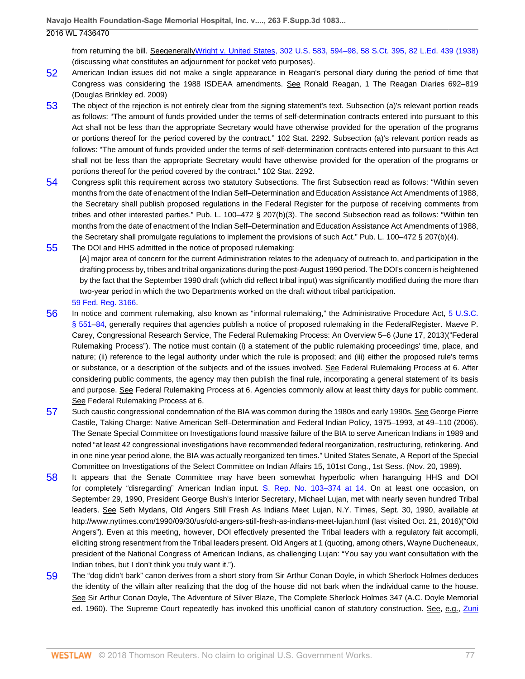from returning the bill. Seegenerally[Wright v. United States, 302 U.S. 583, 594–98, 58 S.Ct. 395, 82 L.Ed. 439 \(1938\)](http://www.westlaw.com/Link/Document/FullText?findType=Y&serNum=1938122912&pubNum=0000708&originatingDoc=I4a89a3f0c8e111e6b27be1b44e7e7e5b&refType=RP&originationContext=document&vr=3.0&rs=cblt1.0&transitionType=DocumentItem&contextData=(sc.UserEnteredCitation)) (discussing what constitutes an adjournment for pocket veto purposes).

- [52](#page-41-1) American Indian issues did not make a single appearance in Reagan's personal diary during the period of time that Congress was considering the 1988 ISDEAA amendments. See Ronald Reagan, 1 The Reagan Diaries 692–819 (Douglas Brinkley ed. 2009)
- [53](#page-42-0) The object of the rejection is not entirely clear from the signing statement's text. Subsection (a)'s relevant portion reads as follows: "The amount of funds provided under the terms of self-determination contracts entered into pursuant to this Act shall not be less than the appropriate Secretary would have otherwise provided for the operation of the programs or portions thereof for the period covered by the contract." 102 Stat. 2292. Subsection (a)'s relevant portion reads as follows: "The amount of funds provided under the terms of self-determination contracts entered into pursuant to this Act shall not be less than the appropriate Secretary would have otherwise provided for the operation of the programs or portions thereof for the period covered by the contract." 102 Stat. 2292.
- [54](#page-42-1) Congress split this requirement across two statutory Subsections. The first Subsection read as follows: "Within seven months from the date of enactment of the Indian Self–Determination and Education Assistance Act Amendments of 1988, the Secretary shall publish proposed regulations in the Federal Register for the purpose of receiving comments from tribes and other interested parties." Pub. L. 100–472 § 207(b)(3). The second Subsection read as follows: "Within ten months from the date of enactment of the Indian Self–Determination and Education Assistance Act Amendments of 1988, the Secretary shall promulgate regulations to implement the provisions of such Act." Pub. L. 100–472 § 207(b)(4).
- [55](#page-42-2) The DOI and HHS admitted in the notice of proposed rulemaking: [A] major area of concern for the current Administration relates to the adequacy of outreach to, and participation in the drafting process by, tribes and tribal organizations during the post-August 1990 period. The DOI's concern is heightened by the fact that the September 1990 draft (which did reflect tribal input) was significantly modified during the more than two-year period in which the two Departments worked on the draft without tribal participation. [59 Fed. Reg. 3166.](http://www.westlaw.com/Link/Document/FullText?findType=l&pubNum=0001037&cite=UUID(IC85A9350311E11DA815BD679F0D6A697)&originatingDoc=I4a89a3f0c8e111e6b27be1b44e7e7e5b&refType=CP&fi=co_pp_sp_1037_3166&originationContext=document&vr=3.0&rs=cblt1.0&transitionType=DocumentItem&contextData=(sc.UserEnteredCitation)#co_pp_sp_1037_3166)
- [56](#page-42-3) In notice and comment rulemaking, also known as "informal rulemaking," the Administrative Procedure Act, [5 U.S.C.](http://www.westlaw.com/Link/Document/FullText?findType=L&pubNum=1000546&cite=5USCAS551&originatingDoc=I4a89a3f0c8e111e6b27be1b44e7e7e5b&refType=LQ&originationContext=document&vr=3.0&rs=cblt1.0&transitionType=DocumentItem&contextData=(sc.UserEnteredCitation)) [§ 551](http://www.westlaw.com/Link/Document/FullText?findType=L&pubNum=1000546&cite=5USCAS551&originatingDoc=I4a89a3f0c8e111e6b27be1b44e7e7e5b&refType=LQ&originationContext=document&vr=3.0&rs=cblt1.0&transitionType=DocumentItem&contextData=(sc.UserEnteredCitation))-84, generally requires that agencies publish a notice of proposed rulemaking in the FederalRegister. Maeve P. Carey, Congressional Research Service, The Federal Rulemaking Process: An Overview 5–6 (June 17, 2013)("Federal Rulemaking Process"). The notice must contain (i) a statement of the public rulemaking proceedings' time, place, and nature; (ii) reference to the legal authority under which the rule is proposed; and (iii) either the proposed rule's terms or substance, or a description of the subjects and of the issues involved. See Federal Rulemaking Process at 6. After considering public comments, the agency may then publish the final rule, incorporating a general statement of its basis and purpose. See Federal Rulemaking Process at 6. Agencies commonly allow at least thirty days for public comment. See Federal Rulemaking Process at 6.
- [57](#page-43-0) Such caustic congressional condemnation of the BIA was common during the 1980s and early 1990s. See George Pierre Castile, Taking Charge: Native American Self–Determination and Federal Indian Policy, 1975–1993, at 49–110 (2006). The Senate Special Committee on Investigations found massive failure of the BIA to serve American Indians in 1989 and noted "at least 42 congressional investigations have recommended federal reorganization, restructuring, retinkering. And in one nine year period alone, the BIA was actually reorganized ten times." United States Senate, A Report of the Special Committee on Investigations of the Select Committee on Indian Affairs 15, 101st Cong., 1st Sess. (Nov. 20, 1989).
- [58](#page-44-0) It appears that the Senate Committee may have been somewhat hyperbolic when haranguing HHS and DOI for completely "disregarding" American Indian input. [S. Rep. No. 103–374 at 14.](http://www.westlaw.com/Link/Document/FullText?findType=Y&serNum=0104640955&pubNum=0001503&originatingDoc=I4a89a3f0c8e111e6b27be1b44e7e7e5b&refType=TV&originationContext=document&vr=3.0&rs=cblt1.0&transitionType=DocumentItem&contextData=(sc.UserEnteredCitation)) On at least one occasion, on September 29, 1990, President George Bush's Interior Secretary, Michael Lujan, met with nearly seven hundred Tribal leaders. See Seth Mydans, Old Angers Still Fresh As Indians Meet Lujan, N.Y. Times, Sept. 30, 1990, available at http://www.nytimes.com/1990/09/30/us/old-angers-still-fresh-as-indians-meet-lujan.html (last visited Oct. 21, 2016)("Old Angers"). Even at this meeting, however, DOI effectively presented the Tribal leaders with a regulatory fait accompli, eliciting strong resentment from the Tribal leaders present. Old Angers at 1 (quoting, among others, Wayne Ducheneaux, president of the National Congress of American Indians, as challenging Lujan: "You say you want consultation with the Indian tribes, but I don't think you truly want it.").
- [59](#page-45-0) The "dog didn't bark" canon derives from a short story from Sir Arthur Conan Doyle, in which Sherlock Holmes deduces the identity of the villain after realizing that the dog of the house did not bark when the individual came to the house. See Sir Arthur Conan Doyle, The Adventure of Silver Blaze, The Complete Sherlock Holmes 347 (A.C. Doyle Memorial ed. 1960). The Supreme Court repeatedly has invoked this unofficial canon of statutory construction. See, e.g., [Zuni](http://www.westlaw.com/Link/Document/FullText?findType=Y&serNum=2011958942&pubNum=0000708&originatingDoc=I4a89a3f0c8e111e6b27be1b44e7e7e5b&refType=RP&originationContext=document&vr=3.0&rs=cblt1.0&transitionType=DocumentItem&contextData=(sc.UserEnteredCitation))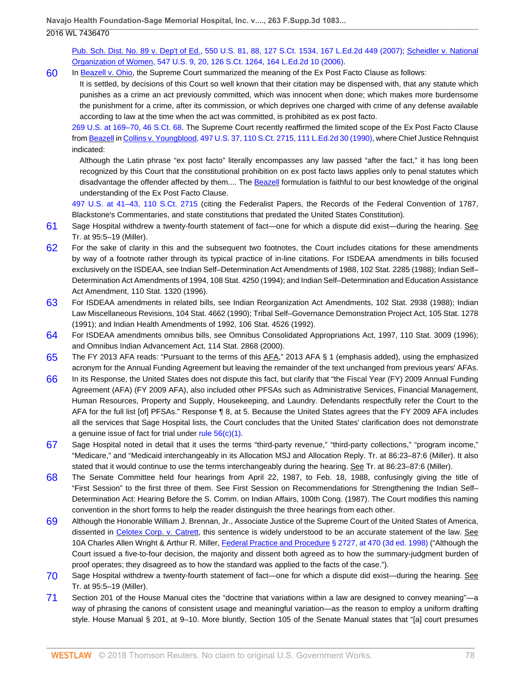[Pub. Sch. Dist. No. 89 v. Dep't of Ed., 550 U.S. 81, 88, 127 S.Ct. 1534, 167 L.Ed.2d 449 \(2007\);](http://www.westlaw.com/Link/Document/FullText?findType=Y&serNum=2011958942&pubNum=0000708&originatingDoc=I4a89a3f0c8e111e6b27be1b44e7e7e5b&refType=RP&originationContext=document&vr=3.0&rs=cblt1.0&transitionType=DocumentItem&contextData=(sc.UserEnteredCitation)) [Scheidler v. National](http://www.westlaw.com/Link/Document/FullText?findType=Y&serNum=2008553548&pubNum=0000708&originatingDoc=I4a89a3f0c8e111e6b27be1b44e7e7e5b&refType=RP&originationContext=document&vr=3.0&rs=cblt1.0&transitionType=DocumentItem&contextData=(sc.UserEnteredCitation)) [Organization of Women, 547 U.S. 9, 20, 126 S.Ct. 1264, 164 L.Ed.2d 10 \(2006\).](http://www.westlaw.com/Link/Document/FullText?findType=Y&serNum=2008553548&pubNum=0000708&originatingDoc=I4a89a3f0c8e111e6b27be1b44e7e7e5b&refType=RP&originationContext=document&vr=3.0&rs=cblt1.0&transitionType=DocumentItem&contextData=(sc.UserEnteredCitation))

[60](#page-45-1) In [Beazell v. Ohio,](http://www.westlaw.com/Link/Document/FullText?findType=Y&serNum=1925121648&pubNum=0000780&originatingDoc=I4a89a3f0c8e111e6b27be1b44e7e7e5b&refType=RP&originationContext=document&vr=3.0&rs=cblt1.0&transitionType=DocumentItem&contextData=(sc.UserEnteredCitation)) the Supreme Court summarized the meaning of the Ex Post Facto Clause as follows:

It is settled, by decisions of this Court so well known that their citation may be dispensed with, that any statute which punishes as a crime an act previously committed, which was innocent when done; which makes more burdensome the punishment for a crime, after its commission, or which deprives one charged with crime of any defense available according to law at the time when the act was committed, is prohibited as ex post facto.

[269 U.S. at 169–70, 46 S.Ct. 68.](http://www.westlaw.com/Link/Document/FullText?findType=Y&serNum=1925121648&pubNum=0000708&originatingDoc=I4a89a3f0c8e111e6b27be1b44e7e7e5b&refType=RP&originationContext=document&vr=3.0&rs=cblt1.0&transitionType=DocumentItem&contextData=(sc.UserEnteredCitation)) The Supreme Court recently reaffirmed the limited scope of the Ex Post Facto Clause from [Beazell](http://www.westlaw.com/Link/Document/FullText?findType=Y&serNum=1925121648&originatingDoc=I4a89a3f0c8e111e6b27be1b44e7e7e5b&refType=RP&originationContext=document&vr=3.0&rs=cblt1.0&transitionType=DocumentItem&contextData=(sc.UserEnteredCitation)) in [Collins v. Youngblood, 497 U.S. 37, 110 S.Ct. 2715, 111 L.Ed.2d 30 \(1990\)](http://www.westlaw.com/Link/Document/FullText?findType=Y&serNum=1990096208&pubNum=0000708&originatingDoc=I4a89a3f0c8e111e6b27be1b44e7e7e5b&refType=RP&originationContext=document&vr=3.0&rs=cblt1.0&transitionType=DocumentItem&contextData=(sc.UserEnteredCitation)), where Chief Justice Rehnquist indicated:

Although the Latin phrase "ex post facto" literally encompasses any law passed "after the fact," it has long been recognized by this Court that the constitutional prohibition on ex post facto laws applies only to penal statutes which disadvantage the offender affected by them.... The [Beazell](http://www.westlaw.com/Link/Document/FullText?findType=Y&serNum=1925121648&originatingDoc=I4a89a3f0c8e111e6b27be1b44e7e7e5b&refType=RP&originationContext=document&vr=3.0&rs=cblt1.0&transitionType=DocumentItem&contextData=(sc.UserEnteredCitation)) formulation is faithful to our best knowledge of the original understanding of the Ex Post Facto Clause.

[497 U.S. at 41–43, 110 S.Ct. 2715](http://www.westlaw.com/Link/Document/FullText?findType=Y&serNum=1990096208&pubNum=0000708&originatingDoc=I4a89a3f0c8e111e6b27be1b44e7e7e5b&refType=RP&originationContext=document&vr=3.0&rs=cblt1.0&transitionType=DocumentItem&contextData=(sc.UserEnteredCitation)) (citing the Federalist Papers, the Records of the Federal Convention of 1787, Blackstone's Commentaries, and state constitutions that predated the United States Constitution).

- [61](#page-58-0) Sage Hospital withdrew a twenty-fourth statement of fact—one for which a dispute did exist—during the hearing. See Tr. at 95:5–19 (Miller).
- [62](#page-58-1) For the sake of clarity in this and the subsequent two footnotes, the Court includes citations for these amendments by way of a footnote rather through its typical practice of in-line citations. For ISDEAA amendments in bills focused exclusively on the ISDEAA, see Indian Self–Determination Act Amendments of 1988, 102 Stat. 2285 (1988); Indian Self– Determination Act Amendments of 1994, 108 Stat. 4250 (1994); and Indian Self–Determination and Education Assistance Act Amendment, 110 Stat. 1320 (1996).
- [63](#page-58-2) For ISDEAA amendments in related bills, see Indian Reorganization Act Amendments, 102 Stat. 2938 (1988); Indian Law Miscellaneous Revisions, 104 Stat. 4662 (1990); Tribal Self–Governance Demonstration Project Act, 105 Stat. 1278 (1991); and Indian Health Amendments of 1992, 106 Stat. 4526 (1992).
- [64](#page-58-3) For ISDEAA amendments omnibus bills, see Omnibus Consolidated Appropriations Act, 1997, 110 Stat. 3009 (1996); and Omnibus Indian Advancement Act, 114 Stat. 2868 (2000).
- [65](#page-59-0) The FY 2013 AFA reads: "Pursuant to the terms of this AFA," 2013 AFA § 1 (emphasis added), using the emphasized acronym for the Annual Funding Agreement but leaving the remainder of the text unchanged from previous years' AFAs.
- [66](#page-60-0) In its Response, the United States does not dispute this fact, but clarify that "the Fiscal Year (FY) 2009 Annual Funding Agreement (AFA) (FY 2009 AFA), also included other PFSAs such as Administrative Services, Financial Management, Human Resources, Property and Supply, Housekeeping, and Laundry. Defendants respectfully refer the Court to the AFA for the full list [of] PFSAs." Response ¶ 8, at 5. Because the United States agrees that the FY 2009 AFA includes all the services that Sage Hospital lists, the Court concludes that the United States' clarification does not demonstrate a genuine issue of fact for trial under [rule 56\(c\)\(1\)](http://www.westlaw.com/Link/Document/FullText?findType=L&pubNum=1000600&cite=USFRCPR56&originatingDoc=I4a89a3f0c8e111e6b27be1b44e7e7e5b&refType=LQ&originationContext=document&vr=3.0&rs=cblt1.0&transitionType=DocumentItem&contextData=(sc.UserEnteredCitation)).
- [67](#page-60-1) Sage Hospital noted in detail that it uses the terms "third-party revenue," "third-party collections," "program income," "Medicare," and "Medicaid interchangeably in its Allocation MSJ and Allocation Reply. Tr. at 86:23–87:6 (Miller). It also stated that it would continue to use the terms interchangeably during the hearing. See Tr. at 86:23-87:6 (Miller).
- [68](#page-61-0) The Senate Committee held four hearings from April 22, 1987, to Feb. 18, 1988, confusingly giving the title of "First Session" to the first three of them. See First Session on Recommendations for Strengthening the Indian Self– Determination Act: Hearing Before the S. Comm. on Indian Affairs, 100th Cong. (1987). The Court modifies this naming convention in the short forms to help the reader distinguish the three hearings from each other.
- [69](#page-62-0) Although the Honorable William J. Brennan, Jr., Associate Justice of the Supreme Court of the United States of America, dissented in [Celotex Corp. v. Catrett,](http://www.westlaw.com/Link/Document/FullText?findType=Y&serNum=1986132677&pubNum=0000780&originatingDoc=I4a89a3f0c8e111e6b27be1b44e7e7e5b&refType=RP&originationContext=document&vr=3.0&rs=cblt1.0&transitionType=DocumentItem&contextData=(sc.UserEnteredCitation)) this sentence is widely understood to be an accurate statement of the law. See 10A Charles Allen Wright & Arthur R. Miller, [Federal Practice and Procedure § 2727, at 470 \(3d ed. 1998\)](http://www.westlaw.com/Link/Document/FullText?findType=Y&serNum=0108902524&pubNum=0102228&originatingDoc=I4a89a3f0c8e111e6b27be1b44e7e7e5b&refType=TS&originationContext=document&vr=3.0&rs=cblt1.0&transitionType=DocumentItem&contextData=(sc.UserEnteredCitation)) ("Although the Court issued a five-to-four decision, the majority and dissent both agreed as to how the summary-judgment burden of proof operates; they disagreed as to how the standard was applied to the facts of the case.").
- [70](#page-62-1) Sage Hospital withdrew a twenty-fourth statement of fact—one for which a dispute did exist—during the hearing. See Tr. at 95:5–19 (Miller).
- [71](#page-67-0) Section 201 of the House Manual cites the "doctrine that variations within a law are designed to convey meaning"—a way of phrasing the canons of consistent usage and meaningful variation—as the reason to employ a uniform drafting style. House Manual § 201, at 9–10. More bluntly, Section 105 of the Senate Manual states that "[a] court presumes